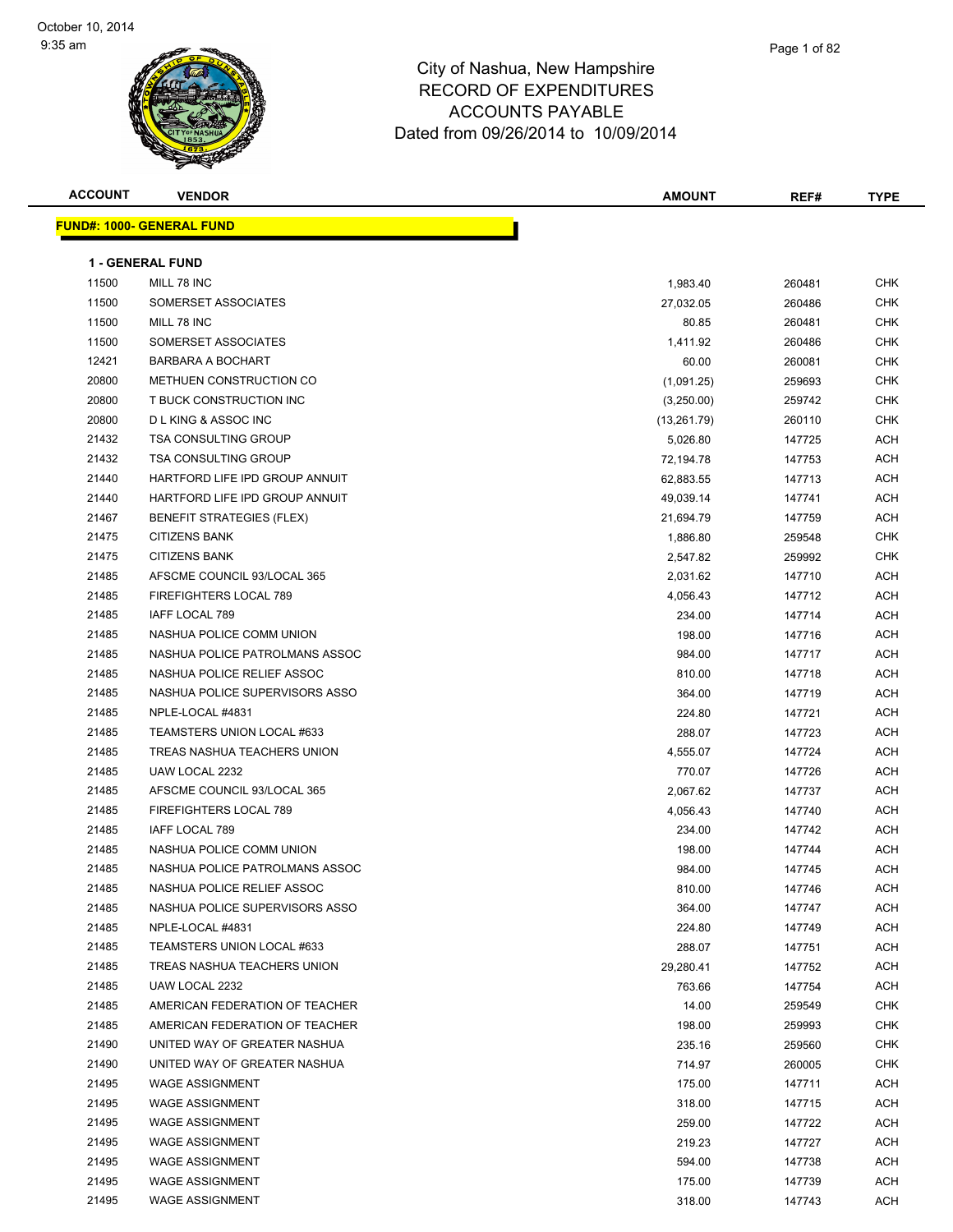

Page 1 of 82

| <b>FUND#: 1000- GENERAL I</b> |  |  |
|-------------------------------|--|--|

| <b>ACCOUNT</b> | <b>VENDOR</b>                    | <b>AMOUNT</b>      | REF#             | <b>TYPE</b> |
|----------------|----------------------------------|--------------------|------------------|-------------|
|                | <u> IND#: 1000- GENERAL FUND</u> |                    |                  |             |
|                | <b>1 - GENERAL FUND</b>          |                    |                  |             |
| 11500          | MILL 78 INC                      | 1,983.40           | 260481           | <b>CHK</b>  |
| 11500          | SOMERSET ASSOCIATES              |                    | 260486           | <b>CHK</b>  |
| 11500          | MILL 78 INC                      | 27,032.05<br>80.85 | 260481           | <b>CHK</b>  |
| 11500          | SOMERSET ASSOCIATES              |                    |                  | <b>CHK</b>  |
| 12421          | <b>BARBARA A BOCHART</b>         | 1,411.92<br>60.00  | 260486<br>260081 | <b>CHK</b>  |
| 20800          | METHUEN CONSTRUCTION CO          |                    | 259693           | <b>CHK</b>  |
| 20800          | T BUCK CONSTRUCTION INC          | (1,091.25)         |                  | <b>CHK</b>  |
|                | <b>DLKING &amp; ASSOC INC</b>    | (3,250.00)         | 259742           |             |
| 20800          |                                  | (13,261.79)        | 260110           | <b>CHK</b>  |
| 21432          | <b>TSA CONSULTING GROUP</b>      | 5,026.80           | 147725           | <b>ACH</b>  |
| 21432          | <b>TSA CONSULTING GROUP</b>      | 72,194.78          | 147753           | <b>ACH</b>  |
| 21440          | HARTFORD LIFE IPD GROUP ANNUIT   | 62,883.55          | 147713           | <b>ACH</b>  |
| 21440          | HARTFORD LIFE IPD GROUP ANNUIT   | 49,039.14          | 147741           | <b>ACH</b>  |
| 21467          | <b>BENEFIT STRATEGIES (FLEX)</b> | 21,694.79          | 147759           | <b>ACH</b>  |
| 21475          | <b>CITIZENS BANK</b>             | 1,886.80           | 259548           | <b>CHK</b>  |
| 21475          | <b>CITIZENS BANK</b>             | 2,547.82           | 259992           | <b>CHK</b>  |
| 21485          | AFSCME COUNCIL 93/LOCAL 365      | 2,031.62           | 147710           | <b>ACH</b>  |
| 21485          | FIREFIGHTERS LOCAL 789           | 4,056.43           | 147712           | <b>ACH</b>  |
| 21485          | IAFF LOCAL 789                   | 234.00             | 147714           | <b>ACH</b>  |
| 21485          | NASHUA POLICE COMM UNION         | 198.00             | 147716           | <b>ACH</b>  |
| 21485          | NASHUA POLICE PATROLMANS ASSOC   | 984.00             | 147717           | <b>ACH</b>  |
| 21485          | NASHUA POLICE RELIEF ASSOC       | 810.00             | 147718           | <b>ACH</b>  |
| 21485          | NASHUA POLICE SUPERVISORS ASSO   | 364.00             | 147719           | <b>ACH</b>  |
| 21485          | NPLE-LOCAL #4831                 | 224.80             | 147721           | <b>ACH</b>  |
| 21485          | TEAMSTERS UNION LOCAL #633       | 288.07             | 147723           | <b>ACH</b>  |
| 21485          | TREAS NASHUA TEACHERS UNION      | 4,555.07           | 147724           | <b>ACH</b>  |
| 21485          | UAW LOCAL 2232                   | 770.07             | 147726           | <b>ACH</b>  |
| 21485          | AFSCME COUNCIL 93/LOCAL 365      | 2,067.62           | 147737           | <b>ACH</b>  |
| 21485          | FIREFIGHTERS LOCAL 789           | 4,056.43           | 147740           | <b>ACH</b>  |
| 21485          | IAFF LOCAL 789                   | 234.00             | 147742           | <b>ACH</b>  |
| 21485          | NASHUA POLICE COMM UNION         | 198.00             | 147744           | <b>ACH</b>  |
| 21485          | NASHUA POLICE PATROLMANS ASSOC   | 984.00             | 147745           | <b>ACH</b>  |
| 21485          | NASHUA POLICE RELIEF ASSOC       | 810.00             | 147746           | <b>ACH</b>  |
| 21485          | NASHUA POLICE SUPERVISORS ASSO   | 364.00             | 147747           | <b>ACH</b>  |
| 21485          | NPLE-LOCAL #4831                 | 224.80             | 147749           | <b>ACH</b>  |
| 21485          | TEAMSTERS UNION LOCAL #633       | 288.07             | 147751           | <b>ACH</b>  |

21485 TREAS NASHUA TEACHERS UNION 29,280.41 2147752 ACH UAW LOCAL 2232 763.66 147754 ACH AMERICAN FEDERATION OF TEACHER 14.00 259549 CHK 21485 AMERICAN FEDERATION OF TEACHER 198.00 259993 CHK UNITED WAY OF GREATER NASHUA 235.16 259560 CHK UNITED WAY OF GREATER NASHUA 714.97 260005 CHK 21495 WAGE ASSIGNMENT ACH AND THE SERVER OF THE SERVER OF THE SERVER OF THE SERVER OF THE SERVER OF THE SERVER 21495 WAGE ASSIGNMENT ACH CHARGE AND THE SERVER STREET A STREET AND THE SERVER STREET AND THE SERVER STREET ACH WAGE ASSIGNMENT 259.00 147722 ACH 21495 WAGE ASSIGNMENT AND RESERVE THE SERVE OF STATE ASSISTENT AND RESERVE THE SERVE OF STATE AND RESERVE THE STATE OF STATE AND RESERVE THE SERVE OF STATE AND RESERVE THE STATE OF STATE AND RESERVE THE STATE OF STATE OF S WAGE ASSIGNMENT 594.00 147738 ACH 21495 WAGE ASSIGNMENT NAMEL AND RESERVE THE SERVE OF STATE SERVER THE SERVER OF STATE OF SERVER AND A SERVER O 21495 WAGE ASSIGNMENT AND RESERVE THE SERVE OF STREET AND RESERVE THE STREET STREET AND RESERVE THE STREET AND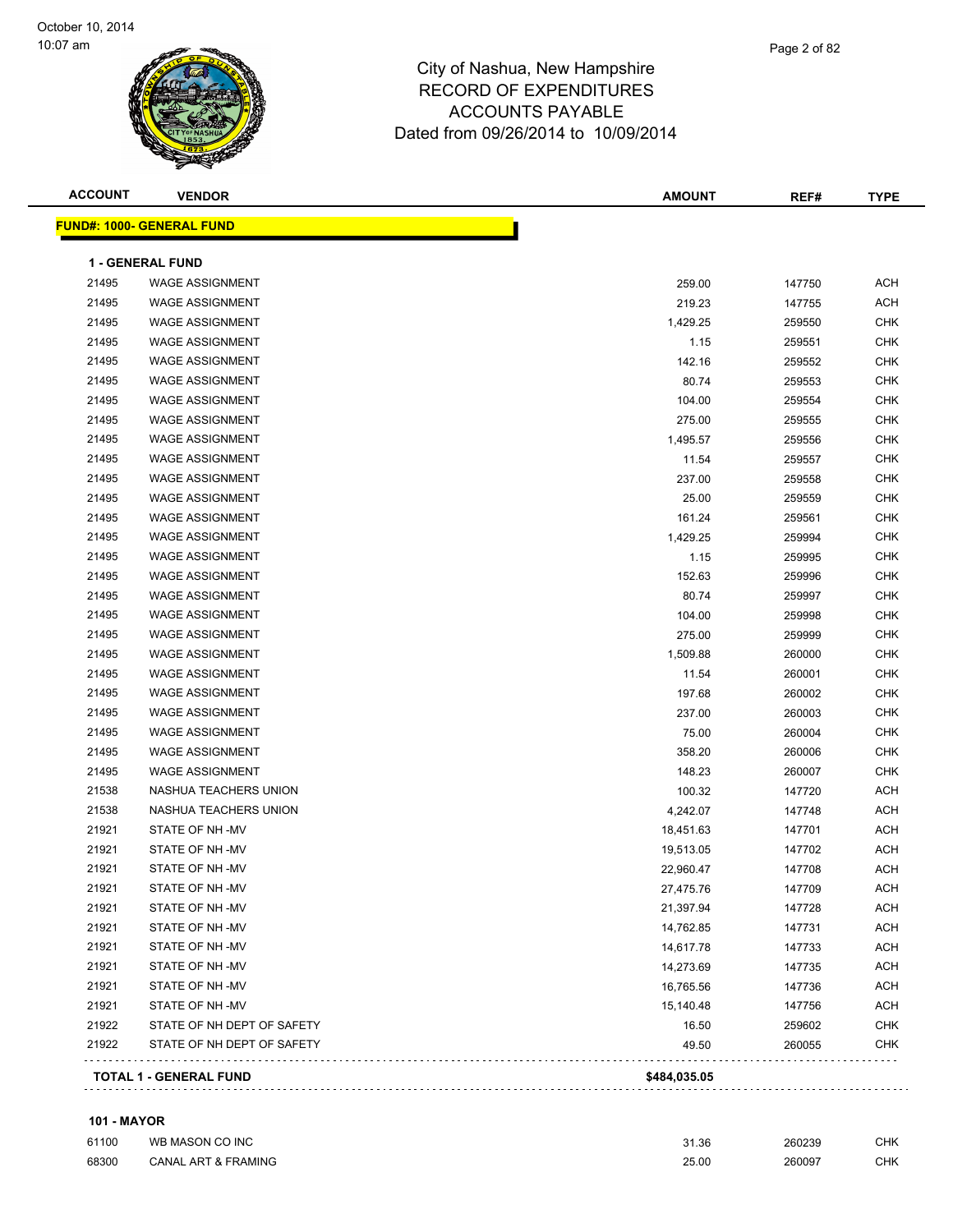

| <b>ACCOUNT</b> | <b>VENDOR</b>                     | <b>AMOUNT</b> | REF#   | <b>TYPE</b> |
|----------------|-----------------------------------|---------------|--------|-------------|
|                | <u> FUND#: 1000- GENERAL FUND</u> |               |        |             |
|                | <b>1 - GENERAL FUND</b>           |               |        |             |
| 21495          | <b>WAGE ASSIGNMENT</b>            | 259.00        | 147750 | <b>ACH</b>  |
| 21495          | <b>WAGE ASSIGNMENT</b>            | 219.23        | 147755 | <b>ACH</b>  |
| 21495          | <b>WAGE ASSIGNMENT</b>            | 1,429.25      | 259550 | <b>CHK</b>  |
| 21495          | <b>WAGE ASSIGNMENT</b>            | 1.15          | 259551 | <b>CHK</b>  |
| 21495          | <b>WAGE ASSIGNMENT</b>            | 142.16        | 259552 | <b>CHK</b>  |
| 21495          | <b>WAGE ASSIGNMENT</b>            | 80.74         | 259553 | <b>CHK</b>  |
| 21495          | <b>WAGE ASSIGNMENT</b>            | 104.00        | 259554 | <b>CHK</b>  |
| 21495          | <b>WAGE ASSIGNMENT</b>            | 275.00        | 259555 | <b>CHK</b>  |
| 21495          | <b>WAGE ASSIGNMENT</b>            | 1,495.57      | 259556 | <b>CHK</b>  |
| 21495          | <b>WAGE ASSIGNMENT</b>            | 11.54         | 259557 | <b>CHK</b>  |
| 21495          | <b>WAGE ASSIGNMENT</b>            | 237.00        | 259558 | CHK         |
| 21495          | <b>WAGE ASSIGNMENT</b>            | 25.00         | 259559 | CHK         |
| 21495          | <b>WAGE ASSIGNMENT</b>            | 161.24        | 259561 | <b>CHK</b>  |
| 21495          | <b>WAGE ASSIGNMENT</b>            | 1,429.25      | 259994 | <b>CHK</b>  |
| 21495          | <b>WAGE ASSIGNMENT</b>            | 1.15          | 259995 | <b>CHK</b>  |
| 21495          | <b>WAGE ASSIGNMENT</b>            | 152.63        | 259996 | <b>CHK</b>  |
| 21495          | <b>WAGE ASSIGNMENT</b>            | 80.74         | 259997 | <b>CHK</b>  |
| 21495          | <b>WAGE ASSIGNMENT</b>            | 104.00        | 259998 | <b>CHK</b>  |
| 21495          | <b>WAGE ASSIGNMENT</b>            | 275.00        | 259999 | <b>CHK</b>  |
| 21495          | <b>WAGE ASSIGNMENT</b>            | 1,509.88      | 260000 | <b>CHK</b>  |
| 21495          | <b>WAGE ASSIGNMENT</b>            | 11.54         | 260001 | <b>CHK</b>  |
| 21495          | <b>WAGE ASSIGNMENT</b>            | 197.68        | 260002 | CHK         |
| 21495          | <b>WAGE ASSIGNMENT</b>            | 237.00        | 260003 | CHK         |
| 21495          | <b>WAGE ASSIGNMENT</b>            | 75.00         | 260004 | <b>CHK</b>  |
| 21495          | <b>WAGE ASSIGNMENT</b>            | 358.20        | 260006 | <b>CHK</b>  |
| 21495          | <b>WAGE ASSIGNMENT</b>            | 148.23        | 260007 | <b>CHK</b>  |
| 21538          | NASHUA TEACHERS UNION             | 100.32        | 147720 | <b>ACH</b>  |
| 21538          | NASHUA TEACHERS UNION             | 4,242.07      | 147748 | <b>ACH</b>  |
| 21921          | STATE OF NH-MV                    | 18,451.63     | 147701 | <b>ACH</b>  |
| 21921          | STATE OF NH-MV                    | 19,513.05     | 147702 | ACH         |
| 21921          | STATE OF NH-MV                    | 22,960.47     | 147708 | <b>ACH</b>  |
| 21921          | STATE OF NH-MV                    | 27,475.76     | 147709 | <b>ACH</b>  |
| 21921          | STATE OF NH-MV                    | 21,397.94     | 147728 | ACH         |
| 21921          | STATE OF NH-MV                    | 14,762.85     | 147731 | <b>ACH</b>  |
| 21921          | STATE OF NH-MV                    | 14,617.78     | 147733 | ACH         |
| 21921          | STATE OF NH-MV                    | 14,273.69     | 147735 | ACH         |
| 21921          | STATE OF NH-MV                    | 16,765.56     | 147736 | <b>ACH</b>  |
| 21921          | STATE OF NH-MV                    | 15,140.48     | 147756 | ACH         |
| 21922          | STATE OF NH DEPT OF SAFETY        | 16.50         | 259602 | <b>CHK</b>  |
| 21922          | STATE OF NH DEPT OF SAFETY        | 49.50         | 260055 | <b>CHK</b>  |
|                | <b>TOTAL 1 - GENERAL FUND</b>     | \$484,035.05  |        |             |
|                |                                   |               |        |             |

#### **101 - MAYOR**

| 61100 | WB MASON CO INC                | 31.36 | 260239 | <b>CHK</b> |
|-------|--------------------------------|-------|--------|------------|
| 68300 | <b>CANAL ART &amp; FRAMING</b> | 25.00 | 260097 | СНК        |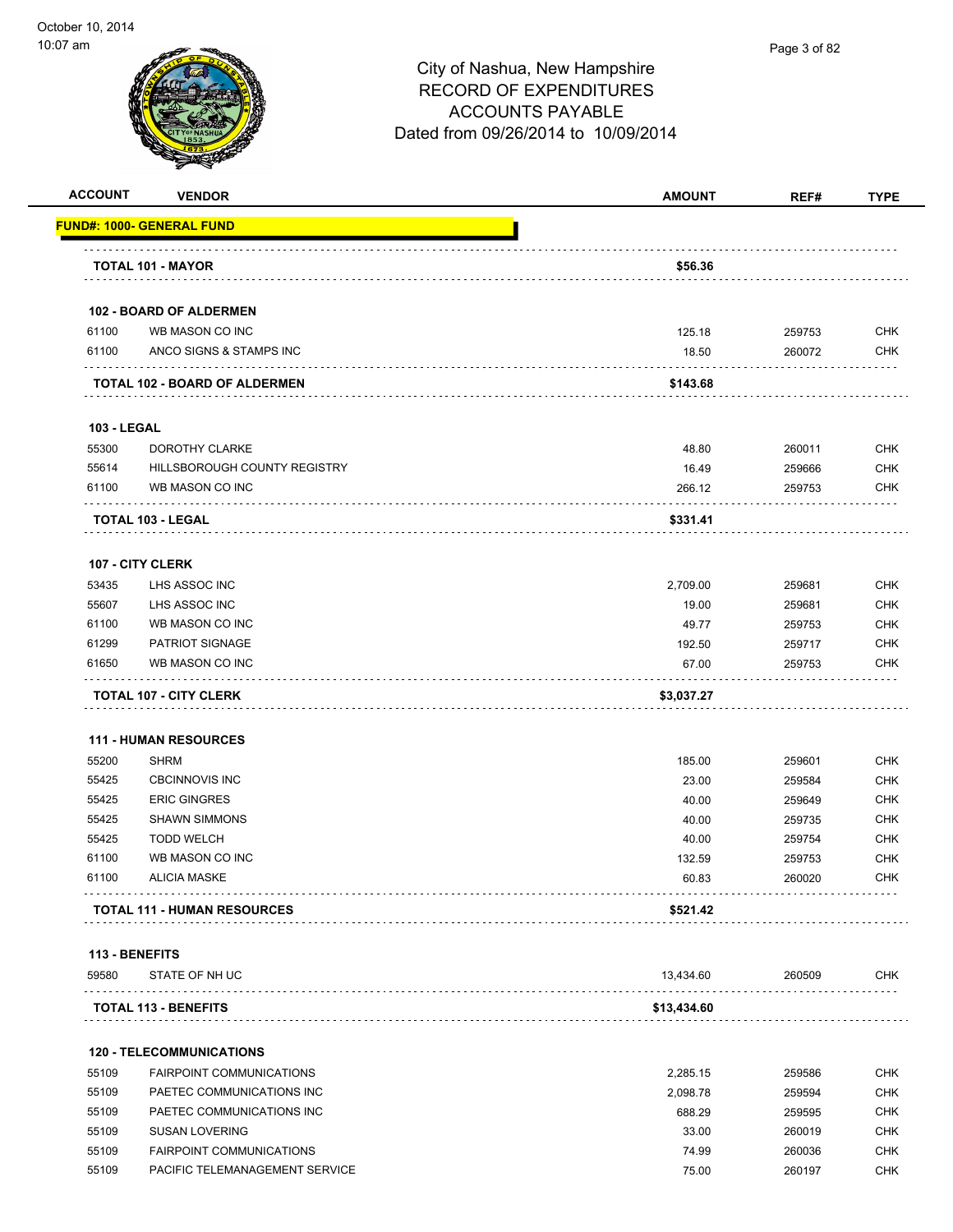

**ACCOUNT VENDOR AMOUNT REF# TYPE**

|                    | FUND#: 1000- GENERAL FUND                                          |                 |                  |                          |
|--------------------|--------------------------------------------------------------------|-----------------|------------------|--------------------------|
|                    | TOTAL 101 - MAYOR                                                  | \$56.36         |                  |                          |
|                    | 102 - BOARD OF ALDERMEN                                            |                 |                  |                          |
| 61100              | WB MASON CO INC                                                    | 125.18          | 259753           | <b>CHK</b>               |
| 61100              | ANCO SIGNS & STAMPS INC                                            | 18.50           | 260072           | <b>CHK</b>               |
|                    | TOTAL 102 - BOARD OF ALDERMEN                                      | \$143.68        |                  |                          |
| <b>103 - LEGAL</b> |                                                                    |                 |                  |                          |
| 55300              | DOROTHY CLARKE                                                     | 48.80           | 260011           | <b>CHK</b>               |
| 55614              | HILLSBOROUGH COUNTY REGISTRY                                       | 16.49           | 259666           | <b>CHK</b>               |
| 61100              | WB MASON CO INC                                                    | 266.12          | 259753           | <b>CHK</b>               |
|                    | <b>TOTAL 103 - LEGAL</b>                                           | \$331.41        |                  |                          |
|                    |                                                                    |                 |                  |                          |
| 53435              | 107 - CITY CLERK<br>LHS ASSOC INC                                  | 2,709.00        | 259681           | <b>CHK</b>               |
| 55607              | LHS ASSOC INC                                                      | 19.00           |                  | <b>CHK</b>               |
| 61100              | WB MASON CO INC                                                    |                 | 259681           |                          |
|                    |                                                                    | 49.77           | 259753           | <b>CHK</b>               |
| 61299<br>61650     | PATRIOT SIGNAGE<br>WB MASON CO INC                                 | 192.50<br>67.00 | 259717<br>259753 | <b>CHK</b><br><b>CHK</b> |
|                    |                                                                    | \$3,037.27      |                  |                          |
|                    | <b>111 - HUMAN RESOURCES</b>                                       |                 |                  |                          |
| 55200              | <b>SHRM</b>                                                        | 185.00          | 259601           | <b>CHK</b>               |
| 55425              | <b>CBCINNOVIS INC</b>                                              | 23.00           | 259584           | <b>CHK</b>               |
| 55425              | <b>ERIC GINGRES</b>                                                | 40.00           | 259649           | <b>CHK</b>               |
| 55425              | <b>SHAWN SIMMONS</b>                                               | 40.00           | 259735           | <b>CHK</b>               |
| 55425              | <b>TODD WELCH</b>                                                  | 40.00           | 259754           | <b>CHK</b>               |
| 61100              | WB MASON CO INC                                                    | 132.59          | 259753           | <b>CHK</b>               |
| 61100              | <b>ALICIA MASKE</b>                                                | 60.83           | 260020           | <b>CHK</b>               |
|                    | <b>TOTAL 111 - HUMAN RESOURCES</b>                                 | \$521.42        |                  |                          |
|                    | 113 - BENEFITS                                                     |                 |                  |                          |
| 59580              | STATE OF NH UC                                                     | 13,434.60       | 260509           | <b>CHK</b>               |
|                    | <b>TOTAL 113 - BENEFITS</b>                                        | \$13,434.60     |                  |                          |
|                    |                                                                    |                 |                  |                          |
| 55109              | <b>120 - TELECOMMUNICATIONS</b><br><b>FAIRPOINT COMMUNICATIONS</b> |                 | 259586           | <b>CHK</b>               |
| 55109              |                                                                    | 2,285.15        |                  |                          |
|                    | PAETEC COMMUNICATIONS INC                                          | 2,098.78        | 259594           | <b>CHK</b>               |
| 55109              | PAETEC COMMUNICATIONS INC                                          | 688.29          | 259595           | <b>CHK</b>               |
| 55109              | <b>SUSAN LOVERING</b>                                              | 33.00           | 260019           | <b>CHK</b>               |
| 55109              | <b>FAIRPOINT COMMUNICATIONS</b>                                    | 74.99           | 260036           | <b>CHK</b>               |
| 55109              | PACIFIC TELEMANAGEMENT SERVICE                                     | 75.00           | 260197           | <b>CHK</b>               |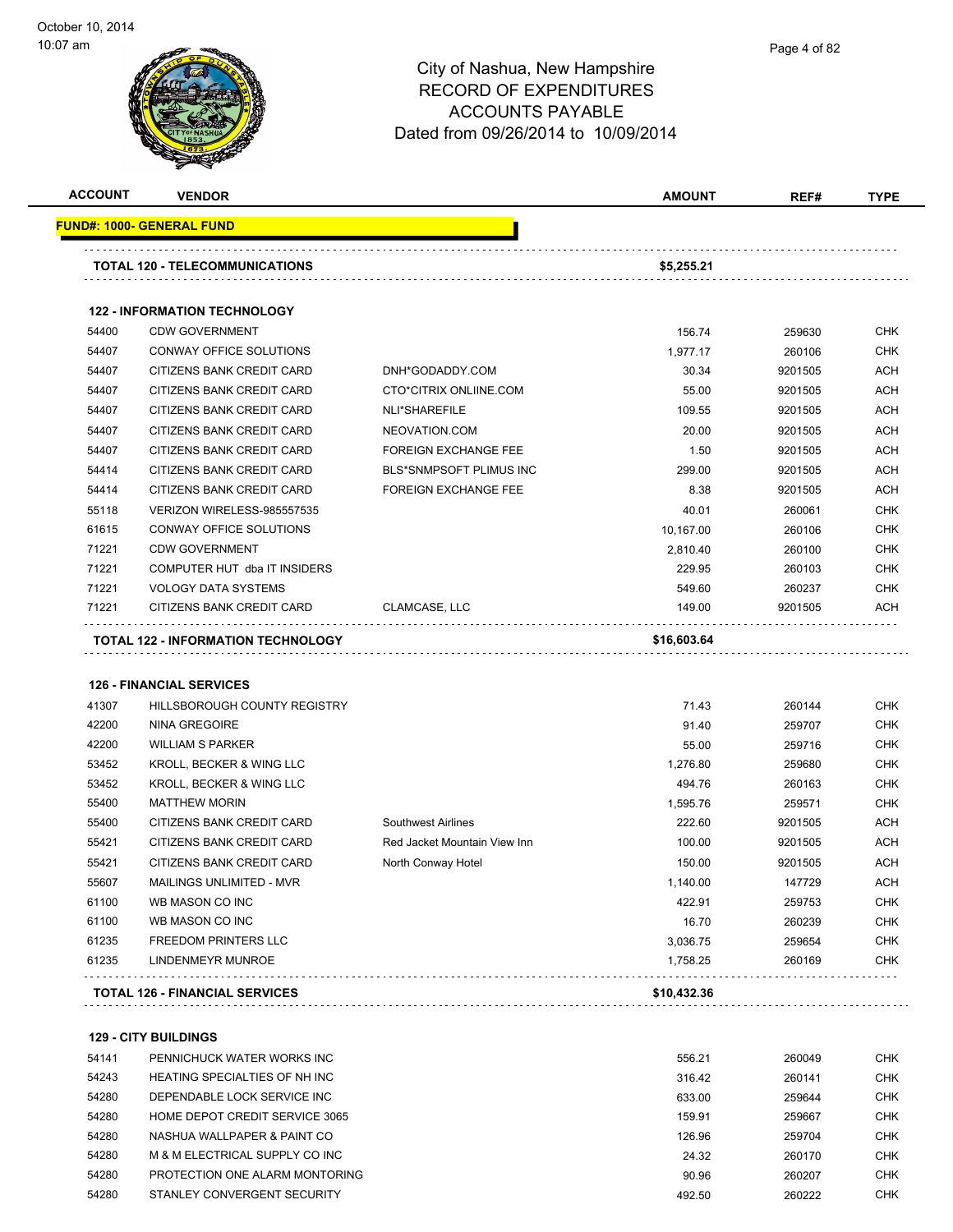

| <b>ACCOUNT</b> | <b>VENDOR</b>                         |                              | <b>AMOUNT</b> | REF#    | <b>TYPE</b> |
|----------------|---------------------------------------|------------------------------|---------------|---------|-------------|
|                | <u> FUND#: 1000- GENERAL FUND</u>     |                              |               |         |             |
|                | <b>TOTAL 120 - TELECOMMUNICATIONS</b> |                              | \$5,255.21    |         |             |
|                | <b>122 - INFORMATION TECHNOLOGY</b>   |                              |               |         |             |
| 54400          | <b>CDW GOVERNMENT</b>                 |                              | 156.74        | 259630  | <b>CHK</b>  |
| 54407          | CONWAY OFFICE SOLUTIONS               |                              | 1,977.17      | 260106  | <b>CHK</b>  |
| 54407          | CITIZENS BANK CREDIT CARD             | DNH*GODADDY.COM              | 30.34         | 9201505 | ACH         |
| 54407          | CITIZENS BANK CREDIT CARD             | CTO*CITRIX ONLIINE.COM       | 55.00         | 9201505 | <b>ACH</b>  |
| 54407          | CITIZENS BANK CREDIT CARD             | NLI*SHAREFILE                | 109.55        | 9201505 | ACH         |
| 54407          | CITIZENS BANK CREDIT CARD             | NEOVATION.COM                | 20.00         | 9201505 | ACH         |
| 54407          | CITIZENS BANK CREDIT CARD             | <b>FOREIGN EXCHANGE FEE</b>  | 1.50          | 9201505 | ACH         |
| 54414          | CITIZENS BANK CREDIT CARD             | BLS*SNMPSOFT PLIMUS INC      | 299.00        | 9201505 | <b>ACH</b>  |
| 54414          | CITIZENS BANK CREDIT CARD             | <b>FOREIGN EXCHANGE FEE</b>  | 8.38          | 9201505 | ACH         |
| 55118          | VERIZON WIRELESS-985557535            |                              | 40.01         | 260061  | <b>CHK</b>  |
| 61615          | CONWAY OFFICE SOLUTIONS               |                              | 10,167.00     | 260106  | <b>CHK</b>  |
| 71221          | <b>CDW GOVERNMENT</b>                 |                              | 2,810.40      | 260100  | <b>CHK</b>  |
| 71221          | COMPUTER HUT dba IT INSIDERS          |                              | 229.95        | 260103  | <b>CHK</b>  |
| 71221          | <b>VOLOGY DATA SYSTEMS</b>            |                              | 549.60        | 260237  | <b>CHK</b>  |
| 71221          | CITIZENS BANK CREDIT CARD             | CLAMCASE, LLC                | 149.00        | 9201505 | <b>ACH</b>  |
|                | TOTAL 122 - INFORMATION TECHNOLOGY    |                              | \$16,603.64   |         |             |
|                | <b>126 - FINANCIAL SERVICES</b>       |                              |               |         |             |
| 41307          | HILLSBOROUGH COUNTY REGISTRY          |                              | 71.43         | 260144  | <b>CHK</b>  |
| 42200          | <b>NINA GREGOIRE</b>                  |                              | 91.40         | 259707  | <b>CHK</b>  |
| 42200          | <b>WILLIAM S PARKER</b>               |                              | 55.00         | 259716  | <b>CHK</b>  |
| 53452          | KROLL, BECKER & WING LLC              |                              | 1,276.80      | 259680  | <b>CHK</b>  |
| 53452          | KROLL, BECKER & WING LLC              |                              | 494.76        | 260163  | <b>CHK</b>  |
| 55400          | <b>MATTHEW MORIN</b>                  |                              | 1,595.76      | 259571  | <b>CHK</b>  |
| 55400          | CITIZENS BANK CREDIT CARD             | <b>Southwest Airlines</b>    | 222.60        | 9201505 | ACH         |
| 55421          | CITIZENS BANK CREDIT CARD             | Red Jacket Mountain View Inn | 100.00        | 9201505 | ACH         |
| 55421          | CITIZENS BANK CREDIT CARD             | North Conway Hotel           | 150.00        | 9201505 | <b>ACH</b>  |
| 55607          | MAILINGS UNLIMITED - MVR              |                              | 1,140.00      | 147729  | ACH         |
| 61100          | WB MASON CO INC                       |                              | 422.91        | 259753  | <b>CHK</b>  |
| 61100          | WB MASON CO INC                       |                              | 16.70         | 260239  | <b>CHK</b>  |
| 61235          | <b>FREEDOM PRINTERS LLC</b>           |                              | 3,036.75      | 259654  | <b>CHK</b>  |
|                | LINDENMEYR MUNROE                     |                              | 1,758.25      | 260169  | <b>CHK</b>  |
|                |                                       |                              |               |         |             |
| 61235          | <b>TOTAL 126 - FINANCIAL SERVICES</b> |                              | \$10,432.36   |         |             |

**129 - CITY BUILDINGS** PENNICHUCK WATER WORKS INC 556.21 260049 CHK 54243 HEATING SPECIALTIES OF NH INC **1990 120 120 1316.42** 260141 CHK DEPENDABLE LOCK SERVICE INC 633.00 259644 CHK HOME DEPOT CREDIT SERVICE 3065 159.91 259667 CHK NASHUA WALLPAPER & PAINT CO 126.96 259704 CHK M & M ELECTRICAL SUPPLY CO INC 24.32 260170 CHK PROTECTION ONE ALARM MONTORING 90.96 260207 CHK STANLEY CONVERGENT SECURITY 492.50 260222 CHK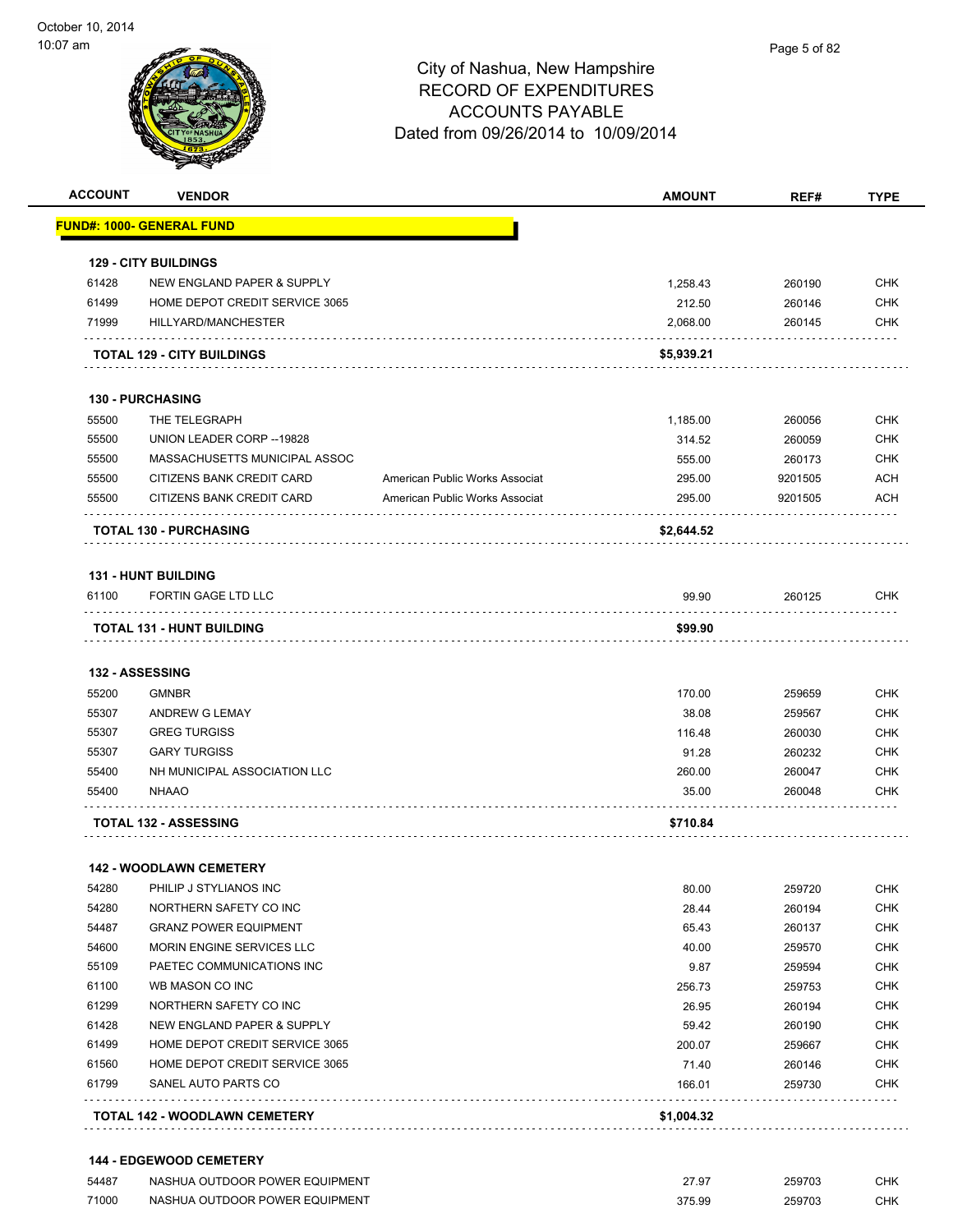

| <b>ACCOUNT</b> | <b>VENDOR</b>                         |                                | <b>AMOUNT</b> | REF#    | <b>TYPE</b> |
|----------------|---------------------------------------|--------------------------------|---------------|---------|-------------|
|                | <u> FUND#: 1000- GENERAL FUND</u>     |                                |               |         |             |
|                | <b>129 - CITY BUILDINGS</b>           |                                |               |         |             |
| 61428          | <b>NEW ENGLAND PAPER &amp; SUPPLY</b> |                                | 1,258.43      | 260190  | <b>CHK</b>  |
| 61499          | HOME DEPOT CREDIT SERVICE 3065        |                                | 212.50        | 260146  | <b>CHK</b>  |
| 71999          | HILLYARD/MANCHESTER                   |                                | 2,068.00      | 260145  | <b>CHK</b>  |
|                | <b>TOTAL 129 - CITY BUILDINGS</b>     |                                | \$5,939.21    |         |             |
|                | <b>130 - PURCHASING</b>               |                                |               |         |             |
| 55500          | THE TELEGRAPH                         |                                | 1,185.00      | 260056  | <b>CHK</b>  |
| 55500          | UNION LEADER CORP -- 19828            |                                | 314.52        | 260059  | <b>CHK</b>  |
| 55500          | MASSACHUSETTS MUNICIPAL ASSOC         |                                | 555.00        | 260173  | <b>CHK</b>  |
| 55500          | CITIZENS BANK CREDIT CARD             | American Public Works Associat | 295.00        | 9201505 | <b>ACH</b>  |
| 55500          | CITIZENS BANK CREDIT CARD             | American Public Works Associat | 295.00        | 9201505 | <b>ACH</b>  |
|                | <b>TOTAL 130 - PURCHASING</b>         |                                | \$2,644.52    |         |             |
|                | <b>131 - HUNT BUILDING</b>            |                                |               |         |             |
| 61100          | <b>FORTIN GAGE LTD LLC</b>            |                                | 99.90         | 260125  | CHK         |
|                | TOTAL 131 - HUNT BUILDING             |                                | \$99.90       |         |             |
|                | 132 - ASSESSING                       |                                |               |         |             |
| 55200          | <b>GMNBR</b>                          |                                | 170.00        | 259659  | <b>CHK</b>  |
| 55307          | ANDREW G LEMAY                        |                                | 38.08         | 259567  | <b>CHK</b>  |
| 55307          | <b>GREG TURGISS</b>                   |                                | 116.48        | 260030  | CHK         |
| 55307          | <b>GARY TURGISS</b>                   |                                | 91.28         | 260232  | <b>CHK</b>  |
| 55400          | NH MUNICIPAL ASSOCIATION LLC          |                                | 260.00        | 260047  | <b>CHK</b>  |
| 55400          | <b>NHAAO</b>                          |                                | 35.00         | 260048  | CHK         |
|                | <b>TOTAL 132 - ASSESSING</b>          |                                | \$710.84      |         |             |
|                | <b>142 - WOODLAWN CEMETERY</b>        |                                |               |         |             |
| 54280          | PHILIP J STYLIANOS INC                |                                | 80.00         | 259720  | CHK         |
| 54280          | NORTHERN SAFETY CO INC                |                                | 28.44         | 260194  | <b>CHK</b>  |
| 54487          | <b>GRANZ POWER EQUIPMENT</b>          |                                | 65.43         | 260137  | <b>CHK</b>  |
| 54600          | MORIN ENGINE SERVICES LLC             |                                | 40.00         | 259570  | <b>CHK</b>  |
| 55109          | PAETEC COMMUNICATIONS INC             |                                | 9.87          | 259594  | <b>CHK</b>  |
| 61100          | WB MASON CO INC                       |                                | 256.73        | 259753  | <b>CHK</b>  |
| 61299          | NORTHERN SAFETY CO INC                |                                | 26.95         | 260194  | <b>CHK</b>  |
| 61428          | NEW ENGLAND PAPER & SUPPLY            |                                | 59.42         | 260190  | <b>CHK</b>  |
| 61499          | HOME DEPOT CREDIT SERVICE 3065        |                                | 200.07        | 259667  | <b>CHK</b>  |
| 61560          | HOME DEPOT CREDIT SERVICE 3065        |                                | 71.40         | 260146  | <b>CHK</b>  |
| 61799          | SANEL AUTO PARTS CO                   |                                | 166.01        | 259730  | CHK         |
|                |                                       |                                |               |         |             |
|                | TOTAL 142 - WOODLAWN CEMETERY         |                                | \$1,004.32    |         |             |

| 54487 | NASHUA OUTDOOR POWER EQUIPMENT | 27.97  | 259703 | СНК |
|-------|--------------------------------|--------|--------|-----|
| 71000 | NASHUA OUTDOOR POWER EQUIPMENT | 375.99 | 259703 | СНК |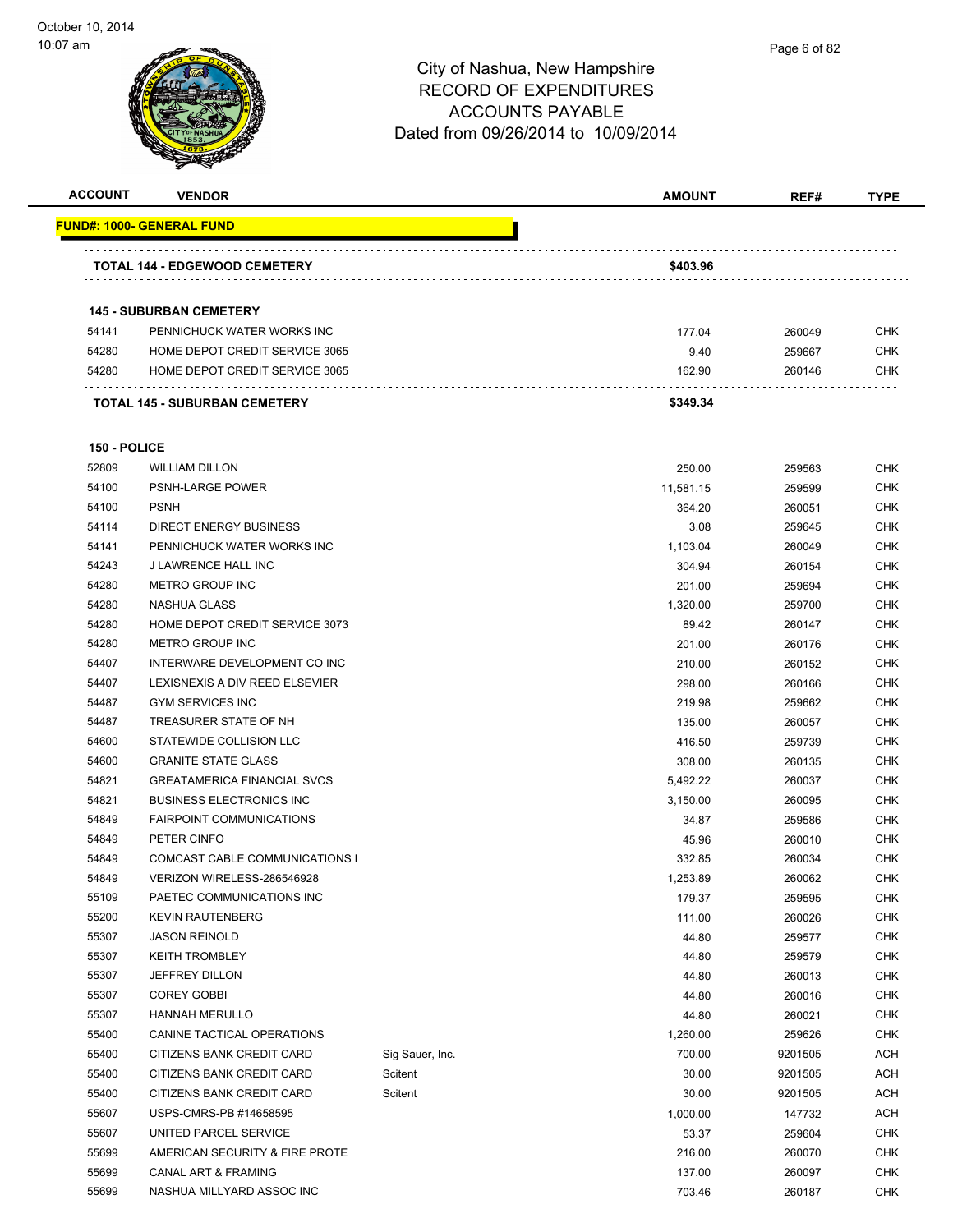

| <b>ACCOUNT</b> | <b>VENDOR</b>                                                    |                 | <b>AMOUNT</b>  | REF#             | <b>TYPE</b>              |
|----------------|------------------------------------------------------------------|-----------------|----------------|------------------|--------------------------|
|                | <u> FUND#: 1000- GENERAL FUND</u>                                |                 |                |                  |                          |
|                |                                                                  |                 |                |                  |                          |
|                | <b>TOTAL 144 - EDGEWOOD CEMETERY</b>                             |                 | \$403.96       |                  |                          |
|                |                                                                  |                 |                |                  |                          |
|                | <b>145 - SUBURBAN CEMETERY</b>                                   |                 |                |                  |                          |
| 54141          | PENNICHUCK WATER WORKS INC                                       |                 | 177.04         | 260049           | <b>CHK</b><br><b>CHK</b> |
| 54280<br>54280 | HOME DEPOT CREDIT SERVICE 3065<br>HOME DEPOT CREDIT SERVICE 3065 |                 | 9.40<br>162.90 | 259667<br>260146 | <b>CHK</b>               |
|                |                                                                  |                 |                |                  |                          |
|                | TOTAL 145 - SUBURBAN CEMETERY                                    |                 | \$349.34       |                  |                          |
| 150 - POLICE   |                                                                  |                 |                |                  |                          |
| 52809          | <b>WILLIAM DILLON</b>                                            |                 | 250.00         | 259563           | <b>CHK</b>               |
| 54100          | PSNH-LARGE POWER                                                 |                 | 11,581.15      | 259599           | <b>CHK</b>               |
| 54100          | <b>PSNH</b>                                                      |                 | 364.20         | 260051           | <b>CHK</b>               |
| 54114          | <b>DIRECT ENERGY BUSINESS</b>                                    |                 | 3.08           | 259645           | <b>CHK</b>               |
| 54141          | PENNICHUCK WATER WORKS INC                                       |                 | 1,103.04       | 260049           | <b>CHK</b>               |
| 54243          | J LAWRENCE HALL INC                                              |                 | 304.94         | 260154           | <b>CHK</b>               |
| 54280          | METRO GROUP INC                                                  |                 | 201.00         | 259694           | <b>CHK</b>               |
| 54280          | NASHUA GLASS                                                     |                 | 1,320.00       | 259700           | <b>CHK</b>               |
| 54280          | HOME DEPOT CREDIT SERVICE 3073                                   |                 | 89.42          | 260147           | <b>CHK</b>               |
| 54280          | METRO GROUP INC                                                  |                 | 201.00         | 260176           | <b>CHK</b>               |
| 54407          | INTERWARE DEVELOPMENT CO INC                                     |                 | 210.00         | 260152           | <b>CHK</b>               |
| 54407          | LEXISNEXIS A DIV REED ELSEVIER                                   |                 | 298.00         | 260166           | <b>CHK</b>               |
| 54487          | <b>GYM SERVICES INC</b>                                          |                 | 219.98         | 259662           | <b>CHK</b>               |
| 54487          | TREASURER STATE OF NH                                            |                 | 135.00         | 260057           | <b>CHK</b>               |
| 54600          | STATEWIDE COLLISION LLC                                          |                 | 416.50         | 259739           | <b>CHK</b>               |
| 54600          | <b>GRANITE STATE GLASS</b>                                       |                 | 308.00         | 260135           | <b>CHK</b>               |
| 54821          | <b>GREATAMERICA FINANCIAL SVCS</b>                               |                 | 5,492.22       | 260037           | <b>CHK</b>               |
| 54821          | <b>BUSINESS ELECTRONICS INC.</b>                                 |                 | 3,150.00       | 260095           | <b>CHK</b>               |
| 54849          | <b>FAIRPOINT COMMUNICATIONS</b>                                  |                 | 34.87          | 259586           | <b>CHK</b>               |
| 54849          | PETER CINFO                                                      |                 | 45.96          | 260010           | <b>CHK</b>               |
| 54849          | COMCAST CABLE COMMUNICATIONS I                                   |                 | 332.85         | 260034           | <b>CHK</b>               |
| 54849          | VERIZON WIRELESS-286546928                                       |                 | 1,253.89       | 260062           | <b>CHK</b>               |
| 55109          | PAETEC COMMUNICATIONS INC                                        |                 | 179.37         | 259595           | <b>CHK</b>               |
| 55200          | <b>KEVIN RAUTENBERG</b>                                          |                 | 111.00         | 260026           | CHK                      |
| 55307          | <b>JASON REINOLD</b>                                             |                 | 44.80          | 259577           | <b>CHK</b>               |
| 55307          | <b>KEITH TROMBLEY</b>                                            |                 | 44.80          | 259579           | <b>CHK</b>               |
| 55307          | <b>JEFFREY DILLON</b>                                            |                 | 44.80          | 260013           | <b>CHK</b>               |
| 55307          | <b>COREY GOBBI</b>                                               |                 | 44.80          | 260016           | <b>CHK</b>               |
| 55307          | <b>HANNAH MERULLO</b>                                            |                 | 44.80          | 260021           | <b>CHK</b>               |
| 55400          | CANINE TACTICAL OPERATIONS                                       |                 | 1,260.00       | 259626           | <b>CHK</b>               |
| 55400          | CITIZENS BANK CREDIT CARD                                        | Sig Sauer, Inc. | 700.00         | 9201505          | <b>ACH</b>               |
| 55400          | CITIZENS BANK CREDIT CARD                                        | Scitent         | 30.00          | 9201505          | <b>ACH</b>               |
| 55400          | CITIZENS BANK CREDIT CARD                                        | Scitent         | 30.00          | 9201505          | <b>ACH</b>               |
| 55607          | USPS-CMRS-PB #14658595                                           |                 | 1,000.00       | 147732           | <b>ACH</b>               |
| 55607          | UNITED PARCEL SERVICE                                            |                 | 53.37          | 259604           | <b>CHK</b>               |
| 55699          | AMERICAN SECURITY & FIRE PROTE                                   |                 | 216.00         | 260070           | <b>CHK</b>               |
| 55699          | CANAL ART & FRAMING                                              |                 | 137.00         | 260097           | <b>CHK</b>               |
| 55699          | NASHUA MILLYARD ASSOC INC                                        |                 | 703.46         | 260187           | <b>CHK</b>               |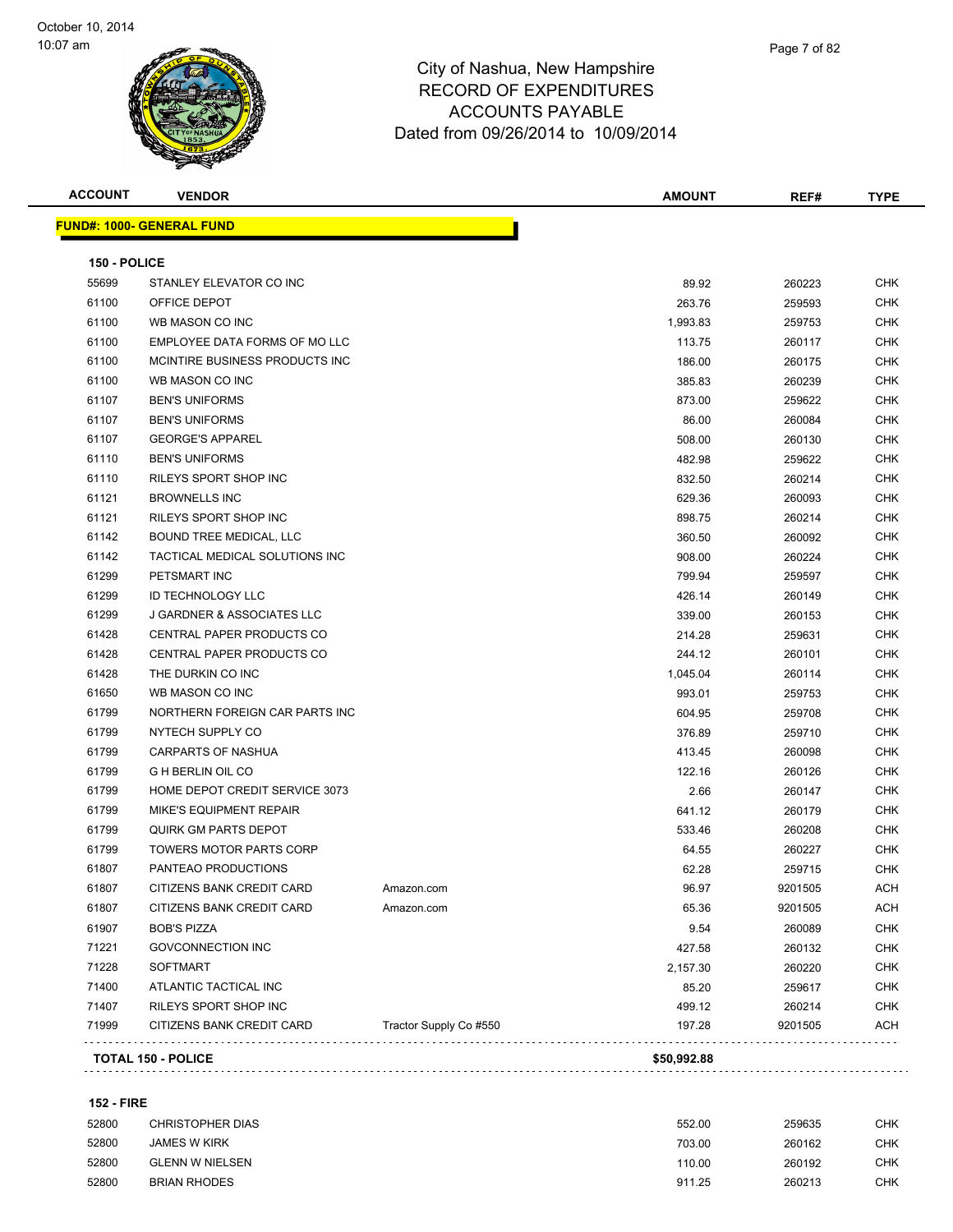

| <b>ACCOUNT</b> | <b>VENDOR</b>                         |                        | <b>AMOUNT</b> | REF#    | <b>TYPE</b> |
|----------------|---------------------------------------|------------------------|---------------|---------|-------------|
|                | <u> FUND#: 1000- GENERAL FUND</u>     |                        |               |         |             |
| 150 - POLICE   |                                       |                        |               |         |             |
| 55699          | STANLEY ELEVATOR CO INC               |                        | 89.92         | 260223  | CHK         |
| 61100          | OFFICE DEPOT                          |                        | 263.76        | 259593  | <b>CHK</b>  |
| 61100          | WB MASON CO INC                       |                        | 1,993.83      | 259753  | <b>CHK</b>  |
| 61100          | EMPLOYEE DATA FORMS OF MO LLC         |                        | 113.75        | 260117  | <b>CHK</b>  |
| 61100          | MCINTIRE BUSINESS PRODUCTS INC        |                        | 186.00        | 260175  | <b>CHK</b>  |
| 61100          | WB MASON CO INC                       |                        | 385.83        | 260239  | CHK         |
| 61107          | <b>BEN'S UNIFORMS</b>                 |                        | 873.00        | 259622  | <b>CHK</b>  |
| 61107          | <b>BEN'S UNIFORMS</b>                 |                        | 86.00         | 260084  | <b>CHK</b>  |
| 61107          | <b>GEORGE'S APPAREL</b>               |                        | 508.00        | 260130  | <b>CHK</b>  |
| 61110          | <b>BEN'S UNIFORMS</b>                 |                        | 482.98        | 259622  | <b>CHK</b>  |
| 61110          | RILEYS SPORT SHOP INC                 |                        | 832.50        | 260214  | CHK         |
| 61121          | <b>BROWNELLS INC</b>                  |                        | 629.36        | 260093  | CHK         |
| 61121          | RILEYS SPORT SHOP INC                 |                        | 898.75        | 260214  | <b>CHK</b>  |
| 61142          | BOUND TREE MEDICAL, LLC               |                        | 360.50        | 260092  | <b>CHK</b>  |
| 61142          | TACTICAL MEDICAL SOLUTIONS INC        |                        | 908.00        | 260224  | <b>CHK</b>  |
| 61299          | PETSMART INC                          |                        | 799.94        | 259597  | CHK         |
| 61299          | <b>ID TECHNOLOGY LLC</b>              |                        | 426.14        | 260149  | CHK         |
| 61299          | <b>J GARDNER &amp; ASSOCIATES LLC</b> |                        | 339.00        | 260153  | <b>CHK</b>  |
| 61428          | CENTRAL PAPER PRODUCTS CO             |                        | 214.28        | 259631  | CHK         |
| 61428          | CENTRAL PAPER PRODUCTS CO             |                        | 244.12        | 260101  | CHK         |
| 61428          | THE DURKIN CO INC                     |                        | 1,045.04      | 260114  | CHK         |
| 61650          | WB MASON CO INC                       |                        | 993.01        | 259753  | <b>CHK</b>  |
| 61799          | NORTHERN FOREIGN CAR PARTS INC        |                        | 604.95        | 259708  | CHK         |
| 61799          | NYTECH SUPPLY CO                      |                        | 376.89        | 259710  | <b>CHK</b>  |
| 61799          | CARPARTS OF NASHUA                    |                        | 413.45        | 260098  | <b>CHK</b>  |
| 61799          | <b>G H BERLIN OIL CO</b>              |                        | 122.16        | 260126  | <b>CHK</b>  |
| 61799          | HOME DEPOT CREDIT SERVICE 3073        |                        | 2.66          | 260147  | CHK         |
| 61799          | <b>MIKE'S EQUIPMENT REPAIR</b>        |                        | 641.12        | 260179  | CHK         |
| 61799          | <b>QUIRK GM PARTS DEPOT</b>           |                        | 533.46        | 260208  | <b>CHK</b>  |
| 61799          | <b>TOWERS MOTOR PARTS CORP</b>        |                        | 64.55         | 260227  | CHK         |
| 61807          | PANTEAO PRODUCTIONS                   |                        | 62.28         | 259715  | <b>CHK</b>  |
| 61807          | CITIZENS BANK CREDIT CARD             | Amazon.com             | 96.97         | 9201505 | ACH         |
| 61807          | CITIZENS BANK CREDIT CARD             | Amazon.com             | 65.36         | 9201505 | ACH         |
| 61907          | <b>BOB'S PIZZA</b>                    |                        | 9.54          | 260089  | <b>CHK</b>  |
| 71221          | <b>GOVCONNECTION INC</b>              |                        | 427.58        | 260132  | <b>CHK</b>  |
| 71228          | <b>SOFTMART</b>                       |                        | 2,157.30      | 260220  | <b>CHK</b>  |
| 71400          | ATLANTIC TACTICAL INC                 |                        | 85.20         | 259617  | <b>CHK</b>  |
| 71407          | RILEYS SPORT SHOP INC                 |                        | 499.12        | 260214  | <b>CHK</b>  |
| 71999          | CITIZENS BANK CREDIT CARD             | Tractor Supply Co #550 | 197.28        | 9201505 | <b>ACH</b>  |
|                | <b>TOTAL 150 - POLICE</b>             |                        | \$50,992.88   |         |             |
|                |                                       |                        |               |         |             |

#### **152 - FIRE**

| 52800 | CHRISTOPHER DIAS       | 552.00 | 259635 | снк |
|-------|------------------------|--------|--------|-----|
| 52800 | <b>JAMES W KIRK</b>    | 703.00 | 260162 | CHK |
| 52800 | <b>GLENN W NIELSEN</b> | 110.00 | 260192 | CHK |
| 52800 | <b>BRIAN RHODES</b>    | 911.25 | 260213 | снк |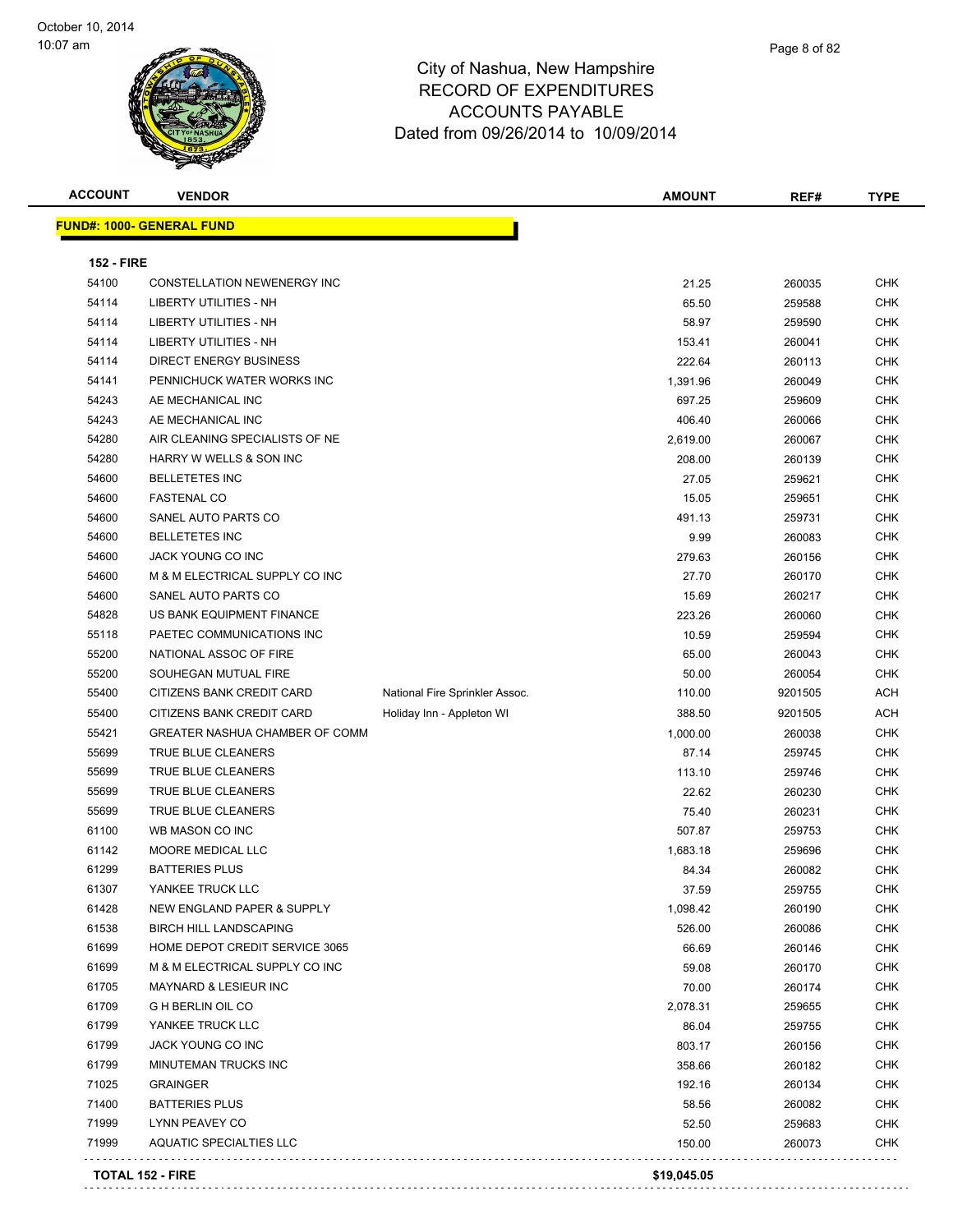

| <b>ACCOUNT</b>    | <b>VENDOR</b>                      |                                | <b>AMOUNT</b>     | REF#    | <b>TYPE</b> |
|-------------------|------------------------------------|--------------------------------|-------------------|---------|-------------|
|                   | <u> FUND#: 1000- GENERAL FUND</u>  |                                |                   |         |             |
|                   |                                    |                                |                   |         |             |
| <b>152 - FIRE</b> |                                    |                                |                   |         |             |
| 54100             | <b>CONSTELLATION NEWENERGY INC</b> |                                | 21.25             | 260035  | <b>CHK</b>  |
| 54114             | LIBERTY UTILITIES - NH             |                                | 65.50             | 259588  | <b>CHK</b>  |
| 54114             | LIBERTY UTILITIES - NH             |                                | 58.97             | 259590  | <b>CHK</b>  |
| 54114             | LIBERTY UTILITIES - NH             |                                | 153.41            | 260041  | <b>CHK</b>  |
| 54114             | <b>DIRECT ENERGY BUSINESS</b>      |                                | 222.64            | 260113  | <b>CHK</b>  |
| 54141             | PENNICHUCK WATER WORKS INC         |                                | 1,391.96          | 260049  | <b>CHK</b>  |
| 54243             | AE MECHANICAL INC                  |                                | 697.25            | 259609  | <b>CHK</b>  |
| 54243             | AE MECHANICAL INC                  |                                | 406.40            | 260066  | <b>CHK</b>  |
| 54280             | AIR CLEANING SPECIALISTS OF NE     |                                | 2,619.00          | 260067  | CHK         |
| 54280             | HARRY W WELLS & SON INC            |                                | 208.00            | 260139  | CHK         |
| 54600             | <b>BELLETETES INC</b>              |                                | 27.05             | 259621  | <b>CHK</b>  |
| 54600             | <b>FASTENAL CO</b>                 |                                | 15.05             | 259651  | <b>CHK</b>  |
| 54600             | SANEL AUTO PARTS CO                |                                | 491.13            | 259731  | <b>CHK</b>  |
| 54600             | <b>BELLETETES INC</b>              |                                | 9.99              | 260083  | <b>CHK</b>  |
| 54600             | <b>JACK YOUNG CO INC</b>           |                                | 279.63            | 260156  | <b>CHK</b>  |
| 54600             | M & M ELECTRICAL SUPPLY CO INC     |                                | 27.70             | 260170  | <b>CHK</b>  |
| 54600             | SANEL AUTO PARTS CO                |                                | 15.69             | 260217  | <b>CHK</b>  |
| 54828             | US BANK EQUIPMENT FINANCE          |                                | 223.26            | 260060  | <b>CHK</b>  |
| 55118             | PAETEC COMMUNICATIONS INC          |                                | 10.59             | 259594  | <b>CHK</b>  |
| 55200             | NATIONAL ASSOC OF FIRE             |                                | 65.00             | 260043  | CHK         |
| 55200             | SOUHEGAN MUTUAL FIRE               |                                | 50.00             | 260054  | CHK         |
| 55400             | CITIZENS BANK CREDIT CARD          | National Fire Sprinkler Assoc. | 110.00            | 9201505 | ACH         |
| 55400             | CITIZENS BANK CREDIT CARD          | Holiday Inn - Appleton WI      | 388.50            | 9201505 | ACH         |
| 55421             | GREATER NASHUA CHAMBER OF COMM     |                                | 1,000.00          | 260038  | <b>CHK</b>  |
| 55699             | TRUE BLUE CLEANERS                 |                                | 87.14             | 259745  | <b>CHK</b>  |
| 55699             | TRUE BLUE CLEANERS                 |                                | 113.10            | 259746  | <b>CHK</b>  |
| 55699             | TRUE BLUE CLEANERS                 |                                | 22.62             | 260230  | <b>CHK</b>  |
| 55699             | TRUE BLUE CLEANERS                 |                                | 75.40             | 260231  | <b>CHK</b>  |
| 61100             | WB MASON CO INC                    |                                | 507.87            | 259753  | <b>CHK</b>  |
| 61142             | MOORE MEDICAL LLC                  |                                | 1,683.18          | 259696  | CHK         |
| 61299             | <b>BATTERIES PLUS</b>              |                                | 84.34             | 260082  | CHK         |
| 61307             | YANKEE TRUCK LLC                   |                                |                   | 259755  | CHK         |
| 61428             | NEW ENGLAND PAPER & SUPPLY         |                                | 37.59<br>1,098.42 | 260190  | CHK         |
| 61538             | <b>BIRCH HILL LANDSCAPING</b>      |                                | 526.00            | 260086  | <b>CHK</b>  |
| 61699             | HOME DEPOT CREDIT SERVICE 3065     |                                |                   |         | <b>CHK</b>  |
|                   | M & M ELECTRICAL SUPPLY CO INC     |                                | 66.69             | 260146  |             |
| 61699             |                                    |                                | 59.08             | 260170  | <b>CHK</b>  |
| 61705             | <b>MAYNARD &amp; LESIEUR INC</b>   |                                | 70.00             | 260174  | <b>CHK</b>  |
| 61709             | <b>G H BERLIN OIL CO</b>           |                                | 2,078.31          | 259655  | <b>CHK</b>  |
| 61799             | YANKEE TRUCK LLC                   |                                | 86.04             | 259755  | <b>CHK</b>  |
| 61799             | <b>JACK YOUNG CO INC</b>           |                                | 803.17            | 260156  | <b>CHK</b>  |
| 61799             | MINUTEMAN TRUCKS INC               |                                | 358.66            | 260182  | <b>CHK</b>  |
| 71025             | <b>GRAINGER</b>                    |                                | 192.16            | 260134  | <b>CHK</b>  |
| 71400             | <b>BATTERIES PLUS</b>              |                                | 58.56             | 260082  | <b>CHK</b>  |
| 71999             | LYNN PEAVEY CO                     |                                | 52.50             | 259683  | <b>CHK</b>  |
| 71999             | <b>AQUATIC SPECIALTIES LLC</b>     |                                | 150.00            | 260073  | <b>CHK</b>  |
|                   | <b>TOTAL 152 - FIRE</b>            |                                | \$19,045.05       |         |             |
|                   |                                    |                                |                   |         |             |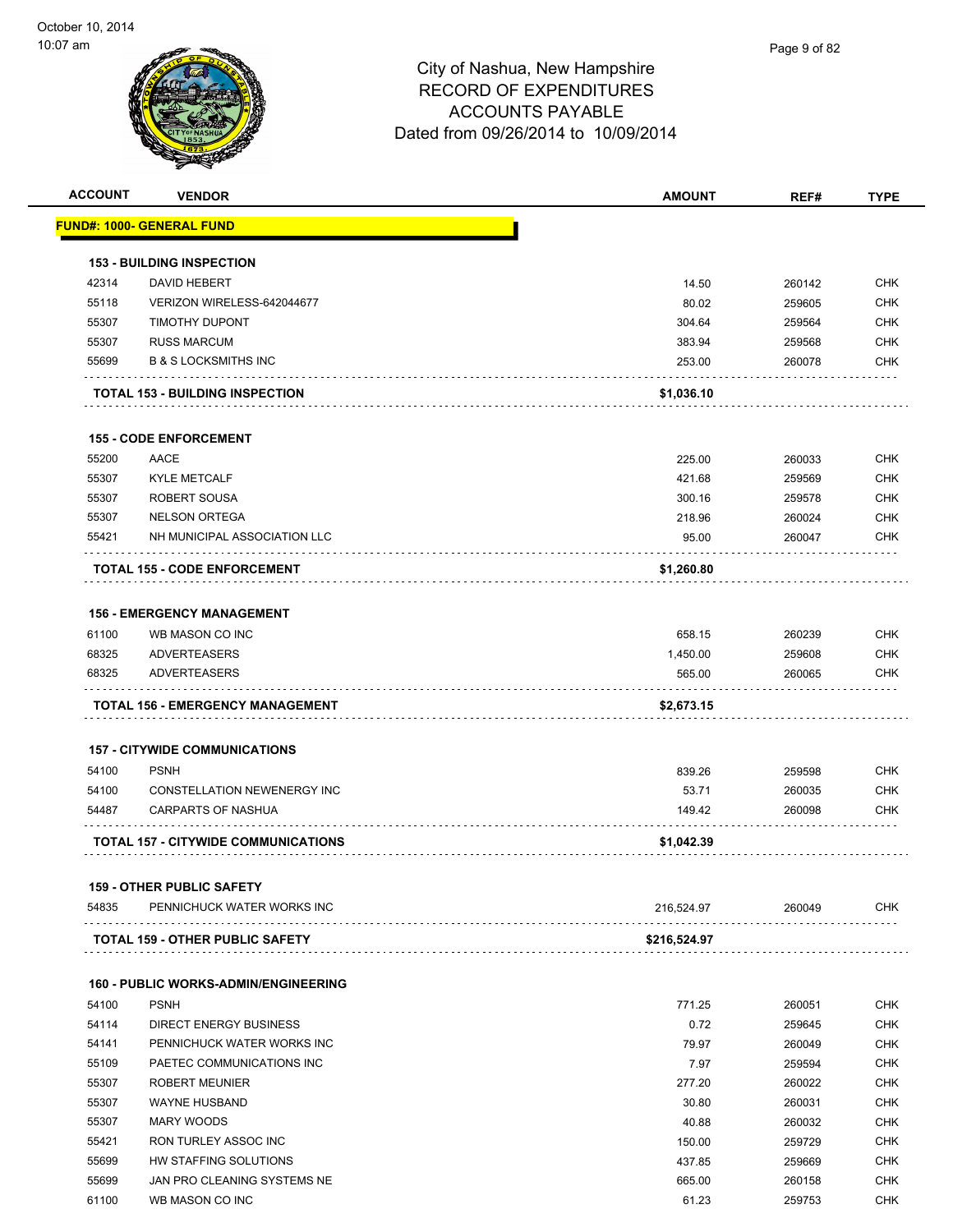

| <b>ACCOUNT</b> | <b>VENDOR</b>                               | <b>AMOUNT</b> | REF#   | <b>TYPE</b> |
|----------------|---------------------------------------------|---------------|--------|-------------|
|                | <b>FUND#: 1000- GENERAL FUND</b>            |               |        |             |
|                | <b>153 - BUILDING INSPECTION</b>            |               |        |             |
| 42314          | <b>DAVID HEBERT</b>                         | 14.50         | 260142 | <b>CHK</b>  |
| 55118          | VERIZON WIRELESS-642044677                  | 80.02         | 259605 | <b>CHK</b>  |
| 55307          | <b>TIMOTHY DUPONT</b>                       | 304.64        | 259564 | <b>CHK</b>  |
| 55307          | <b>RUSS MARCUM</b>                          | 383.94        | 259568 | <b>CHK</b>  |
| 55699          | <b>B &amp; S LOCKSMITHS INC</b>             | 253.00        | 260078 | <b>CHK</b>  |
|                | <b>TOTAL 153 - BUILDING INSPECTION</b>      | \$1,036.10    |        |             |
|                |                                             |               |        |             |
|                | <b>155 - CODE ENFORCEMENT</b>               |               |        |             |
| 55200          | AACE                                        | 225.00        | 260033 | <b>CHK</b>  |
| 55307          | <b>KYLE METCALF</b>                         | 421.68        | 259569 | <b>CHK</b>  |
| 55307          | ROBERT SOUSA                                | 300.16        | 259578 | <b>CHK</b>  |
| 55307          | <b>NELSON ORTEGA</b>                        | 218.96        | 260024 | <b>CHK</b>  |
| 55421          | NH MUNICIPAL ASSOCIATION LLC                | 95.00         | 260047 | <b>CHK</b>  |
|                | <b>TOTAL 155 - CODE ENFORCEMENT</b>         | \$1,260.80    |        |             |
|                | <b>156 - EMERGENCY MANAGEMENT</b>           |               |        |             |
| 61100          | WB MASON CO INC                             | 658.15        | 260239 | <b>CHK</b>  |
| 68325          | <b>ADVERTEASERS</b>                         | 1,450.00      | 259608 | <b>CHK</b>  |
| 68325          | <b>ADVERTEASERS</b>                         | 565.00        | 260065 | <b>CHK</b>  |
|                | <b>TOTAL 156 - EMERGENCY MANAGEMENT</b>     | \$2,673.15    |        |             |
|                |                                             |               |        |             |
|                | <b>157 - CITYWIDE COMMUNICATIONS</b>        |               |        |             |
| 54100          | <b>PSNH</b>                                 | 839.26        | 259598 | <b>CHK</b>  |
| 54100          | CONSTELLATION NEWENERGY INC                 | 53.71         | 260035 | <b>CHK</b>  |
| 54487          | <b>CARPARTS OF NASHUA</b>                   | 149.42        | 260098 | <b>CHK</b>  |
|                | <b>TOTAL 157 - CITYWIDE COMMUNICATIONS</b>  | \$1,042.39    |        |             |
|                | <b>159 - OTHER PUBLIC SAFETY</b>            |               |        |             |
| 54835          | PENNICHUCK WATER WORKS INC<br>.             | 216,524.97    | 260049 | <b>CHK</b>  |
|                | <b>TOTAL 159 - OTHER PUBLIC SAFETY</b>      | \$216,524.97  |        |             |
|                | <b>160 - PUBLIC WORKS-ADMIN/ENGINEERING</b> |               |        |             |
| 54100          | <b>PSNH</b>                                 | 771.25        | 260051 | <b>CHK</b>  |
| 54114          | DIRECT ENERGY BUSINESS                      | 0.72          | 259645 | <b>CHK</b>  |
| 54141          | PENNICHUCK WATER WORKS INC                  | 79.97         | 260049 | <b>CHK</b>  |
| 55109          | PAETEC COMMUNICATIONS INC                   | 7.97          | 259594 | <b>CHK</b>  |
| 55307          | <b>ROBERT MEUNIER</b>                       | 277.20        | 260022 | <b>CHK</b>  |
| 55307          | <b>WAYNE HUSBAND</b>                        | 30.80         | 260031 | <b>CHK</b>  |
| 55307          | <b>MARY WOODS</b>                           | 40.88         | 260032 | <b>CHK</b>  |
| 55421          | RON TURLEY ASSOC INC                        | 150.00        | 259729 | <b>CHK</b>  |
| 55699          | HW STAFFING SOLUTIONS                       | 437.85        | 259669 | <b>CHK</b>  |
| 55699          | JAN PRO CLEANING SYSTEMS NE                 | 665.00        | 260158 | <b>CHK</b>  |
| 61100          | WB MASON CO INC                             | 61.23         | 259753 | <b>CHK</b>  |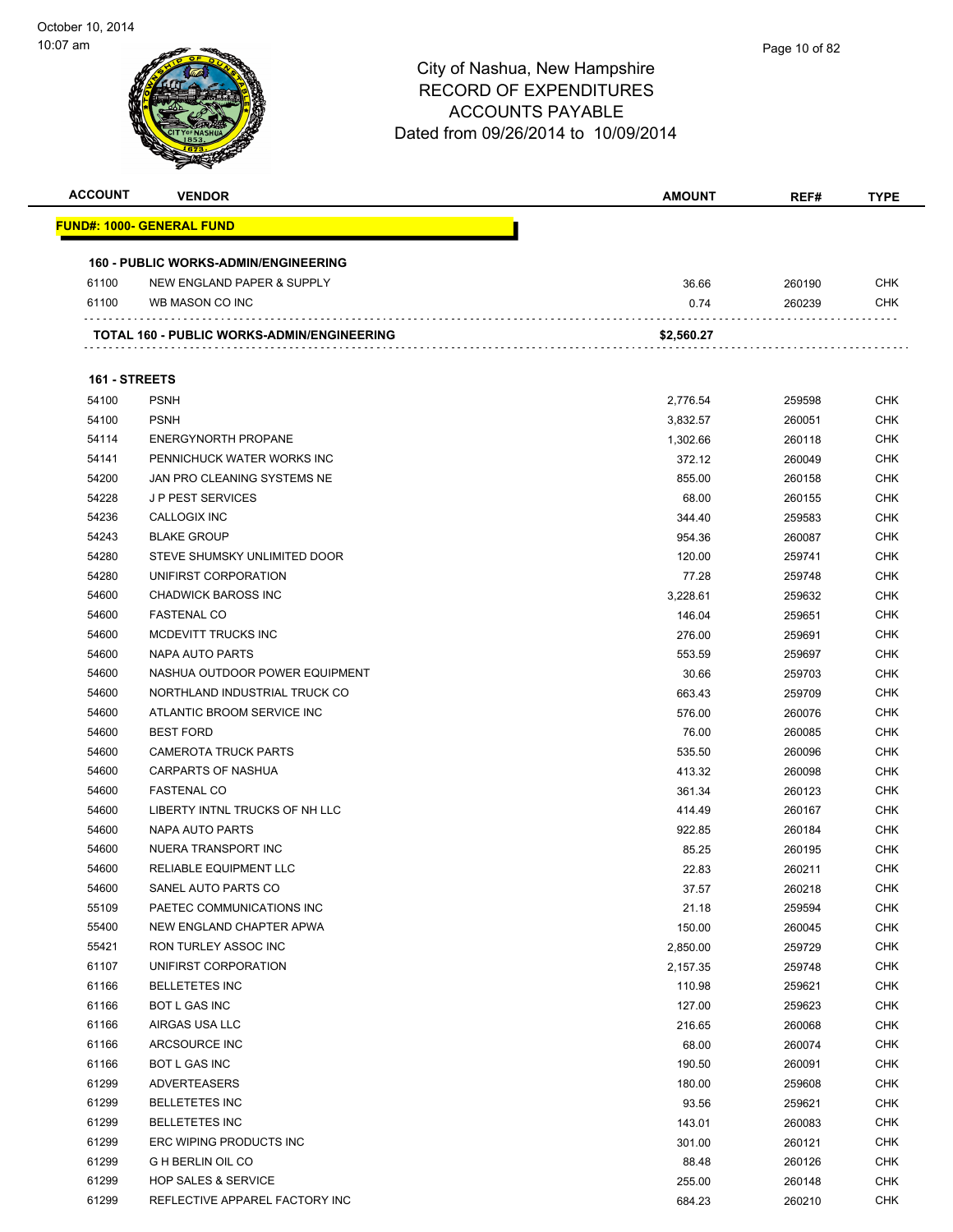

| <b>ACCOUNT</b> | <b>VENDOR</b>                                   | <b>AMOUNT</b> | REF#   | <b>TYPE</b> |
|----------------|-------------------------------------------------|---------------|--------|-------------|
|                | <u> FUND#: 1000- GENERAL FUND</u>               |               |        |             |
|                | <b>160 - PUBLIC WORKS-ADMIN/ENGINEERING</b>     |               |        |             |
| 61100          | NEW ENGLAND PAPER & SUPPLY                      | 36.66         | 260190 | <b>CHK</b>  |
| 61100          | WB MASON CO INC                                 | 0.74          | 260239 | CHK         |
|                | .<br>TOTAL 160 - PUBLIC WORKS-ADMIN/ENGINEERING | \$2,560.27    |        |             |
| 161 - STREETS  |                                                 |               |        |             |
| 54100          | <b>PSNH</b>                                     | 2,776.54      | 259598 | <b>CHK</b>  |
| 54100          | <b>PSNH</b>                                     | 3,832.57      | 260051 | <b>CHK</b>  |
| 54114          | <b>ENERGYNORTH PROPANE</b>                      | 1,302.66      | 260118 | <b>CHK</b>  |
| 54141          | PENNICHUCK WATER WORKS INC                      | 372.12        | 260049 | <b>CHK</b>  |
| 54200          | JAN PRO CLEANING SYSTEMS NE                     | 855.00        | 260158 | <b>CHK</b>  |
| 54228          | <b>JP PEST SERVICES</b>                         | 68.00         | 260155 | <b>CHK</b>  |
| 54236          | CALLOGIX INC                                    | 344.40        | 259583 | <b>CHK</b>  |
| 54243          | <b>BLAKE GROUP</b>                              | 954.36        | 260087 | <b>CHK</b>  |
| 54280          | STEVE SHUMSKY UNLIMITED DOOR                    | 120.00        | 259741 | <b>CHK</b>  |
| 54280          | UNIFIRST CORPORATION                            | 77.28         | 259748 | <b>CHK</b>  |
| 54600          | <b>CHADWICK BAROSS INC</b>                      | 3,228.61      | 259632 | <b>CHK</b>  |
| 54600          | <b>FASTENAL CO</b>                              | 146.04        | 259651 | <b>CHK</b>  |
| 54600          | MCDEVITT TRUCKS INC                             | 276.00        | 259691 | <b>CHK</b>  |
| 54600          | NAPA AUTO PARTS                                 | 553.59        | 259697 | <b>CHK</b>  |
| 54600          | NASHUA OUTDOOR POWER EQUIPMENT                  | 30.66         | 259703 | <b>CHK</b>  |
| 54600          | NORTHLAND INDUSTRIAL TRUCK CO                   | 663.43        | 259709 | <b>CHK</b>  |
| 54600          | ATLANTIC BROOM SERVICE INC                      | 576.00        | 260076 | <b>CHK</b>  |
| 54600          | <b>BEST FORD</b>                                | 76.00         | 260085 | <b>CHK</b>  |
| 54600          | <b>CAMEROTA TRUCK PARTS</b>                     | 535.50        | 260096 | <b>CHK</b>  |
| 54600          | <b>CARPARTS OF NASHUA</b>                       | 413.32        | 260098 | <b>CHK</b>  |
| 54600          | <b>FASTENAL CO</b>                              | 361.34        | 260123 | <b>CHK</b>  |
| 54600          | LIBERTY INTNL TRUCKS OF NH LLC                  | 414.49        | 260167 | <b>CHK</b>  |
| 54600          | NAPA AUTO PARTS                                 | 922.85        | 260184 | <b>CHK</b>  |
| 54600          | NUERA TRANSPORT INC                             | 85.25         | 260195 | CHK         |
| 54600          | <b>RELIABLE EQUIPMENT LLC</b>                   | 22.83         | 260211 | <b>CHK</b>  |
| 54600          | SANEL AUTO PARTS CO                             | 37.57         | 260218 | <b>CHK</b>  |
| 55109          | PAETEC COMMUNICATIONS INC                       | 21.18         | 259594 | <b>CHK</b>  |
| 55400          | NEW ENGLAND CHAPTER APWA                        | 150.00        | 260045 | <b>CHK</b>  |
| 55421          | RON TURLEY ASSOC INC                            | 2,850.00      | 259729 | <b>CHK</b>  |
| 61107          | UNIFIRST CORPORATION                            | 2,157.35      | 259748 | <b>CHK</b>  |
| 61166          | <b>BELLETETES INC</b>                           | 110.98        | 259621 | <b>CHK</b>  |
| 61166          | BOT L GAS INC                                   | 127.00        | 259623 | <b>CHK</b>  |
| 61166          | AIRGAS USA LLC                                  | 216.65        | 260068 | <b>CHK</b>  |
| 61166          | ARCSOURCE INC                                   | 68.00         | 260074 | <b>CHK</b>  |
| 61166          | BOT L GAS INC                                   | 190.50        | 260091 | <b>CHK</b>  |
| 61299          | <b>ADVERTEASERS</b>                             | 180.00        | 259608 | <b>CHK</b>  |
| 61299          | <b>BELLETETES INC</b>                           | 93.56         | 259621 | <b>CHK</b>  |
| 61299          | <b>BELLETETES INC</b>                           | 143.01        | 260083 | <b>CHK</b>  |
| 61299          | ERC WIPING PRODUCTS INC                         | 301.00        | 260121 | <b>CHK</b>  |
| 61299          | <b>G H BERLIN OIL CO</b>                        | 88.48         | 260126 | <b>CHK</b>  |
| 61299          | <b>HOP SALES &amp; SERVICE</b>                  | 255.00        | 260148 | <b>CHK</b>  |
| 61299          | REFLECTIVE APPAREL FACTORY INC                  | 684.23        | 260210 | <b>CHK</b>  |
|                |                                                 |               |        |             |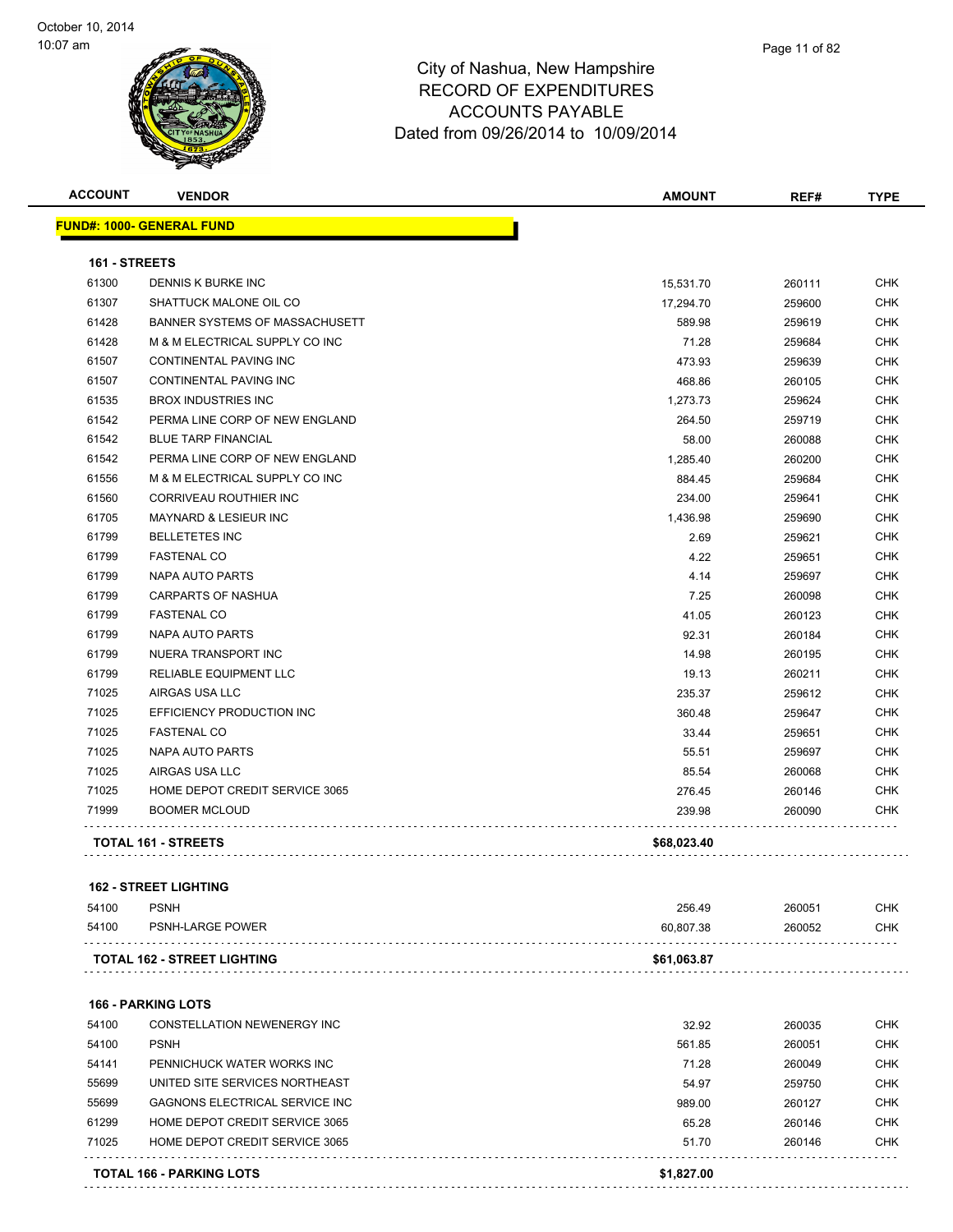

| <b>ACCOUNT</b> | <b>VENDOR</b>                    | <b>AMOUNT</b> | REF#   | <b>TYPE</b> |
|----------------|----------------------------------|---------------|--------|-------------|
|                | <b>FUND#: 1000- GENERAL FUND</b> |               |        |             |
| 161 - STREETS  |                                  |               |        |             |
| 61300          | DENNIS K BURKE INC               | 15,531.70     | 260111 | <b>CHK</b>  |
| 61307          | SHATTUCK MALONE OIL CO           | 17,294.70     | 259600 | <b>CHK</b>  |
| 61428          | BANNER SYSTEMS OF MASSACHUSETT   | 589.98        | 259619 | <b>CHK</b>  |
| 61428          | M & M ELECTRICAL SUPPLY CO INC   | 71.28         | 259684 | <b>CHK</b>  |
| 61507          | CONTINENTAL PAVING INC           | 473.93        | 259639 | <b>CHK</b>  |
| 61507          | <b>CONTINENTAL PAVING INC</b>    | 468.86        | 260105 | <b>CHK</b>  |
| 61535          | <b>BROX INDUSTRIES INC</b>       | 1,273.73      | 259624 | <b>CHK</b>  |
| 61542          | PERMA LINE CORP OF NEW ENGLAND   | 264.50        | 259719 | <b>CHK</b>  |
| 61542          | <b>BLUE TARP FINANCIAL</b>       | 58.00         | 260088 | <b>CHK</b>  |
| 61542          | PERMA LINE CORP OF NEW ENGLAND   | 1,285.40      | 260200 | <b>CHK</b>  |
| 61556          | M & M ELECTRICAL SUPPLY CO INC   | 884.45        | 259684 | <b>CHK</b>  |
| 61560          | <b>CORRIVEAU ROUTHIER INC</b>    | 234.00        | 259641 | <b>CHK</b>  |
| 61705          | <b>MAYNARD &amp; LESIEUR INC</b> | 1,436.98      | 259690 | <b>CHK</b>  |
| 61799          | <b>BELLETETES INC</b>            | 2.69          | 259621 | <b>CHK</b>  |
| 61799          | <b>FASTENAL CO</b>               | 4.22          | 259651 | <b>CHK</b>  |
| 61799          | <b>NAPA AUTO PARTS</b>           | 4.14          | 259697 | <b>CHK</b>  |
| 61799          | <b>CARPARTS OF NASHUA</b>        | 7.25          | 260098 | <b>CHK</b>  |
| 61799          | <b>FASTENAL CO</b>               | 41.05         | 260123 | <b>CHK</b>  |
| 61799          | <b>NAPA AUTO PARTS</b>           | 92.31         | 260184 | <b>CHK</b>  |
| 61799          | NUERA TRANSPORT INC              | 14.98         | 260195 | <b>CHK</b>  |
| 61799          | RELIABLE EQUIPMENT LLC           | 19.13         | 260211 | <b>CHK</b>  |
| 71025          | AIRGAS USA LLC                   | 235.37        | 259612 | <b>CHK</b>  |
| 71025          | EFFICIENCY PRODUCTION INC        | 360.48        | 259647 | <b>CHK</b>  |
| 71025          | <b>FASTENAL CO</b>               | 33.44         | 259651 | <b>CHK</b>  |
| 71025          | <b>NAPA AUTO PARTS</b>           | 55.51         | 259697 | <b>CHK</b>  |
| 71025          | AIRGAS USA LLC                   | 85.54         | 260068 | <b>CHK</b>  |
| 71025          | HOME DEPOT CREDIT SERVICE 3065   | 276.45        | 260146 | <b>CHK</b>  |
| 71999          | <b>BOOMER MCLOUD</b>             | 239.98        | 260090 | CHK         |
|                | TOTAL 161 - STREETS              | \$68,023.40   |        |             |

| 54100 | <b>PSNH</b>                        | 256.49      | 260051 | <b>CHK</b> |
|-------|------------------------------------|-------------|--------|------------|
| 54100 | PSNH-LARGE POWER                   | 60.807.38   | 260052 | <b>CHK</b> |
|       | <b>TOTAL 162 - STREET LIGHTING</b> | \$61,063.87 |        |            |

**166 - PARKING LOTS** CONSTELLATION NEWENERGY INC 32.92 260035 CHK PSNH 561.85 260051 CHK PENNICHUCK WATER WORKS INC 71.28 260049 CHK UNITED SITE SERVICES NORTHEAST 54.97 259750 CHK GAGNONS ELECTRICAL SERVICE INC 989.00 260127 CHK HOME DEPOT CREDIT SERVICE 3065 65.28 260146 CHK The State of the Service 3065 Service 3065 State of the State of the Service 306146 State of the CHK . . . . . . . . . . . . . .  $1.1.1.1$ 

**TOTAL 166 - PARKING LOTS \$1,827.00**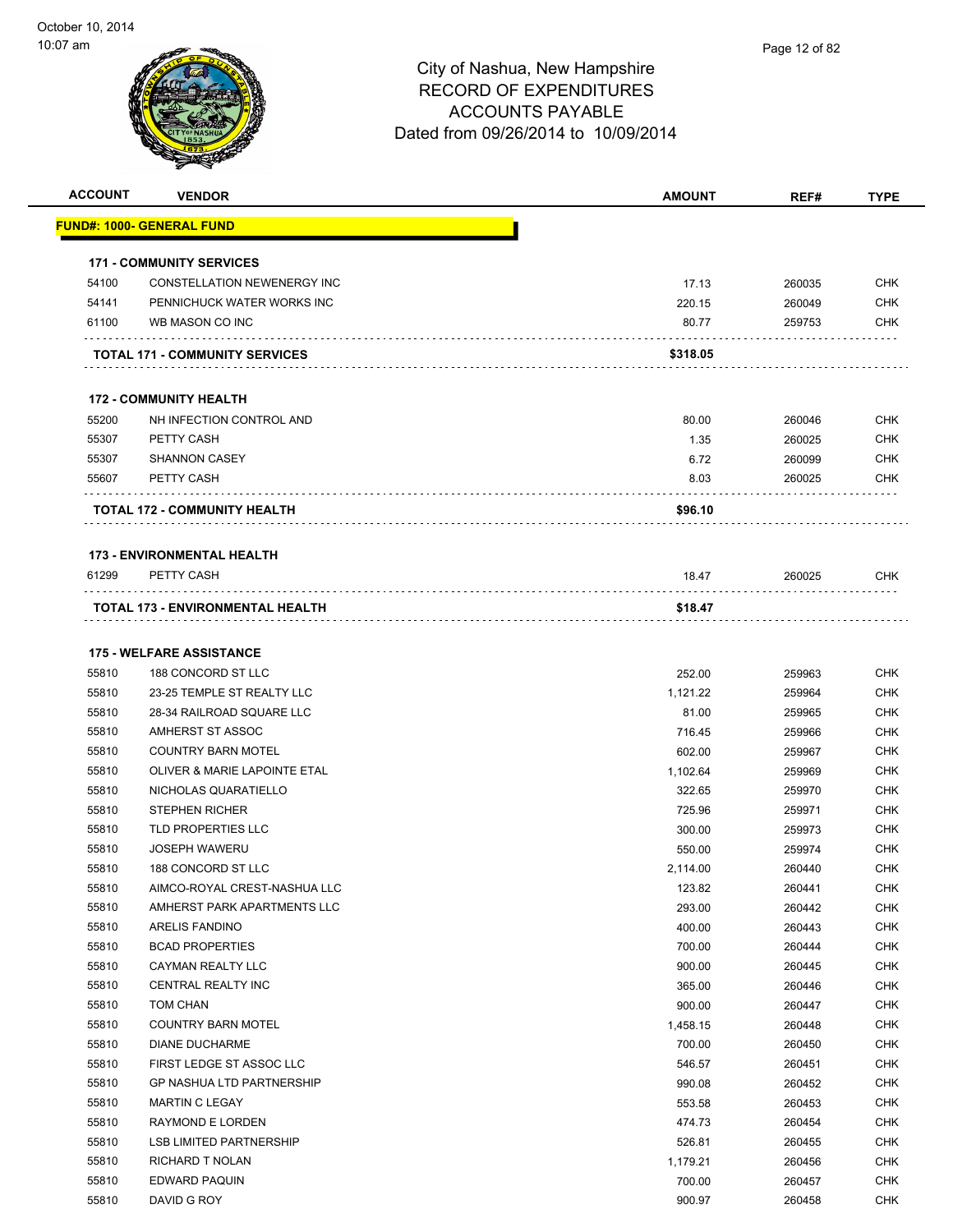

| <b>ACCOUNT</b> | <b>VENDOR</b>                          | <b>AMOUNT</b> | REF#   | <b>TYPE</b> |
|----------------|----------------------------------------|---------------|--------|-------------|
|                | <u> FUND#: 1000- GENERAL FUND</u>      |               |        |             |
|                |                                        |               |        |             |
|                | <b>171 - COMMUNITY SERVICES</b>        |               |        |             |
| 54100          | <b>CONSTELLATION NEWENERGY INC</b>     | 17.13         | 260035 | <b>CHK</b>  |
| 54141          | PENNICHUCK WATER WORKS INC             | 220.15        | 260049 | <b>CHK</b>  |
| 61100          | WB MASON CO INC                        | 80.77         | 259753 | <b>CHK</b>  |
|                | <b>TOTAL 171 - COMMUNITY SERVICES</b>  | \$318.05      |        |             |
|                | <b>172 - COMMUNITY HEALTH</b>          |               |        |             |
|                |                                        | 80.00         |        | <b>CHK</b>  |
| 55200<br>55307 | NH INFECTION CONTROL AND<br>PETTY CASH |               | 260046 |             |
| 55307          | <b>SHANNON CASEY</b>                   | 1.35          | 260025 | <b>CHK</b>  |
|                |                                        | 6.72          | 260099 | <b>CHK</b>  |
| 55607          | PETTY CASH<br>.                        | 8.03          | 260025 | CHK         |
|                | <b>TOTAL 172 - COMMUNITY HEALTH</b>    | \$96.10       |        |             |
|                | <b>173 - ENVIRONMENTAL HEALTH</b>      |               |        |             |
| 61299          | PETTY CASH                             | 18.47         | 260025 | <b>CHK</b>  |
|                | TOTAL 173 - ENVIRONMENTAL HEALTH       | \$18.47       |        |             |
|                | <b>175 - WELFARE ASSISTANCE</b>        |               |        |             |
| 55810          | 188 CONCORD ST LLC                     | 252.00        | 259963 | <b>CHK</b>  |
| 55810          | 23-25 TEMPLE ST REALTY LLC             | 1,121.22      | 259964 | <b>CHK</b>  |
| 55810          | 28-34 RAILROAD SQUARE LLC              | 81.00         | 259965 | <b>CHK</b>  |
| 55810          | AMHERST ST ASSOC                       | 716.45        | 259966 | <b>CHK</b>  |
| 55810          | <b>COUNTRY BARN MOTEL</b>              | 602.00        | 259967 | <b>CHK</b>  |
| 55810          | OLIVER & MARIE LAPOINTE ETAL           | 1,102.64      | 259969 | <b>CHK</b>  |
| 55810          | NICHOLAS QUARATIELLO                   | 322.65        | 259970 | <b>CHK</b>  |
| 55810          | <b>STEPHEN RICHER</b>                  | 725.96        | 259971 | <b>CHK</b>  |
| 55810          | TLD PROPERTIES LLC                     | 300.00        | 259973 | <b>CHK</b>  |
| 55810          | <b>JOSEPH WAWERU</b>                   | 550.00        | 259974 | <b>CHK</b>  |
| 55810          | 188 CONCORD ST LLC                     | 2,114.00      | 260440 | <b>CHK</b>  |
| 55810          | AIMCO-ROYAL CREST-NASHUA LLC           | 123.82        | 260441 | CHK         |
| 55810          | AMHERST PARK APARTMENTS LLC            | 293.00        | 260442 | <b>CHK</b>  |
| 55810          | ARELIS FANDINO                         | 400.00        | 260443 | <b>CHK</b>  |
| 55810          | <b>BCAD PROPERTIES</b>                 | 700.00        | 260444 | <b>CHK</b>  |
| 55810          | CAYMAN REALTY LLC                      | 900.00        | 260445 | <b>CHK</b>  |
| 55810          | CENTRAL REALTY INC                     | 365.00        | 260446 | <b>CHK</b>  |
| 55810          | TOM CHAN                               | 900.00        | 260447 | <b>CHK</b>  |
| 55810          | <b>COUNTRY BARN MOTEL</b>              | 1,458.15      | 260448 | <b>CHK</b>  |
| 55810          | DIANE DUCHARME                         | 700.00        | 260450 | <b>CHK</b>  |
| 55810          | FIRST LEDGE ST ASSOC LLC               | 546.57        | 260451 | <b>CHK</b>  |
| 55810          | <b>GP NASHUA LTD PARTNERSHIP</b>       | 990.08        | 260452 | <b>CHK</b>  |
| 55810          | MARTIN C LEGAY                         | 553.58        | 260453 | <b>CHK</b>  |
| 55810          | RAYMOND E LORDEN                       | 474.73        | 260454 | <b>CHK</b>  |
| 55810          | <b>LSB LIMITED PARTNERSHIP</b>         | 526.81        | 260455 | <b>CHK</b>  |
| 55810          | RICHARD T NOLAN                        | 1,179.21      | 260456 | <b>CHK</b>  |
| 55810          | EDWARD PAQUIN                          | 700.00        | 260457 | <b>CHK</b>  |
| 55810          | DAVID G ROY                            | 900.97        | 260458 | <b>CHK</b>  |
|                |                                        |               |        |             |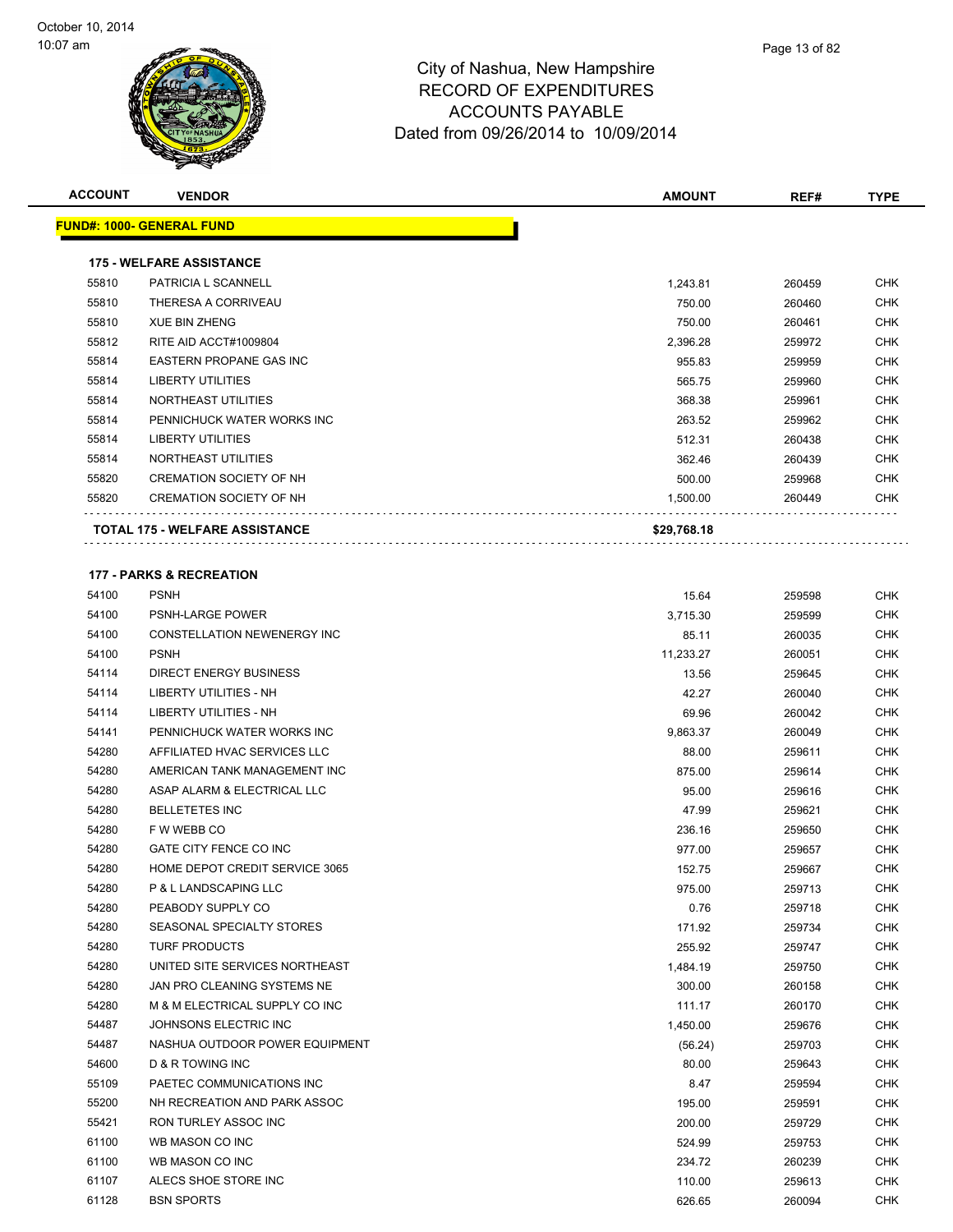

| <b>ACCOUNT</b> |                                       |               |                  |             |
|----------------|---------------------------------------|---------------|------------------|-------------|
|                | <b>VENDOR</b>                         | <b>AMOUNT</b> | REF#             | <b>TYPE</b> |
|                | <b>FUND#: 1000- GENERAL FUND</b>      |               |                  |             |
|                |                                       |               |                  |             |
|                | <b>175 - WELFARE ASSISTANCE</b>       |               |                  |             |
| 55810          | PATRICIA L SCANNELL                   | 1,243.81      | 260459           | <b>CHK</b>  |
| 55810          | THERESA A CORRIVEAU                   | 750.00        | 260460           | <b>CHK</b>  |
| 55810          | <b>XUE BIN ZHENG</b>                  | 750.00        | 260461           | <b>CHK</b>  |
| 55812          | RITE AID ACCT#1009804                 | 2,396.28      | 259972           | <b>CHK</b>  |
| 55814          | <b>EASTERN PROPANE GAS INC</b>        | 955.83        | 259959           | <b>CHK</b>  |
| 55814          | <b>LIBERTY UTILITIES</b>              | 565.75        | 259960           | <b>CHK</b>  |
| 55814          | NORTHEAST UTILITIES                   | 368.38        | 259961           | <b>CHK</b>  |
| 55814          | PENNICHUCK WATER WORKS INC            | 263.52        | 259962           | <b>CHK</b>  |
| 55814          | <b>LIBERTY UTILITIES</b>              | 512.31        | 260438           | <b>CHK</b>  |
| 55814          | NORTHEAST UTILITIES                   | 362.46        | 260439           | <b>CHK</b>  |
| 55820          | <b>CREMATION SOCIETY OF NH</b>        | 500.00        | 259968           | <b>CHK</b>  |
| 55820          | <b>CREMATION SOCIETY OF NH</b>        | 1,500.00      | 260449           | <b>CHK</b>  |
|                | <b>TOTAL 175 - WELFARE ASSISTANCE</b> | \$29,768.18   |                  |             |
|                |                                       |               |                  |             |
|                | <b>177 - PARKS &amp; RECREATION</b>   |               |                  |             |
| 54100          | <b>PSNH</b>                           | 15.64         | 259598           | <b>CHK</b>  |
| 54100          | <b>PSNH-LARGE POWER</b>               | 3.715.30      | 259599           | <b>CHK</b>  |
| 54100          | CONSTELLATION NEWENERGY INC           | 85.11         | 260035           | <b>CHK</b>  |
| 54100          | <b>PSNH</b>                           | 11,233.27     | 260051           | <b>CHK</b>  |
| 54114          | <b>DIRECT ENERGY BUSINESS</b>         | 13.56         | 259645           | <b>CHK</b>  |
| 54114          | LIBERTY UTILITIES - NH                | 42.27         | 260040           | <b>CHK</b>  |
| 54114          | <b>LIBERTY UTILITIES - NH</b>         | 69.96         | 260042           | <b>CHK</b>  |
| 54141          | PENNICHUCK WATER WORKS INC            | 9,863.37      | 260049           | <b>CHK</b>  |
| 54280          | AFFILIATED HVAC SERVICES LLC          | 88.00         | 259611           | <b>CHK</b>  |
| 54280          | AMERICAN TANK MANAGEMENT INC          | 875.00        | 259614           | <b>CHK</b>  |
| 54280          | ASAP ALARM & ELECTRICAL LLC           | 95.00         | 259616           | <b>CHK</b>  |
| 54280          | <b>BELLETETES INC</b>                 | 47.99         | 259621           | <b>CHK</b>  |
| 54280          | F W WEBB CO                           | 236.16        | 259650           | <b>CHK</b>  |
| 54280          | GATE CITY FENCE CO INC                | 977.00        | 259657           | <b>CHK</b>  |
| 54280          | HOME DEPOT CREDIT SERVICE 3065        | 152.75        | 259667           | <b>CHK</b>  |
| 54280          | P & L LANDSCAPING LLC                 | 975.00        |                  | <b>CHK</b>  |
| 54280          | PEABODY SUPPLY CO                     | 0.76          | 259713<br>259718 | <b>CHK</b>  |
| 54280          | SEASONAL SPECIALTY STORES             |               |                  | <b>CHK</b>  |
| 54280          | TURF PRODUCTS                         | 171.92        | 259734           | <b>CHK</b>  |
|                |                                       | 255.92        | 259747           |             |
| 54280          | UNITED SITE SERVICES NORTHEAST        | 1,484.19      | 259750           | <b>CHK</b>  |
| 54280          | JAN PRO CLEANING SYSTEMS NE           | 300.00        | 260158           | <b>CHK</b>  |
| 54280          | M & M ELECTRICAL SUPPLY CO INC        | 111.17        | 260170           | <b>CHK</b>  |
| 54487          | JOHNSONS ELECTRIC INC                 | 1,450.00      | 259676           | <b>CHK</b>  |
| 54487          | NASHUA OUTDOOR POWER EQUIPMENT        | (56.24)       | 259703           | <b>CHK</b>  |
| 54600          | <b>D &amp; R TOWING INC</b>           | 80.00         | 259643           | <b>CHK</b>  |

 PAETEC COMMUNICATIONS INC 8.47 259594 CHK NH RECREATION AND PARK ASSOC 195.00 259591 CHK RON TURLEY ASSOC INC 200.00 259729 CHK WB MASON CO INC 524.99 259753 CHK WB MASON CO INC 234.72 260239 CHK ALECS SHOE STORE INC 110.00 259613 CHK BSN SPORTS 626.65 260094 CHK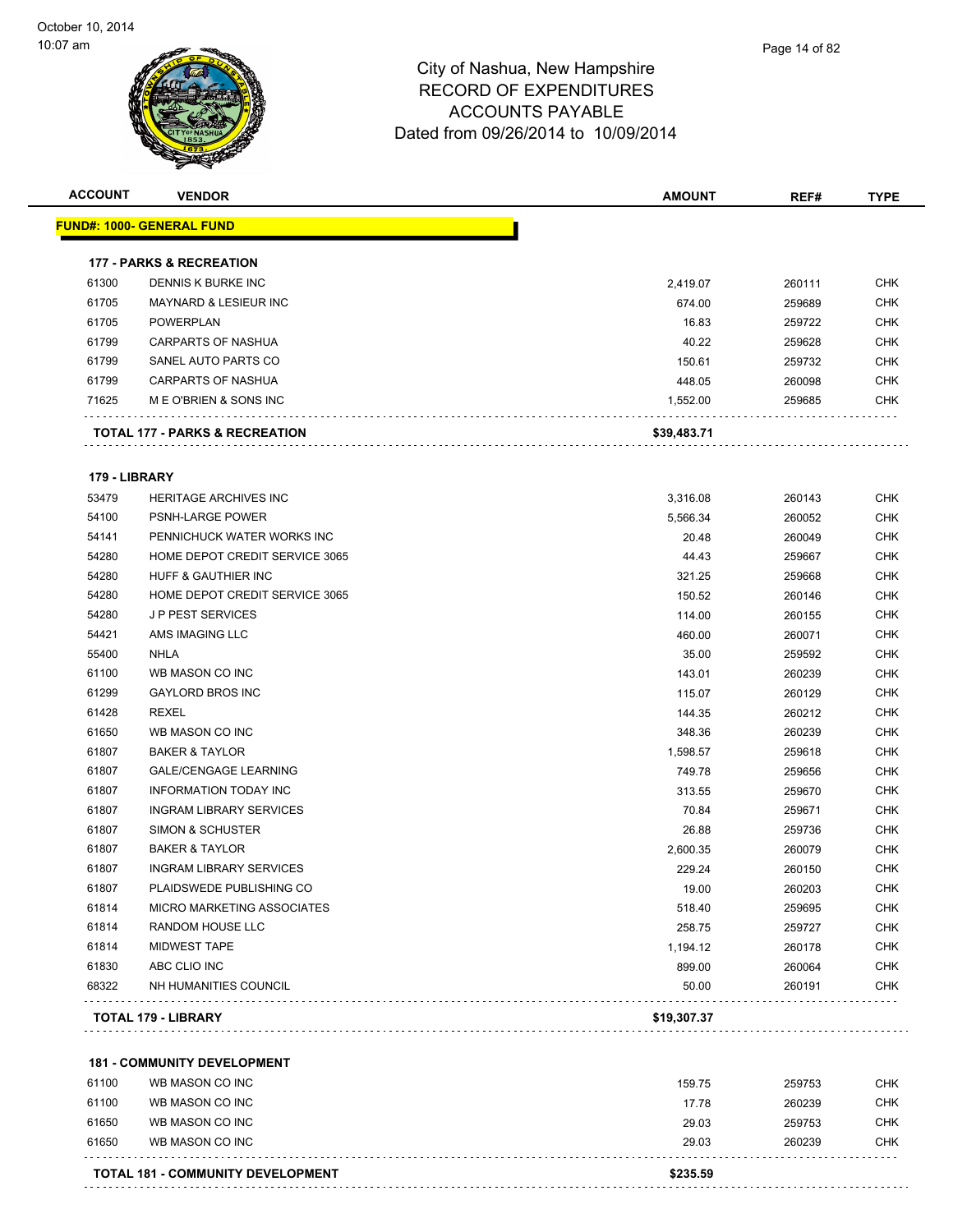

| <b>ACCOUNT</b> | <b>VENDOR</b>                             | <b>AMOUNT</b> | REF#   | <b>TYPE</b> |
|----------------|-------------------------------------------|---------------|--------|-------------|
|                | <u> FUND#: 1000- GENERAL FUND</u>         |               |        |             |
|                | <b>177 - PARKS &amp; RECREATION</b>       |               |        |             |
| 61300          | DENNIS K BURKE INC                        | 2,419.07      | 260111 | <b>CHK</b>  |
| 61705          | MAYNARD & LESIEUR INC                     | 674.00        | 259689 | <b>CHK</b>  |
| 61705          | <b>POWERPLAN</b>                          | 16.83         | 259722 | <b>CHK</b>  |
| 61799          | CARPARTS OF NASHUA                        | 40.22         | 259628 | <b>CHK</b>  |
| 61799          | SANEL AUTO PARTS CO                       | 150.61        | 259732 | <b>CHK</b>  |
| 61799          | <b>CARPARTS OF NASHUA</b>                 | 448.05        | 260098 | <b>CHK</b>  |
| 71625          | M E O'BRIEN & SONS INC                    | 1,552.00      | 259685 | <b>CHK</b>  |
|                | <b>TOTAL 177 - PARKS &amp; RECREATION</b> | \$39,483.71   |        |             |
| 179 - LIBRARY  |                                           |               |        |             |
| 53479          | <b>HERITAGE ARCHIVES INC</b>              | 3,316.08      | 260143 | <b>CHK</b>  |
| 54100          | PSNH-LARGE POWER                          | 5,566.34      | 260052 | <b>CHK</b>  |
| 54141          | PENNICHUCK WATER WORKS INC                | 20.48         | 260049 | <b>CHK</b>  |
| 54280          | HOME DEPOT CREDIT SERVICE 3065            | 44.43         | 259667 | <b>CHK</b>  |
| 54280          | HUFF & GAUTHIER INC                       | 321.25        | 259668 | <b>CHK</b>  |
| 54280          | HOME DEPOT CREDIT SERVICE 3065            | 150.52        | 260146 | <b>CHK</b>  |
| 54280          | <b>J P PEST SERVICES</b>                  | 114.00        | 260155 | <b>CHK</b>  |
| 54421          | AMS IMAGING LLC                           | 460.00        | 260071 | <b>CHK</b>  |
| 55400          | <b>NHLA</b>                               | 35.00         | 259592 | <b>CHK</b>  |
| 61100          | WB MASON CO INC                           | 143.01        | 260239 | <b>CHK</b>  |
| 61299          | <b>GAYLORD BROS INC</b>                   | 115.07        | 260129 | <b>CHK</b>  |
| 61428          | <b>REXEL</b>                              | 144.35        | 260212 | <b>CHK</b>  |
| 61650          | WB MASON CO INC                           | 348.36        | 260239 | <b>CHK</b>  |
| 61807          | <b>BAKER &amp; TAYLOR</b>                 | 1,598.57      | 259618 | <b>CHK</b>  |
| 61807          | <b>GALE/CENGAGE LEARNING</b>              | 749.78        | 259656 | <b>CHK</b>  |
| 61807          | <b>INFORMATION TODAY INC</b>              | 313.55        | 259670 | <b>CHK</b>  |
| 61807          | <b>INGRAM LIBRARY SERVICES</b>            | 70.84         | 259671 | <b>CHK</b>  |
| 61807          | SIMON & SCHUSTER                          | 26.88         | 259736 | <b>CHK</b>  |
| 61807          | <b>BAKER &amp; TAYLOR</b>                 | 2,600.35      | 260079 | <b>CHK</b>  |
| 61807          | <b>INGRAM LIBRARY SERVICES</b>            | 229.24        | 260150 | <b>CHK</b>  |
| 61807          | PLAIDSWEDE PUBLISHING CO                  | 19.00         | 260203 | <b>CHK</b>  |
| 61814          | <b>MICRO MARKETING ASSOCIATES</b>         | 518.40        | 259695 | <b>CHK</b>  |
| 61814          | RANDOM HOUSE LLC                          | 258.75        | 259727 | <b>CHK</b>  |
| 61814          | <b>MIDWEST TAPE</b>                       | 1,194.12      | 260178 | <b>CHK</b>  |
| 61830          | ABC CLIO INC                              | 899.00        | 260064 | <b>CHK</b>  |
| 68322          | NH HUMANITIES COUNCIL                     | 50.00         | 260191 | <b>CHK</b>  |
|                | <b>TOTAL 179 - LIBRARY</b>                | \$19,307.37   |        |             |
|                |                                           |               |        |             |
|                | <b>181 - COMMUNITY DEVELOPMENT</b>        |               |        |             |
| 61100          | WB MASON CO INC                           | 159.75        | 259753 | <b>CHK</b>  |
| 61100          | WB MASON CO INC                           | 17.78         | 260239 | <b>CHK</b>  |
| 61650          | WB MASON CO INC                           | 29.03         | 259753 | <b>CHK</b>  |
| 61650          | WB MASON CO INC                           | 29.03         | 260239 | <b>CHK</b>  |
|                | <b>TOTAL 181 - COMMUNITY DEVELOPMENT</b>  | \$235.59      |        |             |
|                |                                           |               |        |             |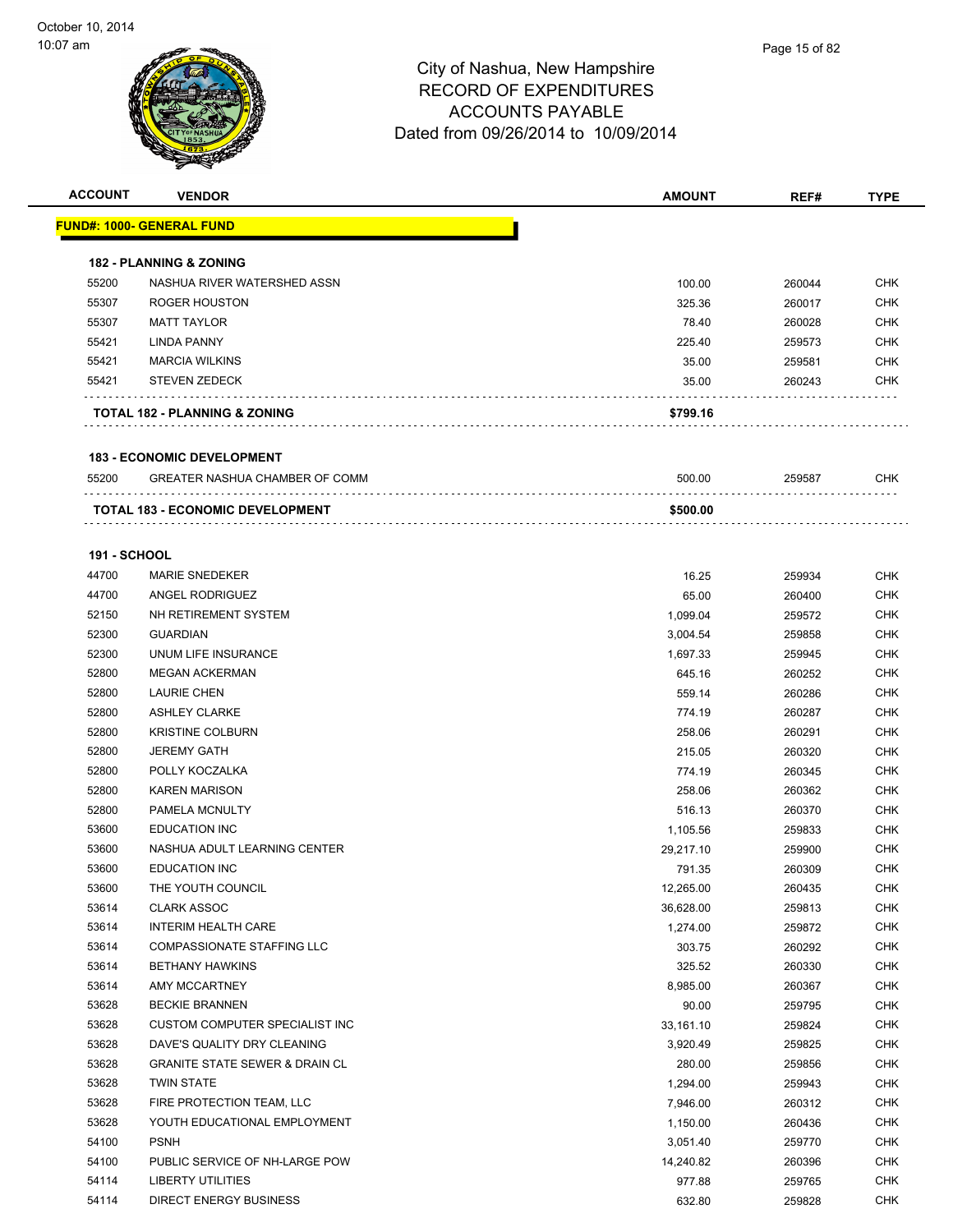| <b>ACCOUNT</b>      | <b>VENDOR</b>                             | <b>AMOUNT</b> | REF#   | <b>TYPE</b> |
|---------------------|-------------------------------------------|---------------|--------|-------------|
|                     | <u> FUND#: 1000- GENERAL FUND</u>         |               |        |             |
|                     |                                           |               |        |             |
|                     | <b>182 - PLANNING &amp; ZONING</b>        |               |        |             |
| 55200               | NASHUA RIVER WATERSHED ASSN               | 100.00        | 260044 | <b>CHK</b>  |
| 55307               | <b>ROGER HOUSTON</b>                      | 325.36        | 260017 | <b>CHK</b>  |
| 55307               | <b>MATT TAYLOR</b>                        | 78.40         | 260028 | <b>CHK</b>  |
| 55421               | <b>LINDA PANNY</b>                        | 225.40        | 259573 | CHK         |
| 55421               | <b>MARCIA WILKINS</b>                     | 35.00         | 259581 | CHK         |
| 55421               | <b>STEVEN ZEDECK</b>                      | 35.00         | 260243 | CHK         |
|                     | <b>TOTAL 182 - PLANNING &amp; ZONING</b>  | \$799.16      |        |             |
|                     | <b>183 - ECONOMIC DEVELOPMENT</b>         |               |        |             |
| 55200               | GREATER NASHUA CHAMBER OF COMM            | 500.00        | 259587 | CHK         |
|                     | TOTAL 183 - ECONOMIC DEVELOPMENT          | \$500.00      |        |             |
|                     |                                           |               |        |             |
| <b>191 - SCHOOL</b> |                                           |               |        |             |
| 44700               | <b>MARIE SNEDEKER</b>                     | 16.25         | 259934 | CHK         |
| 44700               | ANGEL RODRIGUEZ                           | 65.00         | 260400 | <b>CHK</b>  |
| 52150               | NH RETIREMENT SYSTEM                      | 1,099.04      | 259572 | CHK         |
| 52300               | <b>GUARDIAN</b>                           | 3,004.54      | 259858 | <b>CHK</b>  |
| 52300               | UNUM LIFE INSURANCE                       | 1,697.33      | 259945 | <b>CHK</b>  |
| 52800               | <b>MEGAN ACKERMAN</b>                     | 645.16        | 260252 | CHK         |
| 52800               | <b>LAURIE CHEN</b>                        | 559.14        | 260286 | <b>CHK</b>  |
| 52800               | <b>ASHLEY CLARKE</b>                      | 774.19        | 260287 | <b>CHK</b>  |
| 52800               | <b>KRISTINE COLBURN</b>                   | 258.06        | 260291 | CHK         |
| 52800               | <b>JEREMY GATH</b>                        | 215.05        | 260320 | <b>CHK</b>  |
| 52800               | POLLY KOCZALKA                            | 774.19        | 260345 | CHK         |
| 52800               | <b>KAREN MARISON</b>                      | 258.06        | 260362 | CHK         |
| 52800               | PAMELA MCNULTY                            | 516.13        | 260370 | <b>CHK</b>  |
| 53600               | <b>EDUCATION INC</b>                      | 1,105.56      | 259833 | CHK         |
| 53600               | NASHUA ADULT LEARNING CENTER              | 29,217.10     | 259900 | CHK         |
| 53600               | <b>EDUCATION INC</b>                      | 791.35        | 260309 | <b>CHK</b>  |
| 53600               | THE YOUTH COUNCIL                         | 12,265.00     | 260435 | <b>CHK</b>  |
| 53614               | <b>CLARK ASSOC</b>                        | 36,628.00     | 259813 | <b>CHK</b>  |
| 53614               | <b>INTERIM HEALTH CARE</b>                | 1,274.00      | 259872 | <b>CHK</b>  |
| 53614               | COMPASSIONATE STAFFING LLC                | 303.75        | 260292 | <b>CHK</b>  |
| 53614               | <b>BETHANY HAWKINS</b>                    | 325.52        | 260330 | <b>CHK</b>  |
| 53614               | AMY MCCARTNEY                             | 8,985.00      | 260367 | <b>CHK</b>  |
| 53628               | <b>BECKIE BRANNEN</b>                     | 90.00         | 259795 | <b>CHK</b>  |
| 53628               | CUSTOM COMPUTER SPECIALIST INC            | 33,161.10     | 259824 | <b>CHK</b>  |
| 53628               | DAVE'S QUALITY DRY CLEANING               | 3,920.49      | 259825 | <b>CHK</b>  |
| 53628               | <b>GRANITE STATE SEWER &amp; DRAIN CL</b> | 280.00        | 259856 | <b>CHK</b>  |
| 53628               | <b>TWIN STATE</b>                         | 1,294.00      | 259943 | <b>CHK</b>  |
| 53628               | FIRE PROTECTION TEAM, LLC                 | 7,946.00      | 260312 | <b>CHK</b>  |
| 53628               | YOUTH EDUCATIONAL EMPLOYMENT              | 1,150.00      | 260436 | <b>CHK</b>  |
| 54100               | <b>PSNH</b>                               | 3,051.40      | 259770 | <b>CHK</b>  |
| 54100               | PUBLIC SERVICE OF NH-LARGE POW            | 14,240.82     | 260396 | <b>CHK</b>  |
| 54114               | LIBERTY UTILITIES                         | 977.88        | 259765 | <b>CHK</b>  |
| 54114               | <b>DIRECT ENERGY BUSINESS</b>             | 632.80        | 259828 | <b>CHK</b>  |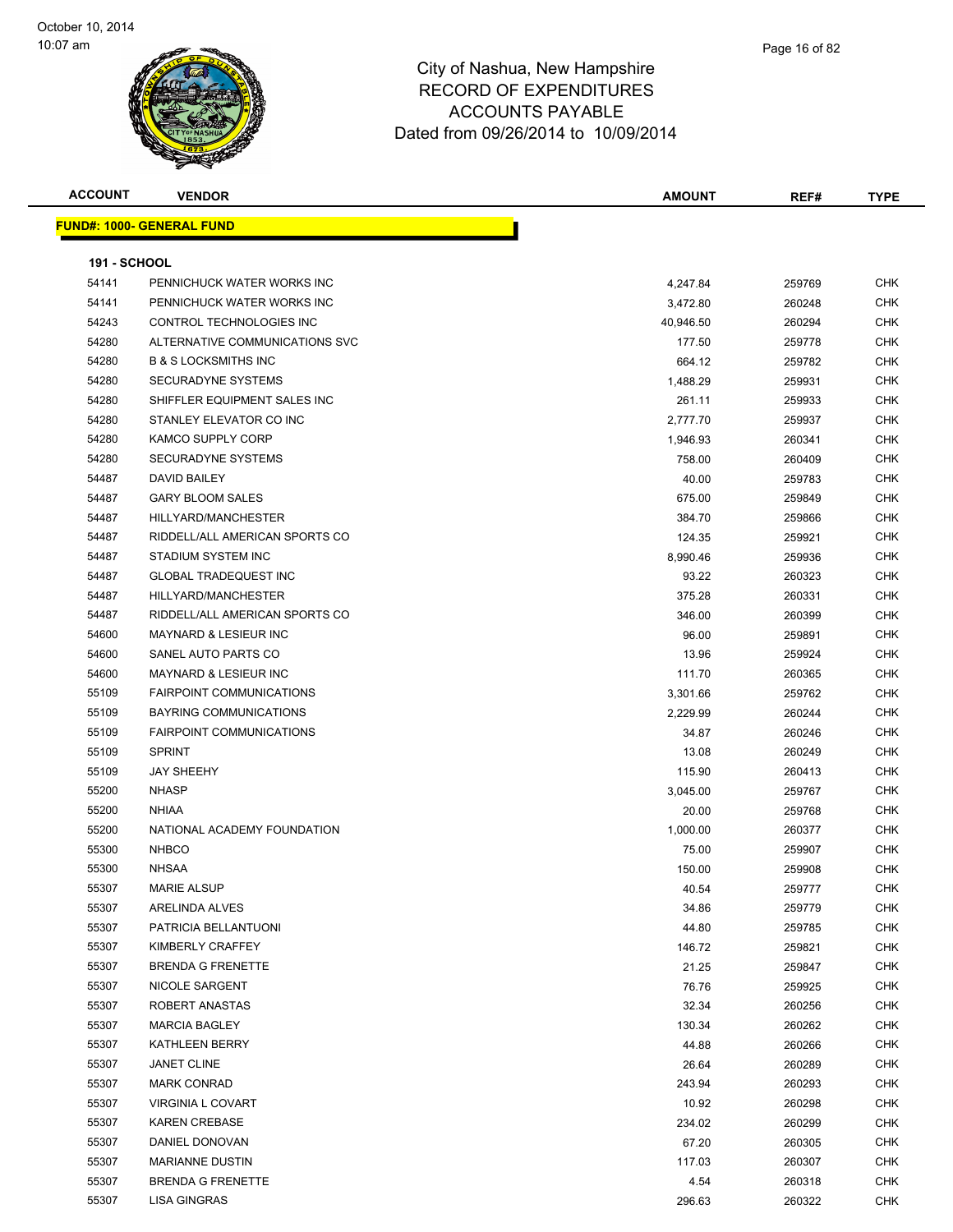

| Page 16 of 82 |  |
|---------------|--|
|               |  |
|               |  |

| <b>ACCOUNT</b>      | <b>VENDOR</b>                        | <b>AMOUNT</b> | REF#   | <b>TYPE</b>       |
|---------------------|--------------------------------------|---------------|--------|-------------------|
|                     | <b>FUND#: 1000- GENERAL FUND</b>     |               |        |                   |
|                     |                                      |               |        |                   |
| <b>191 - SCHOOL</b> |                                      |               |        |                   |
| 54141               | PENNICHUCK WATER WORKS INC           | 4,247.84      | 259769 | CHK               |
| 54141               | PENNICHUCK WATER WORKS INC           | 3,472.80      | 260248 | CHK               |
| 54243               | CONTROL TECHNOLOGIES INC             | 40,946.50     | 260294 | CHK               |
| 54280               | ALTERNATIVE COMMUNICATIONS SVC       | 177.50        | 259778 | <b>CHK</b>        |
| 54280               | <b>B &amp; S LOCKSMITHS INC</b>      | 664.12        | 259782 | <b>CHK</b>        |
| 54280               | SECURADYNE SYSTEMS                   | 1,488.29      | 259931 | CHK               |
| 54280               | SHIFFLER EQUIPMENT SALES INC         | 261.11        | 259933 | CHK               |
| 54280               | STANLEY ELEVATOR CO INC              | 2,777.70      | 259937 | CHK               |
| 54280               | <b>KAMCO SUPPLY CORP</b>             | 1,946.93      | 260341 | CHK               |
| 54280               | <b>SECURADYNE SYSTEMS</b>            | 758.00        | 260409 | CHK               |
| 54487               | DAVID BAILEY                         | 40.00         | 259783 | CHK               |
| 54487               | <b>GARY BLOOM SALES</b>              | 675.00        | 259849 | <b>CHK</b>        |
| 54487               | HILLYARD/MANCHESTER                  | 384.70        | 259866 | CHK               |
| 54487               | RIDDELL/ALL AMERICAN SPORTS CO       | 124.35        | 259921 | <b>CHK</b>        |
| 54487               | STADIUM SYSTEM INC                   | 8,990.46      | 259936 | <b>CHK</b>        |
| 54487               | <b>GLOBAL TRADEQUEST INC</b>         | 93.22         | 260323 | <b>CHK</b>        |
| 54487               | HILLYARD/MANCHESTER                  | 375.28        | 260331 | CHK               |
| 54487               | RIDDELL/ALL AMERICAN SPORTS CO       | 346.00        | 260399 | <b>CHK</b>        |
| 54600               | MAYNARD & LESIEUR INC                | 96.00         | 259891 | <b>CHK</b>        |
| 54600               | SANEL AUTO PARTS CO                  | 13.96         | 259924 | CHK               |
| 54600               | <b>MAYNARD &amp; LESIEUR INC</b>     | 111.70        | 260365 | CHK               |
| 55109               | <b>FAIRPOINT COMMUNICATIONS</b>      | 3,301.66      | 259762 | CHK               |
| 55109               | <b>BAYRING COMMUNICATIONS</b>        | 2,229.99      | 260244 | <b>CHK</b>        |
| 55109               | <b>FAIRPOINT COMMUNICATIONS</b>      | 34.87         | 260246 | CHK               |
| 55109               | <b>SPRINT</b>                        | 13.08         | 260249 | CHK               |
| 55109               | <b>JAY SHEEHY</b>                    | 115.90        | 260413 | <b>CHK</b>        |
| 55200               | <b>NHASP</b>                         | 3,045.00      | 259767 | <b>CHK</b>        |
| 55200               | <b>NHIAA</b>                         | 20.00         | 259768 | CHK               |
| 55200               | NATIONAL ACADEMY FOUNDATION          | 1,000.00      | 260377 | CHK               |
| 55300               | <b>NHBCO</b>                         | 75.00         | 259907 | CHK               |
| 55300               | <b>NHSAA</b>                         | 150.00        | 259908 | CHK               |
| 55307               | <b>MARIE ALSUP</b>                   | 40.54         | 259777 | <b>CHK</b>        |
| 55307               | ARELINDA ALVES                       | 34.86         | 259779 | <b>CHK</b>        |
| 55307               | PATRICIA BELLANTUONI                 | 44.80         | 259785 | <b>CHK</b>        |
| 55307               | KIMBERLY CRAFFEY                     | 146.72        | 259821 | <b>CHK</b>        |
| 55307               | <b>BRENDA G FRENETTE</b>             | 21.25         | 259847 | <b>CHK</b>        |
| 55307               | NICOLE SARGENT                       | 76.76         | 259925 | <b>CHK</b>        |
| 55307               | ROBERT ANASTAS                       | 32.34         |        | <b>CHK</b>        |
| 55307               | <b>MARCIA BAGLEY</b>                 |               | 260256 |                   |
|                     |                                      | 130.34        | 260262 | CHK<br><b>CHK</b> |
| 55307               | KATHLEEN BERRY<br><b>JANET CLINE</b> | 44.88         | 260266 |                   |
| 55307               |                                      | 26.64         | 260289 | <b>CHK</b>        |
| 55307               | <b>MARK CONRAD</b>                   | 243.94        | 260293 | <b>CHK</b>        |
| 55307               | <b>VIRGINIA L COVART</b>             | 10.92         | 260298 | <b>CHK</b>        |
| 55307               | <b>KAREN CREBASE</b>                 | 234.02        | 260299 | <b>CHK</b>        |
| 55307               | DANIEL DONOVAN                       | 67.20         | 260305 | CHK               |
| 55307               | <b>MARIANNE DUSTIN</b>               | 117.03        | 260307 | <b>CHK</b>        |
| 55307               | <b>BRENDA G FRENETTE</b>             | 4.54          | 260318 | CHK               |
| 55307               | LISA GINGRAS                         | 296.63        | 260322 | <b>CHK</b>        |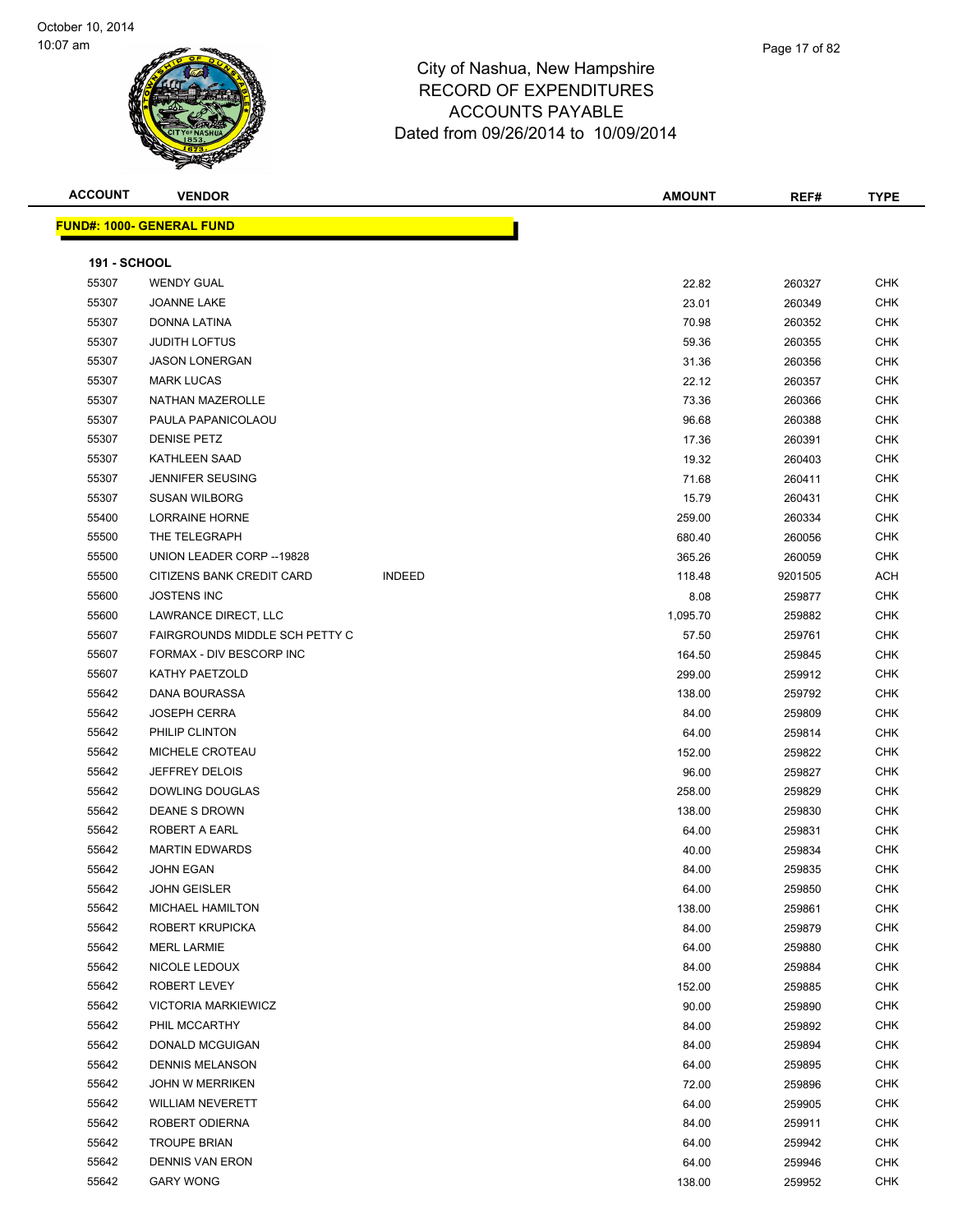| <b>ACCOUNT</b>      | <b>VENDOR</b>                    |               | <b>AMOUNT</b> | REF#    | <b>TYPE</b> |
|---------------------|----------------------------------|---------------|---------------|---------|-------------|
|                     | <b>FUND#: 1000- GENERAL FUND</b> |               |               |         |             |
|                     |                                  |               |               |         |             |
| <b>191 - SCHOOL</b> |                                  |               |               |         |             |
| 55307               | <b>WENDY GUAL</b>                |               | 22.82         | 260327  | <b>CHK</b>  |
| 55307               | JOANNE LAKE                      |               | 23.01         | 260349  | <b>CHK</b>  |
| 55307               | DONNA LATINA                     |               | 70.98         | 260352  | <b>CHK</b>  |
| 55307               | <b>JUDITH LOFTUS</b>             |               | 59.36         | 260355  | <b>CHK</b>  |
| 55307               | <b>JASON LONERGAN</b>            |               | 31.36         | 260356  | <b>CHK</b>  |
| 55307               | <b>MARK LUCAS</b>                |               | 22.12         | 260357  | <b>CHK</b>  |
| 55307               | NATHAN MAZEROLLE                 |               | 73.36         | 260366  | <b>CHK</b>  |
| 55307               | PAULA PAPANICOLAOU               |               | 96.68         | 260388  | <b>CHK</b>  |
| 55307               | <b>DENISE PETZ</b>               |               | 17.36         | 260391  | <b>CHK</b>  |
| 55307               | <b>KATHLEEN SAAD</b>             |               | 19.32         | 260403  | <b>CHK</b>  |
| 55307               | <b>JENNIFER SEUSING</b>          |               | 71.68         | 260411  | <b>CHK</b>  |
| 55307               | <b>SUSAN WILBORG</b>             |               | 15.79         | 260431  | <b>CHK</b>  |
| 55400               | <b>LORRAINE HORNE</b>            |               | 259.00        | 260334  | CHK         |
| 55500               | THE TELEGRAPH                    |               | 680.40        | 260056  | <b>CHK</b>  |
| 55500               | UNION LEADER CORP -- 19828       |               | 365.26        | 260059  | <b>CHK</b>  |
| 55500               | CITIZENS BANK CREDIT CARD        | <b>INDEED</b> | 118.48        | 9201505 | ACH         |
| 55600               | <b>JOSTENS INC</b>               |               | 8.08          | 259877  | <b>CHK</b>  |
| 55600               | LAWRANCE DIRECT, LLC             |               | 1,095.70      | 259882  | <b>CHK</b>  |
| 55607               | FAIRGROUNDS MIDDLE SCH PETTY C   |               | 57.50         | 259761  | <b>CHK</b>  |
| 55607               | FORMAX - DIV BESCORP INC         |               | 164.50        | 259845  | <b>CHK</b>  |
| 55607               | KATHY PAETZOLD                   |               | 299.00        | 259912  | <b>CHK</b>  |
| 55642               | DANA BOURASSA                    |               | 138.00        | 259792  | <b>CHK</b>  |
| 55642               | <b>JOSEPH CERRA</b>              |               | 84.00         | 259809  | <b>CHK</b>  |
| 55642               | PHILIP CLINTON                   |               | 64.00         | 259814  | <b>CHK</b>  |
| 55642               | MICHELE CROTEAU                  |               | 152.00        | 259822  | <b>CHK</b>  |
| 55642               | <b>JEFFREY DELOIS</b>            |               | 96.00         | 259827  | <b>CHK</b>  |
| 55642               | DOWLING DOUGLAS                  |               | 258.00        | 259829  | <b>CHK</b>  |
| 55642               | <b>DEANE S DROWN</b>             |               | 138.00        | 259830  | <b>CHK</b>  |
| 55642               | ROBERT A EARL                    |               | 64.00         | 259831  | <b>CHK</b>  |
| 55642               | <b>MARTIN EDWARDS</b>            |               | 40.00         | 259834  | <b>CHK</b>  |
| 55642               | <b>JOHN EGAN</b>                 |               | 84.00         | 259835  | <b>CHK</b>  |
| 55642               | <b>JOHN GEISLER</b>              |               | 64.00         | 259850  | CHK         |
| 55642               | <b>MICHAEL HAMILTON</b>          |               | 138.00        | 259861  | CHK         |
| 55642               | ROBERT KRUPICKA                  |               | 84.00         | 259879  | CHK         |
| 55642               | <b>MERL LARMIE</b>               |               | 64.00         | 259880  | CHK         |
| 55642               | NICOLE LEDOUX                    |               | 84.00         | 259884  | CHK         |
| 55642               | ROBERT LEVEY                     |               | 152.00        | 259885  | CHK         |
| 55642               | <b>VICTORIA MARKIEWICZ</b>       |               | 90.00         | 259890  | CHK         |
| 55642               | PHIL MCCARTHY                    |               | 84.00         | 259892  | <b>CHK</b>  |
| 55642               | DONALD MCGUIGAN                  |               | 84.00         | 259894  | CHK         |
| 55642               | <b>DENNIS MELANSON</b>           |               | 64.00         | 259895  | CHK         |
| 55642               | <b>JOHN W MERRIKEN</b>           |               | 72.00         | 259896  | CHK         |
| 55642               | <b>WILLIAM NEVERETT</b>          |               | 64.00         | 259905  | CHK         |
| 55642               | ROBERT ODIERNA                   |               | 84.00         | 259911  | CHK         |
| 55642               | <b>TROUPE BRIAN</b>              |               | 64.00         | 259942  | CHK         |
| 55642               | <b>DENNIS VAN ERON</b>           |               | 64.00         | 259946  | CHK         |
| 55642               | <b>GARY WONG</b>                 |               | 138.00        | 259952  | CHK         |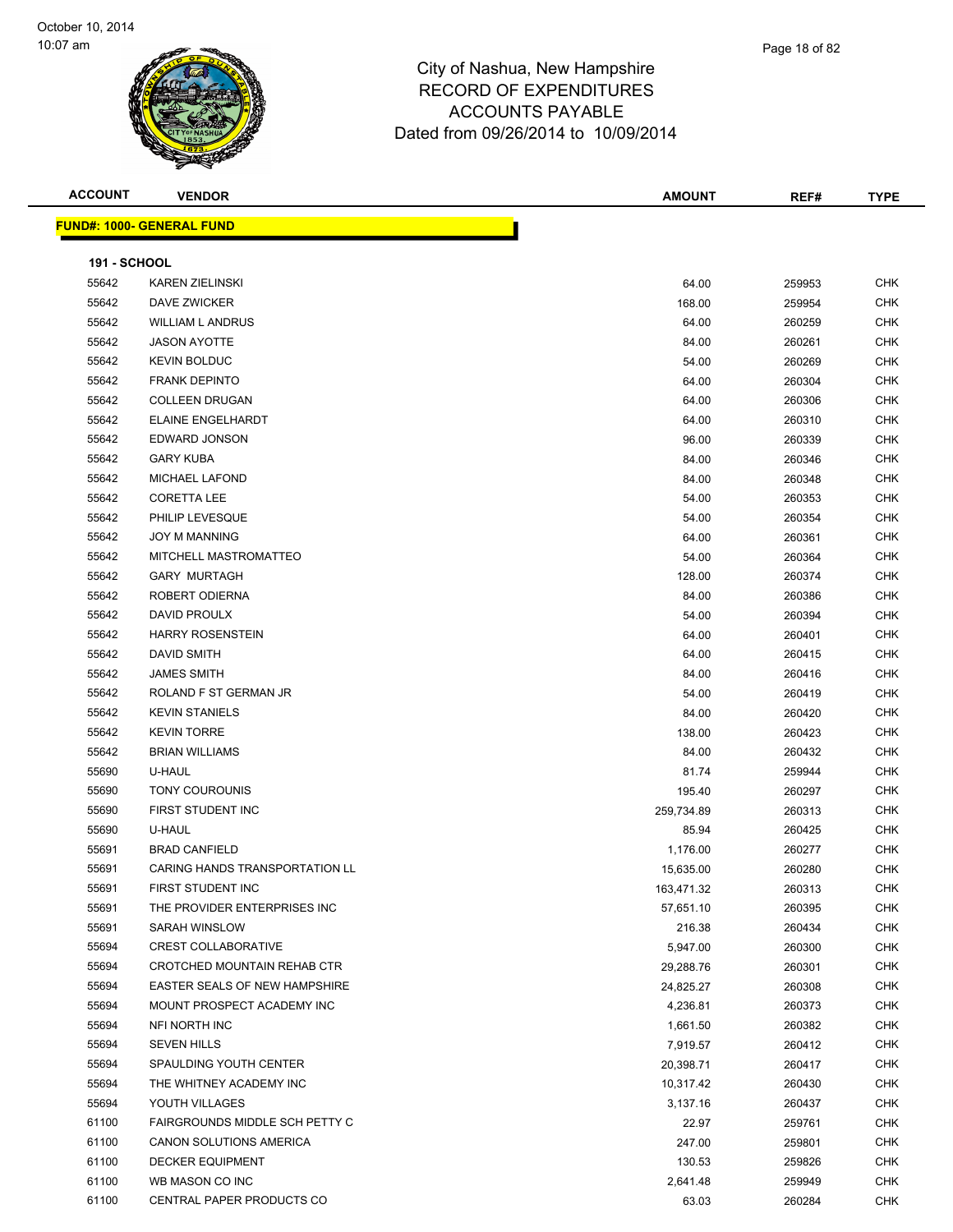| <b>ACCOUNT</b>      | <b>VENDOR</b>                         | <b>AMOUNT</b> | REF#   | <b>TYPE</b> |
|---------------------|---------------------------------------|---------------|--------|-------------|
|                     | <b>FUND#: 1000- GENERAL FUND</b>      |               |        |             |
|                     |                                       |               |        |             |
| <b>191 - SCHOOL</b> |                                       |               |        |             |
| 55642               | <b>KAREN ZIELINSKI</b>                | 64.00         | 259953 | <b>CHK</b>  |
| 55642               | DAVE ZWICKER                          | 168.00        | 259954 | CHK         |
| 55642               | WILLIAM L ANDRUS                      | 64.00         | 260259 | CHK         |
| 55642               | <b>JASON AYOTTE</b>                   | 84.00         | 260261 | <b>CHK</b>  |
| 55642               | <b>KEVIN BOLDUC</b>                   | 54.00         | 260269 | <b>CHK</b>  |
| 55642               | <b>FRANK DEPINTO</b>                  | 64.00         | 260304 | <b>CHK</b>  |
| 55642               | <b>COLLEEN DRUGAN</b>                 | 64.00         | 260306 | CHK         |
| 55642               | ELAINE ENGELHARDT                     | 64.00         | 260310 | <b>CHK</b>  |
| 55642               | EDWARD JONSON                         | 96.00         | 260339 | <b>CHK</b>  |
| 55642               | <b>GARY KUBA</b>                      | 84.00         | 260346 | CHK         |
| 55642               | <b>MICHAEL LAFOND</b>                 | 84.00         | 260348 | <b>CHK</b>  |
| 55642               | <b>CORETTA LEE</b>                    | 54.00         | 260353 | <b>CHK</b>  |
| 55642               | PHILIP LEVESQUE                       | 54.00         | 260354 | CHK         |
| 55642               | <b>JOY M MANNING</b>                  | 64.00         | 260361 | CHK         |
| 55642               | MITCHELL MASTROMATTEO                 | 54.00         | 260364 | CHK         |
| 55642               | <b>GARY MURTAGH</b>                   | 128.00        | 260374 | CHK         |
| 55642               | ROBERT ODIERNA                        | 84.00         | 260386 | CHK         |
| 55642               | DAVID PROULX                          | 54.00         | 260394 | CHK         |
| 55642               | <b>HARRY ROSENSTEIN</b>               | 64.00         | 260401 | CHK         |
| 55642               | DAVID SMITH                           | 64.00         | 260415 | CHK         |
| 55642               | <b>JAMES SMITH</b>                    | 84.00         | 260416 | CHK         |
| 55642               | ROLAND F ST GERMAN JR                 | 54.00         | 260419 | <b>CHK</b>  |
| 55642               | <b>KEVIN STANIELS</b>                 | 84.00         | 260420 | <b>CHK</b>  |
| 55642               | <b>KEVIN TORRE</b>                    | 138.00        | 260423 | <b>CHK</b>  |
| 55642               | <b>BRIAN WILLIAMS</b>                 | 84.00         | 260432 | <b>CHK</b>  |
| 55690               | U-HAUL                                | 81.74         | 259944 | <b>CHK</b>  |
| 55690               | <b>TONY COUROUNIS</b>                 | 195.40        | 260297 | CHK         |
| 55690               | FIRST STUDENT INC                     | 259,734.89    | 260313 | <b>CHK</b>  |
| 55690               | U-HAUL                                | 85.94         | 260425 | CHK         |
| 55691               | <b>BRAD CANFIELD</b>                  | 1,176.00      | 260277 | CHK         |
| 55691               | <b>CARING HANDS TRANSPORTATION LL</b> | 15,635.00     | 260280 | CHK         |
| 55691               | FIRST STUDENT INC                     | 163,471.32    | 260313 | CHK         |
| 55691               | THE PROVIDER ENTERPRISES INC          | 57,651.10     | 260395 | CHK         |
| 55691               | SARAH WINSLOW                         | 216.38        | 260434 | <b>CHK</b>  |
| 55694               | <b>CREST COLLABORATIVE</b>            | 5,947.00      | 260300 | <b>CHK</b>  |
| 55694               | CROTCHED MOUNTAIN REHAB CTR           | 29,288.76     | 260301 | CHK         |
| 55694               | EASTER SEALS OF NEW HAMPSHIRE         | 24,825.27     | 260308 | <b>CHK</b>  |
| 55694               | MOUNT PROSPECT ACADEMY INC            | 4,236.81      | 260373 | <b>CHK</b>  |
| 55694               | NFI NORTH INC                         | 1,661.50      | 260382 | <b>CHK</b>  |
| 55694               | <b>SEVEN HILLS</b>                    | 7,919.57      | 260412 | <b>CHK</b>  |
| 55694               | SPAULDING YOUTH CENTER                | 20,398.71     | 260417 | CHK         |
| 55694               | THE WHITNEY ACADEMY INC               | 10,317.42     | 260430 | <b>CHK</b>  |
| 55694               | YOUTH VILLAGES                        | 3,137.16      | 260437 | <b>CHK</b>  |
| 61100               | FAIRGROUNDS MIDDLE SCH PETTY C        | 22.97         | 259761 | <b>CHK</b>  |
| 61100               | CANON SOLUTIONS AMERICA               | 247.00        | 259801 | <b>CHK</b>  |
| 61100               | <b>DECKER EQUIPMENT</b>               | 130.53        | 259826 | CHK         |
| 61100               | WB MASON CO INC                       | 2,641.48      | 259949 | CHK         |
| 61100               | CENTRAL PAPER PRODUCTS CO             | 63.03         | 260284 | <b>CHK</b>  |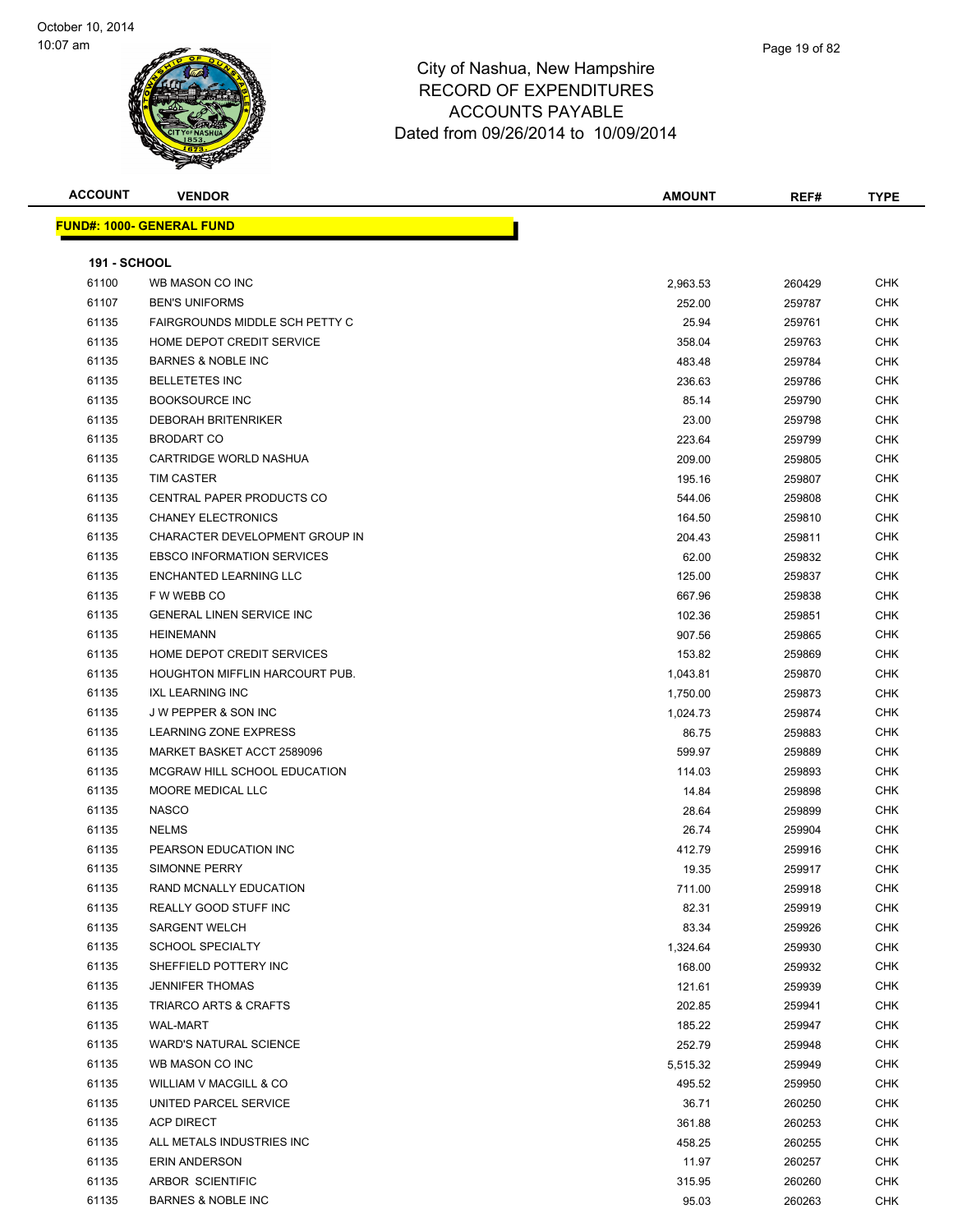

| <b>ACCOUNT</b>      | <b>VENDOR</b>                         | <b>AMOUNT</b> | REF#   | <b>TYPE</b> |
|---------------------|---------------------------------------|---------------|--------|-------------|
|                     | <b>FUND#: 1000- GENERAL FUND</b>      |               |        |             |
|                     |                                       |               |        |             |
| <b>191 - SCHOOL</b> |                                       |               |        |             |
| 61100               | WB MASON CO INC                       | 2,963.53      | 260429 | <b>CHK</b>  |
| 61107               | <b>BEN'S UNIFORMS</b>                 | 252.00        | 259787 | CHK         |
| 61135               | FAIRGROUNDS MIDDLE SCH PETTY C        | 25.94         | 259761 | CHK         |
| 61135               | HOME DEPOT CREDIT SERVICE             | 358.04        | 259763 | CHK         |
| 61135               | <b>BARNES &amp; NOBLE INC</b>         | 483.48        | 259784 | CHK         |
| 61135               | <b>BELLETETES INC</b>                 | 236.63        | 259786 | <b>CHK</b>  |
| 61135               | <b>BOOKSOURCE INC</b>                 | 85.14         | 259790 | CHK         |
| 61135               | <b>DEBORAH BRITENRIKER</b>            | 23.00         | 259798 | CHK         |
| 61135               | <b>BRODART CO</b>                     | 223.64        | 259799 | CHK         |
| 61135               | CARTRIDGE WORLD NASHUA                | 209.00        | 259805 | CHK         |
| 61135               | TIM CASTER                            | 195.16        | 259807 | CHK         |
| 61135               | CENTRAL PAPER PRODUCTS CO             | 544.06        | 259808 | CHK         |
| 61135               | <b>CHANEY ELECTRONICS</b>             | 164.50        | 259810 | CHK         |
| 61135               | CHARACTER DEVELOPMENT GROUP IN        | 204.43        | 259811 | CHK         |
| 61135               | <b>EBSCO INFORMATION SERVICES</b>     | 62.00         | 259832 | CHK         |
| 61135               | ENCHANTED LEARNING LLC                | 125.00        | 259837 | <b>CHK</b>  |
| 61135               | F W WEBB CO                           | 667.96        | 259838 | CHK         |
| 61135               | <b>GENERAL LINEN SERVICE INC</b>      | 102.36        | 259851 | CHK         |
| 61135               | <b>HEINEMANN</b>                      | 907.56        | 259865 | CHK         |
| 61135               | HOME DEPOT CREDIT SERVICES            | 153.82        | 259869 | <b>CHK</b>  |
| 61135               | <b>HOUGHTON MIFFLIN HARCOURT PUB.</b> | 1,043.81      | 259870 | CHK         |
| 61135               | <b>IXL LEARNING INC</b>               | 1,750.00      | 259873 | <b>CHK</b>  |
| 61135               | <b>JW PEPPER &amp; SON INC</b>        | 1,024.73      | 259874 | CHK         |
| 61135               | LEARNING ZONE EXPRESS                 | 86.75         | 259883 | CHK         |
| 61135               | MARKET BASKET ACCT 2589096            | 599.97        | 259889 | CHK         |
| 61135               | MCGRAW HILL SCHOOL EDUCATION          | 114.03        | 259893 | CHK         |
| 61135               | MOORE MEDICAL LLC                     | 14.84         | 259898 | <b>CHK</b>  |
| 61135               | <b>NASCO</b>                          | 28.64         | 259899 | CHK         |
| 61135               | <b>NELMS</b>                          | 26.74         | 259904 | CHK         |
| 61135               | PEARSON EDUCATION INC                 | 412.79        | 259916 | CHK         |
| 61135               | <b>SIMONNE PERRY</b>                  | 19.35         | 259917 | CHK         |
| 61135               | RAND MCNALLY EDUCATION                | 711.00        | 259918 | CHK         |
| 61135               | REALLY GOOD STUFF INC                 | 82.31         | 259919 | <b>CHK</b>  |
| 61135               | <b>SARGENT WELCH</b>                  | 83.34         | 259926 | <b>CHK</b>  |
| 61135               | <b>SCHOOL SPECIALTY</b>               | 1,324.64      | 259930 | <b>CHK</b>  |
| 61135               | SHEFFIELD POTTERY INC                 | 168.00        | 259932 | <b>CHK</b>  |
| 61135               | <b>JENNIFER THOMAS</b>                | 121.61        | 259939 | CHK         |
| 61135               | <b>TRIARCO ARTS &amp; CRAFTS</b>      | 202.85        | 259941 | CHK         |
| 61135               | <b>WAL-MART</b>                       | 185.22        | 259947 | <b>CHK</b>  |
| 61135               | <b>WARD'S NATURAL SCIENCE</b>         | 252.79        | 259948 | CHK         |
| 61135               | WB MASON CO INC                       | 5,515.32      | 259949 | CHK         |
| 61135               | WILLIAM V MACGILL & CO                | 495.52        | 259950 | <b>CHK</b>  |
| 61135               | UNITED PARCEL SERVICE                 | 36.71         | 260250 | CHK         |
| 61135               | <b>ACP DIRECT</b>                     | 361.88        | 260253 | CHK         |
| 61135               | ALL METALS INDUSTRIES INC             | 458.25        | 260255 | <b>CHK</b>  |
| 61135               | ERIN ANDERSON                         | 11.97         | 260257 | CHK         |
| 61135               | ARBOR SCIENTIFIC                      | 315.95        | 260260 | CHK         |
| 61135               | BARNES & NOBLE INC                    | 95.03         | 260263 | <b>CHK</b>  |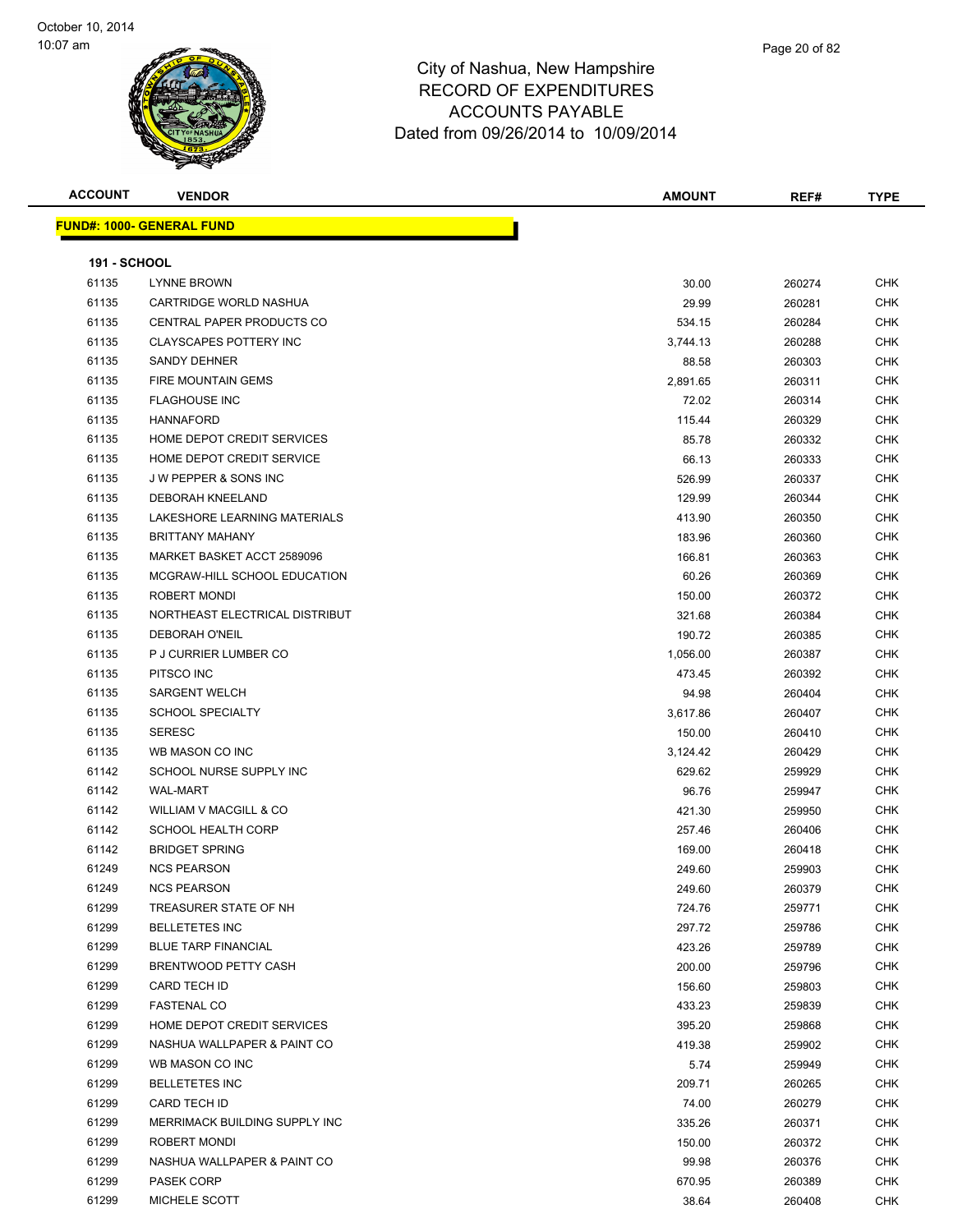

| Page 20 of 82 |  |
|---------------|--|
|               |  |
|               |  |

| <b>ACCOUNT</b>      | <b>VENDOR</b>                    | <b>AMOUNT</b> | REF#   | <b>TYPE</b> |
|---------------------|----------------------------------|---------------|--------|-------------|
|                     | <b>FUND#: 1000- GENERAL FUND</b> |               |        |             |
|                     |                                  |               |        |             |
| <b>191 - SCHOOL</b> |                                  |               |        |             |
| 61135               | <b>LYNNE BROWN</b>               | 30.00         | 260274 | <b>CHK</b>  |
| 61135               | CARTRIDGE WORLD NASHUA           | 29.99         | 260281 | CHK         |
| 61135               | CENTRAL PAPER PRODUCTS CO        | 534.15        | 260284 | <b>CHK</b>  |
| 61135               | <b>CLAYSCAPES POTTERY INC</b>    | 3,744.13      | 260288 | <b>CHK</b>  |
| 61135               | <b>SANDY DEHNER</b>              | 88.58         | 260303 | <b>CHK</b>  |
| 61135               | <b>FIRE MOUNTAIN GEMS</b>        | 2,891.65      | 260311 | <b>CHK</b>  |
| 61135               | <b>FLAGHOUSE INC</b>             | 72.02         | 260314 | <b>CHK</b>  |
| 61135               | <b>HANNAFORD</b>                 | 115.44        | 260329 | <b>CHK</b>  |
| 61135               | HOME DEPOT CREDIT SERVICES       | 85.78         | 260332 | <b>CHK</b>  |
| 61135               | HOME DEPOT CREDIT SERVICE        | 66.13         | 260333 | <b>CHK</b>  |
| 61135               | <b>JW PEPPER &amp; SONS INC</b>  | 526.99        | 260337 | <b>CHK</b>  |
| 61135               | <b>DEBORAH KNEELAND</b>          | 129.99        | 260344 | <b>CHK</b>  |
| 61135               | LAKESHORE LEARNING MATERIALS     | 413.90        | 260350 | <b>CHK</b>  |
| 61135               | <b>BRITTANY MAHANY</b>           | 183.96        | 260360 | <b>CHK</b>  |
| 61135               | MARKET BASKET ACCT 2589096       | 166.81        | 260363 | <b>CHK</b>  |
| 61135               | MCGRAW-HILL SCHOOL EDUCATION     | 60.26         | 260369 | <b>CHK</b>  |
| 61135               | ROBERT MONDI                     | 150.00        | 260372 | <b>CHK</b>  |
| 61135               | NORTHEAST ELECTRICAL DISTRIBUT   | 321.68        | 260384 | <b>CHK</b>  |
| 61135               | <b>DEBORAH O'NEIL</b>            | 190.72        | 260385 | <b>CHK</b>  |
| 61135               | P J CURRIER LUMBER CO            | 1,056.00      | 260387 | <b>CHK</b>  |
| 61135               | PITSCO INC                       | 473.45        | 260392 | <b>CHK</b>  |
| 61135               | <b>SARGENT WELCH</b>             | 94.98         | 260404 | <b>CHK</b>  |
| 61135               | <b>SCHOOL SPECIALTY</b>          | 3,617.86      | 260407 | <b>CHK</b>  |
| 61135               | <b>SERESC</b>                    | 150.00        | 260410 | <b>CHK</b>  |
| 61135               | WB MASON CO INC                  | 3,124.42      | 260429 | <b>CHK</b>  |
| 61142               | SCHOOL NURSE SUPPLY INC          | 629.62        | 259929 | <b>CHK</b>  |
| 61142               | <b>WAL-MART</b>                  | 96.76         | 259947 | <b>CHK</b>  |
| 61142               | WILLIAM V MACGILL & CO           | 421.30        | 259950 | <b>CHK</b>  |
| 61142               | <b>SCHOOL HEALTH CORP</b>        | 257.46        | 260406 | <b>CHK</b>  |
| 61142               | <b>BRIDGET SPRING</b>            | 169.00        | 260418 | <b>CHK</b>  |
| 61249               | <b>NCS PEARSON</b>               | 249.60        | 259903 | <b>CHK</b>  |
| 61249               | <b>NCS PEARSON</b>               | 249.60        | 260379 | <b>CHK</b>  |
| 61299               | TREASURER STATE OF NH            | 724.76        | 259771 | <b>CHK</b>  |
| 61299               | <b>BELLETETES INC</b>            | 297.72        | 259786 | <b>CHK</b>  |
| 61299               | <b>BLUE TARP FINANCIAL</b>       | 423.26        | 259789 | <b>CHK</b>  |
| 61299               | BRENTWOOD PETTY CASH             | 200.00        | 259796 | <b>CHK</b>  |
| 61299               | CARD TECH ID                     | 156.60        | 259803 | <b>CHK</b>  |
| 61299               | <b>FASTENAL CO</b>               | 433.23        | 259839 | <b>CHK</b>  |
| 61299               | HOME DEPOT CREDIT SERVICES       | 395.20        | 259868 | <b>CHK</b>  |
| 61299               | NASHUA WALLPAPER & PAINT CO      | 419.38        | 259902 | <b>CHK</b>  |
| 61299               | WB MASON CO INC                  | 5.74          | 259949 | <b>CHK</b>  |
| 61299               | <b>BELLETETES INC</b>            | 209.71        | 260265 | <b>CHK</b>  |
| 61299               | CARD TECH ID                     | 74.00         | 260279 | <b>CHK</b>  |
| 61299               | MERRIMACK BUILDING SUPPLY INC    | 335.26        | 260371 | CHK         |
| 61299               | ROBERT MONDI                     | 150.00        | 260372 | CHK         |
| 61299               | NASHUA WALLPAPER & PAINT CO      | 99.98         | 260376 | CHK         |
| 61299               | <b>PASEK CORP</b>                | 670.95        | 260389 | CHK         |
| 61299               | MICHELE SCOTT                    | 38.64         | 260408 | <b>CHK</b>  |
|                     |                                  |               |        |             |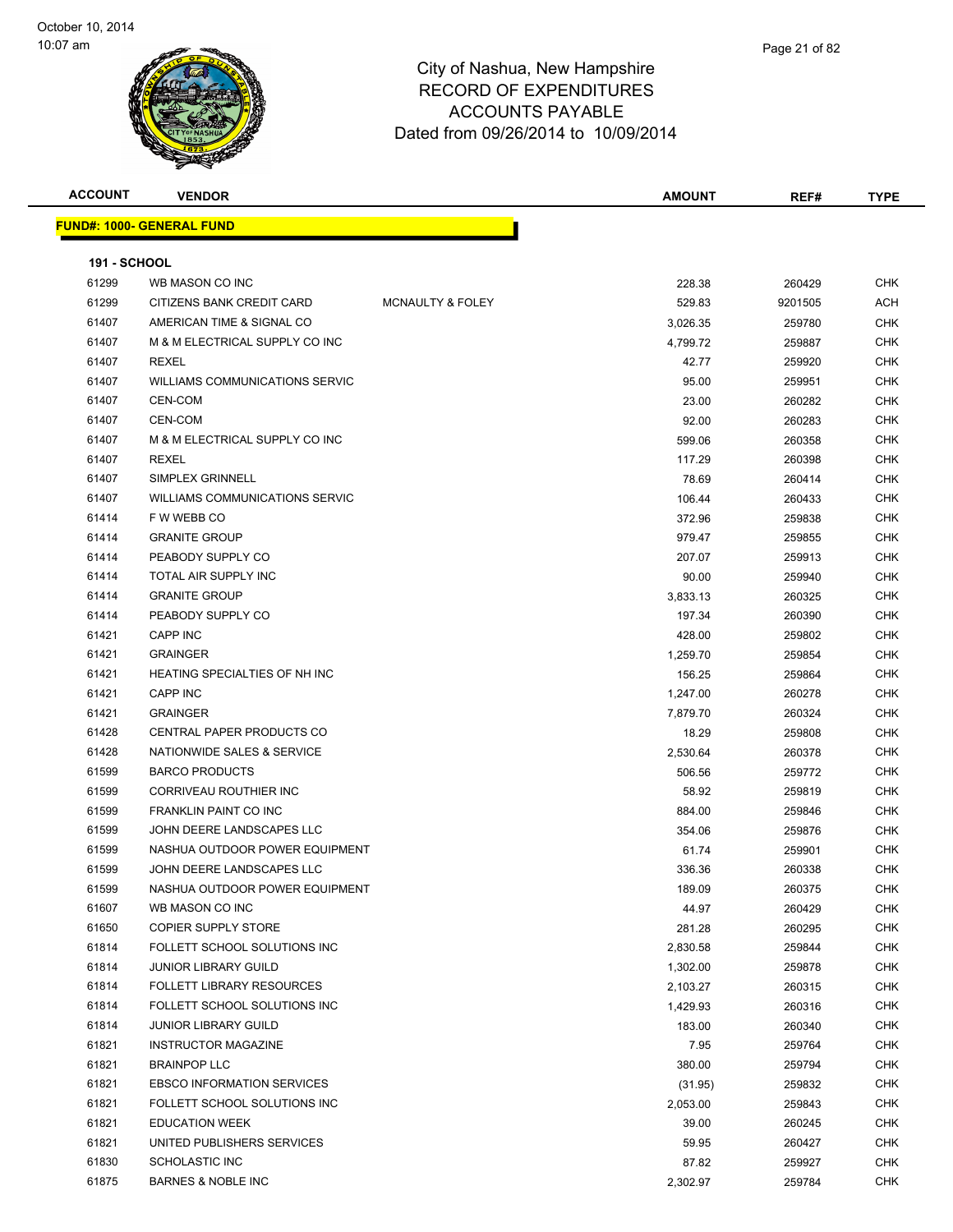

### City of Nashua, New Hampshire RECORD OF ACCOUI Dated from 09/2

| <b>ACCOUNT</b> | <b>VENDOR</b> | <b>AMOUNT</b>                                                                                   | REF# | <b>TYPE</b> |
|----------------|---------------|-------------------------------------------------------------------------------------------------|------|-------------|
|                |               | <b>RECORD OF EXPENDITURES</b><br><b>ACCOUNTS PAYABLE</b><br>Dated from 09/26/2014 to 10/09/2014 |      |             |

|                     | <b>FUND#: 1000- GENERAL FUND</b>                    |                             |                 |                  |                          |
|---------------------|-----------------------------------------------------|-----------------------------|-----------------|------------------|--------------------------|
| <b>191 - SCHOOL</b> |                                                     |                             |                 |                  |                          |
| 61299               | WB MASON CO INC                                     |                             | 228.38          | 260429           | CHK                      |
| 61299               | CITIZENS BANK CREDIT CARD                           | <b>MCNAULTY &amp; FOLEY</b> | 529.83          | 9201505          | ACH                      |
| 61407               | AMERICAN TIME & SIGNAL CO                           |                             | 3,026.35        | 259780           | <b>CHK</b>               |
| 61407               | M & M ELECTRICAL SUPPLY CO INC                      |                             | 4,799.72        | 259887           | <b>CHK</b>               |
| 61407               | <b>REXEL</b>                                        |                             | 42.77           | 259920           | <b>CHK</b>               |
| 61407               | <b>WILLIAMS COMMUNICATIONS SERVIC</b>               |                             | 95.00           | 259951           | <b>CHK</b>               |
| 61407               | CEN-COM                                             |                             | 23.00           | 260282           | <b>CHK</b>               |
| 61407               | CEN-COM                                             |                             | 92.00           | 260283           | CHK                      |
| 61407               | M & M ELECTRICAL SUPPLY CO INC                      |                             | 599.06          | 260358           | <b>CHK</b>               |
| 61407               | <b>REXEL</b>                                        |                             | 117.29          | 260398           | <b>CHK</b>               |
| 61407               | SIMPLEX GRINNELL                                    |                             | 78.69           | 260414           | <b>CHK</b>               |
| 61407               | <b>WILLIAMS COMMUNICATIONS SERVIC</b>               |                             | 106.44          | 260433           | <b>CHK</b>               |
| 61414               | F W WEBB CO                                         |                             | 372.96          | 259838           | <b>CHK</b>               |
| 61414               | <b>GRANITE GROUP</b>                                |                             | 979.47          | 259855           | <b>CHK</b>               |
| 61414               | PEABODY SUPPLY CO                                   |                             | 207.07          | 259913           | <b>CHK</b>               |
| 61414               | TOTAL AIR SUPPLY INC                                |                             | 90.00           | 259940           | <b>CHK</b>               |
| 61414               | <b>GRANITE GROUP</b>                                |                             | 3,833.13        | 260325           | CHK                      |
| 61414               | PEABODY SUPPLY CO                                   |                             | 197.34          | 260390           | CHK                      |
| 61421               | <b>CAPP INC</b>                                     |                             | 428.00          | 259802           | <b>CHK</b>               |
| 61421               | <b>GRAINGER</b>                                     |                             | 1,259.70        | 259854           | <b>CHK</b>               |
| 61421               | HEATING SPECIALTIES OF NH INC                       |                             | 156.25          | 259864           | <b>CHK</b>               |
| 61421               | CAPP INC                                            |                             | 1,247.00        | 260278           | <b>CHK</b>               |
| 61421               | <b>GRAINGER</b>                                     |                             | 7,879.70        | 260324           | <b>CHK</b>               |
| 61428               | CENTRAL PAPER PRODUCTS CO                           |                             | 18.29           | 259808           | <b>CHK</b>               |
| 61428               | NATIONWIDE SALES & SERVICE<br><b>BARCO PRODUCTS</b> |                             | 2,530.64        | 260378           | <b>CHK</b>               |
| 61599<br>61599      | CORRIVEAU ROUTHIER INC                              |                             | 506.56<br>58.92 | 259772<br>259819 | <b>CHK</b><br><b>CHK</b> |
| 61599               | <b>FRANKLIN PAINT CO INC</b>                        |                             | 884.00          | 259846           | CHK                      |
| 61599               | JOHN DEERE LANDSCAPES LLC                           |                             | 354.06          | 259876           | <b>CHK</b>               |
| 61599               | NASHUA OUTDOOR POWER EQUIPMENT                      |                             | 61.74           | 259901           | CHK                      |
| 61599               | JOHN DEERE LANDSCAPES LLC                           |                             | 336.36          | 260338           | CHK                      |
| 61599               | NASHUA OUTDOOR POWER EQUIPMENT                      |                             | 189.09          | 260375           | CHK                      |
| 61607               | WB MASON CO INC                                     |                             | 44.97           | 260429           | <b>CHK</b>               |
| 61650               | <b>COPIER SUPPLY STORE</b>                          |                             | 281.28          | 260295           | CHK                      |
| 61814               | FOLLETT SCHOOL SOLUTIONS INC                        |                             | 2,830.58        | 259844           | <b>CHK</b>               |
| 61814               | <b>JUNIOR LIBRARY GUILD</b>                         |                             | 1,302.00        | 259878           | CHK                      |
| 61814               | <b>FOLLETT LIBRARY RESOURCES</b>                    |                             | 2,103.27        | 260315           | CHK                      |
| 61814               | FOLLETT SCHOOL SOLUTIONS INC                        |                             | 1,429.93        | 260316           | <b>CHK</b>               |
| 61814               | <b>JUNIOR LIBRARY GUILD</b>                         |                             | 183.00          | 260340           | CHK                      |
| 61821               | <b>INSTRUCTOR MAGAZINE</b>                          |                             | 7.95            | 259764           | <b>CHK</b>               |
| 61821               | <b>BRAINPOP LLC</b>                                 |                             | 380.00          | 259794           | CHK                      |
| 61821               | <b>EBSCO INFORMATION SERVICES</b>                   |                             | (31.95)         | 259832           | CHK                      |
| 61821               | FOLLETT SCHOOL SOLUTIONS INC                        |                             | 2,053.00        | 259843           | CHK                      |
| 61821               | <b>EDUCATION WEEK</b>                               |                             | 39.00           | 260245           | CHK                      |
| 61821               | UNITED PUBLISHERS SERVICES                          |                             | 59.95           | 260427           | CHK                      |
| 61830               | <b>SCHOLASTIC INC</b>                               |                             | 87.82           | 259927           | CHK                      |
| 61875               | <b>BARNES &amp; NOBLE INC</b>                       |                             | 2,302.97        | 259784           | CHK                      |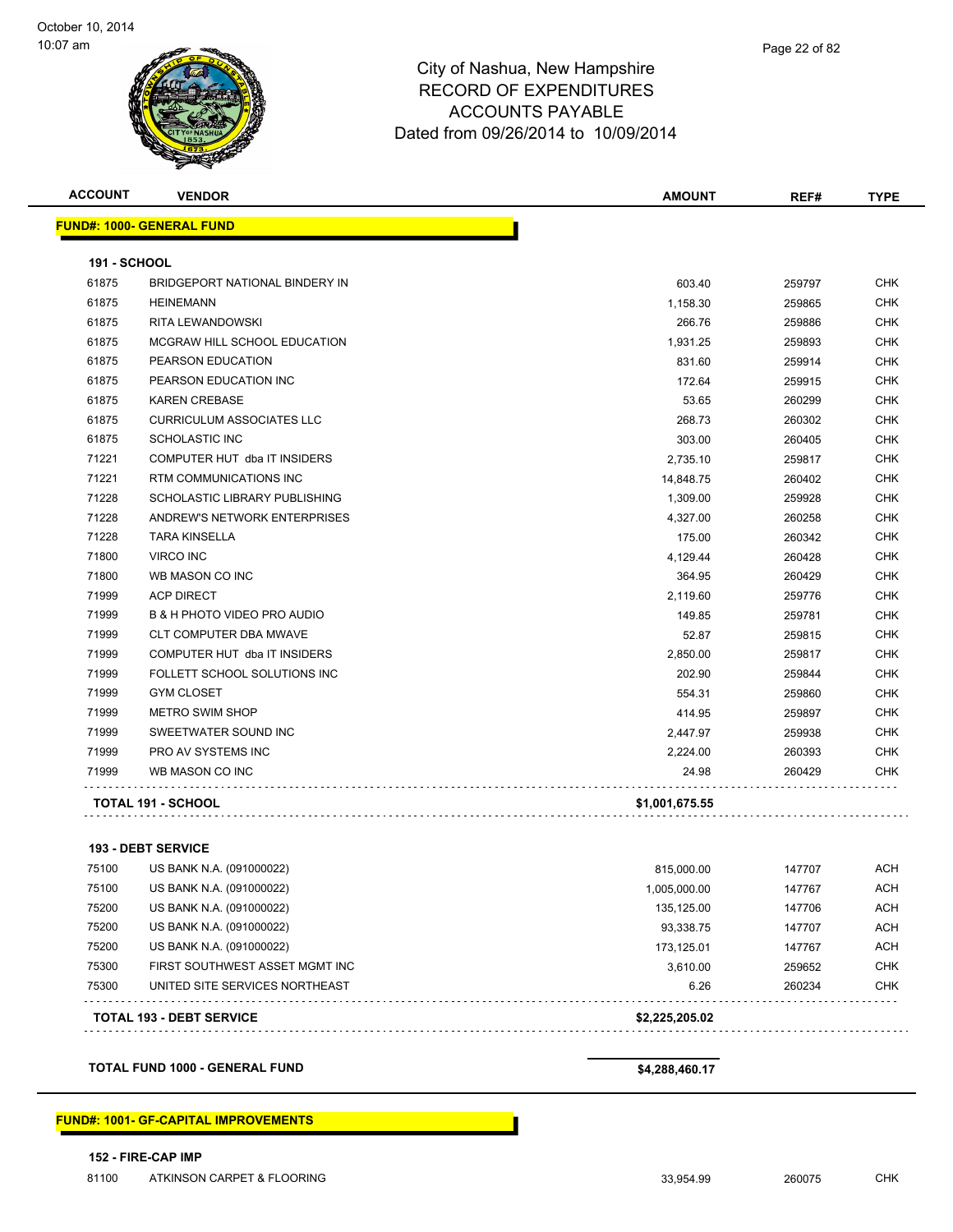

#### City of Nashua, New Hampshire RECORD OF EXPENDITURES ACCOUNTS PAYABLE Dated fr

| טשוושווואו וגאש וט שטא       |  |  |
|------------------------------|--|--|
| ACCOUNTS PAYABLE             |  |  |
| rom 09/26/2014 to 10/09/2014 |  |  |
|                              |  |  |
|                              |  |  |

| <b>ACCOUNT</b>      | <b>VENDOR</b>                          | <b>AMOUNT</b>  | REF#   | <b>TYPE</b> |
|---------------------|----------------------------------------|----------------|--------|-------------|
|                     | <b>FUND#: 1000- GENERAL FUND</b>       |                |        |             |
| <b>191 - SCHOOL</b> |                                        |                |        |             |
| 61875               | BRIDGEPORT NATIONAL BINDERY IN         | 603.40         | 259797 | <b>CHK</b>  |
| 61875               | <b>HEINEMANN</b>                       | 1,158.30       | 259865 | <b>CHK</b>  |
| 61875               | <b>RITA LEWANDOWSKI</b>                | 266.76         | 259886 | <b>CHK</b>  |
| 61875               | MCGRAW HILL SCHOOL EDUCATION           | 1,931.25       | 259893 | <b>CHK</b>  |
| 61875               | PEARSON EDUCATION                      | 831.60         | 259914 | <b>CHK</b>  |
| 61875               | PEARSON EDUCATION INC                  | 172.64         | 259915 | <b>CHK</b>  |
| 61875               | <b>KAREN CREBASE</b>                   | 53.65          | 260299 | <b>CHK</b>  |
| 61875               | <b>CURRICULUM ASSOCIATES LLC</b>       | 268.73         | 260302 | <b>CHK</b>  |
| 61875               | <b>SCHOLASTIC INC</b>                  | 303.00         | 260405 | <b>CHK</b>  |
| 71221               | COMPUTER HUT dba IT INSIDERS           | 2,735.10       | 259817 | <b>CHK</b>  |
| 71221               | RTM COMMUNICATIONS INC                 | 14,848.75      | 260402 | <b>CHK</b>  |
| 71228               | SCHOLASTIC LIBRARY PUBLISHING          | 1,309.00       | 259928 | <b>CHK</b>  |
| 71228               | ANDREW'S NETWORK ENTERPRISES           | 4,327.00       | 260258 | <b>CHK</b>  |
| 71228               | <b>TARA KINSELLA</b>                   | 175.00         | 260342 | <b>CHK</b>  |
| 71800               | <b>VIRCO INC</b>                       | 4,129.44       | 260428 | <b>CHK</b>  |
| 71800               | WB MASON CO INC                        | 364.95         | 260429 | <b>CHK</b>  |
| 71999               | <b>ACP DIRECT</b>                      | 2.119.60       | 259776 | <b>CHK</b>  |
| 71999               | <b>B &amp; H PHOTO VIDEO PRO AUDIO</b> | 149.85         | 259781 | <b>CHK</b>  |
| 71999               | <b>CLT COMPUTER DBA MWAVE</b>          | 52.87          | 259815 | <b>CHK</b>  |
| 71999               | COMPUTER HUT dba IT INSIDERS           | 2,850.00       | 259817 | <b>CHK</b>  |
| 71999               | FOLLETT SCHOOL SOLUTIONS INC           | 202.90         | 259844 | <b>CHK</b>  |
| 71999               | <b>GYM CLOSET</b>                      | 554.31         | 259860 | <b>CHK</b>  |
| 71999               | <b>METRO SWIM SHOP</b>                 | 414.95         | 259897 | <b>CHK</b>  |
| 71999               | SWEETWATER SOUND INC                   | 2,447.97       | 259938 | <b>CHK</b>  |
| 71999               | <b>PRO AV SYSTEMS INC</b>              | 2,224.00       | 260393 | <b>CHK</b>  |
| 71999               | WB MASON CO INC                        | 24.98          | 260429 | <b>CHK</b>  |
|                     | TOTAL 191 - SCHOOL                     | \$1,001,675.55 |        |             |
|                     |                                        |                |        |             |

#### **193 - DEBT SERVICE**

|       | <b>TOTAL 193 - DEBT SERVICE</b> | \$2,225,205.02 |        |            |
|-------|---------------------------------|----------------|--------|------------|
| 75300 | UNITED SITE SERVICES NORTHEAST  | 6.26           | 260234 | <b>CHK</b> |
| 75300 | FIRST SOUTHWEST ASSET MGMT INC  | 3.610.00       | 259652 | <b>CHK</b> |
| 75200 | US BANK N.A. (091000022)        | 173.125.01     | 147767 | <b>ACH</b> |
| 75200 | US BANK N.A. (091000022)        | 93.338.75      | 147707 | ACH        |
| 75200 | US BANK N.A. (091000022)        | 135.125.00     | 147706 | <b>ACH</b> |
| 75100 | US BANK N.A. (091000022)        | 1.005.000.00   | 147767 | <b>ACH</b> |
| 75100 | US BANK N.A. (091000022)        | 815,000.00     | 147707 | ACH        |
|       |                                 |                |        |            |

**TOTAL FUND 1000 - GENERAL FUND \$4,288,460.17** 

#### **FUND#: 1001- GF-CAPITAL IMPROVEMENTS**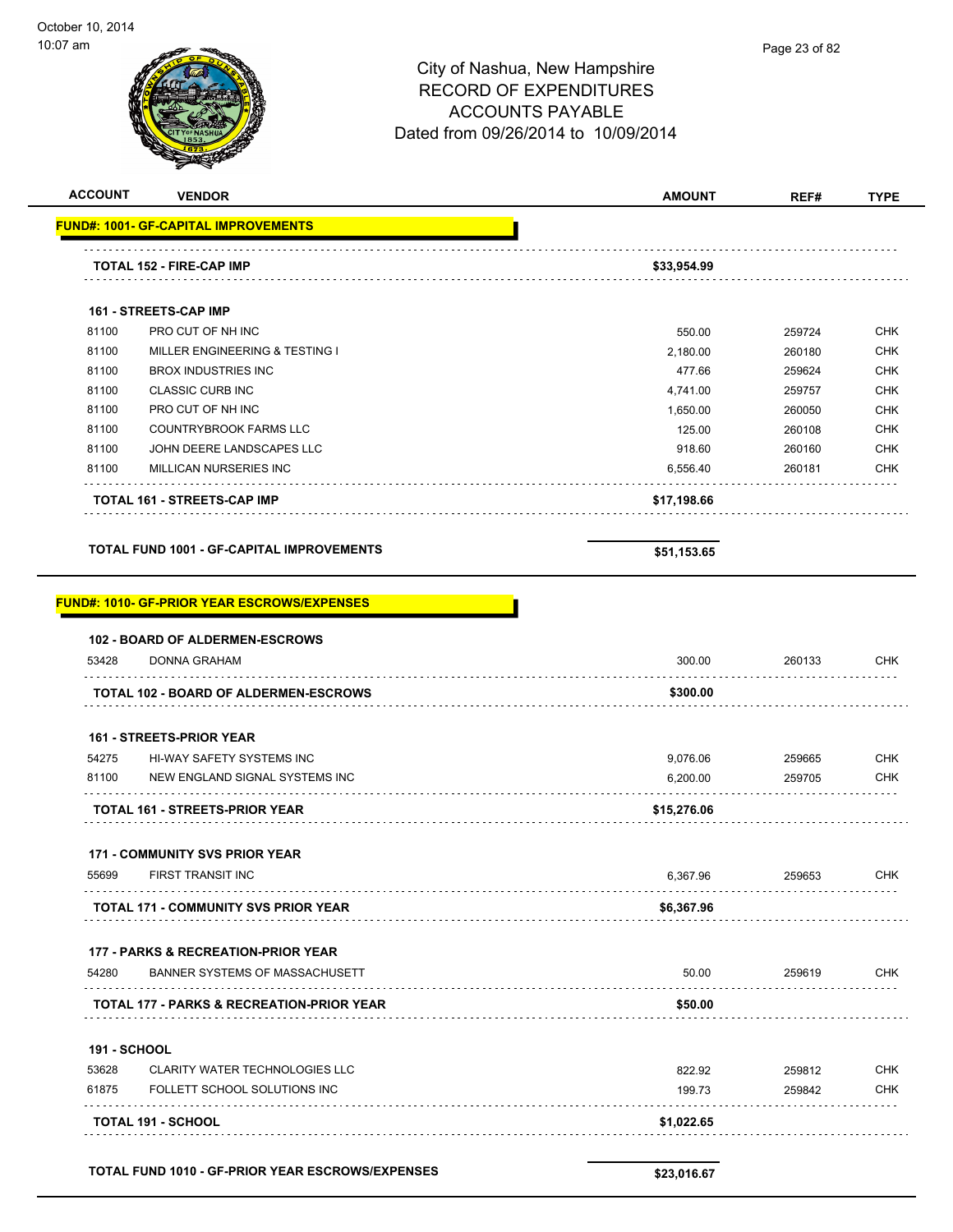|                | <b>TOTAL 152 - FIRE-CAP IMP</b>             | \$33.954.99                                                                                                                      |               |             |
|----------------|---------------------------------------------|----------------------------------------------------------------------------------------------------------------------------------|---------------|-------------|
|                | <b>FUND#: 1001- GF-CAPITAL IMPROVEMENTS</b> |                                                                                                                                  |               |             |
| <b>ACCOUNT</b> | <b>VENDOR</b>                               | <b>AMOUNT</b>                                                                                                                    | REF#          | <b>TYPE</b> |
|                |                                             | City of Nashua, New Hampshire<br><b>RECORD OF EXPENDITURES</b><br><b>ACCOUNTS PAYABLE</b><br>Dated from 09/26/2014 to 10/09/2014 | Page 23 of 82 |             |
| or ann         |                                             |                                                                                                                                  |               |             |

|       | <b>161 - STREETS-CAP IMP</b> |  |
|-------|------------------------------|--|
| 81100 | PRO CUT OF NH INC            |  |

|       | <b>TOTAL 161 - STREETS-CAP IMP</b> | \$17,198.66 |        |            |
|-------|------------------------------------|-------------|--------|------------|
| 81100 | MILLICAN NURSERIES INC             | 6.556.40    | 260181 | <b>CHK</b> |
| 81100 | JOHN DEERE LANDSCAPES LLC          | 918.60      | 260160 | <b>CHK</b> |
| 81100 | COUNTRYBROOK FARMS LLC             | 125.00      | 260108 | <b>CHK</b> |
| 81100 | PRO CUT OF NH INC                  | 1.650.00    | 260050 | <b>CHK</b> |
| 81100 | <b>CLASSIC CURB INC</b>            | 4.741.00    | 259757 | <b>CHK</b> |
| 81100 | <b>BROX INDUSTRIES INC</b>         | 477.66      | 259624 | <b>CHK</b> |
| 81100 | MILLER ENGINEERING & TESTING I     | 2,180.00    | 260180 | <b>CHK</b> |
| 81100 | PRO CUT OF NH INC                  | 550.00      | 259724 | <b>CHK</b> |

```
TOTAL FUND 1001 - GF-CAPITAL IMPROVEMENTS $51,153.65 $51,153.65
```

| <b>FUND#: 1010- GF-PRIOR YEAR ESCROWS/EXPENSES</b>   |             |        |                 |
|------------------------------------------------------|-------------|--------|-----------------|
| <b>102 - BOARD OF ALDERMEN-ESCROWS</b>               |             |        |                 |
| DONNA GRAHAM                                         | 300.00      | 260133 | <b>CHK</b>      |
| <b>TOTAL 102 - BOARD OF ALDERMEN-ESCROWS</b>         | \$300.00    |        |                 |
| <b>161 - STREETS-PRIOR YEAR</b>                      |             |        |                 |
| HI-WAY SAFETY SYSTEMS INC                            | 9,076.06    | 259665 | <b>CHK</b>      |
| NEW ENGLAND SIGNAL SYSTEMS INC                       | 6,200.00    | 259705 | CHK             |
| <b>TOTAL 161 - STREETS-PRIOR YEAR</b>                | \$15,276.06 |        |                 |
| <b>171 - COMMUNITY SVS PRIOR YEAR</b>                |             |        |                 |
| 55699 FIRST TRANSIT INC                              |             |        | <b>CHK</b>      |
| <b>TOTAL 171 - COMMUNITY SVS PRIOR YEAR</b>          | \$6,367.96  |        |                 |
| <b>177 - PARKS &amp; RECREATION-PRIOR YEAR</b>       |             |        |                 |
| BANNER SYSTEMS OF MASSACHUSETT                       | 50.00       | 259619 | <b>CHK</b>      |
| <b>TOTAL 177 - PARKS &amp; RECREATION-PRIOR YEAR</b> | \$50.00     |        |                 |
|                                                      |             |        | 6,367.96 259653 |

|                     | <b>TOTAL FUND 1010 - GF-PRIOR YEAR ESCROWS/EXPENSES</b> | \$23.016.67 |        |            |
|---------------------|---------------------------------------------------------|-------------|--------|------------|
|                     | <b>TOTAL 191 - SCHOOL</b>                               | \$1,022.65  |        |            |
| 61875               | FOLLETT SCHOOL SOLUTIONS INC                            | 199.73      | 259842 | <b>CHK</b> |
| 53628               | <b>CLARITY WATER TECHNOLOGIES LLC</b>                   | 822.92      | 259812 | CHK        |
| <b>191 - SCHOOL</b> |                                                         |             |        |            |
|                     |                                                         |             |        |            |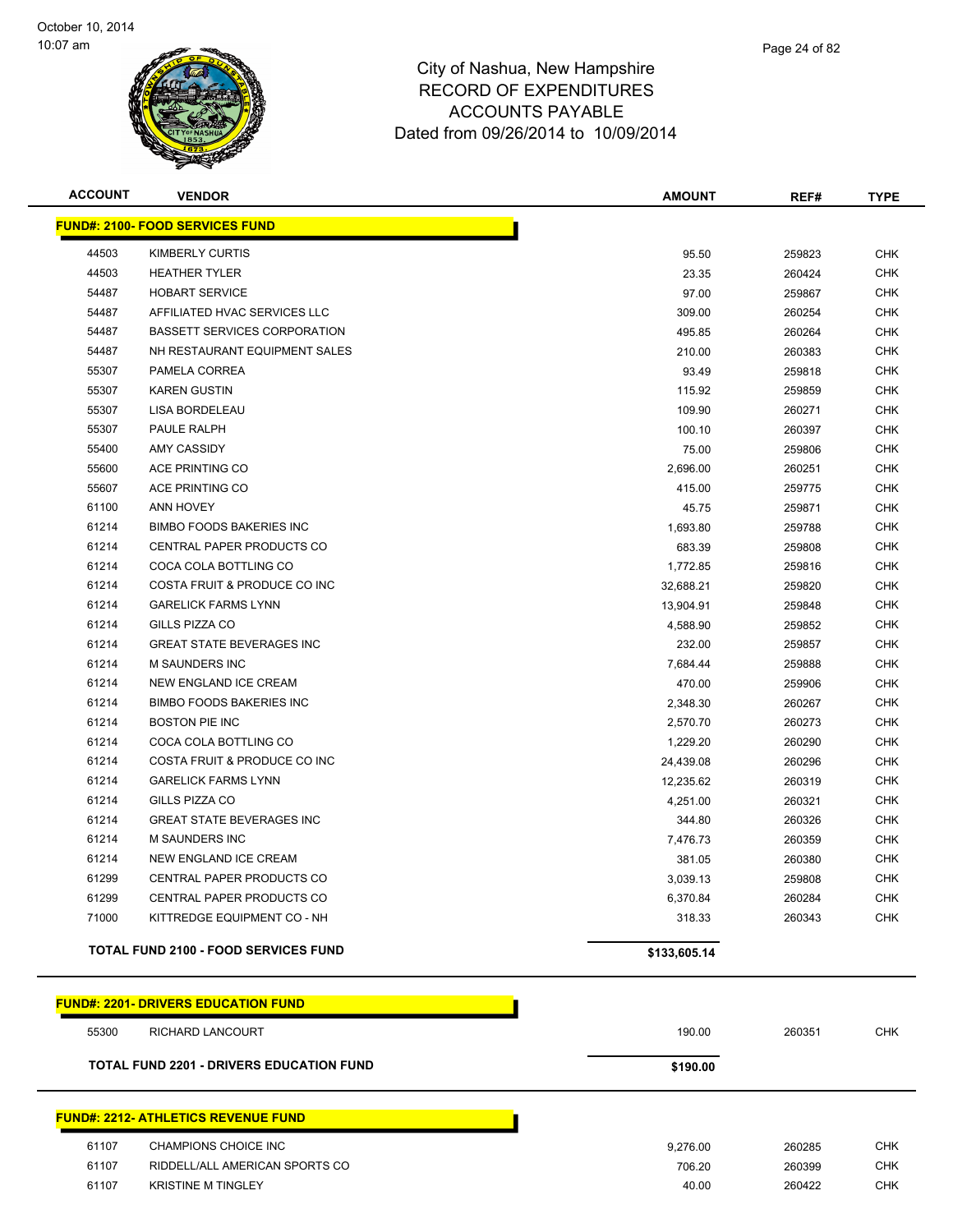

| <b>ACCOUNT</b> | <b>VENDOR</b>                                   | <b>AMOUNT</b> | REF#   | TYPE       |
|----------------|-------------------------------------------------|---------------|--------|------------|
|                | <b>FUND#: 2100- FOOD SERVICES FUND</b>          |               |        |            |
| 44503          | KIMBERLY CURTIS                                 | 95.50         | 259823 | <b>CHK</b> |
| 44503          | <b>HEATHER TYLER</b>                            | 23.35         | 260424 | <b>CHK</b> |
| 54487          | <b>HOBART SERVICE</b>                           | 97.00         | 259867 | <b>CHK</b> |
| 54487          | AFFILIATED HVAC SERVICES LLC                    | 309.00        | 260254 | <b>CHK</b> |
| 54487          | <b>BASSETT SERVICES CORPORATION</b>             | 495.85        | 260264 | <b>CHK</b> |
| 54487          | NH RESTAURANT EQUIPMENT SALES                   | 210.00        | 260383 | <b>CHK</b> |
| 55307          | PAMELA CORREA                                   | 93.49         | 259818 | <b>CHK</b> |
| 55307          | <b>KAREN GUSTIN</b>                             | 115.92        | 259859 | <b>CHK</b> |
| 55307          | LISA BORDELEAU                                  | 109.90        | 260271 | <b>CHK</b> |
| 55307          | PAULE RALPH                                     | 100.10        | 260397 | <b>CHK</b> |
| 55400          | <b>AMY CASSIDY</b>                              | 75.00         | 259806 | <b>CHK</b> |
| 55600          | ACE PRINTING CO                                 | 2,696.00      | 260251 | <b>CHK</b> |
| 55607          | ACE PRINTING CO                                 | 415.00        | 259775 | <b>CHK</b> |
| 61100          | ANN HOVEY                                       | 45.75         | 259871 | <b>CHK</b> |
| 61214          | <b>BIMBO FOODS BAKERIES INC</b>                 | 1,693.80      | 259788 | <b>CHK</b> |
| 61214          | CENTRAL PAPER PRODUCTS CO                       | 683.39        | 259808 | CHK        |
| 61214          | COCA COLA BOTTLING CO                           | 1,772.85      | 259816 | <b>CHK</b> |
| 61214          | COSTA FRUIT & PRODUCE CO INC                    | 32,688.21     | 259820 | <b>CHK</b> |
| 61214          | <b>GARELICK FARMS LYNN</b>                      | 13,904.91     | 259848 | <b>CHK</b> |
| 61214          | GILLS PIZZA CO                                  | 4,588.90      | 259852 | <b>CHK</b> |
| 61214          | <b>GREAT STATE BEVERAGES INC</b>                | 232.00        | 259857 | <b>CHK</b> |
| 61214          | M SAUNDERS INC                                  | 7,684.44      | 259888 | <b>CHK</b> |
| 61214          | NEW ENGLAND ICE CREAM                           | 470.00        | 259906 | <b>CHK</b> |
| 61214          | <b>BIMBO FOODS BAKERIES INC</b>                 | 2,348.30      | 260267 | <b>CHK</b> |
| 61214          | <b>BOSTON PIE INC</b>                           | 2,570.70      | 260273 | <b>CHK</b> |
| 61214          | COCA COLA BOTTLING CO                           | 1,229.20      | 260290 | <b>CHK</b> |
| 61214          | COSTA FRUIT & PRODUCE CO INC                    | 24,439.08     | 260296 | <b>CHK</b> |
| 61214          | <b>GARELICK FARMS LYNN</b>                      | 12,235.62     | 260319 | <b>CHK</b> |
| 61214          | GILLS PIZZA CO                                  | 4,251.00      | 260321 | <b>CHK</b> |
| 61214          | <b>GREAT STATE BEVERAGES INC</b>                | 344.80        | 260326 | <b>CHK</b> |
| 61214          | <b>M SAUNDERS INC</b>                           | 7,476.73      | 260359 | <b>CHK</b> |
| 61214          | NEW ENGLAND ICE CREAM                           | 381.05        | 260380 | <b>CHK</b> |
| 61299          | CENTRAL PAPER PRODUCTS CO                       | 3,039.13      | 259808 | <b>CHK</b> |
| 61299          | CENTRAL PAPER PRODUCTS CO                       | 6,370.84      | 260284 | <b>CHK</b> |
| 71000          | KITTREDGE EQUIPMENT CO - NH                     | 318.33        | 260343 | CHK        |
|                | <b>TOTAL FUND 2100 - FOOD SERVICES FUND</b>     | \$133,605.14  |        |            |
|                | <b>FUND#: 2201- DRIVERS EDUCATION FUND</b>      |               |        |            |
| 55300          | RICHARD LANCOURT                                | 190.00        | 260351 | <b>CHK</b> |
|                | <b>TOTAL FUND 2201 - DRIVERS EDUCATION FUND</b> | \$190.00      |        |            |
|                |                                                 |               |        |            |

# **FUND#: 2212- ATHLETICS REVENUE FUND**

| 61107 | CHAMPIONS CHOICE INC           | 9.276.00 | 260285 | снк |
|-------|--------------------------------|----------|--------|-----|
| 61107 | RIDDELL/ALL AMERICAN SPORTS CO | 706.20   | 260399 | СНК |
| 61107 | <b>KRISTINE M TINGLEY</b>      | 40.00    | 260422 | СНК |
|       |                                |          |        |     |

Π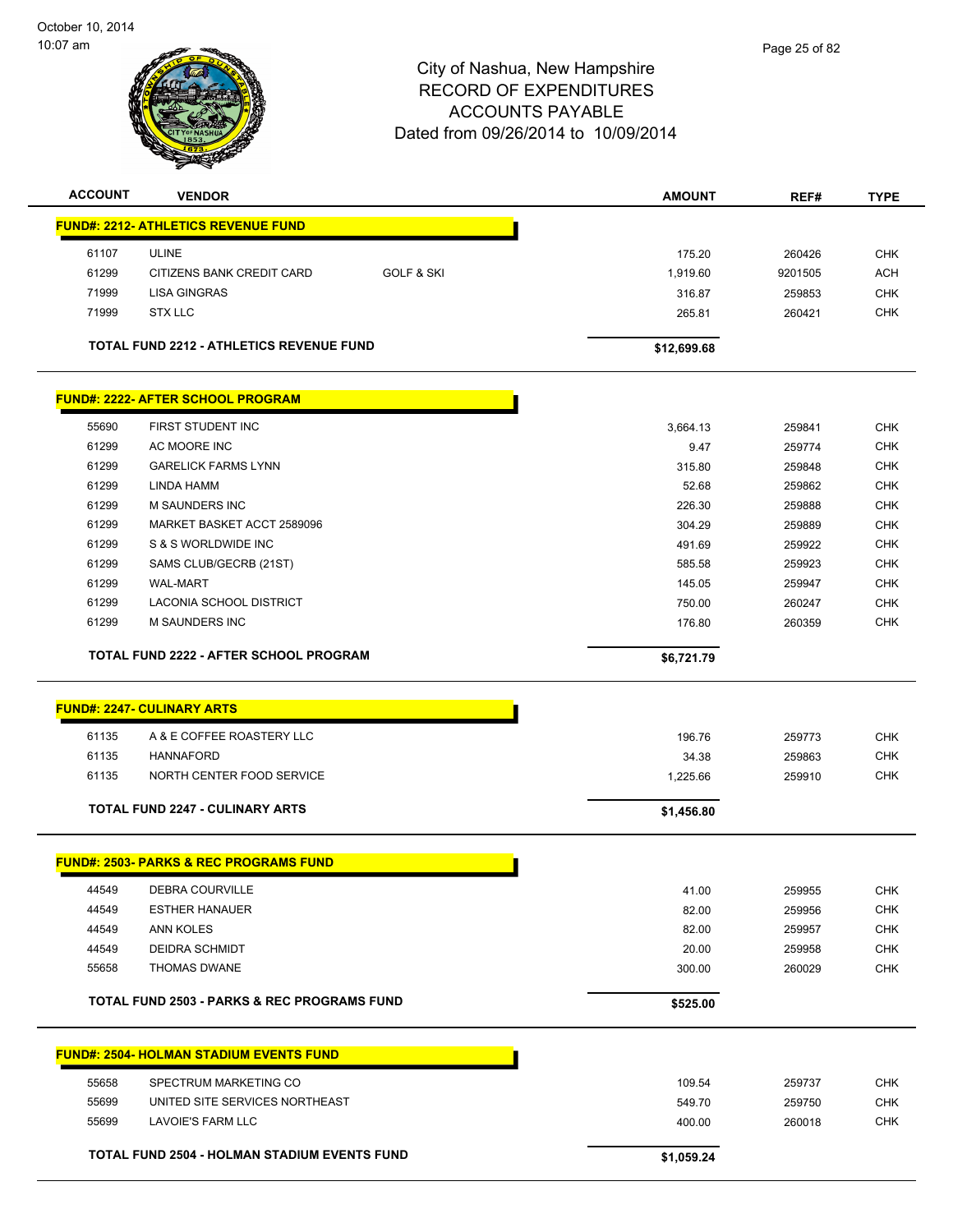

| <b>ACCOUNT</b> | <b>VENDOR</b>                                          |                       | <b>AMOUNT</b> | REF#    | <b>TYPE</b> |
|----------------|--------------------------------------------------------|-----------------------|---------------|---------|-------------|
|                | <b>FUND#: 2212- ATHLETICS REVENUE FUND</b>             |                       |               |         |             |
| 61107          | <b>ULINE</b>                                           |                       | 175.20        | 260426  | <b>CHK</b>  |
| 61299          | CITIZENS BANK CREDIT CARD                              | <b>GOLF &amp; SKI</b> | 1,919.60      | 9201505 | <b>ACH</b>  |
| 71999          | <b>LISA GINGRAS</b>                                    |                       | 316.87        | 259853  | <b>CHK</b>  |
| 71999          | <b>STX LLC</b>                                         |                       | 265.81        | 260421  | <b>CHK</b>  |
|                |                                                        |                       |               |         |             |
|                | TOTAL FUND 2212 - ATHLETICS REVENUE FUND               |                       | \$12,699.68   |         |             |
|                | <b>FUND#: 2222- AFTER SCHOOL PROGRAM</b>               |                       |               |         |             |
| 55690          | FIRST STUDENT INC                                      |                       | 3,664.13      | 259841  | <b>CHK</b>  |
| 61299          | AC MOORE INC                                           |                       | 9.47          | 259774  | CHK         |
| 61299          | <b>GARELICK FARMS LYNN</b>                             |                       | 315.80        | 259848  | CHK         |
| 61299          | LINDA HAMM                                             |                       | 52.68         | 259862  | <b>CHK</b>  |
| 61299          | <b>M SAUNDERS INC</b>                                  |                       | 226.30        | 259888  | <b>CHK</b>  |
| 61299          | MARKET BASKET ACCT 2589096                             |                       | 304.29        | 259889  | <b>CHK</b>  |
| 61299          | S & S WORLDWIDE INC                                    |                       | 491.69        | 259922  | <b>CHK</b>  |
| 61299          | SAMS CLUB/GECRB (21ST)                                 |                       | 585.58        | 259923  | <b>CHK</b>  |
| 61299          | <b>WAL-MART</b>                                        |                       | 145.05        | 259947  | <b>CHK</b>  |
| 61299          | <b>LACONIA SCHOOL DISTRICT</b>                         |                       | 750.00        | 260247  | <b>CHK</b>  |
| 61299          | <b>M SAUNDERS INC</b>                                  |                       | 176.80        | 260359  | <b>CHK</b>  |
|                |                                                        |                       |               |         |             |
|                | <b>TOTAL FUND 2222 - AFTER SCHOOL PROGRAM</b>          |                       | \$6,721.79    |         |             |
|                | <b>FUND#: 2247- CULINARY ARTS</b>                      |                       |               |         |             |
| 61135          | A & E COFFEE ROASTERY LLC                              |                       | 196.76        | 259773  | <b>CHK</b>  |
| 61135          | <b>HANNAFORD</b>                                       |                       | 34.38         | 259863  | <b>CHK</b>  |
| 61135          | NORTH CENTER FOOD SERVICE                              |                       | 1,225.66      | 259910  | <b>CHK</b>  |
|                |                                                        |                       |               |         |             |
|                | <b>TOTAL FUND 2247 - CULINARY ARTS</b>                 |                       | \$1,456.80    |         |             |
|                | <b>FUND#: 2503- PARKS &amp; REC PROGRAMS FUND</b>      |                       |               |         |             |
| 44549          | <b>DEBRA COURVILLE</b>                                 |                       | 41.00         | 259955  | <b>CHK</b>  |
| 44549          | <b>ESTHER HANAUER</b>                                  |                       | 82.00         | 259956  | <b>CHK</b>  |
| 44549          | ANN KOLES                                              |                       | 82.00         | 259957  | <b>CHK</b>  |
| 44549          | DEIDRA SCHMIDT                                         |                       | 20.00         | 259958  | <b>CHK</b>  |
| 55658          | <b>THOMAS DWANE</b>                                    |                       | 300.00        | 260029  | <b>CHK</b>  |
|                | <b>TOTAL FUND 2503 - PARKS &amp; REC PROGRAMS FUND</b> |                       | \$525.00      |         |             |
|                |                                                        |                       |               |         |             |
|                | <b>FUND#: 2504- HOLMAN STADIUM EVENTS FUND</b>         |                       |               |         |             |
| 55658          | SPECTRUM MARKETING CO                                  |                       | 109.54        | 259737  | <b>CHK</b>  |
|                |                                                        |                       |               |         |             |
| 55699          | UNITED SITE SERVICES NORTHEAST                         |                       | 549.70        | 259750  | <b>CHK</b>  |
| 55699          | LAVOIE'S FARM LLC                                      |                       | 400.00        | 260018  | <b>CHK</b>  |
|                | <b>TOTAL FUND 2504 - HOLMAN STADIUM EVENTS FUND</b>    |                       | \$1,059.24    |         |             |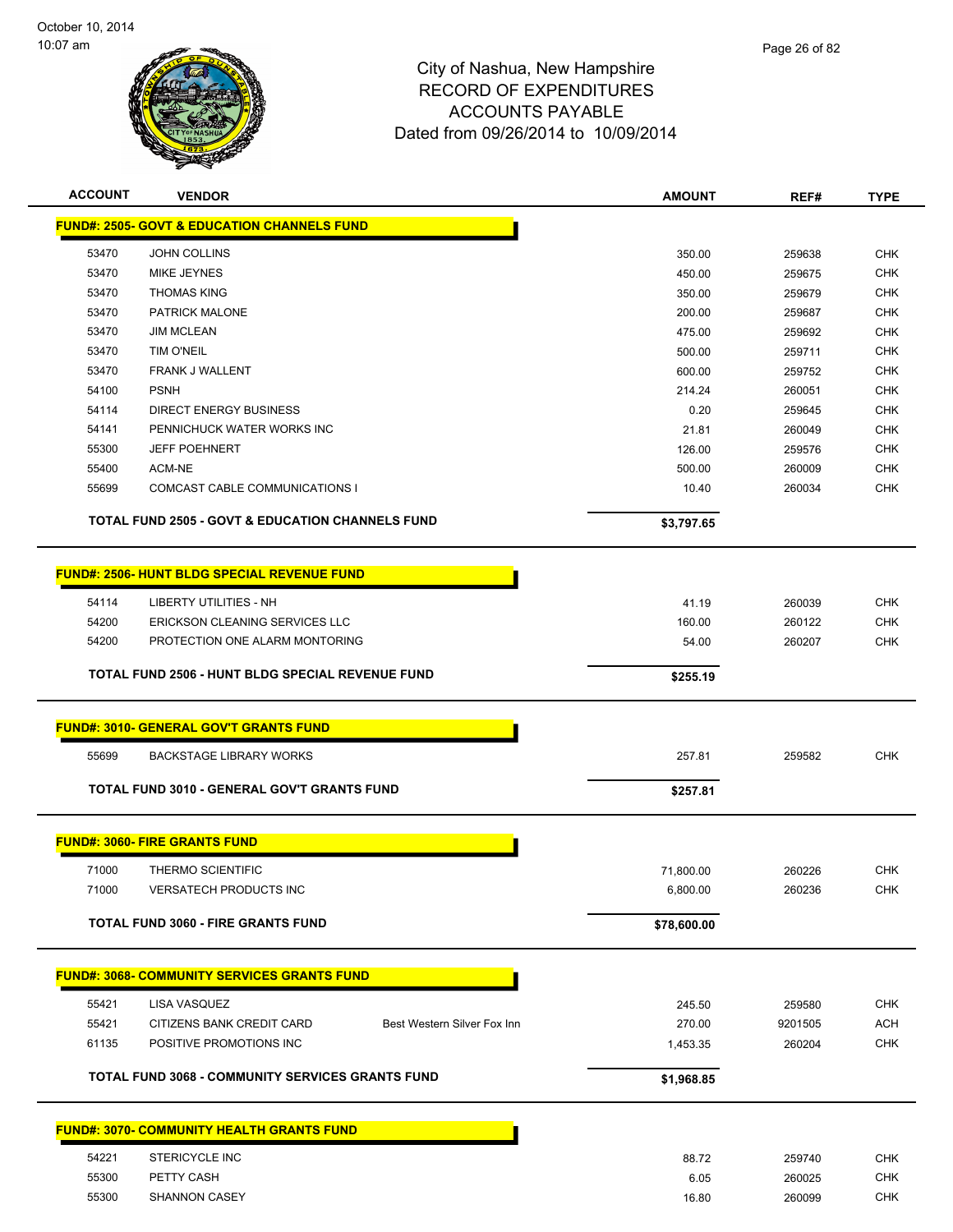

| <b>ACCOUNT</b> | <b>VENDOR</b>                                               | <b>AMOUNT</b> | REF#             | <b>TYPE</b> |
|----------------|-------------------------------------------------------------|---------------|------------------|-------------|
|                | <b>FUND#: 2505- GOVT &amp; EDUCATION CHANNELS FUND</b>      |               |                  |             |
| 53470          | <b>JOHN COLLINS</b>                                         | 350.00        | 259638           | <b>CHK</b>  |
| 53470          | MIKE JEYNES                                                 | 450.00        | 259675           | <b>CHK</b>  |
| 53470          | <b>THOMAS KING</b>                                          | 350.00        | 259679           | CHK         |
| 53470          | PATRICK MALONE                                              | 200.00        | 259687           | <b>CHK</b>  |
| 53470          | <b>JIM MCLEAN</b>                                           | 475.00        | 259692           | CHK         |
| 53470          | <b>TIM O'NEIL</b>                                           | 500.00        | 259711           | <b>CHK</b>  |
| 53470          | <b>FRANK J WALLENT</b>                                      | 600.00        | 259752           | <b>CHK</b>  |
| 54100          | <b>PSNH</b>                                                 | 214.24        | 260051           | <b>CHK</b>  |
| 54114          | <b>DIRECT ENERGY BUSINESS</b>                               | 0.20          | 259645           | <b>CHK</b>  |
| 54141          | PENNICHUCK WATER WORKS INC                                  | 21.81         | 260049           | <b>CHK</b>  |
| 55300          | <b>JEFF POEHNERT</b>                                        | 126.00        | 259576           | <b>CHK</b>  |
| 55400          | ACM-NE                                                      | 500.00        | 260009           | <b>CHK</b>  |
| 55699          | COMCAST CABLE COMMUNICATIONS I                              | 10.40         | 260034           | CHK         |
|                | <b>TOTAL FUND 2505 - GOVT &amp; EDUCATION CHANNELS FUND</b> | \$3,797.65    |                  |             |
|                | <b>FUND#: 2506- HUNT BLDG SPECIAL REVENUE FUND</b>          |               |                  |             |
| 54114          | LIBERTY UTILITIES - NH                                      | 41.19         |                  | CHK         |
| 54200          | ERICKSON CLEANING SERVICES LLC                              | 160.00        | 260039<br>260122 | <b>CHK</b>  |
| 54200          | PROTECTION ONE ALARM MONTORING                              | 54.00         | 260207           | <b>CHK</b>  |
|                |                                                             |               |                  |             |
|                | TOTAL FUND 2506 - HUNT BLDG SPECIAL REVENUE FUND            | \$255.19      |                  |             |
|                | <b>FUND#: 3010- GENERAL GOV'T GRANTS FUND</b>               |               |                  |             |
| 55699          | <b>BACKSTAGE LIBRARY WORKS</b>                              | 257.81        | 259582           | <b>CHK</b>  |
|                | TOTAL FUND 3010 - GENERAL GOV'T GRANTS FUND                 | \$257.81      |                  |             |
|                | <b>FUND#: 3060- FIRE GRANTS FUND</b>                        |               |                  |             |
|                |                                                             |               |                  |             |
| 71000          | <b>THERMO SCIENTIFIC</b>                                    | 71,800.00     | 260226           | <b>CHK</b>  |
| 71000          | <b>VERSATECH PRODUCTS INC</b>                               | 6,800.00      | 260236           | <b>CHK</b>  |
|                | <b>TOTAL FUND 3060 - FIRE GRANTS FUND</b>                   | \$78,600.00   |                  |             |
|                | <b>FUND#: 3068- COMMUNITY SERVICES GRANTS FUND</b>          |               |                  |             |
| 55421          | LISA VASQUEZ                                                | 245.50        | 259580           | <b>CHK</b>  |
| 55421          | CITIZENS BANK CREDIT CARD<br>Best Western Silver Fox Inn    | 270.00        | 9201505          | ACH         |
| 61135          | POSITIVE PROMOTIONS INC                                     | 1,453.35      | 260204           | <b>CHK</b>  |
|                | <b>TOTAL FUND 3068 - COMMUNITY SERVICES GRANTS FUND</b>     | \$1,968.85    |                  |             |
|                |                                                             |               |                  |             |
|                | <b>FUND#: 3070- COMMUNITY HEALTH GRANTS FUND</b>            |               |                  |             |
| 54221          | STERICYCLE INC                                              | 88.72         | 259740           | <b>CHK</b>  |
| 55300          | PETTY CASH                                                  | 6.05          | 260025           | <b>CHK</b>  |
| 55300          | <b>SHANNON CASEY</b>                                        | 16.80         | 260099           | <b>CHK</b>  |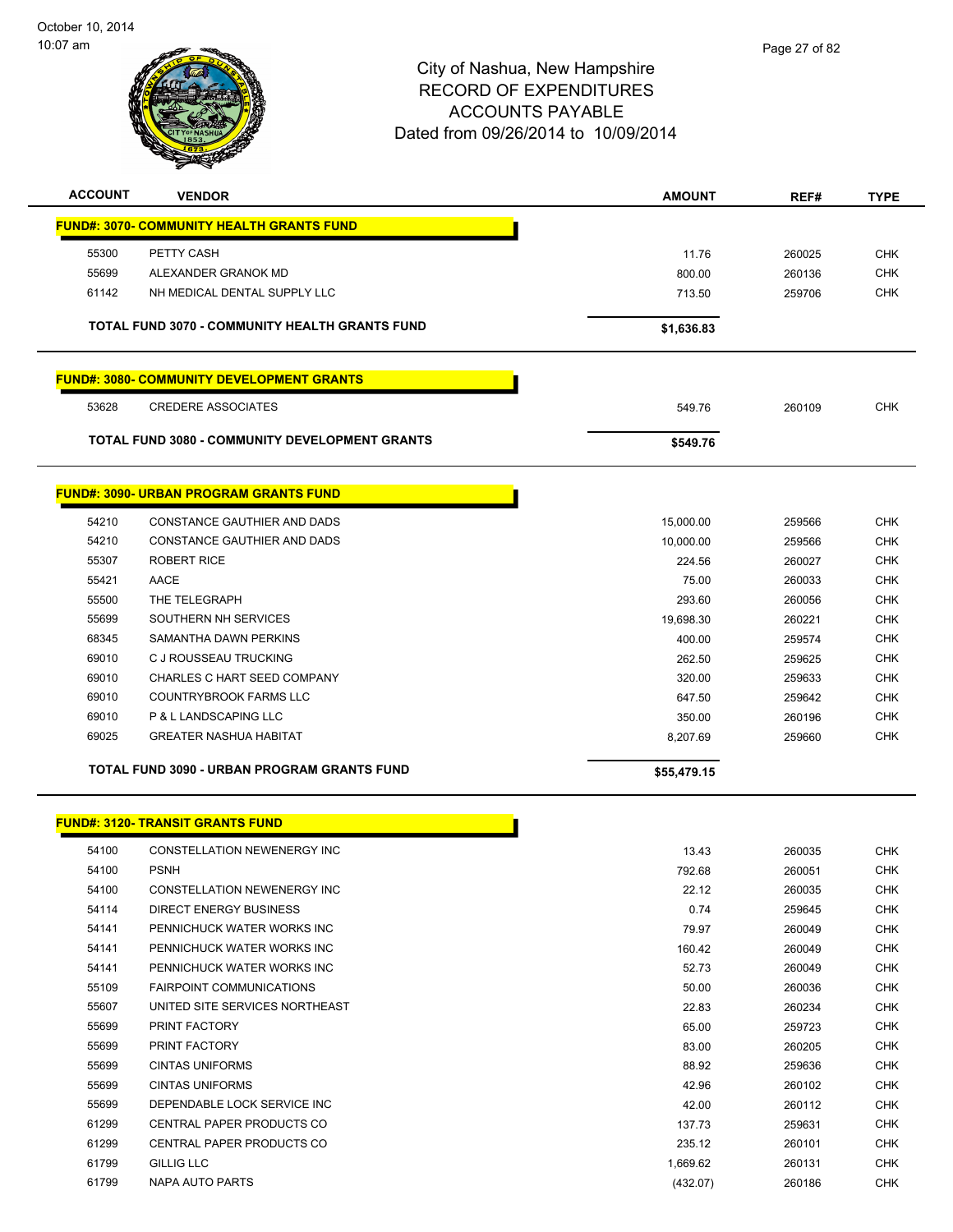

| <b>ACCOUNT</b> | <b>VENDOR</b>                                         | <b>AMOUNT</b> | REF#   | <b>TYPE</b> |
|----------------|-------------------------------------------------------|---------------|--------|-------------|
|                | <b>FUND#: 3070- COMMUNITY HEALTH GRANTS FUND</b>      |               |        |             |
| 55300          | PETTY CASH                                            | 11.76         | 260025 | <b>CHK</b>  |
| 55699          | ALEXANDER GRANOK MD                                   | 800.00        | 260136 | <b>CHK</b>  |
| 61142          | NH MEDICAL DENTAL SUPPLY LLC                          | 713.50        | 259706 | <b>CHK</b>  |
|                | TOTAL FUND 3070 - COMMUNITY HEALTH GRANTS FUND        | \$1,636.83    |        |             |
|                | <b>FUND#: 3080- COMMUNITY DEVELOPMENT GRANTS</b>      |               |        |             |
| 53628          | <b>CREDERE ASSOCIATES</b>                             | 549.76        | 260109 | <b>CHK</b>  |
|                | <b>TOTAL FUND 3080 - COMMUNITY DEVELOPMENT GRANTS</b> | \$549.76      |        |             |
|                | <b>FUND#: 3090- URBAN PROGRAM GRANTS FUND</b>         |               |        |             |
| 54210          | <b>CONSTANCE GAUTHIER AND DADS</b>                    | 15,000.00     | 259566 | <b>CHK</b>  |
| 54210          | <b>CONSTANCE GAUTHIER AND DADS</b>                    | 10,000.00     | 259566 | <b>CHK</b>  |
| 55307          | <b>ROBERT RICE</b>                                    | 224.56        | 260027 | <b>CHK</b>  |
| 55421          | <b>AACE</b>                                           | 75.00         | 260033 | <b>CHK</b>  |
| 55500          | THE TELEGRAPH                                         | 293.60        | 260056 | <b>CHK</b>  |
| 55699          | SOUTHERN NH SERVICES                                  | 19,698.30     | 260221 | <b>CHK</b>  |
| 68345          | SAMANTHA DAWN PERKINS                                 | 400.00        | 259574 | <b>CHK</b>  |
| 69010          | C J ROUSSEAU TRUCKING                                 | 262.50        | 259625 | <b>CHK</b>  |
| 69010          | CHARLES C HART SEED COMPANY                           | 320.00        | 259633 | <b>CHK</b>  |
| 69010          | <b>COUNTRYBROOK FARMS LLC</b>                         | 647.50        | 259642 | <b>CHK</b>  |
| 69010          | P & L LANDSCAPING LLC                                 | 350.00        | 260196 | <b>CHK</b>  |
| 69025          | <b>GREATER NASHUA HABITAT</b>                         | 8,207.69      | 259660 | <b>CHK</b>  |
|                | <b>TOTAL FUND 3090 - URBAN PROGRAM GRANTS FUND</b>    | \$55,479.15   |        |             |
|                | <b>FUND#: 3120- TRANSIT GRANTS FUND</b>               |               |        |             |

| 54100 | CONSTELLATION NEWENERGY INC      | 13.43    | 260035 | <b>CHK</b> |
|-------|----------------------------------|----------|--------|------------|
| 54100 | <b>PSNH</b>                      | 792.68   | 260051 | <b>CHK</b> |
| 54100 | CONSTELLATION NEWENERGY INC      | 22.12    | 260035 | <b>CHK</b> |
| 54114 | <b>DIRECT ENERGY BUSINESS</b>    | 0.74     | 259645 | <b>CHK</b> |
| 54141 | PENNICHUCK WATER WORKS INC       | 79.97    | 260049 | <b>CHK</b> |
| 54141 | PENNICHUCK WATER WORKS INC       | 160.42   | 260049 | <b>CHK</b> |
| 54141 | PENNICHUCK WATER WORKS INC       | 52.73    | 260049 | <b>CHK</b> |
| 55109 | <b>FAIRPOINT COMMUNICATIONS</b>  | 50.00    | 260036 | <b>CHK</b> |
| 55607 | UNITED SITE SERVICES NORTHEAST   | 22.83    | 260234 | <b>CHK</b> |
| 55699 | PRINT FACTORY                    | 65.00    | 259723 | <b>CHK</b> |
| 55699 | PRINT FACTORY                    | 83.00    | 260205 | <b>CHK</b> |
| 55699 | <b>CINTAS UNIFORMS</b>           | 88.92    | 259636 | <b>CHK</b> |
| 55699 | <b>CINTAS UNIFORMS</b>           | 42.96    | 260102 | <b>CHK</b> |
| 55699 | DEPENDABLE LOCK SERVICE INC      | 42.00    | 260112 | <b>CHK</b> |
| 61299 | <b>CENTRAL PAPER PRODUCTS CO</b> | 137.73   | 259631 | <b>CHK</b> |
| 61299 | <b>CENTRAL PAPER PRODUCTS CO</b> | 235.12   | 260101 | <b>CHK</b> |
| 61799 | <b>GILLIG LLC</b>                | 1,669.62 | 260131 | <b>CHK</b> |
| 61799 | <b>NAPA AUTO PARTS</b>           | (432.07) | 260186 | <b>CHK</b> |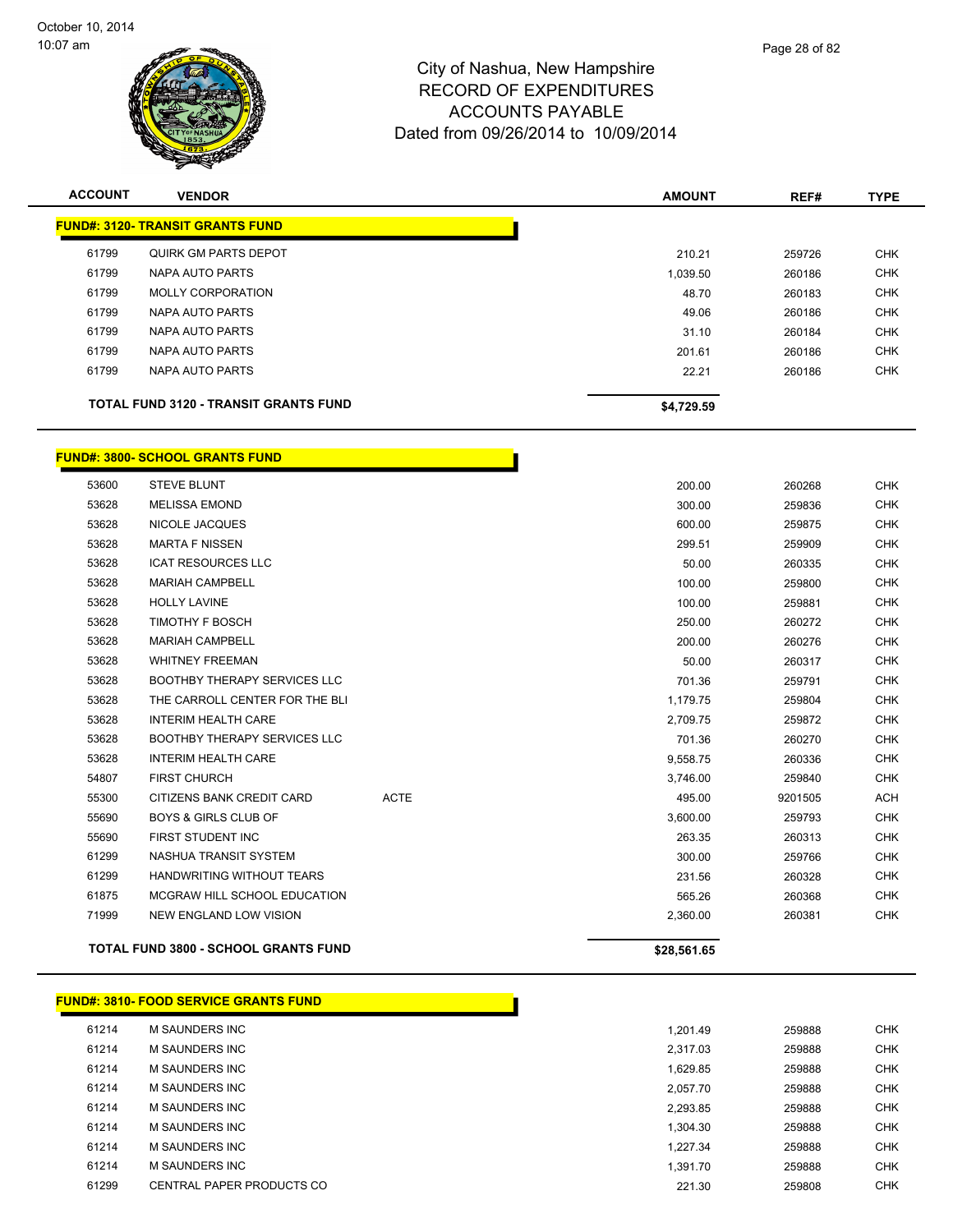

| <b>ACCOUNT</b> | <b>VENDOR</b>                                | <b>AMOUNT</b> | REF#   | <b>TYPE</b> |
|----------------|----------------------------------------------|---------------|--------|-------------|
|                | <b>FUND#: 3120- TRANSIT GRANTS FUND</b>      |               |        |             |
| 61799          | QUIRK GM PARTS DEPOT                         | 210.21        | 259726 | <b>CHK</b>  |
| 61799          | NAPA AUTO PARTS                              | 1,039.50      | 260186 | <b>CHK</b>  |
| 61799          | MOLLY CORPORATION                            | 48.70         | 260183 | <b>CHK</b>  |
| 61799          | NAPA AUTO PARTS                              | 49.06         | 260186 | <b>CHK</b>  |
| 61799          | NAPA AUTO PARTS                              | 31.10         | 260184 | <b>CHK</b>  |
| 61799          | NAPA AUTO PARTS                              | 201.61        | 260186 | <b>CHK</b>  |
| 61799          | NAPA AUTO PARTS                              | 22.21         | 260186 | <b>CHK</b>  |
|                | <b>TOTAL FUND 3120 - TRANSIT GRANTS FUND</b> | \$4,729.59    |        |             |

#### **FUND#: 3800- SCHOOL GRANTS FUND**

|       | <b>TOTAL FUND 3800 - SCHOOL GRANTS FUND</b> |             | \$28,561.65 |         |            |
|-------|---------------------------------------------|-------------|-------------|---------|------------|
| 71999 | NEW ENGLAND LOW VISION                      |             | 2,360.00    | 260381  | <b>CHK</b> |
| 61875 | MCGRAW HILL SCHOOL EDUCATION                |             | 565.26      | 260368  | <b>CHK</b> |
| 61299 | <b>HANDWRITING WITHOUT TEARS</b>            |             | 231.56      | 260328  | <b>CHK</b> |
| 61299 | NASHUA TRANSIT SYSTEM                       |             | 300.00      | 259766  | <b>CHK</b> |
| 55690 | FIRST STUDENT INC                           |             | 263.35      | 260313  | <b>CHK</b> |
| 55690 | <b>BOYS &amp; GIRLS CLUB OF</b>             |             | 3,600.00    | 259793  | <b>CHK</b> |
| 55300 | CITIZENS BANK CREDIT CARD                   | <b>ACTE</b> | 495.00      | 9201505 | ACH        |
| 54807 | <b>FIRST CHURCH</b>                         |             | 3,746.00    | 259840  | <b>CHK</b> |
| 53628 | <b>INTERIM HEALTH CARE</b>                  |             | 9,558.75    | 260336  | <b>CHK</b> |
| 53628 | <b>BOOTHBY THERAPY SERVICES LLC</b>         |             | 701.36      | 260270  | <b>CHK</b> |
| 53628 | <b>INTERIM HEALTH CARE</b>                  |             | 2,709.75    | 259872  | <b>CHK</b> |
| 53628 | THE CARROLL CENTER FOR THE BLI              |             | 1,179.75    | 259804  | <b>CHK</b> |
| 53628 | <b>BOOTHBY THERAPY SERVICES LLC</b>         |             | 701.36      | 259791  | <b>CHK</b> |
| 53628 | <b>WHITNEY FREEMAN</b>                      |             | 50.00       | 260317  | <b>CHK</b> |
| 53628 | <b>MARIAH CAMPBELL</b>                      |             | 200.00      | 260276  | <b>CHK</b> |
| 53628 | <b>TIMOTHY F BOSCH</b>                      |             | 250.00      | 260272  | <b>CHK</b> |
| 53628 | <b>HOLLY LAVINE</b>                         |             | 100.00      | 259881  | <b>CHK</b> |
| 53628 | <b>MARIAH CAMPBELL</b>                      |             | 100.00      | 259800  | <b>CHK</b> |
| 53628 | <b>ICAT RESOURCES LLC</b>                   |             | 50.00       | 260335  | <b>CHK</b> |
| 53628 | <b>MARTA F NISSEN</b>                       |             | 299.51      | 259909  | <b>CHK</b> |
| 53628 | NICOLE JACQUES                              |             | 600.00      | 259875  | <b>CHK</b> |
| 53628 | <b>MELISSA EMOND</b>                        |             | 300.00      | 259836  | <b>CHK</b> |
| 53600 | <b>STEVE BLUNT</b>                          |             | 200.00      | 260268  | <b>CHK</b> |

# **FUND#: 3810- FOOD SERVICE GRANTS FUND**

| 61214 | M SAUNDERS INC            | 1.201.49 | 259888 | <b>CHK</b> |
|-------|---------------------------|----------|--------|------------|
| 61214 | M SAUNDERS INC            | 2.317.03 | 259888 | <b>CHK</b> |
| 61214 | M SAUNDERS INC            | 1.629.85 | 259888 | <b>CHK</b> |
| 61214 | M SAUNDERS INC            | 2.057.70 | 259888 | <b>CHK</b> |
| 61214 | M SAUNDERS INC            | 2.293.85 | 259888 | <b>CHK</b> |
| 61214 | M SAUNDERS INC            | 1.304.30 | 259888 | <b>CHK</b> |
| 61214 | M SAUNDERS INC            | 1.227.34 | 259888 | <b>CHK</b> |
| 61214 | M SAUNDERS INC            | 1.391.70 | 259888 | <b>CHK</b> |
| 61299 | CENTRAL PAPER PRODUCTS CO | 221.30   | 259808 | <b>CHK</b> |
|       |                           |          |        |            |

h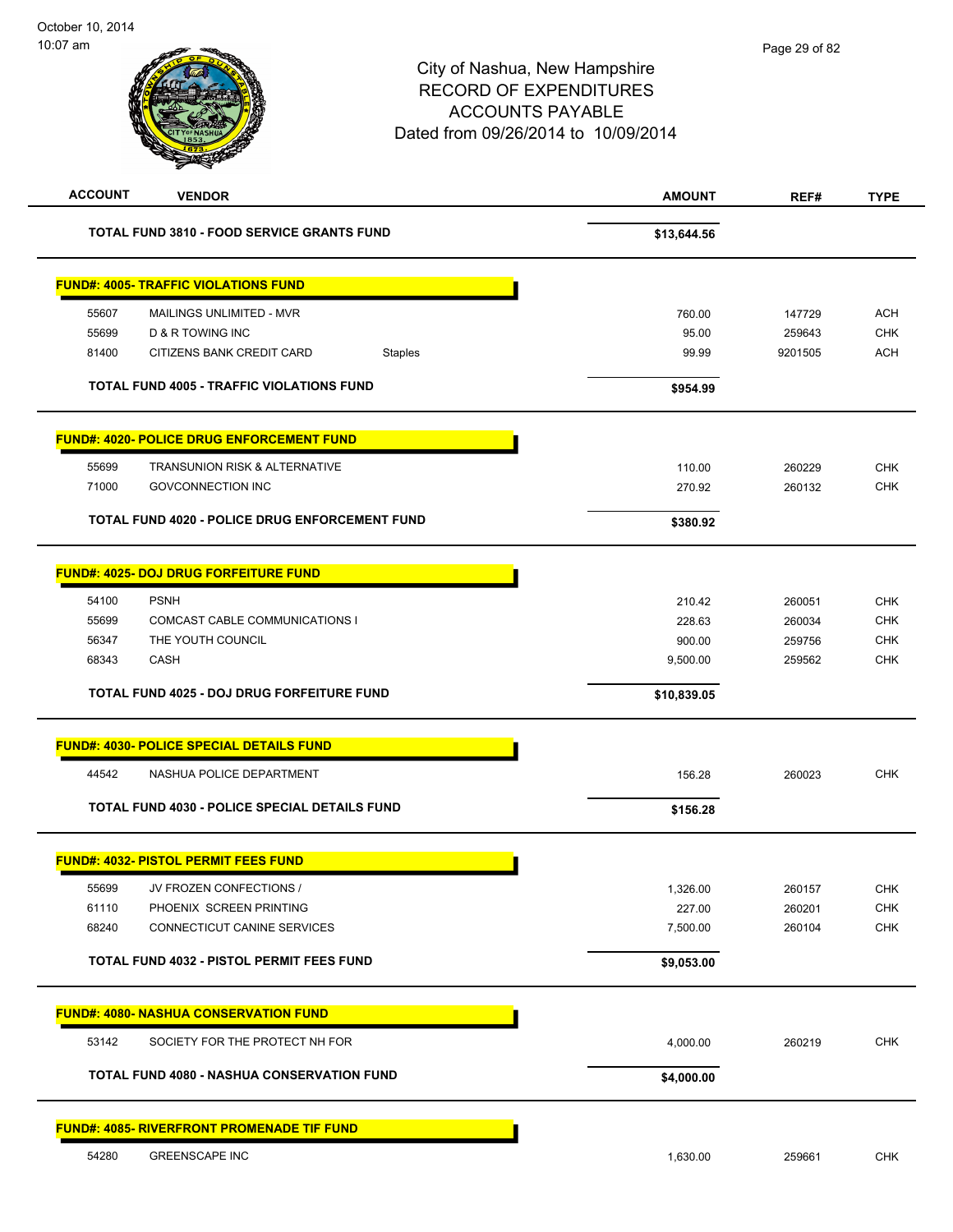| <b>ACCOUNT</b> | <b>VENDOR</b>                                        | <b>AMOUNT</b> | REF#    | <b>TYPE</b> |
|----------------|------------------------------------------------------|---------------|---------|-------------|
|                | TOTAL FUND 3810 - FOOD SERVICE GRANTS FUND           | \$13,644.56   |         |             |
|                | <b>FUND#: 4005- TRAFFIC VIOLATIONS FUND</b>          |               |         |             |
| 55607          | MAILINGS UNLIMITED - MVR                             | 760.00        | 147729  | <b>ACH</b>  |
| 55699          | <b>D &amp; R TOWING INC</b>                          | 95.00         | 259643  | <b>CHK</b>  |
| 81400          | CITIZENS BANK CREDIT CARD<br><b>Staples</b>          | 99.99         | 9201505 | <b>ACH</b>  |
|                | <b>TOTAL FUND 4005 - TRAFFIC VIOLATIONS FUND</b>     | \$954.99      |         |             |
|                | <b>FUND#: 4020- POLICE DRUG ENFORCEMENT FUND</b>     |               |         |             |
| 55699          | <b>TRANSUNION RISK &amp; ALTERNATIVE</b>             | 110.00        | 260229  | <b>CHK</b>  |
| 71000          | <b>GOVCONNECTION INC</b>                             | 270.92        | 260132  | <b>CHK</b>  |
|                | TOTAL FUND 4020 - POLICE DRUG ENFORCEMENT FUND       | \$380.92      |         |             |
|                | <b>FUND#: 4025- DOJ DRUG FORFEITURE FUND</b>         |               |         |             |
| 54100          | <b>PSNH</b>                                          | 210.42        | 260051  | <b>CHK</b>  |
| 55699          | <b>COMCAST CABLE COMMUNICATIONS I</b>                | 228.63        | 260034  | <b>CHK</b>  |
| 56347          | THE YOUTH COUNCIL                                    | 900.00        | 259756  | <b>CHK</b>  |
| 68343          | <b>CASH</b>                                          | 9,500.00      | 259562  | <b>CHK</b>  |
|                | TOTAL FUND 4025 - DOJ DRUG FORFEITURE FUND           | \$10,839.05   |         |             |
|                | <b>FUND#: 4030- POLICE SPECIAL DETAILS FUND</b>      |               |         |             |
| 44542          | NASHUA POLICE DEPARTMENT                             | 156.28        | 260023  | <b>CHK</b>  |
|                | <b>TOTAL FUND 4030 - POLICE SPECIAL DETAILS FUND</b> | \$156.28      |         |             |
|                | <u> FUND#: 4032- PISTOL PERMIT FEES FUND</u>         |               |         |             |
| 55699          | JV FROZEN CONFECTIONS /                              | 1,326.00      | 260157  | <b>CHK</b>  |
| 61110          | PHOENIX SCREEN PRINTING                              | 227.00        | 260201  | <b>CHK</b>  |
| 68240          | CONNECTICUT CANINE SERVICES                          | 7,500.00      | 260104  | <b>CHK</b>  |
|                | TOTAL FUND 4032 - PISTOL PERMIT FEES FUND            | \$9,053.00    |         |             |
|                | <b>FUND#: 4080- NASHUA CONSERVATION FUND</b>         |               |         |             |
| 53142          | SOCIETY FOR THE PROTECT NH FOR                       | 4,000.00      | 260219  | CHK         |
|                | <b>TOTAL FUND 4080 - NASHUA CONSERVATION FUND</b>    | \$4,000.00    |         |             |
|                | <b>FUND#: 4085- RIVERFRONT PROMENADE TIF FUND</b>    |               |         |             |
| 54280          | <b>GREENSCAPE INC</b>                                | 1,630.00      | 259661  | <b>CHK</b>  |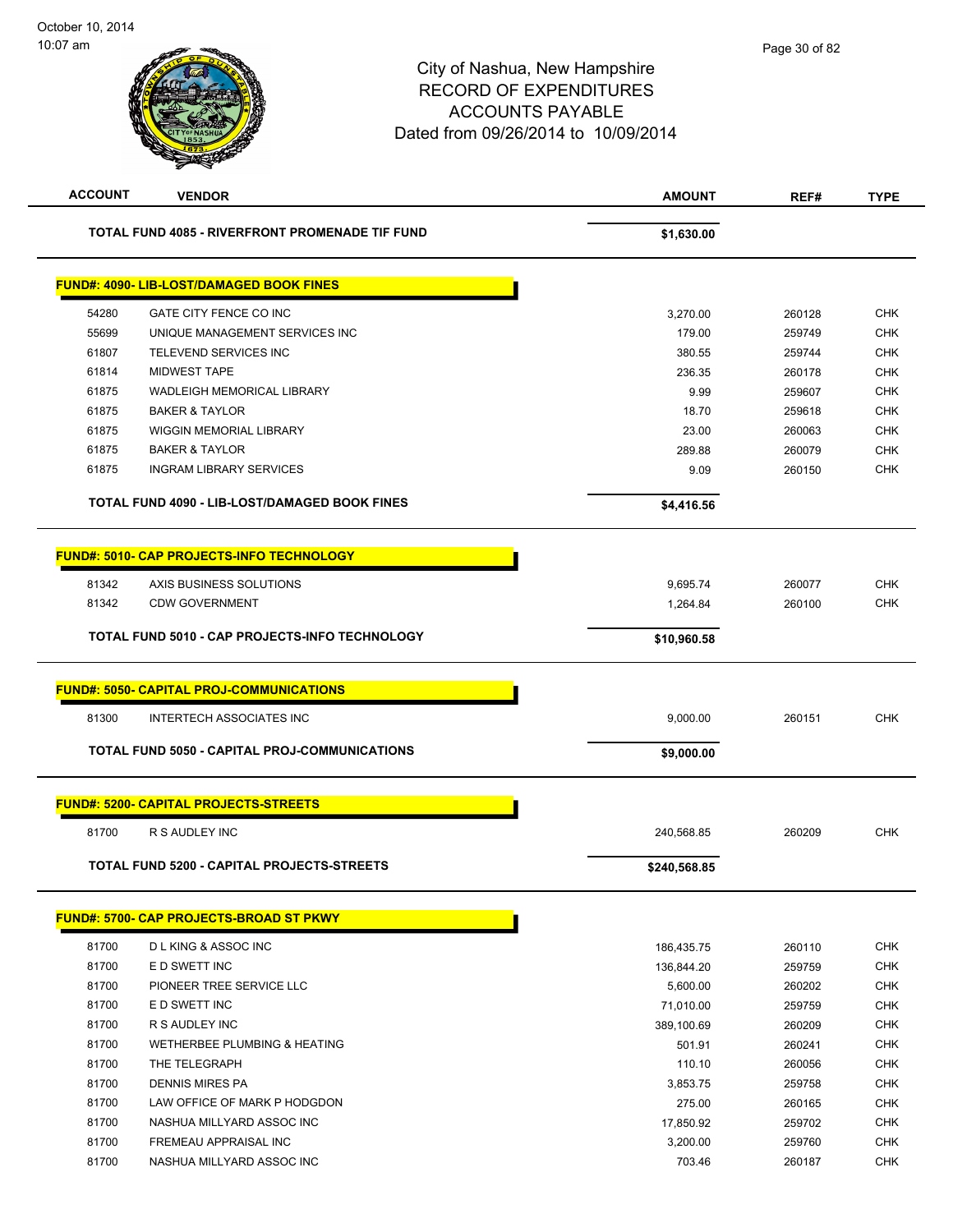# City of Nashua, New Hampshire RECORD OF EXPENDITURES ACCOUNTS PAYABLE Dated from 09/26/2014 to 10/09/2014 **ACCOUNT VENDOR AMOUNT REF# TYPE TOTAL FUND 4085 - RIVERFRONT PROMENADE TIF FUND \$1,630.00 \$1,630.00**

|       | <b>FUND#: 4090- LIB-LOST/DAMAGED BOOK FINES</b>      |              |        |            |
|-------|------------------------------------------------------|--------------|--------|------------|
| 54280 | GATE CITY FENCE CO INC                               | 3,270.00     | 260128 | <b>CHK</b> |
| 55699 | UNIQUE MANAGEMENT SERVICES INC                       | 179.00       | 259749 | <b>CHK</b> |
| 61807 | <b>TELEVEND SERVICES INC</b>                         | 380.55       | 259744 | <b>CHK</b> |
| 61814 | <b>MIDWEST TAPE</b>                                  | 236.35       | 260178 | <b>CHK</b> |
| 61875 | <b>WADLEIGH MEMORICAL LIBRARY</b>                    | 9.99         | 259607 | <b>CHK</b> |
| 61875 | <b>BAKER &amp; TAYLOR</b>                            | 18.70        | 259618 | <b>CHK</b> |
| 61875 | WIGGIN MEMORIAL LIBRARY                              | 23.00        | 260063 | <b>CHK</b> |
| 61875 | <b>BAKER &amp; TAYLOR</b>                            | 289.88       | 260079 | <b>CHK</b> |
| 61875 | <b>INGRAM LIBRARY SERVICES</b>                       | 9.09         | 260150 | <b>CHK</b> |
|       | TOTAL FUND 4090 - LIB-LOST/DAMAGED BOOK FINES        | \$4,416.56   |        |            |
|       | <b>FUND#: 5010- CAP PROJECTS-INFO TECHNOLOGY</b>     |              |        |            |
| 81342 | AXIS BUSINESS SOLUTIONS                              | 9,695.74     | 260077 | <b>CHK</b> |
| 81342 | <b>CDW GOVERNMENT</b>                                | 1,264.84     | 260100 | <b>CHK</b> |
|       | TOTAL FUND 5010 - CAP PROJECTS-INFO TECHNOLOGY       | \$10,960.58  |        |            |
|       | <b>FUND#: 5050- CAPITAL PROJ-COMMUNICATIONS</b>      |              |        |            |
| 81300 | <b>INTERTECH ASSOCIATES INC</b>                      | 9,000.00     | 260151 | <b>CHK</b> |
|       | <b>TOTAL FUND 5050 - CAPITAL PROJ-COMMUNICATIONS</b> | \$9,000.00   |        |            |
|       | FUND#: 5200- CAPITAL PROJECTS-STREETS                |              |        |            |
| 81700 | R S AUDLEY INC                                       | 240,568.85   | 260209 | <b>CHK</b> |
|       | <b>TOTAL FUND 5200 - CAPITAL PROJECTS-STREETS</b>    | \$240,568.85 |        |            |
|       | <b>FUND#: 5700- CAP PROJECTS-BROAD ST PKWY</b>       |              |        |            |
| 81700 | <b>DLKING &amp; ASSOC INC</b>                        | 186,435.75   | 260110 | <b>CHK</b> |
| 81700 | E D SWETT INC                                        | 136,844.20   | 259759 | <b>CHK</b> |
| 81700 | PIONEER TREE SERVICE LLC                             | 5,600.00     | 260202 | <b>CHK</b> |
| 81700 | E D SWETT INC                                        | 71,010.00    | 259759 | <b>CHK</b> |

 81700 R S AUDLEY INC 389,100.69 260209 CHK 81700 WETHERBEE PLUMBING & HEATING **Francisco CHE 501.91** 501.91 260241 CHK 81700 THE TELEGRAPH 110.10 260056 CHK 81700 DENNIS MIRES PA 3,853.75 259758 CHK 81700 LAW OFFICE OF MARK P HODGDON 275.00 260165 CHK 81700 NASHUA MILLYARD ASSOC INC 17,850.92 259702 CHK 81700 FREMEAU APPRAISAL INC **And the Contract of CHK** 3,200.00 259760 CHK 81700 NASHUA MILLYARD ASSOC INC 81 A 260187 CHK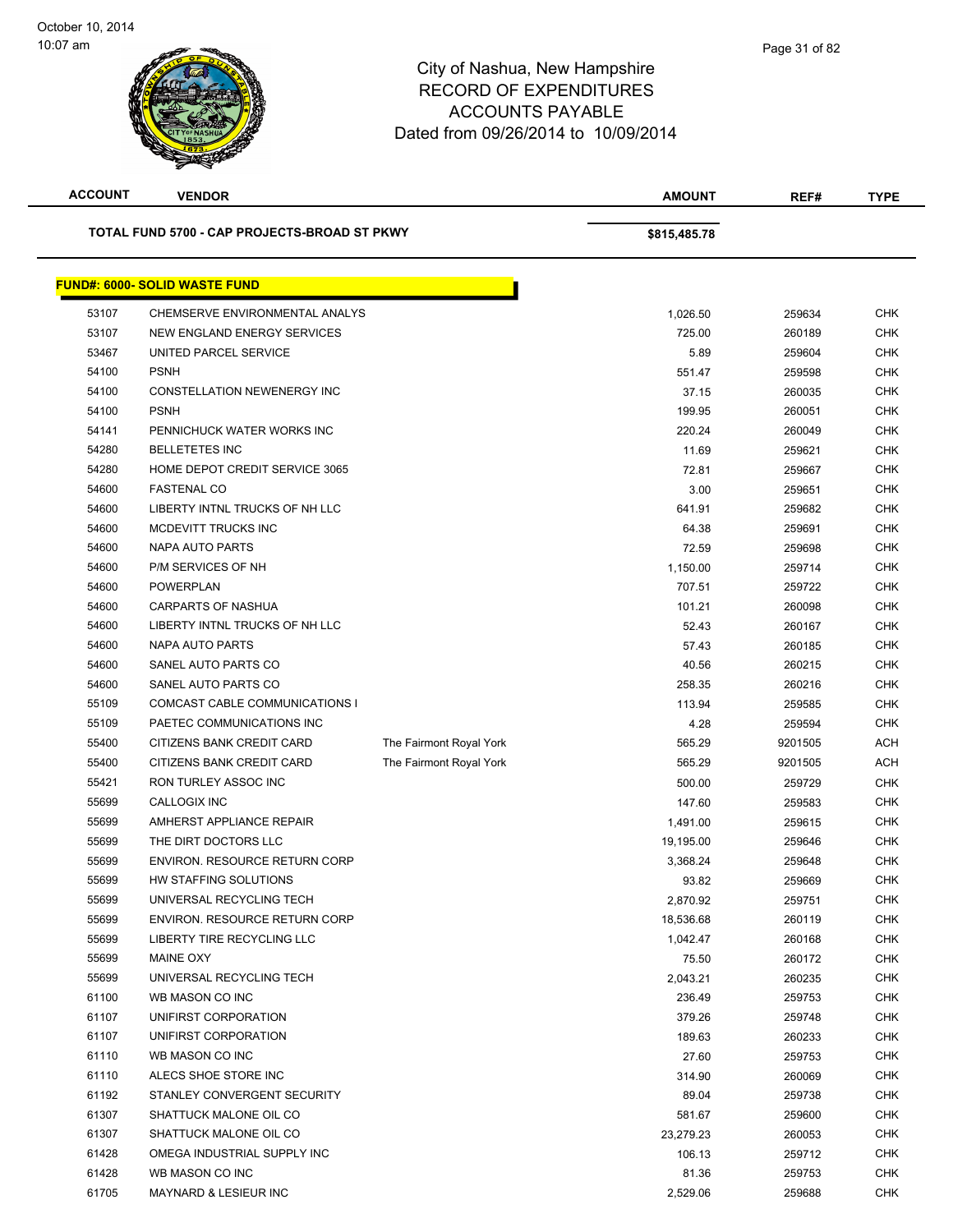| <b>ACCOUNT</b> | <b>VENDOR</b>                                |                         | <b>AMOUNT</b> | REF#    | <b>TYPE</b> |
|----------------|----------------------------------------------|-------------------------|---------------|---------|-------------|
|                | TOTAL FUND 5700 - CAP PROJECTS-BROAD ST PKWY |                         | \$815,485.78  |         |             |
|                | <b>FUND#: 6000- SOLID WASTE FUND</b>         |                         |               |         |             |
| 53107          | CHEMSERVE ENVIRONMENTAL ANALYS               |                         | 1,026.50      | 259634  | <b>CHK</b>  |
| 53107          | NEW ENGLAND ENERGY SERVICES                  |                         | 725.00        | 260189  | <b>CHK</b>  |
| 53467          | UNITED PARCEL SERVICE                        |                         | 5.89          | 259604  | <b>CHK</b>  |
| 54100          | <b>PSNH</b>                                  |                         | 551.47        | 259598  | <b>CHK</b>  |
| 54100          | <b>CONSTELLATION NEWENERGY INC</b>           |                         | 37.15         | 260035  | <b>CHK</b>  |
| 54100          | <b>PSNH</b>                                  |                         | 199.95        | 260051  | CHK         |
| 54141          | PENNICHUCK WATER WORKS INC                   |                         | 220.24        | 260049  | <b>CHK</b>  |
| 54280          | <b>BELLETETES INC</b>                        |                         | 11.69         | 259621  | <b>CHK</b>  |
| 54280          | HOME DEPOT CREDIT SERVICE 3065               |                         | 72.81         | 259667  | <b>CHK</b>  |
| 54600          | <b>FASTENAL CO</b>                           |                         | 3.00          | 259651  | <b>CHK</b>  |
| 54600          | LIBERTY INTNL TRUCKS OF NH LLC               |                         | 641.91        | 259682  | <b>CHK</b>  |
| 54600          | MCDEVITT TRUCKS INC                          |                         | 64.38         | 259691  | <b>CHK</b>  |
| 54600          | NAPA AUTO PARTS                              |                         | 72.59         | 259698  | <b>CHK</b>  |
| 54600          | P/M SERVICES OF NH                           |                         | 1,150.00      | 259714  | <b>CHK</b>  |
| 54600          | <b>POWERPLAN</b>                             |                         | 707.51        | 259722  | <b>CHK</b>  |
| 54600          | <b>CARPARTS OF NASHUA</b>                    |                         | 101.21        | 260098  | <b>CHK</b>  |
| 54600          | LIBERTY INTNL TRUCKS OF NH LLC               |                         | 52.43         | 260167  | <b>CHK</b>  |
| 54600          | NAPA AUTO PARTS                              |                         | 57.43         | 260185  | <b>CHK</b>  |
| 54600          | SANEL AUTO PARTS CO                          |                         | 40.56         | 260215  | <b>CHK</b>  |
| 54600          | SANEL AUTO PARTS CO                          |                         | 258.35        | 260216  | <b>CHK</b>  |
| 55109          | COMCAST CABLE COMMUNICATIONS I               |                         | 113.94        | 259585  | <b>CHK</b>  |
| 55109          | PAETEC COMMUNICATIONS INC                    |                         | 4.28          | 259594  | <b>CHK</b>  |
| 55400          | CITIZENS BANK CREDIT CARD                    | The Fairmont Royal York | 565.29        | 9201505 | <b>ACH</b>  |
| 55400          | CITIZENS BANK CREDIT CARD                    | The Fairmont Royal York | 565.29        | 9201505 | <b>ACH</b>  |
| 55421          | RON TURLEY ASSOC INC                         |                         | 500.00        | 259729  | <b>CHK</b>  |
| 55699          | CALLOGIX INC                                 |                         | 147.60        | 259583  | <b>CHK</b>  |
| 55699          | AMHERST APPLIANCE REPAIR                     |                         | 1,491.00      | 259615  | <b>CHK</b>  |
| 55699          | THE DIRT DOCTORS LLC                         |                         | 19,195.00     | 259646  | <b>CHK</b>  |
| 55699          | <b>ENVIRON. RESOURCE RETURN CORP</b>         |                         | 3,368.24      | 259648  | <b>CHK</b>  |
| 55699          | HW STAFFING SOLUTIONS                        |                         | 93.82         | 259669  | <b>CHK</b>  |
| 55699          | UNIVERSAL RECYCLING TECH                     |                         | 2,870.92      | 259751  | <b>CHK</b>  |
| 55699          | <b>ENVIRON. RESOURCE RETURN CORP</b>         |                         | 18,536.68     | 260119  | <b>CHK</b>  |
| 55699          | LIBERTY TIRE RECYCLING LLC                   |                         | 1,042.47      | 260168  | <b>CHK</b>  |
| 55699          | MAINE OXY                                    |                         | 75.50         | 260172  | <b>CHK</b>  |
| 55699          | UNIVERSAL RECYCLING TECH                     |                         | 2,043.21      | 260235  | <b>CHK</b>  |
| 61100          | WB MASON CO INC                              |                         | 236.49        | 259753  | <b>CHK</b>  |
| 61107          | UNIFIRST CORPORATION                         |                         | 379.26        | 259748  | <b>CHK</b>  |
| 61107          | UNIFIRST CORPORATION                         |                         | 189.63        | 260233  | <b>CHK</b>  |
| 61110          | WB MASON CO INC                              |                         | 27.60         | 259753  | <b>CHK</b>  |
| 61110          | ALECS SHOE STORE INC                         |                         | 314.90        | 260069  | <b>CHK</b>  |
| 61192          | STANLEY CONVERGENT SECURITY                  |                         | 89.04         | 259738  | <b>CHK</b>  |
| 61307          | SHATTUCK MALONE OIL CO                       |                         | 581.67        | 259600  | <b>CHK</b>  |
| 61307          | SHATTUCK MALONE OIL CO                       |                         | 23,279.23     | 260053  | <b>CHK</b>  |
| 61428          | OMEGA INDUSTRIAL SUPPLY INC                  |                         | 106.13        | 259712  | <b>CHK</b>  |
| 61428          | WB MASON CO INC                              |                         | 81.36         | 259753  | <b>CHK</b>  |
| 61705          | <b>MAYNARD &amp; LESIEUR INC</b>             |                         | 2,529.06      | 259688  | <b>CHK</b>  |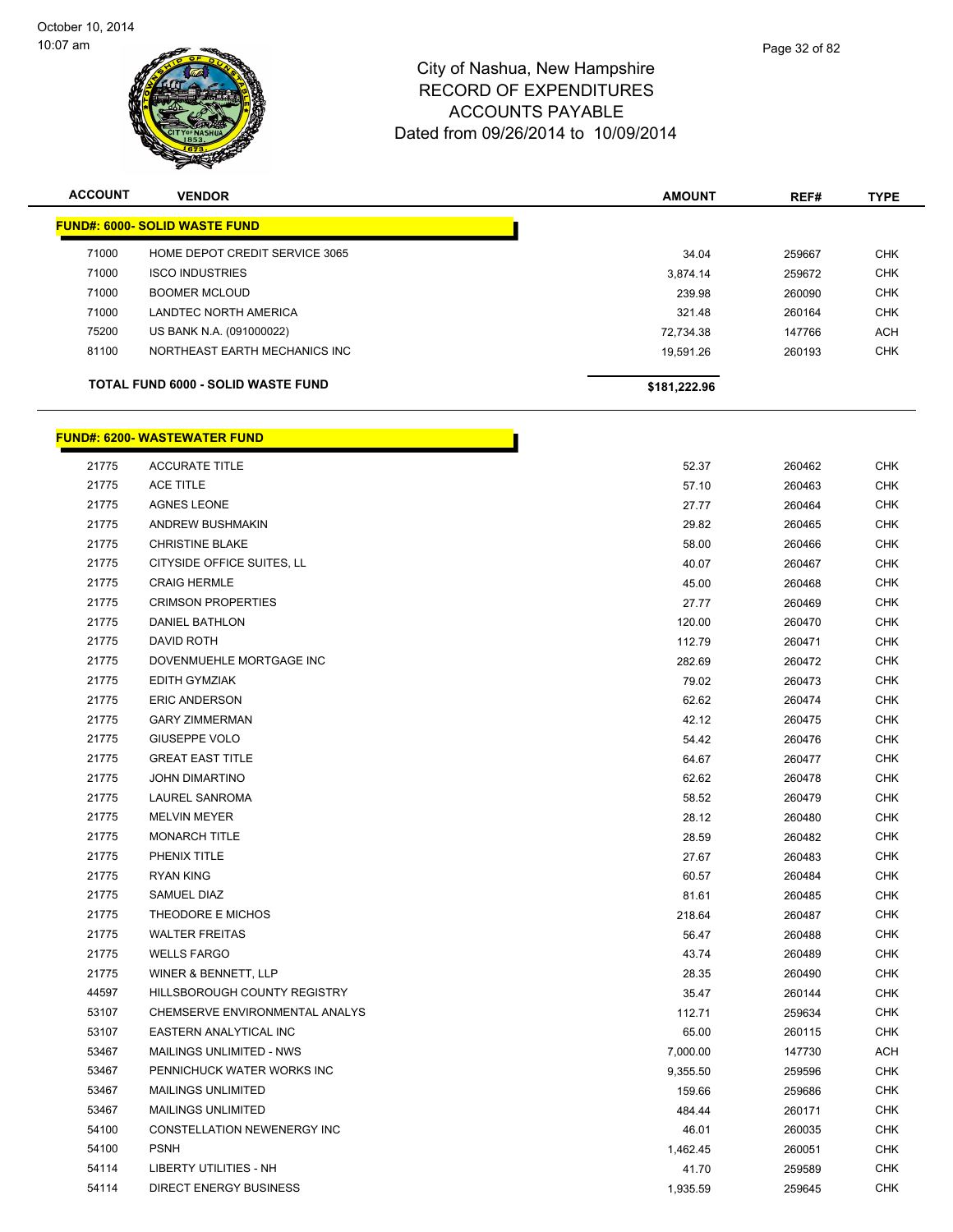

| <b>ACCOUNT</b> | <b>VENDOR</b>                        | <b>AMOUNT</b> | REF#   | <b>TYPE</b> |
|----------------|--------------------------------------|---------------|--------|-------------|
|                | <b>FUND#: 6000- SOLID WASTE FUND</b> |               |        |             |
| 71000          | HOME DEPOT CREDIT SERVICE 3065       | 34.04         | 259667 | <b>CHK</b>  |
| 71000          | <b>ISCO INDUSTRIES</b>               | 3,874.14      | 259672 | <b>CHK</b>  |
| 71000          | <b>BOOMER MCLOUD</b>                 | 239.98        | 260090 | <b>CHK</b>  |
| 71000          | LANDTEC NORTH AMERICA                | 321.48        | 260164 | <b>CHK</b>  |
| 75200          | US BANK N.A. (091000022)             | 72.734.38     | 147766 | <b>ACH</b>  |
| 81100          | NORTHEAST EARTH MECHANICS INC        | 19.591.26     | 260193 | <b>CHK</b>  |
|                | TOTAL FUND 6000 - SOLID WASTE FUND   | \$181,222.96  |        |             |

# **FUND#: 6200- WASTEWATER FUND**

| 21775 | <b>ACCURATE TITLE</b>               | 52.37    | 260462 | <b>CHK</b> |
|-------|-------------------------------------|----------|--------|------------|
| 21775 | <b>ACE TITLE</b>                    | 57.10    | 260463 | <b>CHK</b> |
| 21775 | <b>AGNES LEONE</b>                  | 27.77    | 260464 | <b>CHK</b> |
| 21775 | <b>ANDREW BUSHMAKIN</b>             | 29.82    | 260465 | <b>CHK</b> |
| 21775 | <b>CHRISTINE BLAKE</b>              | 58.00    | 260466 | CHK        |
| 21775 | CITYSIDE OFFICE SUITES, LL          | 40.07    | 260467 | <b>CHK</b> |
| 21775 | <b>CRAIG HERMLE</b>                 | 45.00    | 260468 | <b>CHK</b> |
| 21775 | <b>CRIMSON PROPERTIES</b>           | 27.77    | 260469 | <b>CHK</b> |
| 21775 | <b>DANIEL BATHLON</b>               | 120.00   | 260470 | <b>CHK</b> |
| 21775 | DAVID ROTH                          | 112.79   | 260471 | CHK        |
| 21775 | DOVENMUEHLE MORTGAGE INC            | 282.69   | 260472 | <b>CHK</b> |
| 21775 | EDITH GYMZIAK                       | 79.02    | 260473 | <b>CHK</b> |
| 21775 | <b>ERIC ANDERSON</b>                | 62.62    | 260474 | <b>CHK</b> |
| 21775 | <b>GARY ZIMMERMAN</b>               | 42.12    | 260475 | <b>CHK</b> |
| 21775 | <b>GIUSEPPE VOLO</b>                | 54.42    | 260476 | <b>CHK</b> |
| 21775 | <b>GREAT EAST TITLE</b>             | 64.67    | 260477 | <b>CHK</b> |
| 21775 | <b>JOHN DIMARTINO</b>               | 62.62    | 260478 | <b>CHK</b> |
| 21775 | LAUREL SANROMA                      | 58.52    | 260479 | <b>CHK</b> |
| 21775 | <b>MELVIN MEYER</b>                 | 28.12    | 260480 | <b>CHK</b> |
| 21775 | <b>MONARCH TITLE</b>                | 28.59    | 260482 | CHK        |
| 21775 | PHENIX TITLE                        | 27.67    | 260483 | <b>CHK</b> |
| 21775 | <b>RYAN KING</b>                    | 60.57    | 260484 | <b>CHK</b> |
| 21775 | SAMUEL DIAZ                         | 81.61    | 260485 | <b>CHK</b> |
| 21775 | THEODORE E MICHOS                   | 218.64   | 260487 | <b>CHK</b> |
| 21775 | <b>WALTER FREITAS</b>               | 56.47    | 260488 | <b>CHK</b> |
| 21775 | <b>WELLS FARGO</b>                  | 43.74    | 260489 | <b>CHK</b> |
| 21775 | WINER & BENNETT, LLP                | 28.35    | 260490 | <b>CHK</b> |
| 44597 | <b>HILLSBOROUGH COUNTY REGISTRY</b> | 35.47    | 260144 | <b>CHK</b> |
| 53107 | CHEMSERVE ENVIRONMENTAL ANALYS      | 112.71   | 259634 | <b>CHK</b> |
| 53107 | EASTERN ANALYTICAL INC              | 65.00    | 260115 | <b>CHK</b> |
| 53467 | MAILINGS UNLIMITED - NWS            | 7,000.00 | 147730 | ACH        |
| 53467 | PENNICHUCK WATER WORKS INC          | 9,355.50 | 259596 | <b>CHK</b> |
| 53467 | <b>MAILINGS UNLIMITED</b>           | 159.66   | 259686 | <b>CHK</b> |
| 53467 | <b>MAILINGS UNLIMITED</b>           | 484.44   | 260171 | <b>CHK</b> |
| 54100 | CONSTELLATION NEWENERGY INC         | 46.01    | 260035 | <b>CHK</b> |
| 54100 | <b>PSNH</b>                         | 1,462.45 | 260051 | <b>CHK</b> |
| 54114 | <b>LIBERTY UTILITIES - NH</b>       | 41.70    | 259589 | <b>CHK</b> |
| 54114 | <b>DIRECT ENERGY BUSINESS</b>       | 1,935.59 | 259645 | <b>CHK</b> |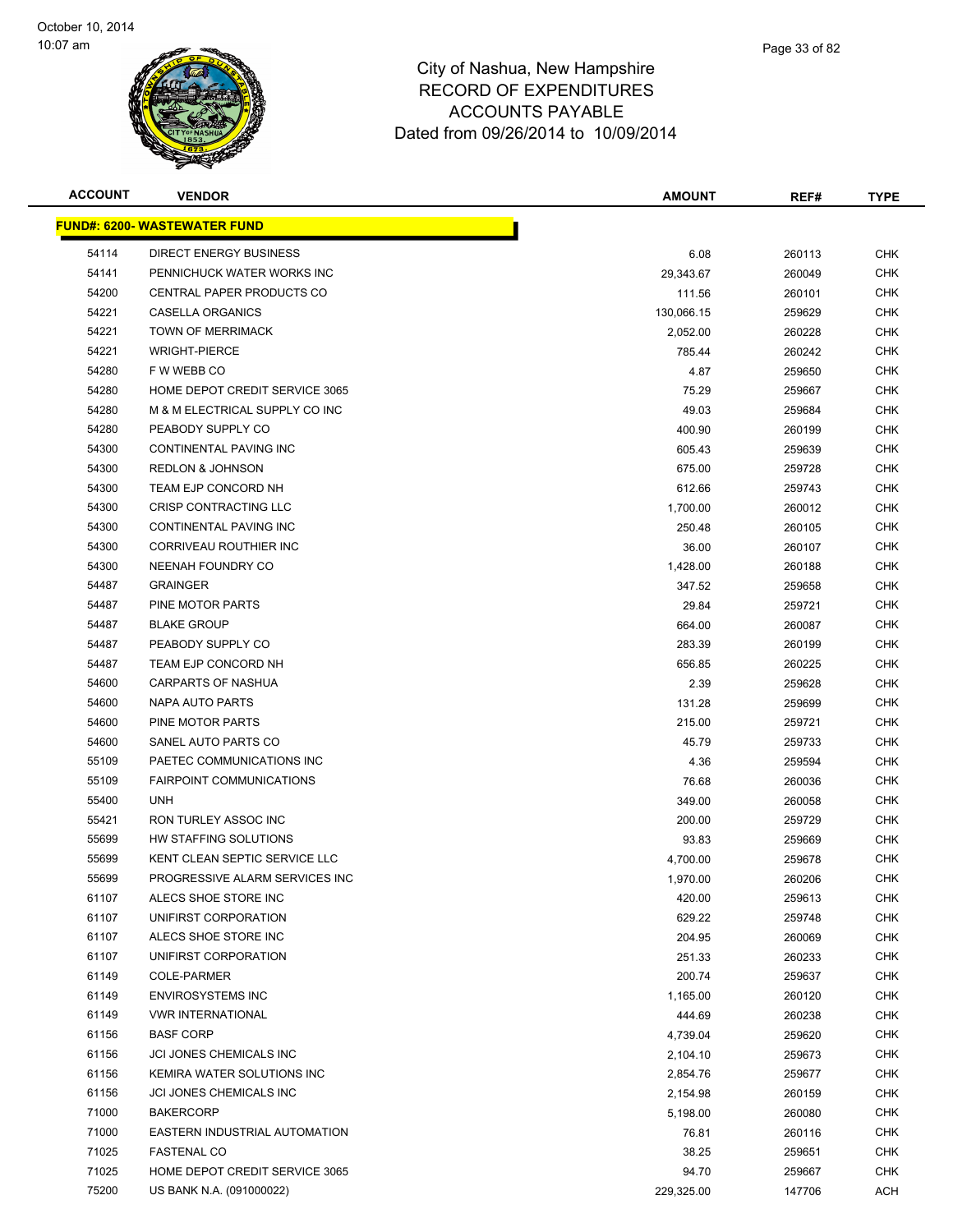

| <b>ACCOUNT</b> | <b>VENDOR</b>                        | <b>AMOUNT</b> | REF#   | <b>TYPE</b> |
|----------------|--------------------------------------|---------------|--------|-------------|
|                | <u> FUND#: 6200- WASTEWATER FUND</u> |               |        |             |
| 54114          | DIRECT ENERGY BUSINESS               | 6.08          | 260113 | <b>CHK</b>  |
| 54141          | PENNICHUCK WATER WORKS INC           | 29,343.67     | 260049 | <b>CHK</b>  |
| 54200          | CENTRAL PAPER PRODUCTS CO            | 111.56        | 260101 | <b>CHK</b>  |
| 54221          | CASELLA ORGANICS                     | 130,066.15    | 259629 | <b>CHK</b>  |
| 54221          | <b>TOWN OF MERRIMACK</b>             | 2,052.00      | 260228 | <b>CHK</b>  |
| 54221          | <b>WRIGHT-PIERCE</b>                 | 785.44        | 260242 | <b>CHK</b>  |
| 54280          | F W WEBB CO                          | 4.87          | 259650 | <b>CHK</b>  |
| 54280          | HOME DEPOT CREDIT SERVICE 3065       | 75.29         | 259667 | CHK         |
| 54280          | M & M ELECTRICAL SUPPLY CO INC       | 49.03         | 259684 | <b>CHK</b>  |
| 54280          | PEABODY SUPPLY CO                    | 400.90        | 260199 | CHK         |
| 54300          | CONTINENTAL PAVING INC               | 605.43        | 259639 | <b>CHK</b>  |
| 54300          | <b>REDLON &amp; JOHNSON</b>          | 675.00        | 259728 | CHK         |
| 54300          | TEAM EJP CONCORD NH                  | 612.66        | 259743 | <b>CHK</b>  |
| 54300          | CRISP CONTRACTING LLC                | 1,700.00      | 260012 | <b>CHK</b>  |
| 54300          | CONTINENTAL PAVING INC               | 250.48        | 260105 | <b>CHK</b>  |
| 54300          | CORRIVEAU ROUTHIER INC               | 36.00         | 260107 | <b>CHK</b>  |
| 54300          | NEENAH FOUNDRY CO                    | 1,428.00      | 260188 | <b>CHK</b>  |
| 54487          | <b>GRAINGER</b>                      | 347.52        | 259658 | <b>CHK</b>  |
| 54487          | PINE MOTOR PARTS                     | 29.84         | 259721 | <b>CHK</b>  |
| 54487          | <b>BLAKE GROUP</b>                   | 664.00        | 260087 | <b>CHK</b>  |
| 54487          | PEABODY SUPPLY CO                    | 283.39        | 260199 | <b>CHK</b>  |
| 54487          | TEAM EJP CONCORD NH                  | 656.85        | 260225 | <b>CHK</b>  |
| 54600          | CARPARTS OF NASHUA                   | 2.39          | 259628 | <b>CHK</b>  |
| 54600          | NAPA AUTO PARTS                      | 131.28        | 259699 | <b>CHK</b>  |
| 54600          | PINE MOTOR PARTS                     | 215.00        | 259721 | <b>CHK</b>  |
| 54600          | SANEL AUTO PARTS CO                  | 45.79         | 259733 | <b>CHK</b>  |
| 55109          | PAETEC COMMUNICATIONS INC            | 4.36          | 259594 | <b>CHK</b>  |
| 55109          | <b>FAIRPOINT COMMUNICATIONS</b>      | 76.68         | 260036 | <b>CHK</b>  |
| 55400          | <b>UNH</b>                           | 349.00        | 260058 | <b>CHK</b>  |
| 55421          | <b>RON TURLEY ASSOC INC</b>          | 200.00        | 259729 | <b>CHK</b>  |
| 55699          | HW STAFFING SOLUTIONS                | 93.83         | 259669 | CHK         |
| 55699          | KENT CLEAN SEPTIC SERVICE LLC        | 4,700.00      | 259678 | CHK         |
| 55699          | PROGRESSIVE ALARM SERVICES INC       | 1,970.00      | 260206 | <b>CHK</b>  |
| 61107          | ALECS SHOE STORE INC                 | 420.00        | 259613 | <b>CHK</b>  |
| 61107          | UNIFIRST CORPORATION                 | 629.22        | 259748 | <b>CHK</b>  |
| 61107          | ALECS SHOE STORE INC                 | 204.95        | 260069 | <b>CHK</b>  |
| 61107          | UNIFIRST CORPORATION                 | 251.33        | 260233 | <b>CHK</b>  |
| 61149          | <b>COLE-PARMER</b>                   | 200.74        | 259637 | <b>CHK</b>  |
| 61149          | <b>ENVIROSYSTEMS INC</b>             | 1,165.00      | 260120 | <b>CHK</b>  |
| 61149          | <b>VWR INTERNATIONAL</b>             | 444.69        | 260238 | <b>CHK</b>  |
| 61156          | <b>BASF CORP</b>                     | 4,739.04      | 259620 | <b>CHK</b>  |
| 61156          | JCI JONES CHEMICALS INC              | 2,104.10      | 259673 | <b>CHK</b>  |
| 61156          | KEMIRA WATER SOLUTIONS INC           | 2,854.76      | 259677 | <b>CHK</b>  |
| 61156          | JCI JONES CHEMICALS INC              | 2,154.98      | 260159 | <b>CHK</b>  |
| 71000          | <b>BAKERCORP</b>                     | 5,198.00      | 260080 | <b>CHK</b>  |
| 71000          | EASTERN INDUSTRIAL AUTOMATION        | 76.81         | 260116 | <b>CHK</b>  |
| 71025          | <b>FASTENAL CO</b>                   | 38.25         | 259651 | <b>CHK</b>  |
| 71025          | HOME DEPOT CREDIT SERVICE 3065       | 94.70         | 259667 | <b>CHK</b>  |
| 75200          | US BANK N.A. (091000022)             | 229,325.00    | 147706 | <b>ACH</b>  |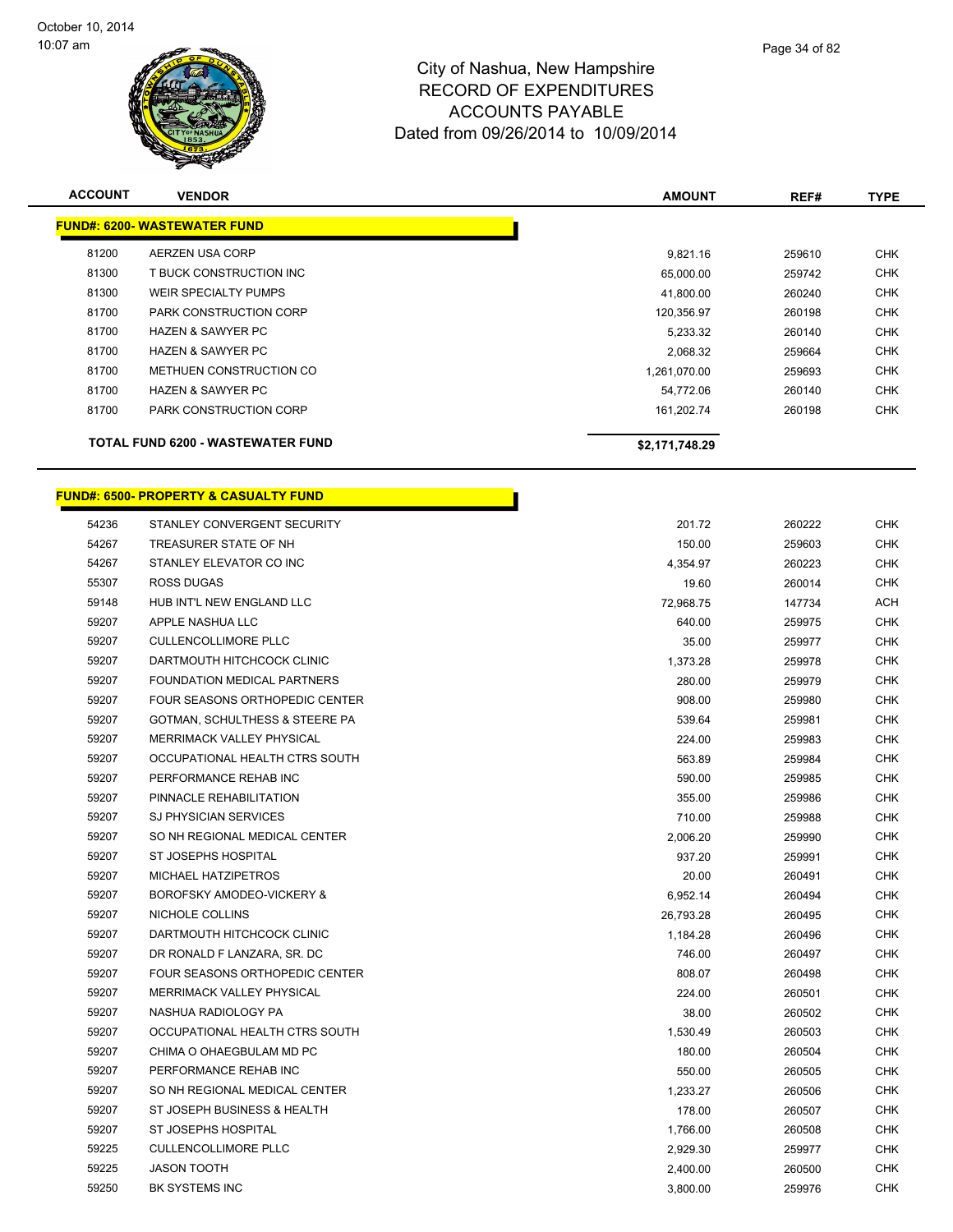

| <b>ACCOUNT</b> | <b>VENDOR</b>                            | <b>AMOUNT</b>  | REF#   | <b>TYPE</b> |
|----------------|------------------------------------------|----------------|--------|-------------|
|                | FUND#: 6200- WASTEWATER FUND             |                |        |             |
| 81200          | AERZEN USA CORP                          | 9,821.16       | 259610 | <b>CHK</b>  |
| 81300          | T BUCK CONSTRUCTION INC                  | 65,000.00      | 259742 | <b>CHK</b>  |
| 81300          | WEIR SPECIALTY PUMPS                     | 41,800.00      | 260240 | <b>CHK</b>  |
| 81700          | <b>PARK CONSTRUCTION CORP</b>            | 120,356.97     | 260198 | <b>CHK</b>  |
| 81700          | <b>HAZEN &amp; SAWYER PC</b>             | 5,233.32       | 260140 | <b>CHK</b>  |
| 81700          | <b>HAZEN &amp; SAWYER PC</b>             | 2,068.32       | 259664 | <b>CHK</b>  |
| 81700          | METHUEN CONSTRUCTION CO                  | 1,261,070.00   | 259693 | <b>CHK</b>  |
| 81700          | <b>HAZEN &amp; SAWYER PC</b>             | 54,772.06      | 260140 | <b>CHK</b>  |
| 81700          | <b>PARK CONSTRUCTION CORP</b>            | 161,202.74     | 260198 | <b>CHK</b>  |
|                | <b>TOTAL FUND 6200 - WASTEWATER FUND</b> | \$2,171,748.29 |        |             |

r.

#### **FUND#: 6500- PROPERTY & CASUALTY FUND**

| 54236 | STANLEY CONVERGENT SECURITY      | 201.72    | 260222 | <b>CHK</b> |
|-------|----------------------------------|-----------|--------|------------|
| 54267 | TREASURER STATE OF NH            | 150.00    | 259603 | <b>CHK</b> |
| 54267 | STANLEY ELEVATOR CO INC          | 4,354.97  | 260223 | <b>CHK</b> |
| 55307 | <b>ROSS DUGAS</b>                | 19.60     | 260014 | <b>CHK</b> |
| 59148 | HUB INT'L NEW ENGLAND LLC        | 72,968.75 | 147734 | ACH        |
| 59207 | APPLE NASHUA LLC                 | 640.00    | 259975 | <b>CHK</b> |
| 59207 | <b>CULLENCOLLIMORE PLLC</b>      | 35.00     | 259977 | <b>CHK</b> |
| 59207 | DARTMOUTH HITCHCOCK CLINIC       | 1,373.28  | 259978 | <b>CHK</b> |
| 59207 | FOUNDATION MEDICAL PARTNERS      | 280.00    | 259979 | <b>CHK</b> |
| 59207 | FOUR SEASONS ORTHOPEDIC CENTER   | 908.00    | 259980 | <b>CHK</b> |
| 59207 | GOTMAN, SCHULTHESS & STEERE PA   | 539.64    | 259981 | <b>CHK</b> |
| 59207 | <b>MERRIMACK VALLEY PHYSICAL</b> | 224.00    | 259983 | <b>CHK</b> |
| 59207 | OCCUPATIONAL HEALTH CTRS SOUTH   | 563.89    | 259984 | <b>CHK</b> |
| 59207 | PERFORMANCE REHAB INC            | 590.00    | 259985 | <b>CHK</b> |
| 59207 | PINNACLE REHABILITATION          | 355.00    | 259986 | <b>CHK</b> |
| 59207 | SJ PHYSICIAN SERVICES            | 710.00    | 259988 | <b>CHK</b> |
| 59207 | SO NH REGIONAL MEDICAL CENTER    | 2,006.20  | 259990 | <b>CHK</b> |
| 59207 | ST JOSEPHS HOSPITAL              | 937.20    | 259991 | <b>CHK</b> |
| 59207 | MICHAEL HATZIPETROS              | 20.00     | 260491 | <b>CHK</b> |
| 59207 | BOROFSKY AMODEO-VICKERY &        | 6,952.14  | 260494 | <b>CHK</b> |
| 59207 | NICHOLE COLLINS                  | 26,793.28 | 260495 | <b>CHK</b> |
| 59207 | DARTMOUTH HITCHCOCK CLINIC       | 1,184.28  | 260496 | <b>CHK</b> |
| 59207 | DR RONALD F LANZARA, SR. DC      | 746.00    | 260497 | CHK        |
| 59207 | FOUR SEASONS ORTHOPEDIC CENTER   | 808.07    | 260498 | <b>CHK</b> |
| 59207 | <b>MERRIMACK VALLEY PHYSICAL</b> | 224.00    | 260501 | <b>CHK</b> |
| 59207 | NASHUA RADIOLOGY PA              | 38.00     | 260502 | <b>CHK</b> |
| 59207 | OCCUPATIONAL HEALTH CTRS SOUTH   | 1,530.49  | 260503 | <b>CHK</b> |
| 59207 | CHIMA O OHAEGBULAM MD PC         | 180.00    | 260504 | <b>CHK</b> |
| 59207 | PERFORMANCE REHAB INC            | 550.00    | 260505 | <b>CHK</b> |
| 59207 | SO NH REGIONAL MEDICAL CENTER    | 1,233.27  | 260506 | <b>CHK</b> |
| 59207 | ST JOSEPH BUSINESS & HEALTH      | 178.00    | 260507 | <b>CHK</b> |
| 59207 | <b>ST JOSEPHS HOSPITAL</b>       | 1,766.00  | 260508 | <b>CHK</b> |
| 59225 | <b>CULLENCOLLIMORE PLLC</b>      | 2,929.30  | 259977 | CHK        |
| 59225 | <b>JASON TOOTH</b>               | 2,400.00  | 260500 | <b>CHK</b> |
| 59250 | BK SYSTEMS INC                   | 3,800.00  | 259976 | <b>CHK</b> |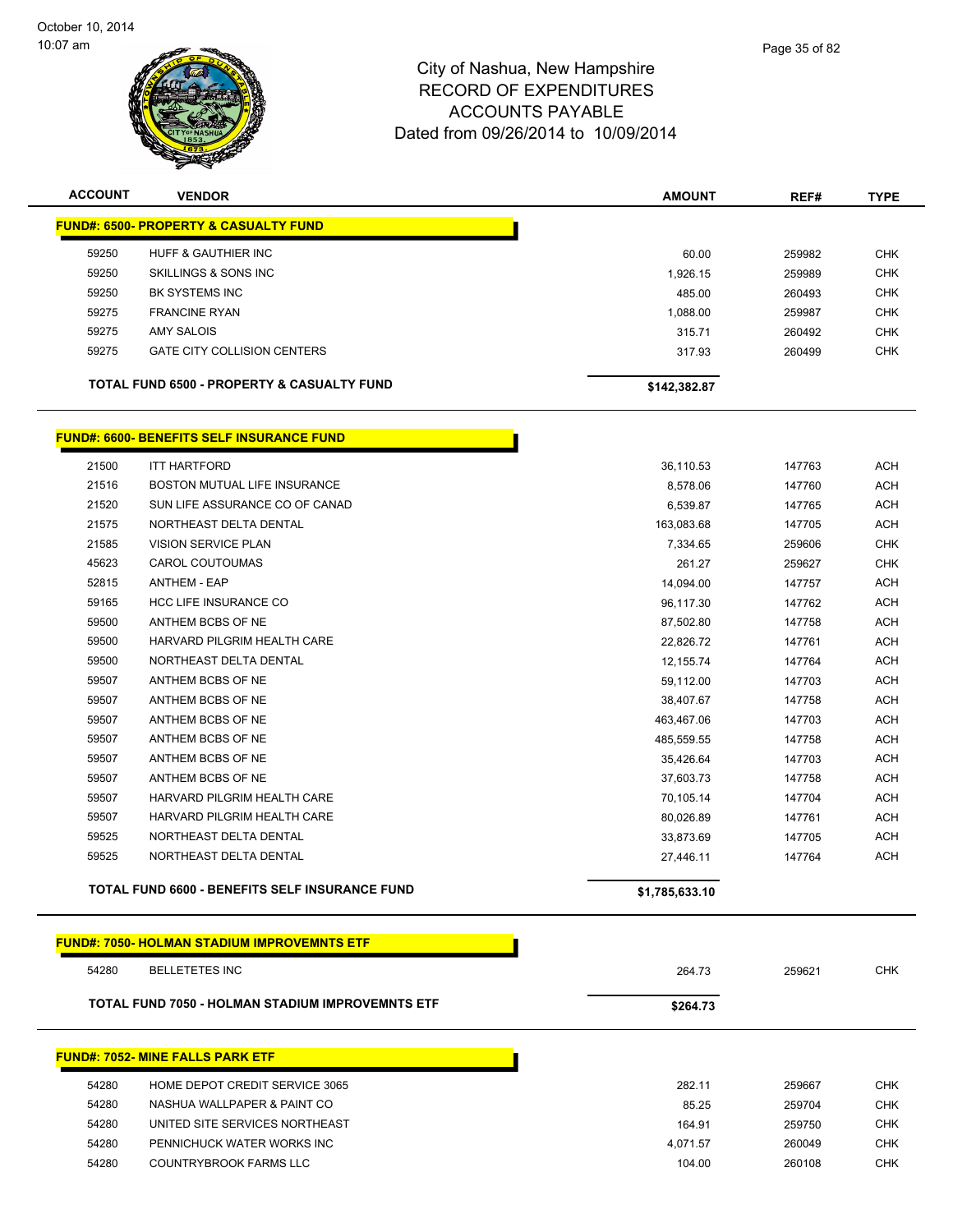

| <b>ACCOUNT</b> | <b>VENDOR</b>                                         | <b>AMOUNT</b>  | REF#   | <b>TYPE</b> |
|----------------|-------------------------------------------------------|----------------|--------|-------------|
|                | <b>FUND#: 6500- PROPERTY &amp; CASUALTY FUND</b>      |                |        |             |
| 59250          | HUFF & GAUTHIER INC                                   | 60.00          | 259982 | <b>CHK</b>  |
| 59250          | SKILLINGS & SONS INC                                  | 1,926.15       | 259989 | <b>CHK</b>  |
| 59250          | <b>BK SYSTEMS INC</b>                                 | 485.00         | 260493 | <b>CHK</b>  |
| 59275          | <b>FRANCINE RYAN</b>                                  | 1,088.00       | 259987 | <b>CHK</b>  |
| 59275          | <b>AMY SALOIS</b>                                     | 315.71         | 260492 | <b>CHK</b>  |
| 59275          | <b>GATE CITY COLLISION CENTERS</b>                    | 317.93         | 260499 | <b>CHK</b>  |
|                | <b>TOTAL FUND 6500 - PROPERTY &amp; CASUALTY FUND</b> | \$142,382.87   |        |             |
|                | <b>FUND#: 6600- BENEFITS SELF INSURANCE FUND</b>      |                |        |             |
| 21500          | <b>ITT HARTFORD</b>                                   | 36,110.53      | 147763 | <b>ACH</b>  |
| 21516          | BOSTON MUTUAL LIFE INSURANCE                          | 8,578.06       | 147760 | <b>ACH</b>  |
| 21520          | SUN LIFE ASSURANCE CO OF CANAD                        | 6,539.87       | 147765 | <b>ACH</b>  |
| 21575          | NORTHEAST DELTA DENTAL                                | 163,083.68     | 147705 | <b>ACH</b>  |
| 21585          | <b>VISION SERVICE PLAN</b>                            | 7,334.65       | 259606 | <b>CHK</b>  |
| 45623          | CAROL COUTOUMAS                                       | 261.27         | 259627 | <b>CHK</b>  |
| 52815          | <b>ANTHEM - EAP</b>                                   | 14,094.00      | 147757 | <b>ACH</b>  |
| 59165          | HCC LIFE INSURANCE CO                                 | 96,117.30      | 147762 | <b>ACH</b>  |
| 59500          | ANTHEM BCBS OF NE                                     | 87,502.80      | 147758 | <b>ACH</b>  |
| 59500          | HARVARD PILGRIM HEALTH CARE                           | 22,826.72      | 147761 | <b>ACH</b>  |
| 59500          | NORTHEAST DELTA DENTAL                                | 12,155.74      | 147764 | <b>ACH</b>  |
| 59507          | ANTHEM BCBS OF NE                                     | 59,112.00      | 147703 | <b>ACH</b>  |
| 59507          | ANTHEM BCBS OF NE                                     | 38,407.67      | 147758 | <b>ACH</b>  |
| 59507          | ANTHEM BCBS OF NE                                     | 463,467.06     | 147703 | <b>ACH</b>  |
| 59507          | ANTHEM BCBS OF NE                                     | 485,559.55     | 147758 | <b>ACH</b>  |
| 59507          | ANTHEM BCBS OF NE                                     | 35,426.64      | 147703 | <b>ACH</b>  |
| 59507          | ANTHEM BCBS OF NE                                     | 37,603.73      | 147758 | <b>ACH</b>  |
| 59507          | HARVARD PILGRIM HEALTH CARE                           | 70,105.14      | 147704 | <b>ACH</b>  |
| 59507          | HARVARD PILGRIM HEALTH CARE                           | 80,026.89      | 147761 | <b>ACH</b>  |
| 59525          | NORTHEAST DELTA DENTAL                                | 33,873.69      | 147705 | <b>ACH</b>  |
| 59525          | NORTHEAST DELTA DENTAL                                | 27,446.11      | 147764 | <b>ACH</b>  |
|                | TOTAL FUND 6600 - BENEFITS SELF INSURANCE FUND        | \$1,785,633.10 |        |             |
|                | <b>FUND#: 7050- HOLMAN STADIUM IMPROVEMNTS ETF</b>    |                |        |             |

**TOTAL FUND 7050 - HOLMAN STADIUM IMPROVEMNTS ETF** \$264.73

#### **FUND#: 7052- MINE FALLS PARK ETF**

| 54280 | HOME DEPOT CREDIT SERVICE 3065 |
|-------|--------------------------------|
| 54280 | NASHUA WALLPAPER & PAINT CO    |
| 54280 | UNITED SITE SERVICES NORTHEAST |
| 54280 | PENNICHUCK WATER WORKS INC     |
| 54280 | COUNTRYBROOK FARMS LLC         |
|       |                                |

BELLETETES INC 264.73 259621 CHK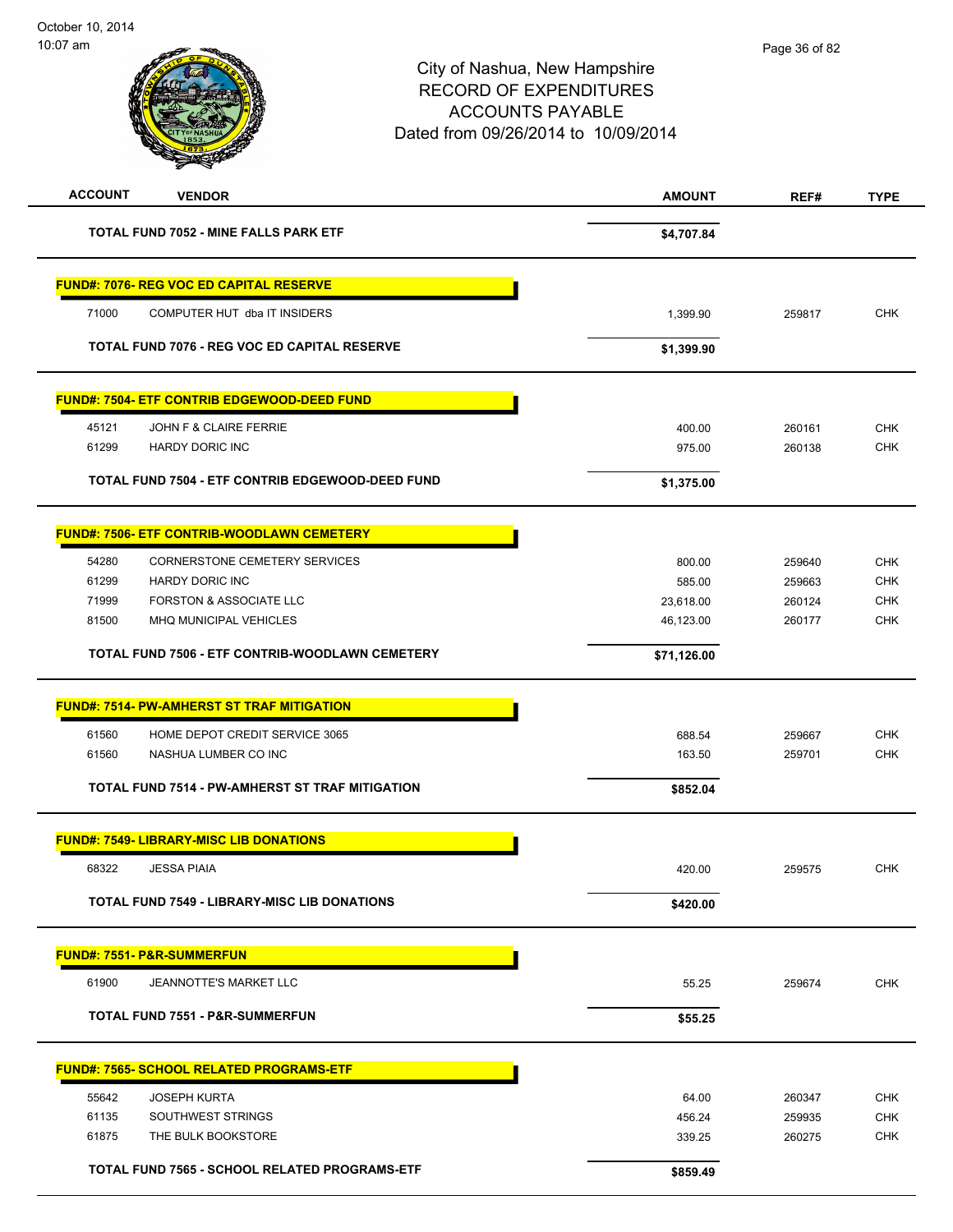| $10.07$ dill   |                                                        | City of Nashua, New Hampshire       | Page 36 of 82 |             |
|----------------|--------------------------------------------------------|-------------------------------------|---------------|-------------|
|                |                                                        |                                     |               |             |
|                |                                                        | <b>RECORD OF EXPENDITURES</b>       |               |             |
|                |                                                        | <b>ACCOUNTS PAYABLE</b>             |               |             |
|                |                                                        | Dated from 09/26/2014 to 10/09/2014 |               |             |
|                |                                                        |                                     |               |             |
| <b>ACCOUNT</b> | <b>VENDOR</b>                                          | <b>AMOUNT</b>                       | REF#          | <b>TYPE</b> |
|                | <b>TOTAL FUND 7052 - MINE FALLS PARK ETF</b>           | \$4,707.84                          |               |             |
|                | <b>FUND#: 7076- REG VOC ED CAPITAL RESERVE</b>         |                                     |               |             |
| 71000          | COMPUTER HUT dba IT INSIDERS                           | 1,399.90                            | 259817        | CHK         |
|                | TOTAL FUND 7076 - REG VOC ED CAPITAL RESERVE           | \$1,399.90                          |               |             |
|                | <b>FUND#: 7504- ETF CONTRIB EDGEWOOD-DEED FUND</b>     |                                     |               |             |
| 45121          | JOHN F & CLAIRE FERRIE                                 | 400.00                              | 260161        | <b>CHK</b>  |
| 61299          | <b>HARDY DORIC INC</b>                                 | 975.00                              | 260138        | <b>CHK</b>  |
|                | TOTAL FUND 7504 - ETF CONTRIB EDGEWOOD-DEED FUND       | \$1,375.00                          |               |             |
|                | <b>FUND#: 7506- ETF CONTRIB-WOODLAWN CEMETERY</b>      |                                     |               |             |
| 54280          | CORNERSTONE CEMETERY SERVICES                          | 800.00                              | 259640        | <b>CHK</b>  |
| 61299          | <b>HARDY DORIC INC</b>                                 | 585.00                              | 259663        | CHK         |
| 71999          | FORSTON & ASSOCIATE LLC                                | 23,618.00                           | 260124        | <b>CHK</b>  |
| 81500          | MHQ MUNICIPAL VEHICLES                                 | 46,123.00                           | 260177        | <b>CHK</b>  |
|                | TOTAL FUND 7506 - ETF CONTRIB-WOODLAWN CEMETERY        | \$71,126.00                         |               |             |
|                | <b>FUND#: 7514- PW-AMHERST ST TRAF MITIGATION</b>      |                                     |               |             |
| 61560          | HOME DEPOT CREDIT SERVICE 3065                         | 688.54                              | 259667        | <b>CHK</b>  |
| 61560          | NASHUA LUMBER CO INC                                   | 163.50                              | 259701        | <b>CHK</b>  |
|                | <b>TOTAL FUND 7514 - PW-AMHERST ST TRAF MITIGATION</b> | \$852.04                            |               |             |
|                | <b>FUND#: 7549- LIBRARY-MISC LIB DONATIONS</b>         |                                     |               |             |
| 68322          | <b>JESSA PIAIA</b>                                     | 420.00                              | 259575        | <b>CHK</b>  |
|                | TOTAL FUND 7549 - LIBRARY-MISC LIB DONATIONS           | \$420.00                            |               |             |
|                | <b>FUND#: 7551- P&amp;R-SUMMERFUN</b>                  |                                     |               |             |
| 61900          | <b>JEANNOTTE'S MARKET LLC</b>                          | 55.25                               | 259674        | <b>CHK</b>  |
|                | <b>TOTAL FUND 7551 - P&amp;R-SUMMERFUN</b>             | \$55.25                             |               |             |
|                | <b>FUND#: 7565- SCHOOL RELATED PROGRAMS-ETF</b>        |                                     |               |             |
| 55642          | <b>JOSEPH KURTA</b>                                    | 64.00                               | 260347        | <b>CHK</b>  |
| 61135          | SOUTHWEST STRINGS                                      | 456.24                              | 259935        | <b>CHK</b>  |
| 61875          | THE BULK BOOKSTORE                                     | 339.25                              | 260275        | <b>CHK</b>  |
|                | TOTAL FUND 7565 - SCHOOL RELATED PROGRAMS-ETF          |                                     |               |             |
|                |                                                        | \$859.49                            |               |             |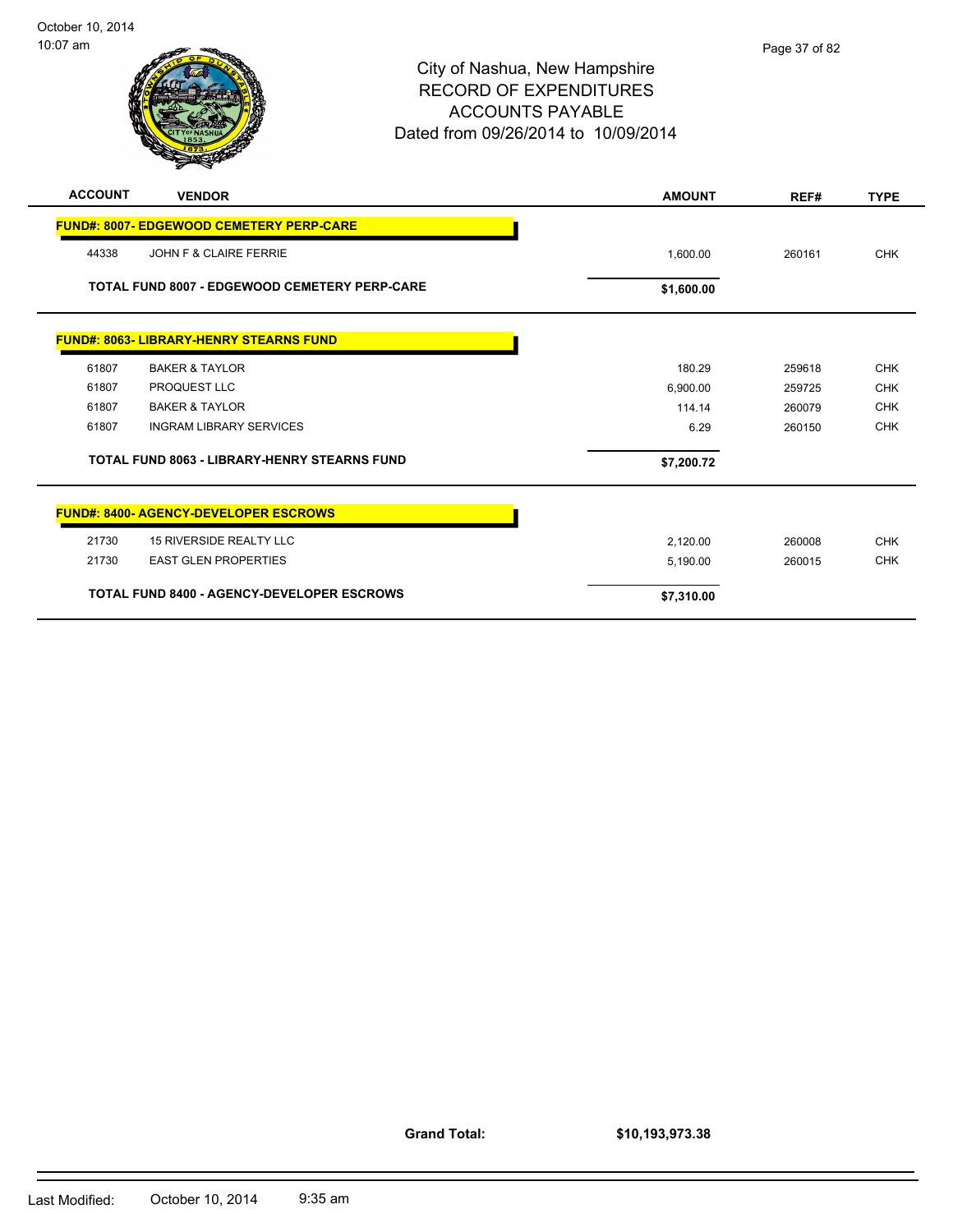| :07 am         |                                                 | City of Nashua, New Hampshire<br><b>RECORD OF EXPENDITURES</b><br><b>ACCOUNTS PAYABLE</b><br>Dated from 09/26/2014 to 10/09/2014 | Page 37 of 82 |             |
|----------------|-------------------------------------------------|----------------------------------------------------------------------------------------------------------------------------------|---------------|-------------|
| <b>ACCOUNT</b> | <b>VENDOR</b>                                   | <b>AMOUNT</b>                                                                                                                    | REF#          | <b>TYPE</b> |
|                | <b>FUND#: 8007- EDGEWOOD CEMETERY PERP-CARE</b> |                                                                                                                                  |               |             |
| 44338          | JOHN F & CLAIRE FERRIE                          | 1.600.00                                                                                                                         | 260161        | <b>CHK</b>  |

**TOTAL FUND 8007 - EDGEWOOD CEMETERY PERP-CARE \$1,600.00** \$1,600.00

|       | <b>FUND#: 8063- LIBRARY-HENRY STEARNS FUND</b>      |            |        |                          |
|-------|-----------------------------------------------------|------------|--------|--------------------------|
| 61807 | <b>BAKER &amp; TAYLOR</b>                           | 180.29     | 259618 | <b>CHK</b>               |
| 61807 | <b>PROQUEST LLC</b>                                 | 6,900.00   | 259725 | <b>CHK</b>               |
| 61807 | <b>BAKER &amp; TAYLOR</b>                           | 114.14     | 260079 | <b>CHK</b>               |
| 61807 | <b>INGRAM LIBRARY SERVICES</b>                      | 6.29       | 260150 | <b>CHK</b>               |
|       |                                                     |            |        |                          |
|       | <b>TOTAL FUND 8063 - LIBRARY-HENRY STEARNS FUND</b> | \$7,200.72 |        |                          |
|       | <b>FUND#: 8400- AGENCY-DEVELOPER ESCROWS</b>        |            |        |                          |
| 21730 | <b>15 RIVERSIDE REALTY LLC</b>                      | 2,120.00   | 260008 |                          |
| 21730 | <b>EAST GLEN PROPERTIES</b>                         | 5,190.00   | 260015 | <b>CHK</b><br><b>CHK</b> |

**Grand Total:**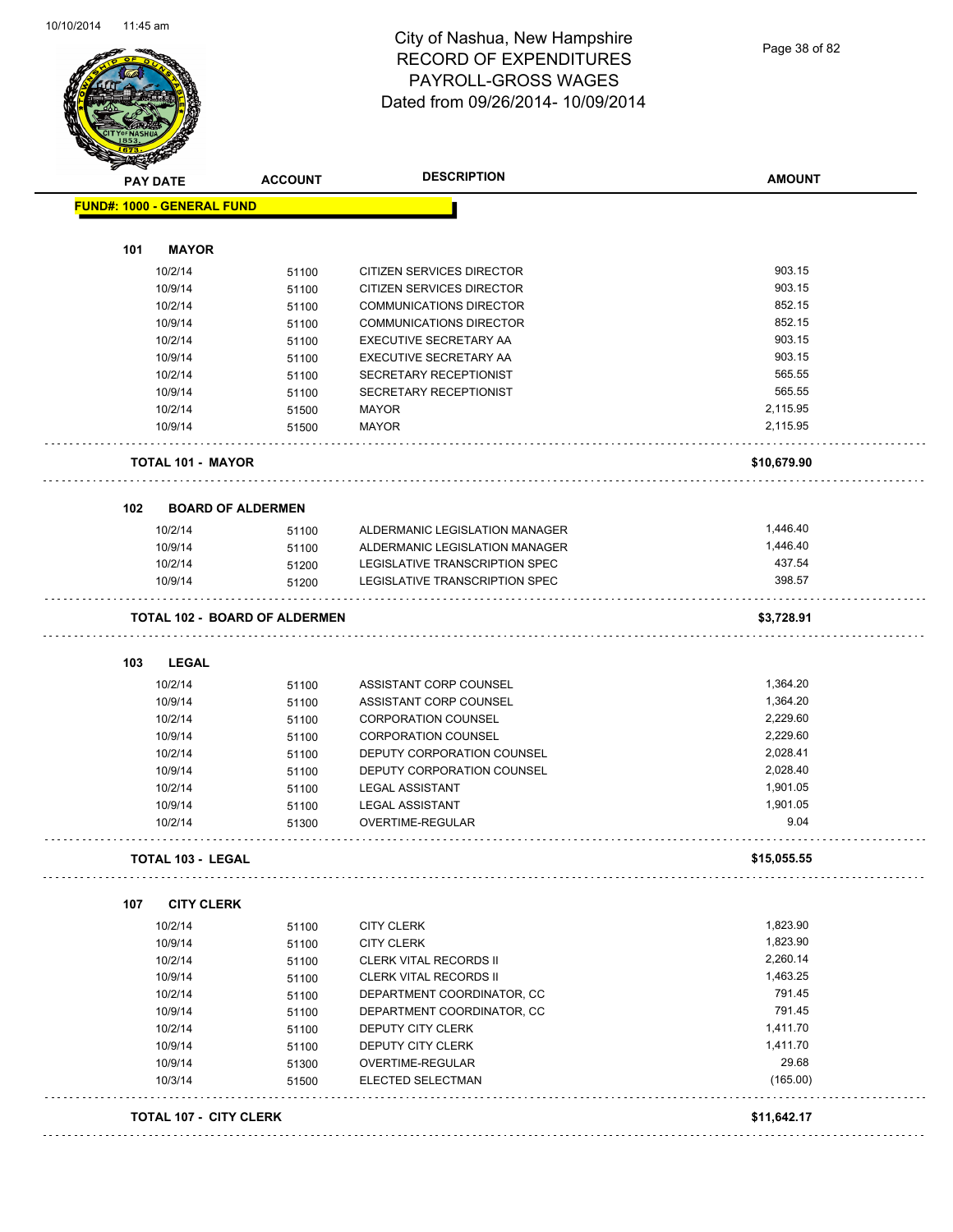

Page 38 of 82

|                                   | <b>ACCOUNT</b>                       | <b>DESCRIPTION</b>             | <b>AMOUNT</b> |
|-----------------------------------|--------------------------------------|--------------------------------|---------------|
| <b>FUND#: 1000 - GENERAL FUND</b> |                                      |                                |               |
|                                   |                                      |                                |               |
| 101<br><b>MAYOR</b>               |                                      |                                |               |
| 10/2/14                           | 51100                                | CITIZEN SERVICES DIRECTOR      | 903.15        |
| 10/9/14                           | 51100                                | CITIZEN SERVICES DIRECTOR      | 903.15        |
| 10/2/14                           | 51100                                | <b>COMMUNICATIONS DIRECTOR</b> | 852.15        |
| 10/9/14                           | 51100                                | <b>COMMUNICATIONS DIRECTOR</b> | 852.15        |
| 10/2/14                           | 51100                                | EXECUTIVE SECRETARY AA         | 903.15        |
| 10/9/14                           | 51100                                | EXECUTIVE SECRETARY AA         | 903.15        |
| 10/2/14                           | 51100                                | SECRETARY RECEPTIONIST         | 565.55        |
| 10/9/14                           | 51100                                | SECRETARY RECEPTIONIST         | 565.55        |
| 10/2/14                           | 51500                                | <b>MAYOR</b>                   | 2,115.95      |
| 10/9/14                           | 51500                                | <b>MAYOR</b>                   | 2,115.95      |
| TOTAL 101 - MAYOR                 |                                      |                                | \$10,679.90   |
| 102                               | <b>BOARD OF ALDERMEN</b>             |                                |               |
| 10/2/14                           | 51100                                | ALDERMANIC LEGISLATION MANAGER | 1,446.40      |
| 10/9/14                           | 51100                                | ALDERMANIC LEGISLATION MANAGER | 1,446.40      |
| 10/2/14                           | 51200                                | LEGISLATIVE TRANSCRIPTION SPEC | 437.54        |
| 10/9/14                           | 51200                                | LEGISLATIVE TRANSCRIPTION SPEC | 398.57        |
|                                   | <b>TOTAL 102 - BOARD OF ALDERMEN</b> |                                | \$3,728.91    |
|                                   |                                      |                                |               |
| 103<br>LEGAL                      |                                      |                                |               |
| 10/2/14                           | 51100                                | ASSISTANT CORP COUNSEL         | 1,364.20      |
| 10/9/14                           | 51100                                | ASSISTANT CORP COUNSEL         | 1,364.20      |
| 10/2/14                           | 51100                                | <b>CORPORATION COUNSEL</b>     | 2,229.60      |
| 10/9/14                           | 51100                                | <b>CORPORATION COUNSEL</b>     | 2,229.60      |
| 10/2/14                           | 51100                                | DEPUTY CORPORATION COUNSEL     | 2,028.41      |
| 10/9/14                           | 51100                                | DEPUTY CORPORATION COUNSEL     | 2,028.40      |
| 10/2/14                           | 51100                                | <b>LEGAL ASSISTANT</b>         | 1,901.05      |
| 10/9/14                           | 51100                                | <b>LEGAL ASSISTANT</b>         | 1,901.05      |
| 10/2/14                           | 51300                                | OVERTIME-REGULAR               | 9.04          |
| <b>TOTAL 103 - LEGAL</b>          |                                      |                                | \$15,055.55   |
| 107<br><b>CITY CLERK</b>          |                                      |                                |               |
| 10/2/14                           | 51100                                | <b>CITY CLERK</b>              | 1,823.90      |
| 10/9/14                           | 51100                                | <b>CITY CLERK</b>              | 1,823.90      |
| 10/2/14                           | 51100                                | <b>CLERK VITAL RECORDS II</b>  | 2,260.14      |
| 10/9/14                           | 51100                                | <b>CLERK VITAL RECORDS II</b>  | 1,463.25      |
| 10/2/14                           | 51100                                | DEPARTMENT COORDINATOR, CC     | 791.45        |
| 10/9/14                           | 51100                                | DEPARTMENT COORDINATOR, CC     | 791.45        |
|                                   | 51100                                | DEPUTY CITY CLERK              | 1,411.70      |
|                                   |                                      | DEPUTY CITY CLERK              | 1,411.70      |
| 10/2/14                           | 51100                                | OVERTIME-REGULAR               | 29.68         |
| 10/9/14                           |                                      |                                |               |
| 10/9/14                           | 51300                                |                                |               |
| 10/3/14                           | 51500                                | ELECTED SELECTMAN              | (165.00)      |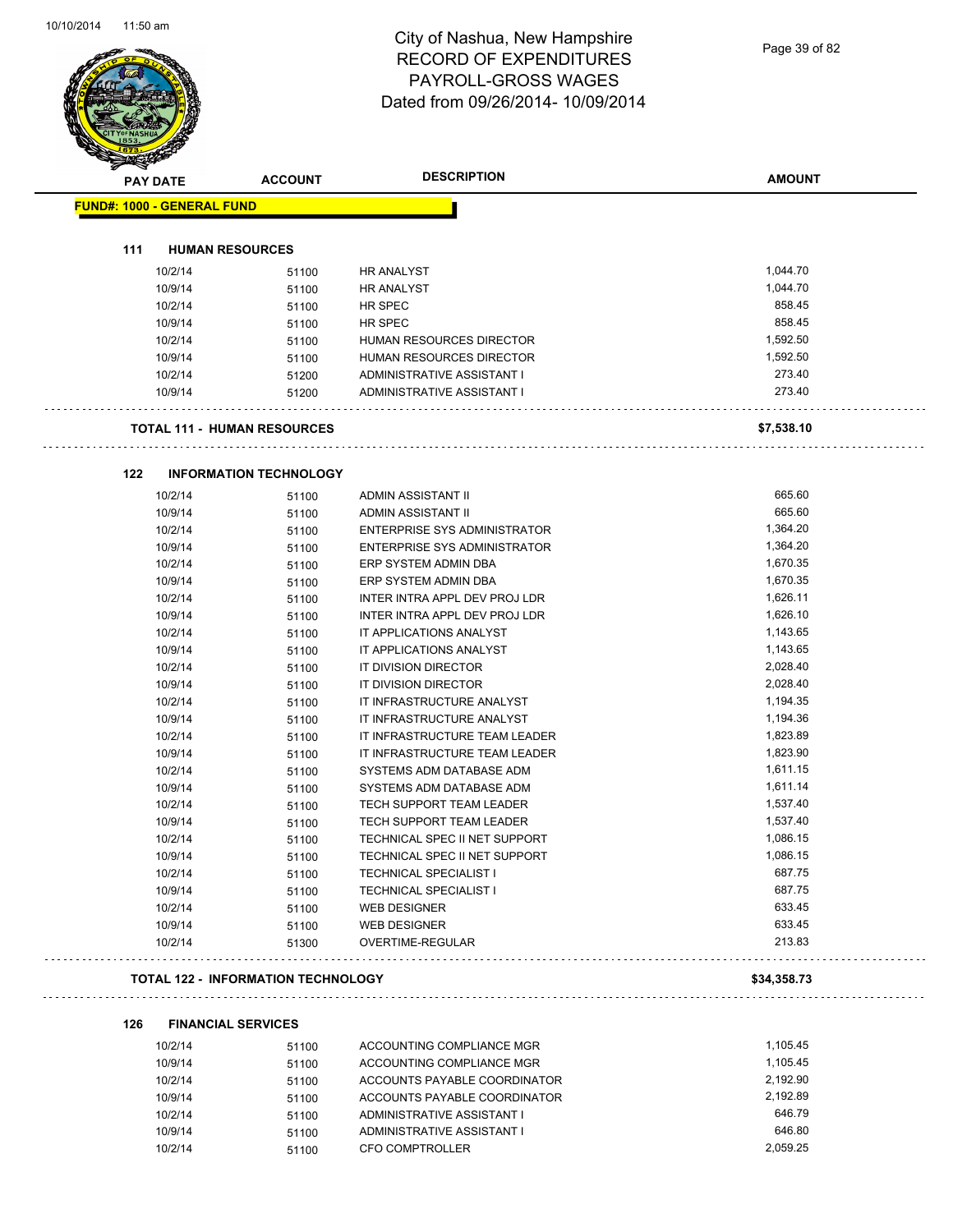Page 39 of 82

| <b>PAY DATE</b>                   | <b>ACCOUNT</b>                            | <b>DESCRIPTION</b>                                   | <b>AMOUNT</b>    |
|-----------------------------------|-------------------------------------------|------------------------------------------------------|------------------|
| <b>FUND#: 1000 - GENERAL FUND</b> |                                           |                                                      |                  |
|                                   |                                           |                                                      |                  |
| 111                               | <b>HUMAN RESOURCES</b>                    |                                                      |                  |
| 10/2/14                           | 51100                                     | <b>HR ANALYST</b>                                    | 1,044.70         |
| 10/9/14                           | 51100                                     | <b>HR ANALYST</b>                                    | 1,044.70         |
| 10/2/14                           | 51100                                     | HR SPEC                                              | 858.45<br>858.45 |
| 10/9/14                           | 51100                                     | HR SPEC                                              | 1,592.50         |
| 10/2/14<br>10/9/14                | 51100                                     | HUMAN RESOURCES DIRECTOR<br>HUMAN RESOURCES DIRECTOR | 1,592.50         |
| 10/2/14                           | 51100                                     | ADMINISTRATIVE ASSISTANT I                           | 273.40           |
| 10/9/14                           | 51200<br>51200                            | ADMINISTRATIVE ASSISTANT I                           | 273.40           |
|                                   |                                           |                                                      |                  |
|                                   | <b>TOTAL 111 - HUMAN RESOURCES</b>        |                                                      | \$7,538.10       |
| 122                               | <b>INFORMATION TECHNOLOGY</b>             |                                                      |                  |
| 10/2/14                           | 51100                                     | ADMIN ASSISTANT II                                   | 665.60           |
| 10/9/14                           | 51100                                     | ADMIN ASSISTANT II                                   | 665.60           |
| 10/2/14                           | 51100                                     | ENTERPRISE SYS ADMINISTRATOR                         | 1,364.20         |
| 10/9/14                           | 51100                                     | ENTERPRISE SYS ADMINISTRATOR                         | 1,364.20         |
| 10/2/14                           | 51100                                     | ERP SYSTEM ADMIN DBA                                 | 1,670.35         |
| 10/9/14                           | 51100                                     | ERP SYSTEM ADMIN DBA                                 | 1,670.35         |
| 10/2/14                           | 51100                                     | INTER INTRA APPL DEV PROJ LDR                        | 1,626.11         |
| 10/9/14                           | 51100                                     | INTER INTRA APPL DEV PROJ LDR                        | 1,626.10         |
| 10/2/14                           | 51100                                     | IT APPLICATIONS ANALYST                              | 1,143.65         |
| 10/9/14                           | 51100                                     | IT APPLICATIONS ANALYST                              | 1,143.65         |
| 10/2/14                           | 51100                                     | IT DIVISION DIRECTOR                                 | 2,028.40         |
| 10/9/14                           | 51100                                     | IT DIVISION DIRECTOR                                 | 2,028.40         |
| 10/2/14                           | 51100                                     | IT INFRASTRUCTURE ANALYST                            | 1,194.35         |
| 10/9/14                           | 51100                                     | IT INFRASTRUCTURE ANALYST                            | 1,194.36         |
| 10/2/14                           | 51100                                     | IT INFRASTRUCTURE TEAM LEADER                        | 1,823.89         |
| 10/9/14                           | 51100                                     | IT INFRASTRUCTURE TEAM LEADER                        | 1,823.90         |
| 10/2/14                           | 51100                                     | SYSTEMS ADM DATABASE ADM                             | 1,611.15         |
| 10/9/14                           | 51100                                     | SYSTEMS ADM DATABASE ADM                             | 1,611.14         |
| 10/2/14                           | 51100                                     | TECH SUPPORT TEAM LEADER                             | 1,537.40         |
| 10/9/14                           | 51100                                     | TECH SUPPORT TEAM LEADER                             | 1,537.40         |
| 10/2/14                           | 51100                                     | TECHNICAL SPEC II NET SUPPORT                        | 1,086.15         |
| 10/9/14                           | 51100                                     | TECHNICAL SPEC II NET SUPPORT                        | 1,086.15         |
| 10/2/14                           | 51100                                     | TECHNICAL SPECIALIST I                               | 687.75           |
| 10/9/14                           | 51100                                     | <b>TECHNICAL SPECIALIST I</b>                        | 687.75           |
| 10/2/14                           | 51100                                     | <b>WEB DESIGNER</b>                                  | 633.45           |
| 10/9/14<br>10/2/14                | 51100<br>51300                            | <b>WEB DESIGNER</b><br>OVERTIME-REGULAR              | 633.45<br>213.83 |
|                                   |                                           |                                                      |                  |
|                                   | <b>TOTAL 122 - INFORMATION TECHNOLOGY</b> |                                                      | \$34,358.73      |
| 126                               | <b>FINANCIAL SERVICES</b>                 |                                                      |                  |
| 10/2/14                           | 51100                                     | ACCOUNTING COMPLIANCE MGR                            | 1,105.45         |
| 10/9/14                           | 51100                                     | ACCOUNTING COMPLIANCE MGR                            | 1,105.45         |
| 10/2/14                           | 51100                                     | ACCOUNTS PAYABLE COORDINATOR                         | 2,192.90         |
| 10/9/14                           | 51100                                     | ACCOUNTS PAYABLE COORDINATOR                         | 2,192.89         |
| 10/2/14                           | 51100                                     | ADMINISTRATIVE ASSISTANT I                           | 646.79           |
| 10/9/14                           | 51100                                     | ADMINISTRATIVE ASSISTANT I                           | 646.80           |

10/2/14 51100 CFO COMPTROLLER 2,059.25

10/9/14 51100 ADMINISTRATIVE ASSISTANT I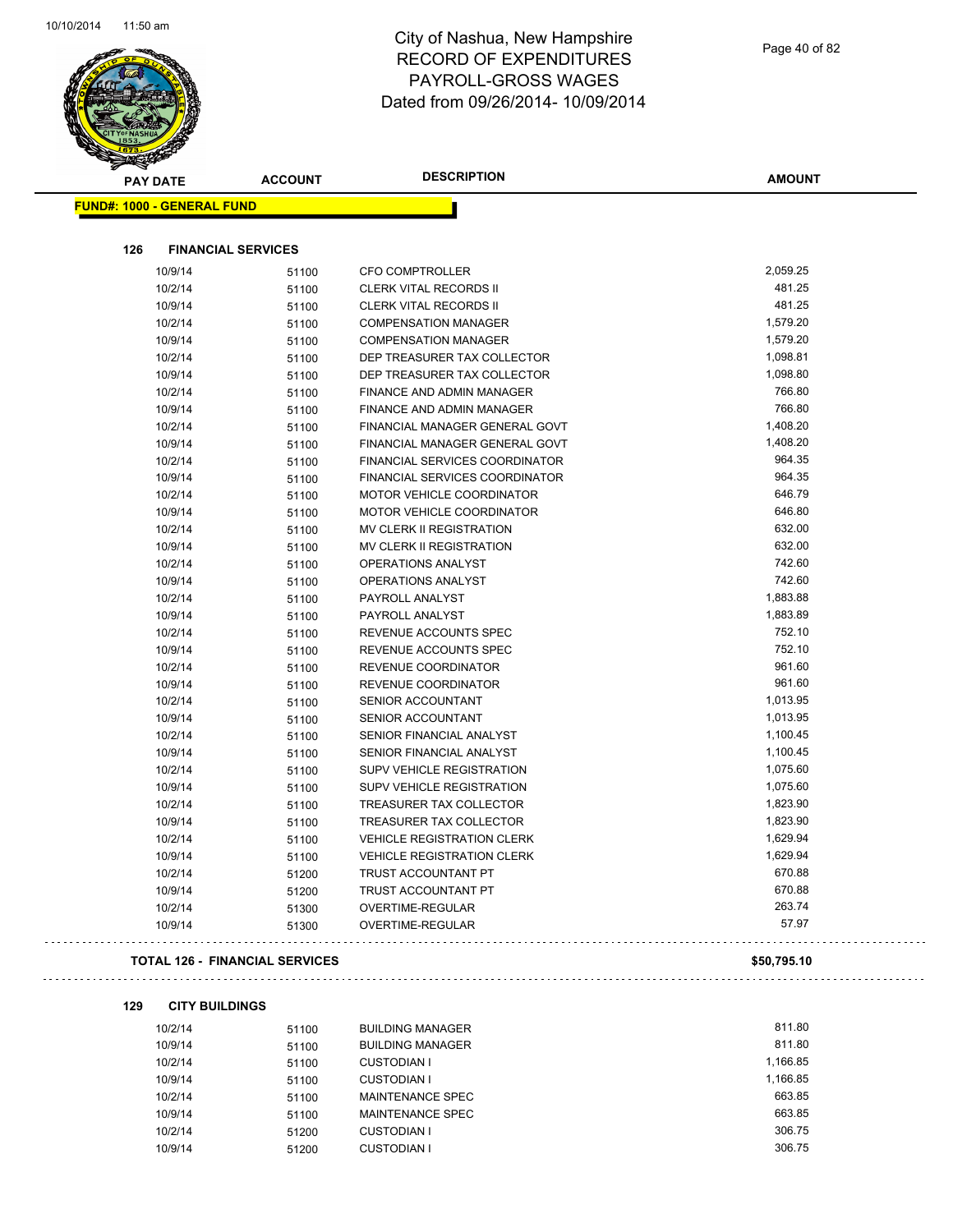

Page 40 of 82

. .

| <b>Andri</b>                      |                                       |                                   |               |
|-----------------------------------|---------------------------------------|-----------------------------------|---------------|
| <b>PAY DATE</b>                   | <b>ACCOUNT</b>                        | <b>DESCRIPTION</b>                | <b>AMOUNT</b> |
| <b>FUND#: 1000 - GENERAL FUND</b> |                                       |                                   |               |
|                                   |                                       |                                   |               |
| 126                               | <b>FINANCIAL SERVICES</b>             |                                   |               |
| 10/9/14                           | 51100                                 | <b>CFO COMPTROLLER</b>            | 2,059.25      |
| 10/2/14                           | 51100                                 | <b>CLERK VITAL RECORDS II</b>     | 481.25        |
| 10/9/14                           | 51100                                 | <b>CLERK VITAL RECORDS II</b>     | 481.25        |
| 10/2/14                           | 51100                                 | <b>COMPENSATION MANAGER</b>       | 1,579.20      |
| 10/9/14                           | 51100                                 | <b>COMPENSATION MANAGER</b>       | 1,579.20      |
| 10/2/14                           | 51100                                 | DEP TREASURER TAX COLLECTOR       | 1,098.81      |
| 10/9/14                           | 51100                                 | DEP TREASURER TAX COLLECTOR       | 1,098.80      |
| 10/2/14                           | 51100                                 | FINANCE AND ADMIN MANAGER         | 766.80        |
| 10/9/14                           | 51100                                 | FINANCE AND ADMIN MANAGER         | 766.80        |
| 10/2/14                           | 51100                                 | FINANCIAL MANAGER GENERAL GOVT    | 1,408.20      |
| 10/9/14                           | 51100                                 | FINANCIAL MANAGER GENERAL GOVT    | 1,408.20      |
| 10/2/14                           | 51100                                 | FINANCIAL SERVICES COORDINATOR    | 964.35        |
| 10/9/14                           | 51100                                 | FINANCIAL SERVICES COORDINATOR    | 964.35        |
| 10/2/14                           | 51100                                 | MOTOR VEHICLE COORDINATOR         | 646.79        |
| 10/9/14                           | 51100                                 | MOTOR VEHICLE COORDINATOR         | 646.80        |
| 10/2/14                           | 51100                                 | MV CLERK II REGISTRATION          | 632.00        |
| 10/9/14                           | 51100                                 | MV CLERK II REGISTRATION          | 632.00        |
| 10/2/14                           | 51100                                 | OPERATIONS ANALYST                | 742.60        |
| 10/9/14                           | 51100                                 | OPERATIONS ANALYST                | 742.60        |
| 10/2/14                           | 51100                                 | PAYROLL ANALYST                   | 1,883.88      |
| 10/9/14                           | 51100                                 | PAYROLL ANALYST                   | 1,883.89      |
| 10/2/14                           | 51100                                 | REVENUE ACCOUNTS SPEC             | 752.10        |
| 10/9/14                           | 51100                                 | REVENUE ACCOUNTS SPEC             | 752.10        |
| 10/2/14                           | 51100                                 | REVENUE COORDINATOR               | 961.60        |
| 10/9/14                           | 51100                                 | REVENUE COORDINATOR               | 961.60        |
| 10/2/14                           | 51100                                 | <b>SENIOR ACCOUNTANT</b>          | 1,013.95      |
| 10/9/14                           | 51100                                 | <b>SENIOR ACCOUNTANT</b>          | 1,013.95      |
| 10/2/14                           | 51100                                 | SENIOR FINANCIAL ANALYST          | 1,100.45      |
| 10/9/14                           | 51100                                 | SENIOR FINANCIAL ANALYST          | 1,100.45      |
| 10/2/14                           | 51100                                 | <b>SUPV VEHICLE REGISTRATION</b>  | 1,075.60      |
| 10/9/14                           | 51100                                 | <b>SUPV VEHICLE REGISTRATION</b>  | 1,075.60      |
| 10/2/14                           | 51100                                 | TREASURER TAX COLLECTOR           | 1,823.90      |
| 10/9/14                           | 51100                                 | TREASURER TAX COLLECTOR           | 1,823.90      |
| 10/2/14                           | 51100                                 | <b>VEHICLE REGISTRATION CLERK</b> | 1,629.94      |
| 10/9/14                           | 51100                                 | VEHICLE REGISTRATION CLERK        | 1,629.94      |
| 10/2/14                           | 51200                                 | TRUST ACCOUNTANT PT               | 670.88        |
| 10/9/14                           | 51200                                 | TRUST ACCOUNTANT PT               | 670.88        |
| 10/2/14                           | 51300                                 | OVERTIME-REGULAR                  | 263.74        |
| 10/9/14                           | 51300                                 | OVERTIME-REGULAR                  | 57.97         |
|                                   | <b>TOTAL 126 - FINANCIAL SERVICES</b> |                                   | \$50,795.10   |
| 129<br><b>CITY BUILDINGS</b>      |                                       |                                   |               |
| 10/2/14                           | 51100                                 | <b>BUILDING MANAGER</b>           | 811.80        |
|                                   |                                       |                                   | 0.440         |

| 10/2/14 | 51100 | <b>BUILDING MANAGER</b> | 811.80   |
|---------|-------|-------------------------|----------|
| 10/9/14 | 51100 | <b>BUILDING MANAGER</b> | 811.80   |
| 10/2/14 | 51100 | <b>CUSTODIAN I</b>      | 1.166.85 |
| 10/9/14 | 51100 | <b>CUSTODIAN I</b>      | 1.166.85 |
| 10/2/14 | 51100 | MAINTENANCE SPEC        | 663.85   |
| 10/9/14 | 51100 | MAINTENANCE SPEC        | 663.85   |
| 10/2/14 | 51200 | CUSTODIAN I             | 306.75   |
| 10/9/14 | 51200 | CUSTODIAN I             | 306.75   |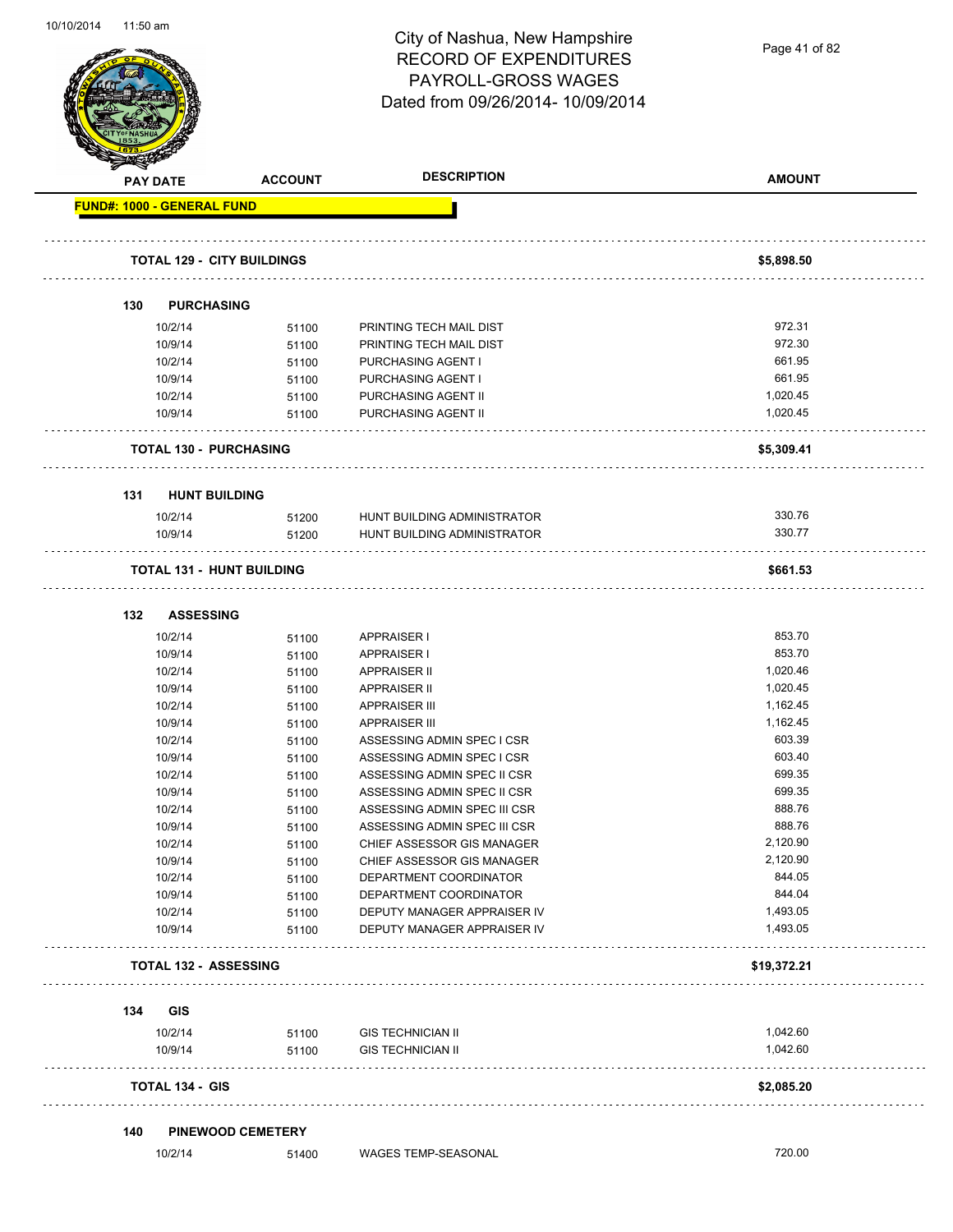Page 41 of 82

|     | <b>PAY DATE</b>                   | <b>ACCOUNT</b>                    | <b>DESCRIPTION</b>                                         | <b>AMOUNT</b>        |
|-----|-----------------------------------|-----------------------------------|------------------------------------------------------------|----------------------|
|     | <b>FUND#: 1000 - GENERAL FUND</b> |                                   |                                                            |                      |
|     |                                   | <b>TOTAL 129 - CITY BUILDINGS</b> |                                                            | \$5,898.50           |
|     |                                   |                                   |                                                            |                      |
| 130 |                                   | <b>PURCHASING</b>                 |                                                            |                      |
|     | 10/2/14                           |                                   | PRINTING TECH MAIL DIST                                    | 972.31               |
|     | 10/9/14                           | 51100<br>51100                    | PRINTING TECH MAIL DIST                                    | 972.30               |
|     | 10/2/14                           |                                   | PURCHASING AGENT I                                         | 661.95               |
|     | 10/9/14                           | 51100<br>51100                    | PURCHASING AGENT I                                         | 661.95               |
|     | 10/2/14                           | 51100                             | PURCHASING AGENT II                                        | 1,020.45             |
|     | 10/9/14                           | 51100                             | PURCHASING AGENT II                                        | 1,020.45             |
|     |                                   | <b>TOTAL 130 - PURCHASING</b>     |                                                            | \$5,309.41           |
|     |                                   |                                   |                                                            |                      |
| 131 |                                   | <b>HUNT BUILDING</b>              |                                                            | 330.76               |
|     | 10/2/14<br>10/9/14                | 51200<br>51200                    | HUNT BUILDING ADMINISTRATOR<br>HUNT BUILDING ADMINISTRATOR | 330.77               |
|     |                                   |                                   |                                                            |                      |
|     |                                   | <b>TOTAL 131 - HUNT BUILDING</b>  |                                                            | \$661.53             |
| 132 |                                   | <b>ASSESSING</b>                  |                                                            |                      |
|     | 10/2/14                           | 51100                             | APPRAISER I                                                | 853.70               |
|     | 10/9/14                           | 51100                             | APPRAISER I                                                | 853.70               |
|     | 10/2/14                           | 51100                             | <b>APPRAISER II</b>                                        | 1,020.46             |
|     | 10/9/14                           | 51100                             | <b>APPRAISER II</b>                                        | 1,020.45             |
|     | 10/2/14                           | 51100                             | <b>APPRAISER III</b>                                       | 1,162.45             |
|     | 10/9/14                           | 51100                             | <b>APPRAISER III</b>                                       | 1,162.45             |
|     | 10/2/14                           | 51100                             | ASSESSING ADMIN SPEC I CSR                                 | 603.39               |
|     | 10/9/14                           | 51100                             | ASSESSING ADMIN SPEC I CSR                                 | 603.40               |
|     | 10/2/14                           | 51100                             | ASSESSING ADMIN SPEC II CSR                                | 699.35               |
|     | 10/9/14                           | 51100                             | ASSESSING ADMIN SPEC II CSR                                | 699.35               |
|     | 10/2/14                           | 51100                             | ASSESSING ADMIN SPEC III CSR                               | 888.76               |
|     | 10/9/14                           | 51100                             | ASSESSING ADMIN SPEC III CSR                               | 888.76               |
|     | 10/2/14                           | 51100                             | CHIEF ASSESSOR GIS MANAGER                                 | 2,120.90             |
|     | 10/9/14                           | 51100                             | CHIEF ASSESSOR GIS MANAGER                                 | 2,120.90             |
|     | 10/2/14                           | 51100                             | DEPARTMENT COORDINATOR                                     | 844.05               |
|     | 10/9/14                           | 51100                             | DEPARTMENT COORDINATOR                                     | 844.04               |
|     | 10/2/14<br>10/9/14                | 51100<br>51100                    | DEPUTY MANAGER APPRAISER IV<br>DEPUTY MANAGER APPRAISER IV | 1,493.05<br>1,493.05 |
|     |                                   | <b>TOTAL 132 - ASSESSING</b>      |                                                            | \$19,372.21          |
|     |                                   |                                   |                                                            |                      |
| 134 | GIS                               |                                   |                                                            |                      |
|     | 10/2/14                           | 51100                             | <b>GIS TECHNICIAN II</b>                                   | 1,042.60             |
|     | 10/9/14                           | 51100                             | <b>GIS TECHNICIAN II</b>                                   | 1,042.60             |
|     | <b>TOTAL 134 - GIS</b>            |                                   |                                                            | \$2,085.20           |
| 140 |                                   | <b>PINEWOOD CEMETERY</b>          |                                                            |                      |
|     | 10/2/14                           | 51400                             | WAGES TEMP-SEASONAL                                        | 720.00               |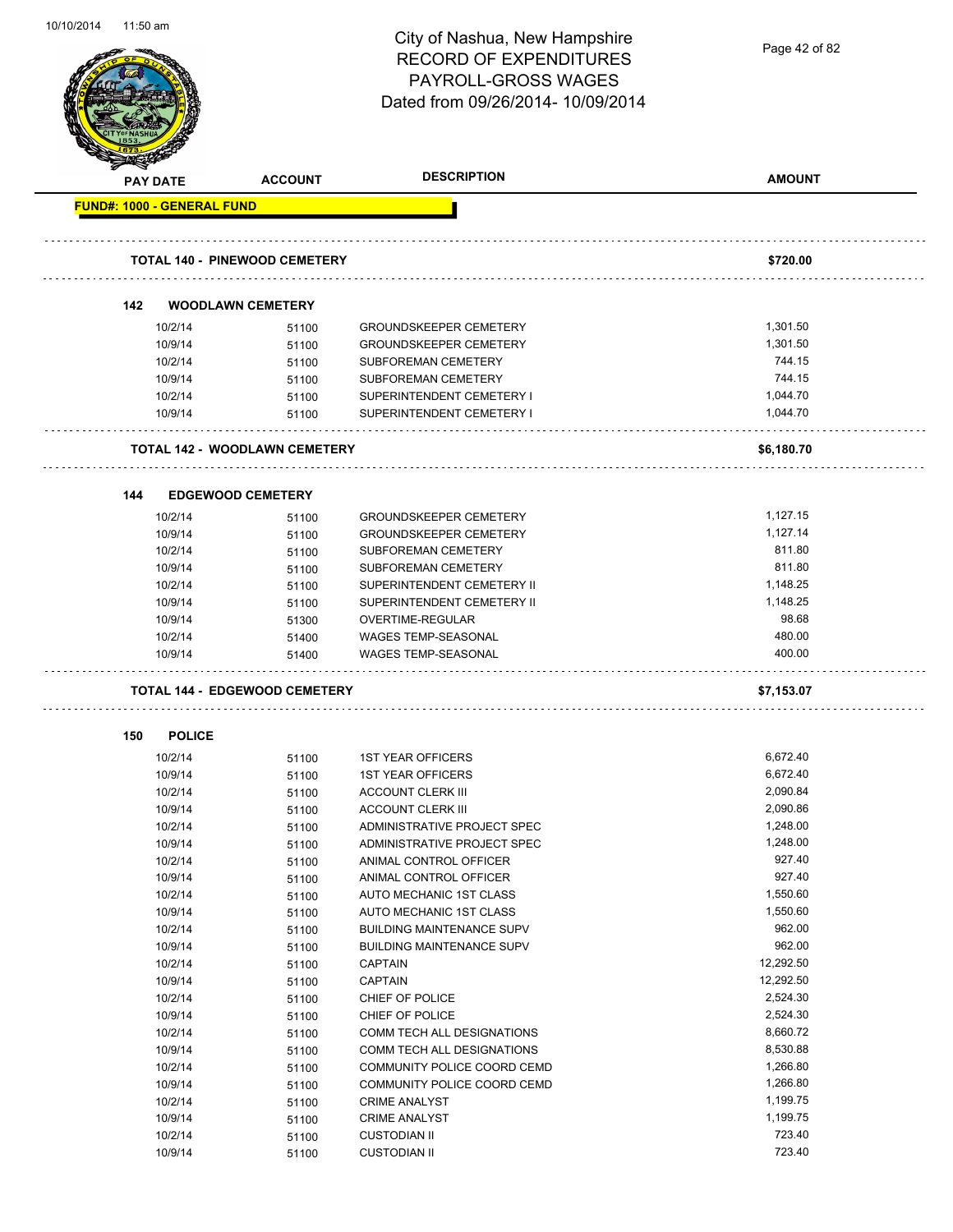| 10/10/2014 | 11:50 am |                    |                                      | City of Nashua, New Hampshire<br><b>RECORD OF EXPENDITURES</b><br><b>PAYROLL-GROSS WAGES</b><br>Dated from 09/26/2014- 10/09/2014 | Page 42 of 82        |
|------------|----------|--------------------|--------------------------------------|-----------------------------------------------------------------------------------------------------------------------------------|----------------------|
|            |          | PAY DATE           | <b>ACCOUNT</b>                       | <b>DESCRIPTION</b>                                                                                                                | <b>AMOUNT</b>        |
|            |          |                    | <b>FUND#: 1000 - GENERAL FUND</b>    |                                                                                                                                   |                      |
|            |          |                    |                                      |                                                                                                                                   |                      |
|            |          |                    | <b>TOTAL 140 - PINEWOOD CEMETERY</b> |                                                                                                                                   | \$720.00             |
|            | 142      |                    | <b>WOODLAWN CEMETERY</b>             |                                                                                                                                   |                      |
|            |          | 10/2/14            |                                      | <b>GROUNDSKEEPER CEMETERY</b>                                                                                                     | 1,301.50             |
|            |          | 10/9/14            | 51100<br>51100                       | <b>GROUNDSKEEPER CEMETERY</b>                                                                                                     | 1,301.50             |
|            |          | 10/2/14            | 51100                                | SUBFOREMAN CEMETERY                                                                                                               | 744.15               |
|            |          | 10/9/14            | 51100                                | SUBFOREMAN CEMETERY                                                                                                               | 744.15               |
|            |          | 10/2/14            |                                      | SUPERINTENDENT CEMETERY I                                                                                                         | 1,044.70             |
|            |          | 10/9/14            | 51100                                | SUPERINTENDENT CEMETERY I                                                                                                         | 1,044.70             |
|            |          |                    | 51100                                |                                                                                                                                   |                      |
|            |          |                    | <b>TOTAL 142 - WOODLAWN CEMETERY</b> |                                                                                                                                   | \$6,180.70           |
|            | 144      |                    | <b>EDGEWOOD CEMETERY</b>             |                                                                                                                                   |                      |
|            |          |                    |                                      |                                                                                                                                   |                      |
|            |          | 10/2/14            | 51100                                | <b>GROUNDSKEEPER CEMETERY</b>                                                                                                     | 1,127.15             |
|            |          | 10/9/14            | 51100                                | <b>GROUNDSKEEPER CEMETERY</b>                                                                                                     | 1,127.14             |
|            |          | 10/2/14            | 51100                                | SUBFOREMAN CEMETERY                                                                                                               | 811.80               |
|            |          | 10/9/14            | 51100                                | SUBFOREMAN CEMETERY                                                                                                               | 811.80               |
|            |          | 10/2/14            | 51100                                | SUPERINTENDENT CEMETERY II                                                                                                        | 1,148.25             |
|            |          | 10/9/14            | 51100                                | SUPERINTENDENT CEMETERY II                                                                                                        | 1,148.25             |
|            |          | 10/9/14            | 51300                                | OVERTIME-REGULAR                                                                                                                  | 98.68                |
|            |          | 10/2/14            | 51400                                | <b>WAGES TEMP-SEASONAL</b>                                                                                                        | 480.00               |
|            |          | 10/9/14            | 51400                                | <b>WAGES TEMP-SEASONAL</b>                                                                                                        | 400.00               |
|            |          |                    | <b>TOTAL 144 - EDGEWOOD CEMETERY</b> |                                                                                                                                   | \$7,153.07           |
|            | 150      | <b>POLICE</b>      |                                      |                                                                                                                                   |                      |
|            |          |                    |                                      |                                                                                                                                   |                      |
|            |          | 10/2/14<br>10/9/14 | 51100                                | <b>1ST YEAR OFFICERS</b><br><b>1ST YEAR OFFICERS</b>                                                                              | 6,672.40<br>6,672.40 |
|            |          |                    | 51100                                |                                                                                                                                   | 2,090.84             |
|            |          | 10/2/14<br>10/9/14 | 51100                                | <b>ACCOUNT CLERK III</b><br><b>ACCOUNT CLERK III</b>                                                                              | 2,090.86             |
|            |          | 10/2/14            | 51100                                | ADMINISTRATIVE PROJECT SPEC                                                                                                       | 1,248.00             |
|            |          | 10/9/14            | 51100<br>51100                       | ADMINISTRATIVE PROJECT SPEC                                                                                                       | 1,248.00             |
|            |          | 10/2/14            | 51100                                | ANIMAL CONTROL OFFICER                                                                                                            | 927.40               |
|            |          | 10/9/14            | 51100                                | ANIMAL CONTROL OFFICER                                                                                                            | 927.40               |
|            |          | 10/2/14            | 51100                                | AUTO MECHANIC 1ST CLASS                                                                                                           | 1,550.60             |
|            |          | 10/9/14            | 51100                                | AUTO MECHANIC 1ST CLASS                                                                                                           | 1,550.60             |
|            |          | 10/2/14            | 51100                                | <b>BUILDING MAINTENANCE SUPV</b>                                                                                                  | 962.00               |
|            |          | 10/9/14            | 51100                                | <b>BUILDING MAINTENANCE SUPV</b>                                                                                                  | 962.00               |
|            |          | 10/2/14            | 51100                                | <b>CAPTAIN</b>                                                                                                                    | 12,292.50            |
|            |          | 10/9/14            | 51100                                | <b>CAPTAIN</b>                                                                                                                    | 12,292.50            |
|            |          | 10/2/14            | 51100                                | CHIEF OF POLICE                                                                                                                   | 2,524.30             |
|            |          | 10/9/14            | 51100                                | CHIEF OF POLICE                                                                                                                   | 2,524.30             |
|            |          | 10/2/14            | 51100                                | COMM TECH ALL DESIGNATIONS                                                                                                        | 8,660.72             |
|            |          | 10/9/14            | 51100                                | COMM TECH ALL DESIGNATIONS                                                                                                        | 8,530.88             |
|            |          | 10/2/14            | 51100                                | COMMUNITY POLICE COORD CEMD                                                                                                       | 1,266.80             |
|            |          | 10/9/14            | 51100                                | COMMUNITY POLICE COORD CEMD                                                                                                       | 1,266.80             |
|            |          | 10/2/14            | 51100                                | <b>CRIME ANALYST</b>                                                                                                              | 1,199.75             |
|            |          | 10/9/14            | 51100                                | <b>CRIME ANALYST</b>                                                                                                              | 1,199.75             |
|            |          | 10/2/14            | 51100                                | <b>CUSTODIAN II</b>                                                                                                               | 723.40               |

10/9/14 51100 CUSTODIAN II 723.40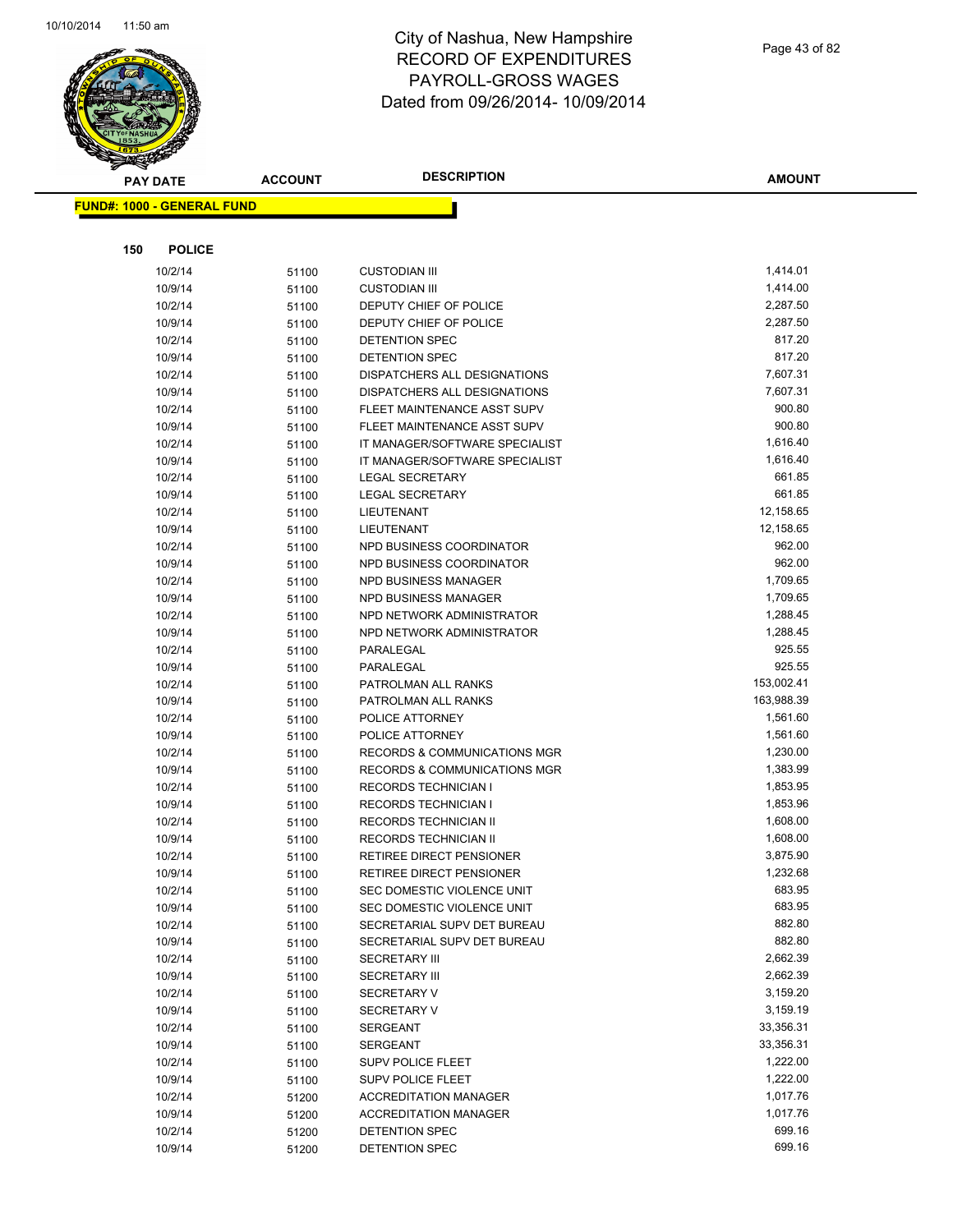

Page 43 of 82

| <b>PAY DATE</b>                   | <b>ACCOUNT</b> | <b>DESCRIPTION</b>                 | <b>AMOUNT</b>          |
|-----------------------------------|----------------|------------------------------------|------------------------|
| <b>FUND#: 1000 - GENERAL FUND</b> |                |                                    |                        |
|                                   |                |                                    |                        |
|                                   |                |                                    |                        |
| 150<br><b>POLICE</b>              |                |                                    |                        |
| 10/2/14                           | 51100          | <b>CUSTODIAN III</b>               | 1,414.01               |
| 10/9/14                           | 51100          | <b>CUSTODIAN III</b>               | 1,414.00               |
| 10/2/14                           | 51100          | DEPUTY CHIEF OF POLICE             | 2,287.50               |
| 10/9/14                           | 51100          | DEPUTY CHIEF OF POLICE             | 2,287.50               |
| 10/2/14                           | 51100          | DETENTION SPEC                     | 817.20                 |
| 10/9/14                           | 51100          | DETENTION SPEC                     | 817.20                 |
| 10/2/14                           | 51100          | DISPATCHERS ALL DESIGNATIONS       | 7,607.31               |
| 10/9/14                           | 51100          | DISPATCHERS ALL DESIGNATIONS       | 7,607.31               |
| 10/2/14                           | 51100          | FLEET MAINTENANCE ASST SUPV        | 900.80                 |
| 10/9/14                           | 51100          | FLEET MAINTENANCE ASST SUPV        | 900.80                 |
| 10/2/14                           | 51100          | IT MANAGER/SOFTWARE SPECIALIST     | 1,616.40               |
| 10/9/14                           | 51100          | IT MANAGER/SOFTWARE SPECIALIST     | 1,616.40               |
| 10/2/14                           | 51100          | <b>LEGAL SECRETARY</b>             | 661.85                 |
| 10/9/14                           | 51100          | <b>LEGAL SECRETARY</b>             | 661.85                 |
| 10/2/14                           | 51100          | LIEUTENANT                         | 12,158.65              |
| 10/9/14                           | 51100          | <b>LIEUTENANT</b>                  | 12,158.65              |
| 10/2/14                           | 51100          | NPD BUSINESS COORDINATOR           | 962.00                 |
| 10/9/14                           | 51100          | NPD BUSINESS COORDINATOR           | 962.00                 |
| 10/2/14                           | 51100          | NPD BUSINESS MANAGER               | 1,709.65               |
| 10/9/14                           | 51100          | <b>NPD BUSINESS MANAGER</b>        | 1,709.65               |
| 10/2/14                           | 51100          | NPD NETWORK ADMINISTRATOR          | 1,288.45               |
| 10/9/14                           | 51100          | NPD NETWORK ADMINISTRATOR          | 1,288.45               |
| 10/2/14                           | 51100          | PARALEGAL                          | 925.55                 |
| 10/9/14                           | 51100          | PARALEGAL                          | 925.55                 |
| 10/2/14                           | 51100          | PATROLMAN ALL RANKS                | 153,002.41             |
| 10/9/14                           | 51100          | PATROLMAN ALL RANKS                | 163,988.39<br>1,561.60 |
| 10/2/14<br>10/9/14                | 51100          | POLICE ATTORNEY<br>POLICE ATTORNEY | 1,561.60               |
| 10/2/14                           | 51100          | RECORDS & COMMUNICATIONS MGR       | 1,230.00               |
| 10/9/14                           | 51100          | RECORDS & COMMUNICATIONS MGR       | 1,383.99               |
| 10/2/14                           | 51100<br>51100 | <b>RECORDS TECHNICIAN I</b>        | 1,853.95               |
| 10/9/14                           |                | <b>RECORDS TECHNICIAN I</b>        | 1,853.96               |
| 10/2/14                           | 51100<br>51100 | RECORDS TECHNICIAN II              | 1,608.00               |
| 10/9/14                           | 51100          | <b>RECORDS TECHNICIAN II</b>       | 1,608.00               |
| 10/2/14                           | 51100          | RETIREE DIRECT PENSIONER           | 3,875.90               |
| 10/9/14                           | 51100          | RETIREE DIRECT PENSIONER           | 1,232.68               |
| 10/2/14                           | 51100          | SEC DOMESTIC VIOLENCE UNIT         | 683.95                 |
| 10/9/14                           | 51100          | SEC DOMESTIC VIOLENCE UNIT         | 683.95                 |
| 10/2/14                           | 51100          | SECRETARIAL SUPV DET BUREAU        | 882.80                 |
| 10/9/14                           | 51100          | SECRETARIAL SUPV DET BUREAU        | 882.80                 |
| 10/2/14                           | 51100          | <b>SECRETARY III</b>               | 2,662.39               |
| 10/9/14                           | 51100          | <b>SECRETARY III</b>               | 2,662.39               |
| 10/2/14                           | 51100          | <b>SECRETARY V</b>                 | 3,159.20               |
| 10/9/14                           | 51100          | <b>SECRETARY V</b>                 | 3,159.19               |
| 10/2/14                           | 51100          | <b>SERGEANT</b>                    | 33,356.31              |
| 10/9/14                           | 51100          | <b>SERGEANT</b>                    | 33,356.31              |
| 10/2/14                           | 51100          | <b>SUPV POLICE FLEET</b>           | 1,222.00               |
| 10/9/14                           | 51100          | <b>SUPV POLICE FLEET</b>           | 1,222.00               |
| 10/2/14                           | 51200          | <b>ACCREDITATION MANAGER</b>       | 1,017.76               |
| 10/9/14                           | 51200          | <b>ACCREDITATION MANAGER</b>       | 1,017.76               |
| 10/2/14                           | 51200          | DETENTION SPEC                     | 699.16                 |
| 10/9/14                           | 51200          | DETENTION SPEC                     | 699.16                 |
|                                   |                |                                    |                        |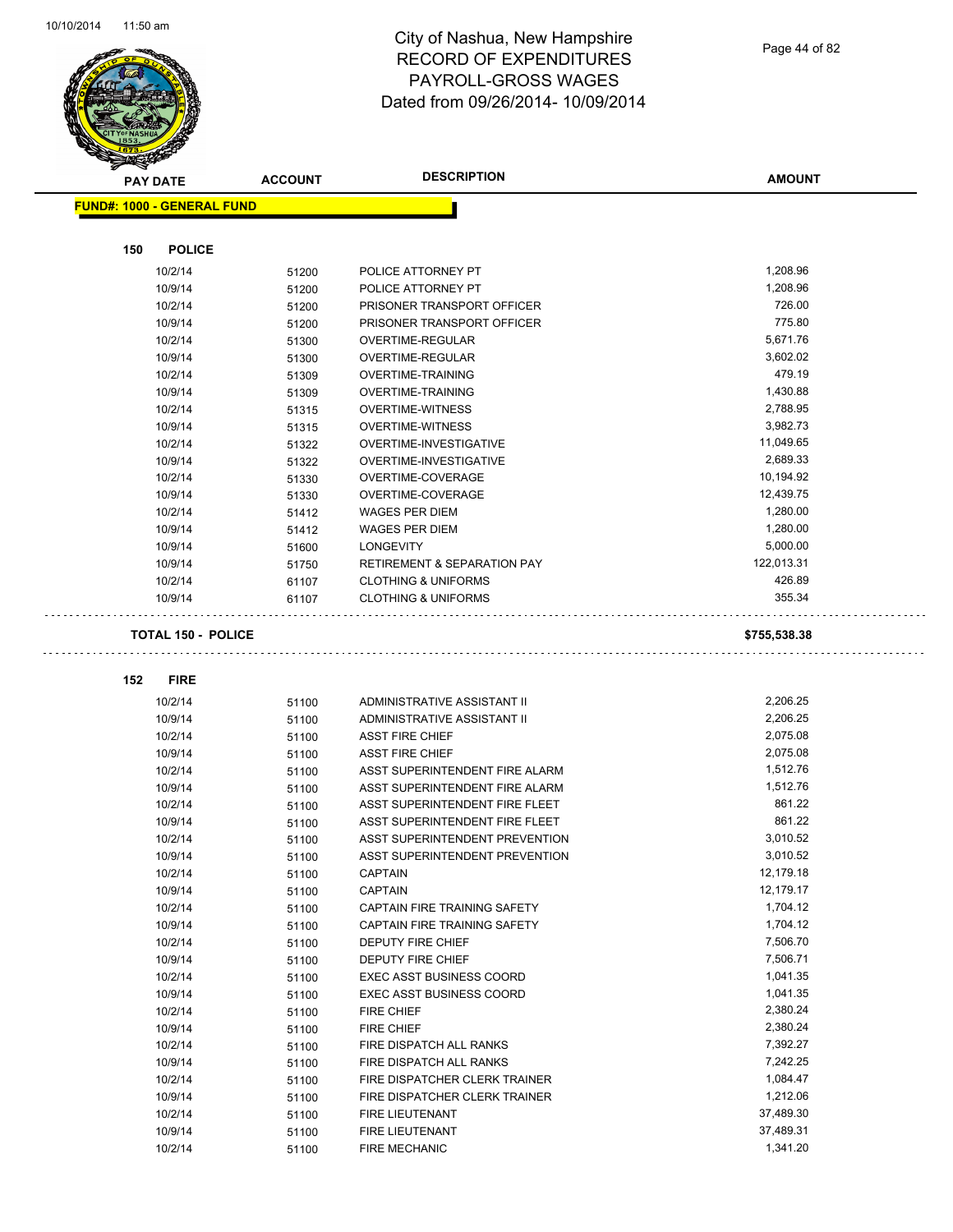$\bar{\mathbb{Z}}$  .

 $\Box$ 



## City of Nashua, New Hampshire RECORD OF EXPENDITURES PAYROLL-GROSS WAGES Dated from 09/26/2014- 10/09/2014

Page 44 of 82

|     | <b>PAY DATE</b>                   | <b>ACCOUNT</b> | <b>DESCRIPTION</b>                     | <b>AMOUNT</b> |
|-----|-----------------------------------|----------------|----------------------------------------|---------------|
|     | <b>FUND#: 1000 - GENERAL FUND</b> |                |                                        |               |
|     |                                   |                |                                        |               |
| 150 | <b>POLICE</b>                     |                |                                        |               |
|     | 10/2/14                           | 51200          | POLICE ATTORNEY PT                     | 1,208.96      |
|     | 10/9/14                           | 51200          | POLICE ATTORNEY PT                     | 1,208.96      |
|     | 10/2/14                           | 51200          | PRISONER TRANSPORT OFFICER             | 726.00        |
|     | 10/9/14                           | 51200          | PRISONER TRANSPORT OFFICER             | 775.80        |
|     | 10/2/14                           | 51300          | <b>OVERTIME-REGULAR</b>                | 5,671.76      |
|     | 10/9/14                           | 51300          | OVERTIME-REGULAR                       | 3,602.02      |
|     | 10/2/14                           | 51309          | OVERTIME-TRAINING                      | 479.19        |
|     | 10/9/14                           | 51309          | OVERTIME-TRAINING                      | 1,430.88      |
|     | 10/2/14                           | 51315          | <b>OVERTIME-WITNESS</b>                | 2,788.95      |
|     | 10/9/14                           | 51315          | <b>OVERTIME-WITNESS</b>                | 3,982.73      |
|     | 10/2/14                           | 51322          | OVERTIME-INVESTIGATIVE                 | 11,049.65     |
|     | 10/9/14                           | 51322          | OVERTIME-INVESTIGATIVE                 | 2,689.33      |
|     | 10/2/14                           | 51330          | OVERTIME-COVERAGE                      | 10,194.92     |
|     | 10/9/14                           | 51330          | OVERTIME-COVERAGE                      | 12,439.75     |
|     | 10/2/14                           | 51412          | <b>WAGES PER DIEM</b>                  | 1,280.00      |
|     | 10/9/14                           | 51412          | <b>WAGES PER DIEM</b>                  | 1,280.00      |
|     | 10/9/14                           | 51600          | <b>LONGEVITY</b>                       | 5,000.00      |
|     | 10/9/14                           | 51750          | <b>RETIREMENT &amp; SEPARATION PAY</b> | 122,013.31    |
|     | 10/2/14                           | 61107          | <b>CLOTHING &amp; UNIFORMS</b>         | 426.89        |
|     | 10/9/14                           | 61107          | <b>CLOTHING &amp; UNIFORMS</b>         | 355.34        |
|     | <b>TOTAL 150 - POLICE</b>         |                |                                        | \$755,538.38  |
|     |                                   |                |                                        |               |
| 152 | <b>FIRE</b>                       |                |                                        |               |
|     | 10/2/14                           | 51100          | ADMINISTRATIVE ASSISTANT II            | 2,206.25      |
|     | 10/9/14                           | 51100          | ADMINISTRATIVE ASSISTANT II            | 2,206.25      |
|     | 10/2/14                           | 51100          | <b>ASST FIRE CHIEF</b>                 | 2,075.08      |
|     | 10/9/14                           | 51100          | <b>ASST FIRE CHIEF</b>                 | 2,075.08      |
|     | 10/2/14                           | 51100          | ASST SUPERINTENDENT FIRE ALARM         | 1,512.76      |
|     | 10/9/14                           | 51100          | ASST SUPERINTENDENT FIRE ALARM         | 1,512.76      |
|     | 10/2/14                           | 51100          | ASST SUPERINTENDENT FIRE FLEET         | 861.22        |
|     | 10/9/14                           | 51100          | ASST SUPERINTENDENT FIRE FLEET         | 861.22        |
|     | 10/2/14                           | 51100          | <b>ASST SUPERINTENDENT PREVENTION</b>  | 3,010.52      |
|     | 10/9/14                           | 51100          | <b>ASST SUPERINTENDENT PREVENTION</b>  | 3,010.52      |
|     | 10/2/14                           | 51100          | CAPTAIN                                | 12,179.18     |
|     | 10/9/14                           | 51100          | <b>CAPTAIN</b>                         | 12,179.17     |
|     | 10/2/14                           | 51100          | CAPTAIN FIRE TRAINING SAFETY           | 1,704.12      |
|     | 10/9/14                           | 51100          | CAPTAIN FIRE TRAINING SAFETY           | 1,704.12      |
|     | 10/2/14                           | 51100          | DEPUTY FIRE CHIEF                      | 7,506.70      |
|     | 10/9/14                           | 51100          | DEPUTY FIRE CHIEF                      | 7,506.71      |
|     | 10/2/14                           | 51100          | <b>EXEC ASST BUSINESS COORD</b>        | 1,041.35      |
|     | 10/9/14                           | 51100          | <b>EXEC ASST BUSINESS COORD</b>        | 1,041.35      |
|     | 10/2/14                           | 51100          | FIRE CHIEF                             | 2,380.24      |
|     | 10/9/14                           | 51100          | FIRE CHIEF                             | 2,380.24      |
|     | 10/2/14                           | 51100          | FIRE DISPATCH ALL RANKS                | 7,392.27      |
|     | 10/9/14                           | 51100          | FIRE DISPATCH ALL RANKS                | 7,242.25      |
|     | 10/2/14                           | 51100          | FIRE DISPATCHER CLERK TRAINER          | 1,084.47      |
|     | 10/9/14                           | 51100          | FIRE DISPATCHER CLERK TRAINER          | 1,212.06      |
|     | 10/2/14                           | 51100          | FIRE LIEUTENANT                        | 37,489.30     |
|     | 10/9/14                           | 51100          | FIRE LIEUTENANT                        | 37,489.31     |
|     | 10/2/14                           | 51100          | FIRE MECHANIC                          | 1,341.20      |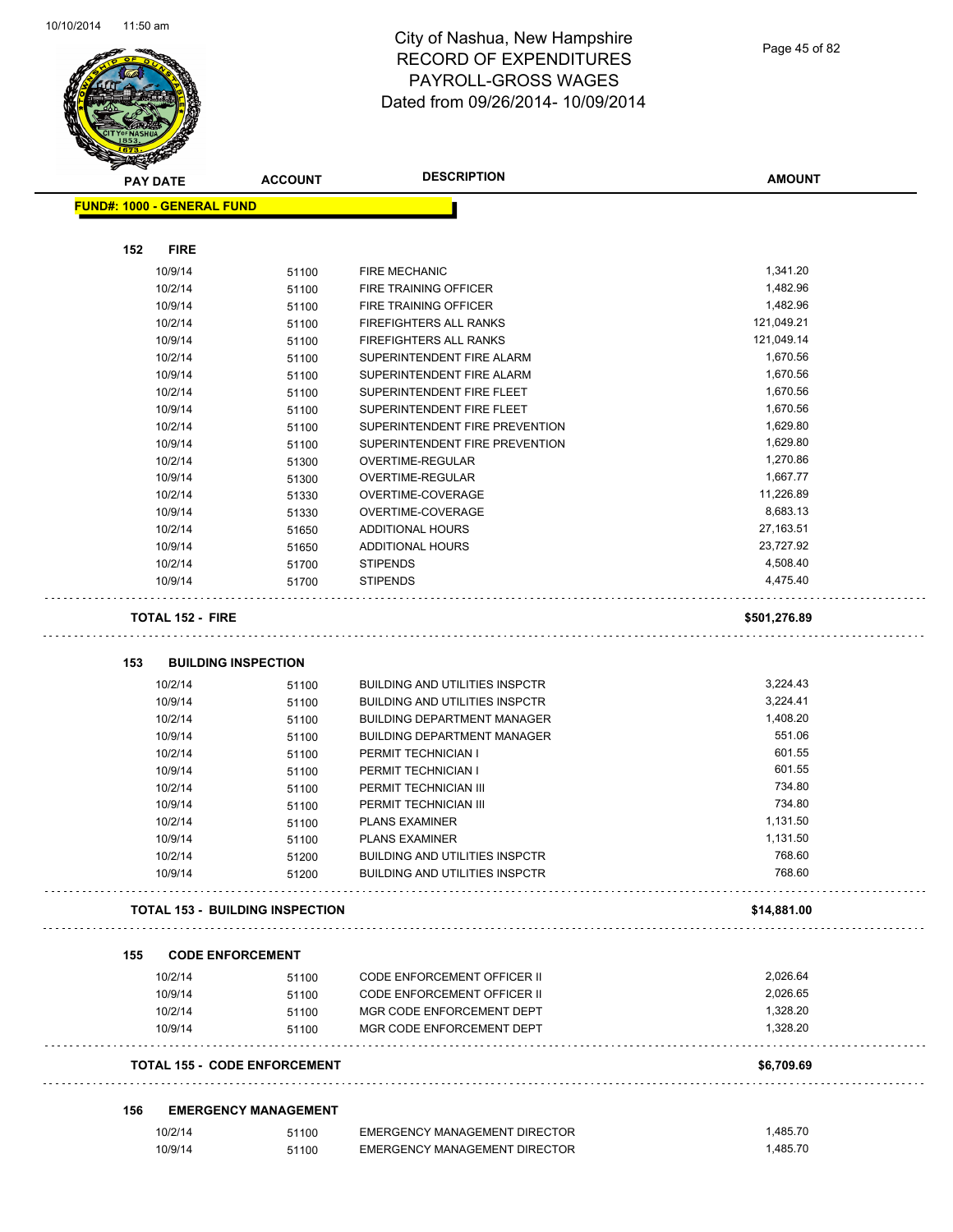

**FUND#: 1000 - GENERAL FUND 152 FIRE** 10/9/14 51100 FIRE MECHANIC 1,341.20 10/2/14 51100 FIRE TRAINING OFFICER 1,482.96 10/9/14 51100 FIRE TRAINING OFFICER 1,482.96 10/2/14 51100 FIREFIGHTERS ALL RANKS 121,049.21 10/9/14 51100 FIREFIGHTERS ALL RANKS 121,049.14 10/2/14 51100 SUPERINTENDENT FIRE ALARM 1,670.56 10/9/14 51100 SUPERINTENDENT FIRE ALARM 1,670.56 10/2/14 51100 SUPERINTENDENT FIRE FLEET 1,670.56 10/9/14 51100 SUPERINTENDENT FIRE FLEET 1,670.56 10/2/14 51100 SUPERINTENDENT FIRE PREVENTION 51/629.80 10/9/14 51100 SUPERINTENDENT FIRE PREVENTION 1,629.80 10/2/14 51300 OVERTIME-REGULAR 1,270.86 10/9/14 51300 OVERTIME-REGULAR 1,667.77 10/2/14 51330 OVERTIME-COVERAGE 11,226.89 10/9/14 51330 OVERTIME-COVERAGE 8,683.13 10/2/14 51650 ADDITIONAL HOURS 27,163.51 10/9/14 51650 ADDITIONAL HOURS 23,727.92 10/2/14 51700 STIPENDS 4,508.40 10/9/14 51700 STIPENDS 4,475.40 **TOTAL 152 - FIRE \$501,276.89 153 BUILDING INSPECTION** 10/2/14 51100 BUILDING AND UTILITIES INSPCTR 3,224.43 10/9/14 51100 BUILDING AND UTILITIES INSPCTR 3,224.41 10/2/14 51100 BUILDING DEPARTMENT MANAGER 1,408.20 10/9/14 51100 BUILDING DEPARTMENT MANAGER 551.06 10/2/14 51100 PERMIT TECHNICIAN I 601.55 10/9/14 51100 PERMIT TECHNICIAN I 601.55 10/2/14 51100 PERMIT TECHNICIAN III 734.80 10/9/14 51100 PERMIT TECHNICIAN III 734.80 10/2/14 51100 PLANS EXAMINER 1,131.50 10/9/14 51100 PLANS EXAMINER 1,131.50 10/2/14 51200 BUILDING AND UTILITIES INSPCTR 768.60 10/9/14 51200 BUILDING AND UTILITIES INSPCTR 768.60 **TOTAL 153 - BUILDING INSPECTION \$14,881.00 155 CODE ENFORCEMENT** 10/2/14 51100 CODE ENFORCEMENT OFFICER II 2,026.64 10/9/14 51100 CODE ENFORCEMENT OFFICER II 2,026.65 10/2/14 51100 MGR CODE ENFORCEMENT DEPT 1,328.20 10/9/14 51100 MGR CODE ENFORCEMENT DEPT 1,328.20 **TOTAL 155 - CODE ENFORCEMENT \$6,709.69** 

#### **156 EMERGENCY MANAGEMENT**

| 10/2/14 | 51100 | EMERGENCY MANAGEMENT DIRECTOR | .485.70 |
|---------|-------|-------------------------------|---------|
| 10/9/14 | 51100 | EMERGENCY MANAGEMENT DIRECTOR | .485.70 |

**AMOUNT**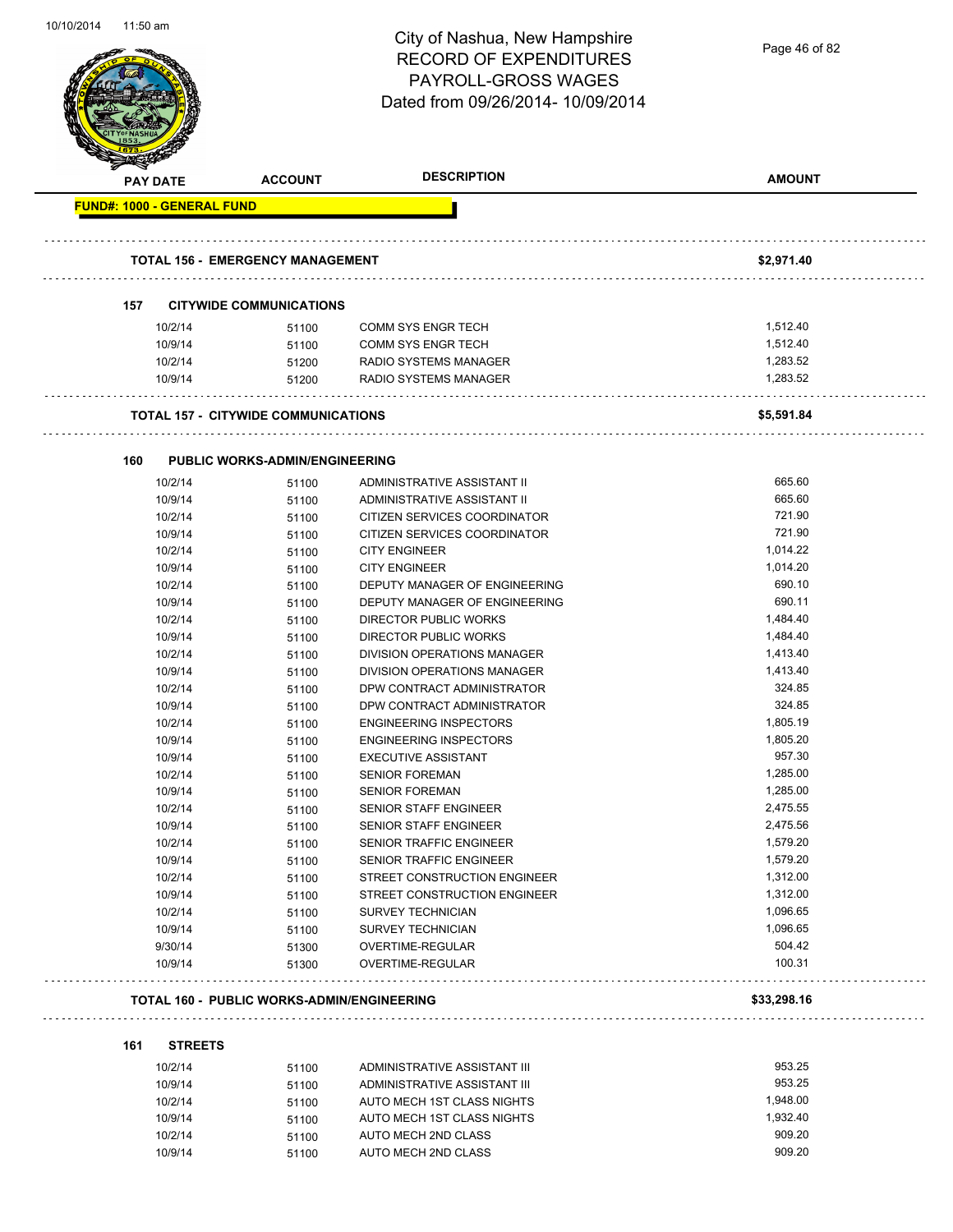

|     | <b>PAY DATE</b>                   | <b>ACCOUNT</b>                                    | <b>DESCRIPTION</b>            | <b>AMOUNT</b>    |
|-----|-----------------------------------|---------------------------------------------------|-------------------------------|------------------|
|     | <b>FUND#: 1000 - GENERAL FUND</b> |                                                   |                               |                  |
|     |                                   | <b>TOTAL 156 - EMERGENCY MANAGEMENT</b>           |                               | \$2,971.40       |
|     |                                   |                                                   |                               |                  |
| 157 |                                   | <b>CITYWIDE COMMUNICATIONS</b>                    |                               |                  |
|     | 10/2/14                           | 51100                                             | <b>COMM SYS ENGR TECH</b>     | 1,512.40         |
|     | 10/9/14                           | 51100                                             | <b>COMM SYS ENGR TECH</b>     | 1,512.40         |
|     | 10/2/14                           | 51200                                             | <b>RADIO SYSTEMS MANAGER</b>  | 1.283.52         |
|     | 10/9/14                           | 51200                                             | RADIO SYSTEMS MANAGER         | 1,283.52         |
|     |                                   | <b>TOTAL 157 - CITYWIDE COMMUNICATIONS</b>        |                               | \$5,591.84       |
|     |                                   |                                                   |                               |                  |
| 160 |                                   | <b>PUBLIC WORKS-ADMIN/ENGINEERING</b>             |                               |                  |
|     | 10/2/14                           | 51100                                             | ADMINISTRATIVE ASSISTANT II   | 665.60           |
|     | 10/9/14                           | 51100                                             | ADMINISTRATIVE ASSISTANT II   | 665.60           |
|     | 10/2/14                           | 51100                                             | CITIZEN SERVICES COORDINATOR  | 721.90           |
|     | 10/9/14                           | 51100                                             | CITIZEN SERVICES COORDINATOR  | 721.90           |
|     | 10/2/14                           | 51100                                             | <b>CITY ENGINEER</b>          | 1,014.22         |
|     | 10/9/14                           | 51100                                             | <b>CITY ENGINEER</b>          | 1,014.20         |
|     | 10/2/14                           | 51100                                             | DEPUTY MANAGER OF ENGINEERING | 690.10           |
|     | 10/9/14                           | 51100                                             | DEPUTY MANAGER OF ENGINEERING | 690.11           |
|     | 10/2/14                           | 51100                                             | <b>DIRECTOR PUBLIC WORKS</b>  | 1,484.40         |
|     | 10/9/14                           | 51100                                             | <b>DIRECTOR PUBLIC WORKS</b>  | 1,484.40         |
|     | 10/2/14                           | 51100                                             | DIVISION OPERATIONS MANAGER   | 1,413.40         |
|     | 10/9/14                           | 51100                                             | DIVISION OPERATIONS MANAGER   | 1,413.40         |
|     | 10/2/14                           | 51100                                             | DPW CONTRACT ADMINISTRATOR    | 324.85           |
|     | 10/9/14                           | 51100                                             | DPW CONTRACT ADMINISTRATOR    | 324.85           |
|     | 10/2/14                           | 51100                                             | <b>ENGINEERING INSPECTORS</b> | 1,805.19         |
|     | 10/9/14                           | 51100                                             | <b>ENGINEERING INSPECTORS</b> | 1,805.20         |
|     | 10/9/14                           | 51100                                             | <b>EXECUTIVE ASSISTANT</b>    | 957.30           |
|     | 10/2/14                           | 51100                                             | <b>SENIOR FOREMAN</b>         | 1,285.00         |
|     | 10/9/14                           | 51100                                             | <b>SENIOR FOREMAN</b>         | 1,285.00         |
|     | 10/2/14                           | 51100                                             | <b>SENIOR STAFF ENGINEER</b>  | 2,475.55         |
|     | 10/9/14                           | 51100                                             | <b>SENIOR STAFF ENGINEER</b>  | 2,475.56         |
|     | 10/2/14                           | 51100                                             | SENIOR TRAFFIC ENGINEER       | 1,579.20         |
|     | 10/9/14                           | 51100                                             | SENIOR TRAFFIC ENGINEER       | 1,579.20         |
|     | 10/2/14                           | 51100                                             | STREET CONSTRUCTION ENGINEER  | 1,312.00         |
|     | 10/9/14                           | 51100                                             | STREET CONSTRUCTION ENGINEER  | 1,312.00         |
|     | 10/2/14                           | 51100                                             | <b>SURVEY TECHNICIAN</b>      | 1,096.65         |
|     | 10/9/14                           | 51100                                             | <b>SURVEY TECHNICIAN</b>      | 1,096.65         |
|     | 9/30/14                           | 51300                                             | OVERTIME-REGULAR              | 504.42<br>100.31 |
|     | 10/9/14                           | 51300                                             | OVERTIME-REGULAR              |                  |
|     |                                   | <b>TOTAL 160 - PUBLIC WORKS-ADMIN/ENGINEERING</b> |                               | \$33,298.16      |
| 161 | <b>STREETS</b>                    |                                                   |                               |                  |
|     | 10/2/14                           | 51100                                             | ADMINISTRATIVE ASSISTANT III  | 953.25           |
|     | 10/0/14                           | <b>51100</b>                                      | ADMINICTDATIVE ACCICTANT III  | 953.25           |

|          |                              | .     |         |
|----------|------------------------------|-------|---------|
| 953.25   | ADMINISTRATIVE ASSISTANT III | 51100 | 10/9/14 |
| 1.948.00 | AUTO MECH 1ST CLASS NIGHTS   | 51100 | 10/2/14 |
| 1.932.40 | AUTO MECH 1ST CLASS NIGHTS   | 51100 | 10/9/14 |
| 909.20   | AUTO MECH 2ND CLASS          | 51100 | 10/2/14 |
| 909.20   | AUTO MECH 2ND CLASS          | 51100 | 10/9/14 |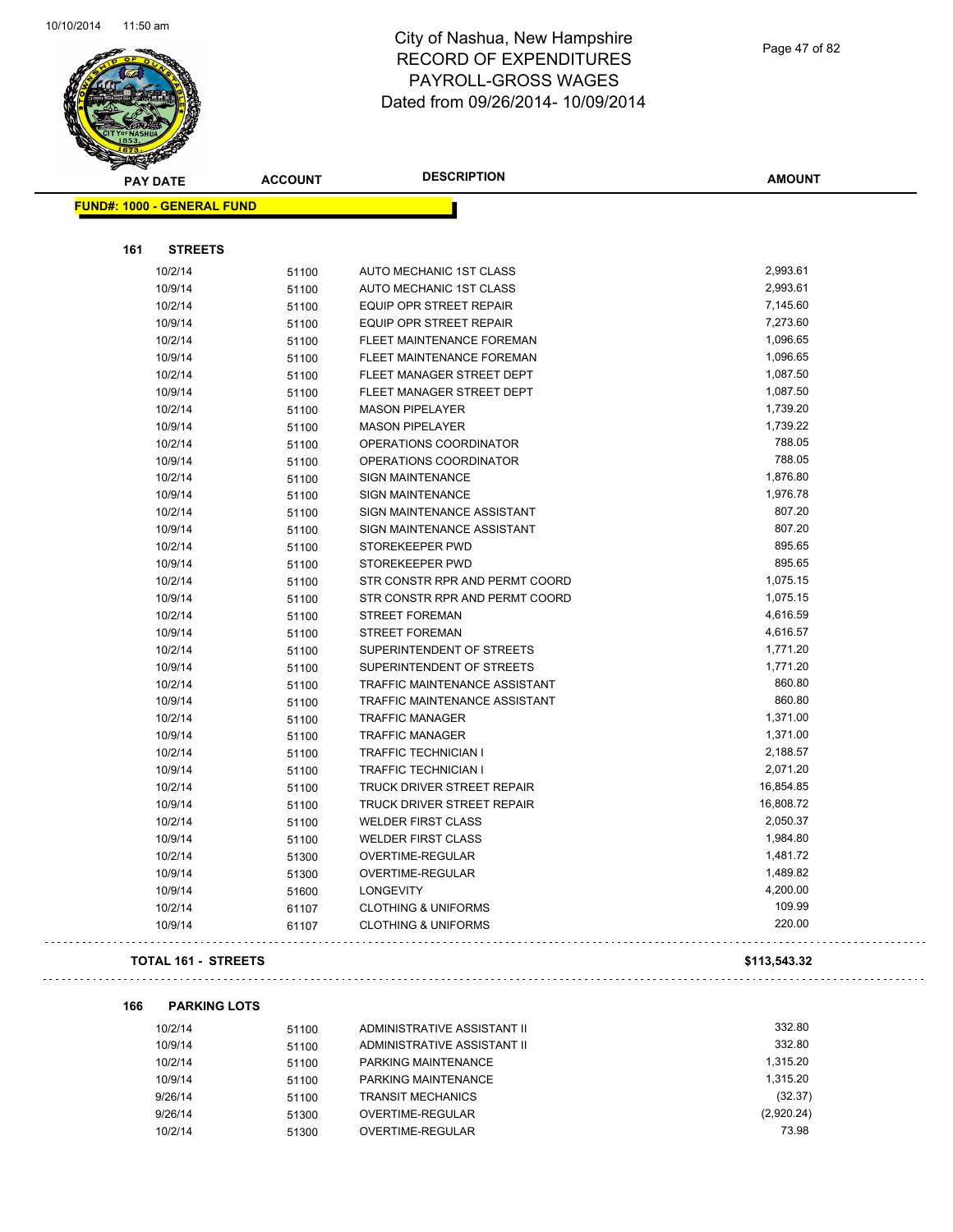

## City of Nashua, New Hampshire RECORD OF EXPENDITURES PAYROLL-GROSS WAGES Dated from 09/26/2014- 10/09/2014

| s<br><b>PAY DATE</b>              | <b>ACCOUNT</b> | <b>DESCRIPTION</b>               | <b>AMOUNT</b> |
|-----------------------------------|----------------|----------------------------------|---------------|
| <b>FUND#: 1000 - GENERAL FUND</b> |                |                                  |               |
|                                   |                |                                  |               |
| 161<br><b>STREETS</b>             |                |                                  |               |
| 10/2/14                           | 51100          | AUTO MECHANIC 1ST CLASS          | 2,993.61      |
| 10/9/14                           | 51100          | AUTO MECHANIC 1ST CLASS          | 2,993.61      |
| 10/2/14                           | 51100          | <b>EQUIP OPR STREET REPAIR</b>   | 7,145.60      |
| 10/9/14                           | 51100          | EQUIP OPR STREET REPAIR          | 7,273.60      |
| 10/2/14                           | 51100          | FLEET MAINTENANCE FOREMAN        | 1,096.65      |
| 10/9/14                           | 51100          | <b>FLEET MAINTENANCE FOREMAN</b> | 1,096.65      |
| 10/2/14                           | 51100          | FLEET MANAGER STREET DEPT        | 1,087.50      |
| 10/9/14                           | 51100          | FLEET MANAGER STREET DEPT        | 1,087.50      |
| 10/2/14                           | 51100          | <b>MASON PIPELAYER</b>           | 1,739.20      |
| 10/9/14                           | 51100          | <b>MASON PIPELAYER</b>           | 1,739.22      |
| 10/2/14                           | 51100          | OPERATIONS COORDINATOR           | 788.05        |
| 10/9/14                           | 51100          | OPERATIONS COORDINATOR           | 788.05        |
| 10/2/14                           | 51100          | <b>SIGN MAINTENANCE</b>          | 1,876.80      |
| 10/9/14                           | 51100          | <b>SIGN MAINTENANCE</b>          | 1,976.78      |
| 10/2/14                           | 51100          | SIGN MAINTENANCE ASSISTANT       | 807.20        |
| 10/9/14                           | 51100          | SIGN MAINTENANCE ASSISTANT       | 807.20        |
| 10/2/14                           | 51100          | STOREKEEPER PWD                  | 895.65        |
| 10/9/14                           | 51100          | STOREKEEPER PWD                  | 895.65        |
| 10/2/14                           | 51100          | STR CONSTR RPR AND PERMT COORD   | 1,075.15      |
| 10/9/14                           | 51100          | STR CONSTR RPR AND PERMT COORD   | 1,075.15      |
| 10/2/14                           | 51100          | <b>STREET FOREMAN</b>            | 4,616.59      |
| 10/9/14                           | 51100          | STREET FOREMAN                   | 4,616.57      |
| 10/2/14                           | 51100          | SUPERINTENDENT OF STREETS        | 1,771.20      |
| 10/9/14                           | 51100          | SUPERINTENDENT OF STREETS        | 1,771.20      |
| 10/2/14                           | 51100          | TRAFFIC MAINTENANCE ASSISTANT    | 860.80        |
| 10/9/14                           | 51100          | TRAFFIC MAINTENANCE ASSISTANT    | 860.80        |
| 10/2/14                           | 51100          | <b>TRAFFIC MANAGER</b>           | 1,371.00      |
| 10/9/14                           | 51100          | <b>TRAFFIC MANAGER</b>           | 1,371.00      |
| 10/2/14                           | 51100          | <b>TRAFFIC TECHNICIAN I</b>      | 2,188.57      |
| 10/9/14                           | 51100          | <b>TRAFFIC TECHNICIAN I</b>      | 2,071.20      |
| 10/2/14                           | 51100          | TRUCK DRIVER STREET REPAIR       | 16,854.85     |
| 10/9/14                           | 51100          | TRUCK DRIVER STREET REPAIR       | 16,808.72     |
| 10/2/14                           | 51100          | <b>WELDER FIRST CLASS</b>        | 2,050.37      |
| 10/9/14                           | 51100          | <b>WELDER FIRST CLASS</b>        | 1,984.80      |
| 10/2/14                           | 51300          | OVERTIME-REGULAR                 | 1,481.72      |
| 10/9/14                           | 51300          | OVERTIME-REGULAR                 | 1,489.82      |
| 10/9/14                           | 51600          | <b>LONGEVITY</b>                 | 4,200.00      |
| 10/2/14                           | 61107          | <b>CLOTHING &amp; UNIFORMS</b>   | 109.99        |
| 10/9/14                           | 61107          | <b>CLOTHING &amp; UNIFORMS</b>   | 220.00        |
| <b>TOTAL 161 - STREETS</b>        |                |                                  | \$113,543.32  |
| 166<br><b>PARKING LOTS</b>        |                |                                  |               |
| 10/2/14                           | 51100          | ADMINISTRATIVE ASSISTANT II      | 332.80        |

| 10/2/14 | 51100 | ADMINISTRATIVE ASSISTANT II | 332.80     |
|---------|-------|-----------------------------|------------|
| 10/9/14 | 51100 | ADMINISTRATIVE ASSISTANT II | 332.80     |
| 10/2/14 | 51100 | PARKING MAINTENANCE         | 1.315.20   |
| 10/9/14 | 51100 | PARKING MAINTENANCE         | 1.315.20   |
| 9/26/14 | 51100 | <b>TRANSIT MECHANICS</b>    | (32.37)    |
| 9/26/14 | 51300 | OVERTIME-REGULAR            | (2,920.24) |
| 10/2/14 | 51300 | OVERTIME-REGULAR            | 73.98      |

Page 47 of 82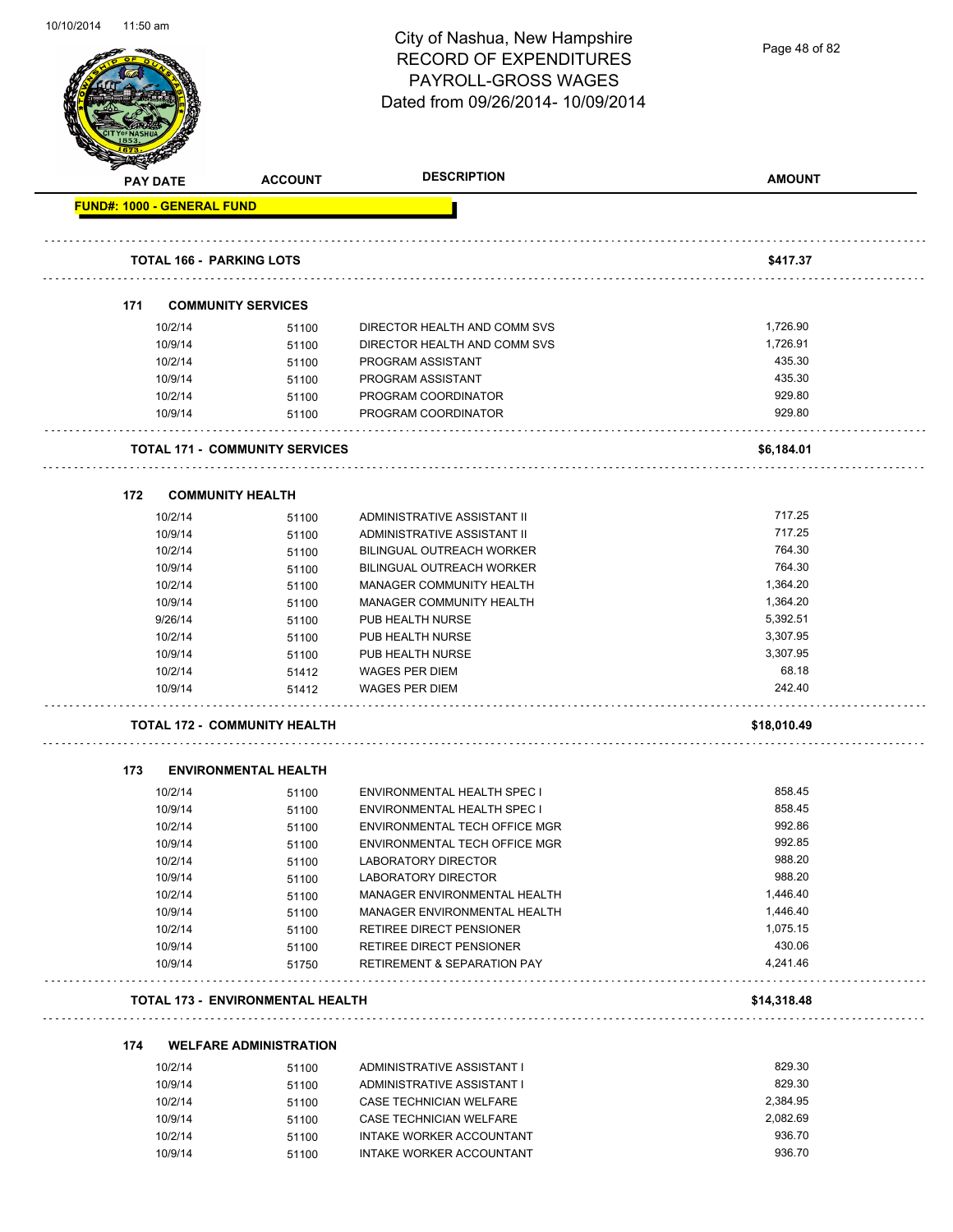Page 48 of 82

| <b>PAY DATE</b>                   | <b>ACCOUNT</b>                          | <b>DESCRIPTION</b>                     | <b>AMOUNT</b> |
|-----------------------------------|-----------------------------------------|----------------------------------------|---------------|
| <b>FUND#: 1000 - GENERAL FUND</b> |                                         |                                        |               |
| TOTAL 166 - PARKING LOTS          |                                         |                                        | \$417.37      |
|                                   |                                         |                                        |               |
| 171                               | <b>COMMUNITY SERVICES</b>               |                                        |               |
| 10/2/14                           | 51100                                   | DIRECTOR HEALTH AND COMM SVS           | 1,726.90      |
| 10/9/14                           | 51100                                   | DIRECTOR HEALTH AND COMM SVS           | 1,726.91      |
| 10/2/14                           | 51100                                   | PROGRAM ASSISTANT                      | 435.30        |
| 10/9/14                           | 51100                                   | PROGRAM ASSISTANT                      | 435.30        |
| 10/2/14                           | 51100                                   | PROGRAM COORDINATOR                    | 929.80        |
| 10/9/14                           | 51100                                   | PROGRAM COORDINATOR                    | 929.80        |
|                                   | <b>TOTAL 171 - COMMUNITY SERVICES</b>   |                                        | \$6,184.01    |
| 172                               | <b>COMMUNITY HEALTH</b>                 |                                        |               |
| 10/2/14                           | 51100                                   | ADMINISTRATIVE ASSISTANT II            | 717.25        |
| 10/9/14                           | 51100                                   | ADMINISTRATIVE ASSISTANT II            | 717.25        |
| 10/2/14                           | 51100                                   | <b>BILINGUAL OUTREACH WORKER</b>       | 764.30        |
| 10/9/14                           | 51100                                   | BILINGUAL OUTREACH WORKER              | 764.30        |
| 10/2/14                           | 51100                                   | MANAGER COMMUNITY HEALTH               | 1,364.20      |
| 10/9/14                           | 51100                                   | MANAGER COMMUNITY HEALTH               | 1,364.20      |
| 9/26/14                           | 51100                                   | PUB HEALTH NURSE                       | 5,392.51      |
| 10/2/14                           | 51100                                   | PUB HEALTH NURSE                       | 3,307.95      |
| 10/9/14                           | 51100                                   | PUB HEALTH NURSE                       | 3,307.95      |
| 10/2/14                           |                                         | <b>WAGES PER DIEM</b>                  | 68.18         |
| 10/9/14                           | 51412<br>51412                          | <b>WAGES PER DIEM</b>                  | 242.40        |
|                                   |                                         |                                        |               |
|                                   | TOTAL 172 - COMMUNITY HEALTH            |                                        | \$18,010.49   |
| 173                               | <b>ENVIRONMENTAL HEALTH</b>             |                                        |               |
| 10/2/14                           | 51100                                   | ENVIRONMENTAL HEALTH SPEC I            | 858.45        |
| 10/9/14                           | 51100                                   | ENVIRONMENTAL HEALTH SPEC I            | 858.45        |
| 10/2/14                           | 51100                                   | ENVIRONMENTAL TECH OFFICE MGR          | 992.86        |
| 10/9/14                           | 51100                                   | ENVIRONMENTAL TECH OFFICE MGR          | 992.85        |
| 10/2/14                           | 51100                                   | LABORATORY DIRECTOR                    | 988.20        |
| 10/9/14                           | 51100                                   | LABORATORY DIRECTOR                    | 988.20        |
| 10/2/14                           | 51100                                   | MANAGER ENVIRONMENTAL HEALTH           | 1,446.40      |
| 10/9/14                           | 51100                                   | MANAGER ENVIRONMENTAL HEALTH           | 1,446.40      |
| 10/2/14                           | 51100                                   | RETIREE DIRECT PENSIONER               | 1,075.15      |
| 10/9/14                           | 51100                                   | RETIREE DIRECT PENSIONER               | 430.06        |
| 10/9/14                           | 51750                                   | <b>RETIREMENT &amp; SEPARATION PAY</b> | 4,241.46      |
|                                   | <b>TOTAL 173 - ENVIRONMENTAL HEALTH</b> |                                        | \$14,318.48   |
| 174                               | <b>WELFARE ADMINISTRATION</b>           |                                        |               |
|                                   |                                         |                                        | 829.30        |
| 10/2/14                           | 51100                                   | ADMINISTRATIVE ASSISTANT I             | 829.30        |
| 10/9/14                           | 51100                                   | ADMINISTRATIVE ASSISTANT I<br>M/T1 TAT | $2.204$ QE    |

| 10/9/14 | 51100 | ADMINISTRATIVE ASSISTANT I | 829.30   |
|---------|-------|----------------------------|----------|
| 10/2/14 | 51100 | CASE TECHNICIAN WELFARE    | 2.384.95 |
| 10/9/14 | 51100 | CASE TECHNICIAN WELFARE    | 2.082.69 |
| 10/2/14 | 51100 | INTAKE WORKER ACCOUNTANT   | 936.70   |
| 10/9/14 | 51100 | INTAKE WORKER ACCOUNTANT   | 936.70   |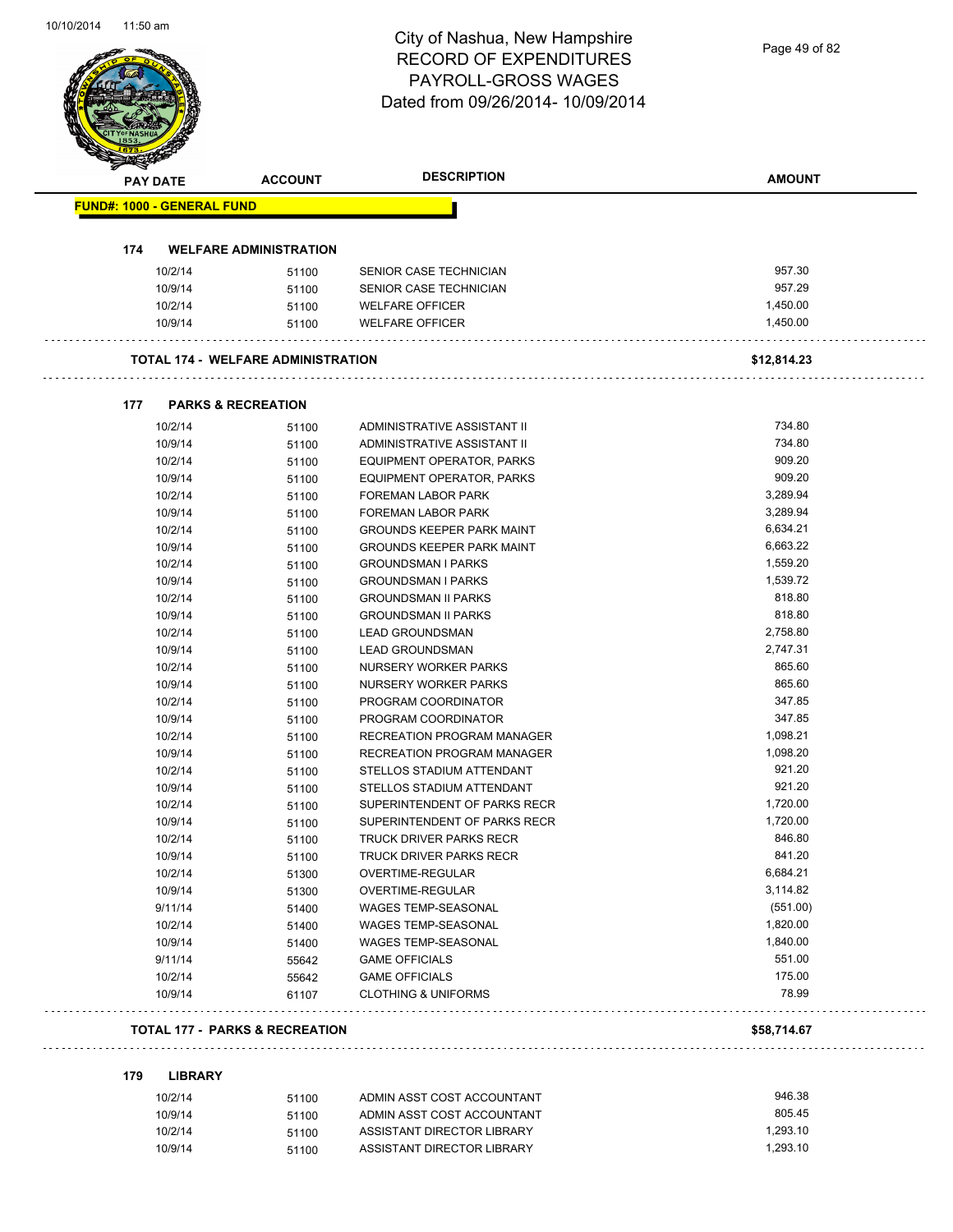Page 49 of 82

|     | <b>PAY DATE</b>                   | <b>ACCOUNT</b>                            | <b>DESCRIPTION</b>                                       | <b>AMOUNT</b>        |
|-----|-----------------------------------|-------------------------------------------|----------------------------------------------------------|----------------------|
|     | <b>FUND#: 1000 - GENERAL FUND</b> |                                           |                                                          |                      |
|     |                                   |                                           |                                                          |                      |
| 174 |                                   | <b>WELFARE ADMINISTRATION</b>             |                                                          |                      |
|     | 10/2/14                           | 51100                                     | SENIOR CASE TECHNICIAN                                   | 957.30               |
|     | 10/9/14                           | 51100                                     | SENIOR CASE TECHNICIAN                                   | 957.29               |
|     | 10/2/14                           | 51100                                     | <b>WELFARE OFFICER</b>                                   | 1,450.00             |
|     | 10/9/14                           | 51100                                     | <b>WELFARE OFFICER</b>                                   | 1,450.00             |
|     |                                   | <b>TOTAL 174 - WELFARE ADMINISTRATION</b> |                                                          | \$12,814.23          |
| 177 |                                   | <b>PARKS &amp; RECREATION</b>             |                                                          |                      |
|     | 10/2/14                           | 51100                                     | ADMINISTRATIVE ASSISTANT II                              | 734.80               |
|     | 10/9/14                           | 51100                                     | ADMINISTRATIVE ASSISTANT II                              | 734.80               |
|     | 10/2/14                           | 51100                                     | <b>EQUIPMENT OPERATOR, PARKS</b>                         | 909.20               |
|     | 10/9/14                           | 51100                                     | <b>EQUIPMENT OPERATOR, PARKS</b>                         | 909.20               |
|     | 10/2/14                           | 51100                                     | <b>FOREMAN LABOR PARK</b>                                | 3,289.94             |
|     | 10/9/14                           | 51100                                     | FOREMAN LABOR PARK                                       | 3,289.94             |
|     | 10/2/14                           | 51100                                     | <b>GROUNDS KEEPER PARK MAINT</b>                         | 6,634.21             |
|     | 10/9/14                           | 51100                                     | <b>GROUNDS KEEPER PARK MAINT</b>                         | 6,663.22             |
|     | 10/2/14                           | 51100                                     | <b>GROUNDSMAN I PARKS</b>                                | 1,559.20             |
|     | 10/9/14                           | 51100                                     | <b>GROUNDSMAN I PARKS</b>                                | 1,539.72             |
|     | 10/2/14                           | 51100                                     | <b>GROUNDSMAN II PARKS</b>                               | 818.80               |
|     | 10/9/14                           | 51100                                     | <b>GROUNDSMAN II PARKS</b>                               | 818.80               |
|     | 10/2/14                           | 51100                                     | <b>LEAD GROUNDSMAN</b>                                   | 2,758.80             |
|     | 10/9/14                           | 51100                                     | <b>LEAD GROUNDSMAN</b>                                   | 2,747.31             |
|     | 10/2/14                           | 51100                                     | NURSERY WORKER PARKS                                     | 865.60               |
|     | 10/9/14                           | 51100                                     | NURSERY WORKER PARKS                                     | 865.60               |
|     | 10/2/14                           | 51100                                     | PROGRAM COORDINATOR                                      | 347.85               |
|     | 10/9/14                           | 51100                                     | PROGRAM COORDINATOR                                      | 347.85               |
|     | 10/2/14                           | 51100                                     | RECREATION PROGRAM MANAGER                               | 1,098.21             |
|     | 10/9/14                           | 51100                                     | <b>RECREATION PROGRAM MANAGER</b>                        | 1,098.20             |
|     | 10/2/14                           | 51100                                     | STELLOS STADIUM ATTENDANT                                | 921.20               |
|     | 10/9/14                           | 51100                                     | STELLOS STADIUM ATTENDANT                                | 921.20               |
|     | 10/2/14                           | 51100                                     | SUPERINTENDENT OF PARKS RECR                             | 1,720.00             |
|     | 10/9/14                           | 51100                                     | SUPERINTENDENT OF PARKS RECR                             | 1,720.00             |
|     | 10/2/14                           | 51100                                     | TRUCK DRIVER PARKS RECR                                  | 846.80               |
|     | 10/9/14                           | 51100                                     | TRUCK DRIVER PARKS RECR                                  | 841.20               |
|     | 10/2/14                           | 51300                                     | OVERTIME-REGULAR                                         | 6,684.21             |
|     | 10/9/14                           | 51300                                     | OVERTIME-REGULAR                                         | 3,114.82             |
|     | 9/11/14                           | 51400                                     | WAGES TEMP-SEASONAL                                      | (551.00)             |
|     | 10/2/14                           | 51400                                     | WAGES TEMP-SEASONAL                                      | 1,820.00             |
|     | 10/9/14                           | 51400                                     | WAGES TEMP-SEASONAL                                      | 1,840.00             |
|     | 9/11/14                           | 55642                                     | <b>GAME OFFICIALS</b>                                    | 551.00               |
|     | 10/2/14                           | 55642                                     | <b>GAME OFFICIALS</b>                                    | 175.00               |
|     | 10/9/14                           | 61107                                     | <b>CLOTHING &amp; UNIFORMS</b>                           | 78.99                |
|     |                                   | <b>TOTAL 177 - PARKS &amp; RECREATION</b> |                                                          | \$58,714.67          |
| 179 | <b>LIBRARY</b>                    |                                           |                                                          |                      |
|     | 10/2/14                           |                                           | ADMIN ASST COST ACCOUNTANT                               | 946.38               |
|     |                                   | 51100                                     |                                                          | 805.45               |
|     | 10/9/14                           | 51100                                     | ADMIN ASST COST ACCOUNTANT                               |                      |
|     | 10/2/14<br>10/9/14                | 51100<br>51100                            | ASSISTANT DIRECTOR LIBRARY<br>ASSISTANT DIRECTOR LIBRARY | 1,293.10<br>1,293.10 |
|     |                                   |                                           |                                                          |                      |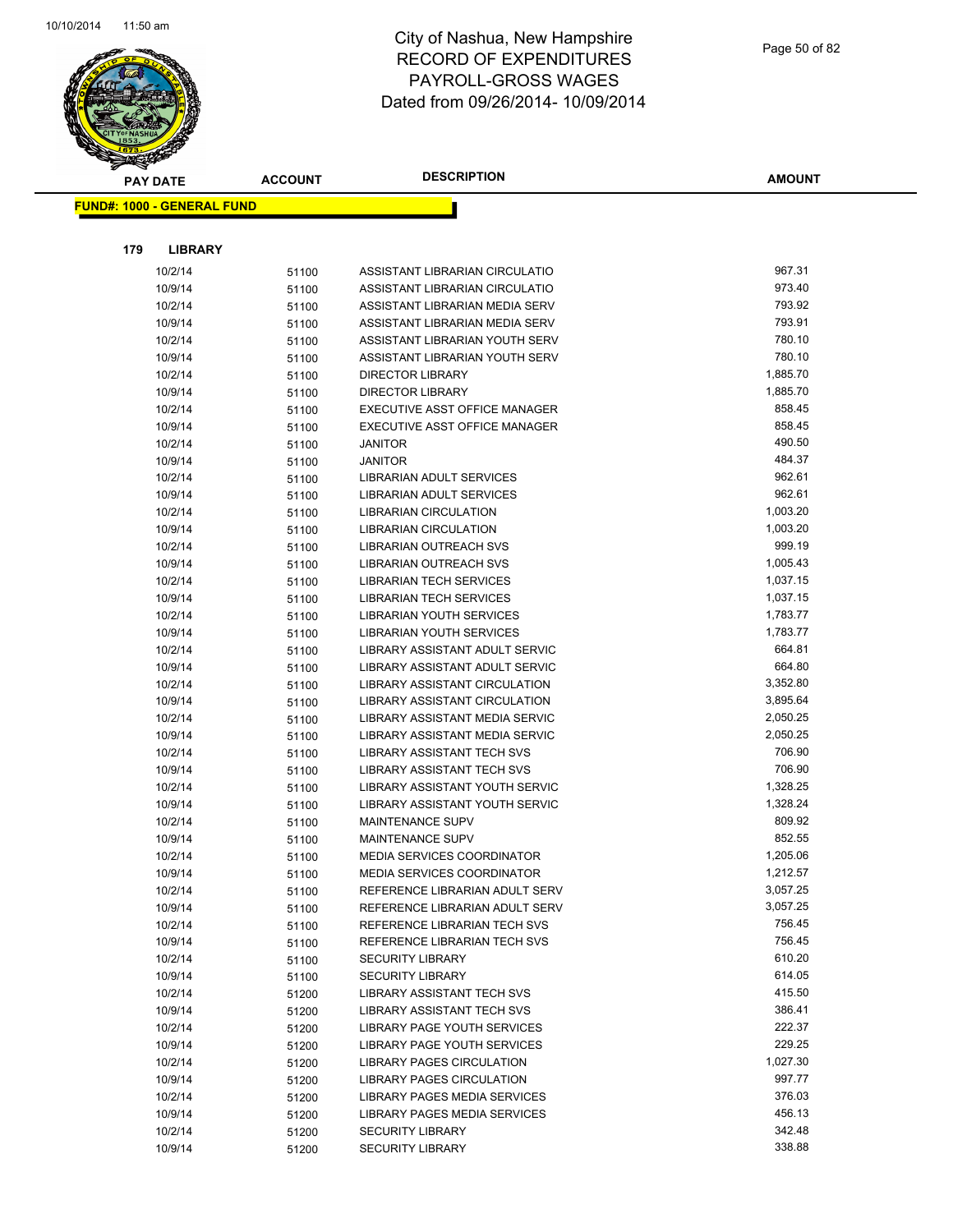

| <b>PAY DATE</b>                   |                    | <b>ACCOUNT</b> | <b>DESCRIPTION</b>                                                  | <b>AMOUNT</b>        |
|-----------------------------------|--------------------|----------------|---------------------------------------------------------------------|----------------------|
| <b>FUND#: 1000 - GENERAL FUND</b> |                    |                |                                                                     |                      |
|                                   |                    |                |                                                                     |                      |
|                                   |                    |                |                                                                     |                      |
| 179                               | <b>LIBRARY</b>     |                |                                                                     |                      |
|                                   | 10/2/14            | 51100          | ASSISTANT LIBRARIAN CIRCULATIO                                      | 967.31               |
|                                   | 10/9/14            | 51100          | ASSISTANT LIBRARIAN CIRCULATIO                                      | 973.40               |
|                                   | 10/2/14            | 51100          | ASSISTANT LIBRARIAN MEDIA SERV                                      | 793.92               |
|                                   | 10/9/14            | 51100          | ASSISTANT LIBRARIAN MEDIA SERV                                      | 793.91               |
|                                   | 10/2/14            | 51100          | ASSISTANT LIBRARIAN YOUTH SERV                                      | 780.10               |
|                                   | 10/9/14            | 51100          | ASSISTANT LIBRARIAN YOUTH SERV                                      | 780.10               |
|                                   | 10/2/14            | 51100          | <b>DIRECTOR LIBRARY</b>                                             | 1,885.70             |
|                                   | 10/9/14            | 51100          | <b>DIRECTOR LIBRARY</b>                                             | 1,885.70             |
|                                   | 10/2/14            | 51100          | EXECUTIVE ASST OFFICE MANAGER                                       | 858.45               |
|                                   | 10/9/14            | 51100          | EXECUTIVE ASST OFFICE MANAGER                                       | 858.45               |
|                                   | 10/2/14            | 51100          | <b>JANITOR</b>                                                      | 490.50               |
|                                   | 10/9/14            | 51100          | <b>JANITOR</b>                                                      | 484.37               |
|                                   | 10/2/14            | 51100          | LIBRARIAN ADULT SERVICES                                            | 962.61               |
|                                   | 10/9/14            | 51100          | LIBRARIAN ADULT SERVICES                                            | 962.61               |
|                                   | 10/2/14            | 51100          | <b>LIBRARIAN CIRCULATION</b>                                        | 1,003.20             |
|                                   | 10/9/14            | 51100          | LIBRARIAN CIRCULATION                                               | 1,003.20             |
|                                   | 10/2/14            | 51100          | LIBRARIAN OUTREACH SVS                                              | 999.19               |
|                                   | 10/9/14            | 51100          | <b>LIBRARIAN OUTREACH SVS</b>                                       | 1,005.43             |
|                                   | 10/2/14            | 51100          | <b>LIBRARIAN TECH SERVICES</b>                                      | 1,037.15             |
|                                   | 10/9/14            | 51100          | LIBRARIAN TECH SERVICES                                             | 1,037.15             |
|                                   | 10/2/14            | 51100          | LIBRARIAN YOUTH SERVICES                                            | 1,783.77             |
|                                   | 10/9/14            | 51100          | LIBRARIAN YOUTH SERVICES                                            | 1,783.77             |
|                                   | 10/2/14            | 51100          | LIBRARY ASSISTANT ADULT SERVIC                                      | 664.81               |
|                                   | 10/9/14            | 51100          | LIBRARY ASSISTANT ADULT SERVIC                                      | 664.80               |
|                                   | 10/2/14            | 51100          | LIBRARY ASSISTANT CIRCULATION                                       | 3,352.80             |
|                                   | 10/9/14            | 51100          | LIBRARY ASSISTANT CIRCULATION                                       | 3,895.64<br>2,050.25 |
|                                   | 10/2/14            | 51100          | LIBRARY ASSISTANT MEDIA SERVIC                                      | 2,050.25             |
|                                   | 10/9/14            | 51100          | LIBRARY ASSISTANT MEDIA SERVIC<br><b>LIBRARY ASSISTANT TECH SVS</b> | 706.90               |
|                                   | 10/2/14<br>10/9/14 | 51100          | LIBRARY ASSISTANT TECH SVS                                          | 706.90               |
|                                   |                    | 51100          | <b>LIBRARY ASSISTANT YOUTH SERVIC</b>                               | 1,328.25             |
|                                   | 10/2/14<br>10/9/14 | 51100          | LIBRARY ASSISTANT YOUTH SERVIC                                      | 1,328.24             |
|                                   | 10/2/14            | 51100          | MAINTENANCE SUPV                                                    | 809.92               |
|                                   | 10/9/14            | 51100          | MAINTENANCE SUPV                                                    | 852.55               |
|                                   | 10/2/14            | 51100<br>51100 | <b>MEDIA SERVICES COORDINATOR</b>                                   | 1,205.06             |
|                                   | 10/9/14            |                | MEDIA SERVICES COORDINATOR                                          | 1,212.57             |
|                                   | 10/2/14            | 51100<br>51100 | REFERENCE LIBRARIAN ADULT SERV                                      | 3,057.25             |
|                                   | 10/9/14            | 51100          | REFERENCE LIBRARIAN ADULT SERV                                      | 3,057.25             |
|                                   | 10/2/14            | 51100          | REFERENCE LIBRARIAN TECH SVS                                        | 756.45               |
|                                   | 10/9/14            | 51100          | REFERENCE LIBRARIAN TECH SVS                                        | 756.45               |
|                                   | 10/2/14            | 51100          | <b>SECURITY LIBRARY</b>                                             | 610.20               |
|                                   | 10/9/14            | 51100          | <b>SECURITY LIBRARY</b>                                             | 614.05               |
|                                   | 10/2/14            | 51200          | LIBRARY ASSISTANT TECH SVS                                          | 415.50               |
|                                   | 10/9/14            | 51200          | <b>LIBRARY ASSISTANT TECH SVS</b>                                   | 386.41               |
|                                   | 10/2/14            | 51200          | LIBRARY PAGE YOUTH SERVICES                                         | 222.37               |
|                                   | 10/9/14            | 51200          | LIBRARY PAGE YOUTH SERVICES                                         | 229.25               |
|                                   | 10/2/14            | 51200          | LIBRARY PAGES CIRCULATION                                           | 1,027.30             |
|                                   | 10/9/14            | 51200          | LIBRARY PAGES CIRCULATION                                           | 997.77               |
|                                   | 10/2/14            | 51200          | LIBRARY PAGES MEDIA SERVICES                                        | 376.03               |
|                                   | 10/9/14            | 51200          | LIBRARY PAGES MEDIA SERVICES                                        | 456.13               |
|                                   | 10/2/14            | 51200          | <b>SECURITY LIBRARY</b>                                             | 342.48               |
|                                   | 10/9/14            | 51200          | <b>SECURITY LIBRARY</b>                                             | 338.88               |
|                                   |                    |                |                                                                     |                      |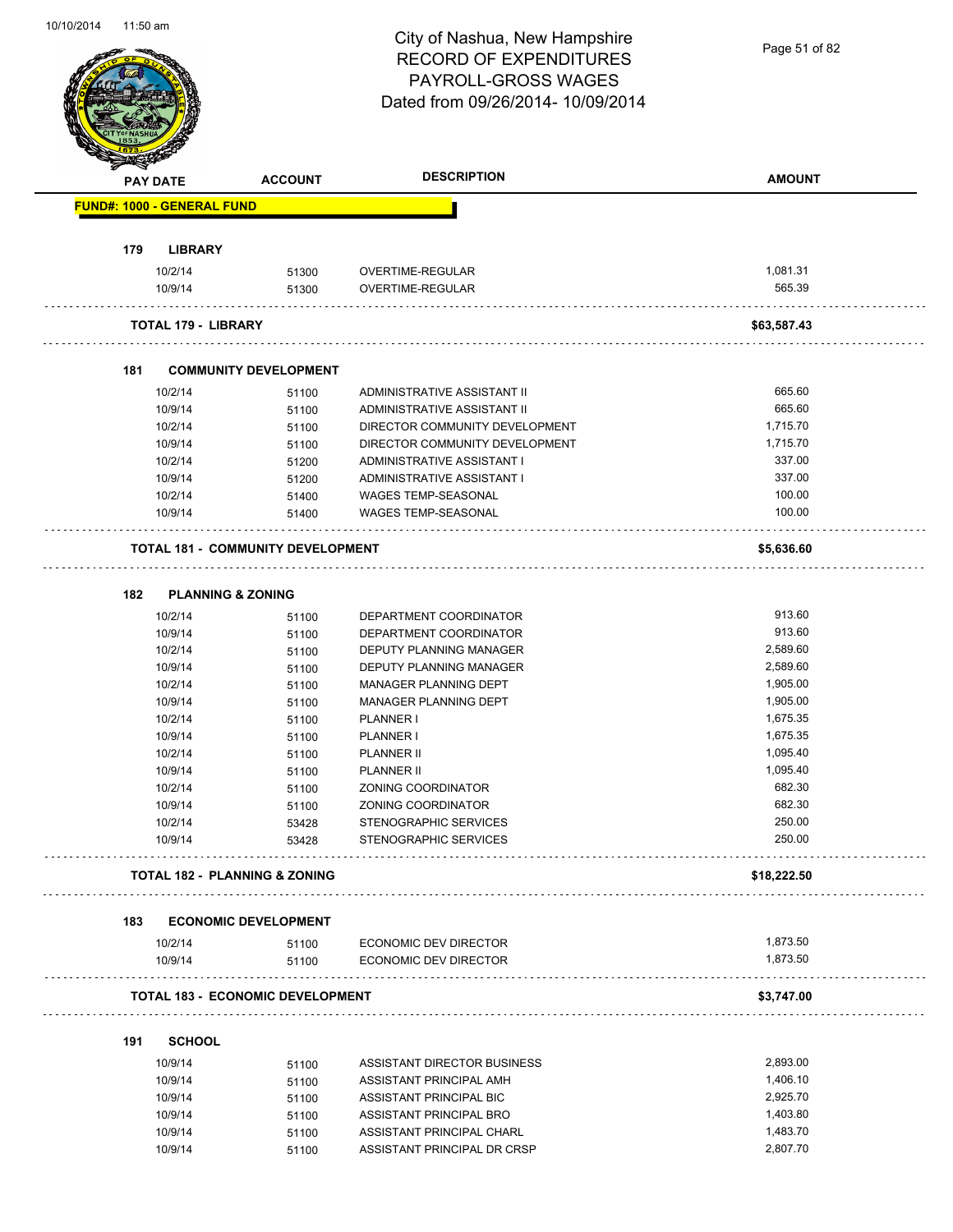|     | <b>PAY DATE</b>                   | <b>ACCOUNT</b>                           | <b>DESCRIPTION</b>                                   | <b>AMOUNT</b>        |
|-----|-----------------------------------|------------------------------------------|------------------------------------------------------|----------------------|
|     | <b>FUND#: 1000 - GENERAL FUND</b> |                                          |                                                      |                      |
|     |                                   |                                          |                                                      |                      |
| 179 | <b>LIBRARY</b>                    |                                          |                                                      | 1,081.31             |
|     | 10/2/14<br>10/9/14                | 51300<br>51300                           | OVERTIME-REGULAR<br>OVERTIME-REGULAR                 | 565.39               |
|     | <b>TOTAL 179 - LIBRARY</b>        |                                          |                                                      | \$63,587.43          |
| 181 |                                   | <b>COMMUNITY DEVELOPMENT</b>             |                                                      |                      |
|     | 10/2/14                           | 51100                                    | ADMINISTRATIVE ASSISTANT II                          | 665.60               |
|     | 10/9/14                           | 51100                                    | ADMINISTRATIVE ASSISTANT II                          | 665.60               |
|     | 10/2/14                           | 51100                                    | DIRECTOR COMMUNITY DEVELOPMENT                       | 1,715.70             |
|     | 10/9/14                           | 51100                                    | DIRECTOR COMMUNITY DEVELOPMENT                       | 1,715.70             |
|     | 10/2/14                           | 51200                                    | ADMINISTRATIVE ASSISTANT I                           | 337.00               |
|     | 10/9/14                           | 51200                                    | ADMINISTRATIVE ASSISTANT I                           | 337.00               |
|     | 10/2/14                           | 51400                                    | WAGES TEMP-SEASONAL                                  | 100.00               |
|     | 10/9/14                           | 51400                                    | <b>WAGES TEMP-SEASONAL</b>                           | 100.00               |
|     |                                   | <b>TOTAL 181 - COMMUNITY DEVELOPMENT</b> |                                                      | \$5,636.60           |
| 182 | <b>PLANNING &amp; ZONING</b>      |                                          |                                                      |                      |
|     | 10/2/14                           | 51100                                    | DEPARTMENT COORDINATOR                               | 913.60               |
|     | 10/9/14                           | 51100                                    | DEPARTMENT COORDINATOR                               | 913.60               |
|     | 10/2/14                           | 51100                                    | <b>DEPUTY PLANNING MANAGER</b>                       | 2,589.60             |
|     | 10/9/14                           | 51100                                    | DEPUTY PLANNING MANAGER                              | 2,589.60             |
|     | 10/2/14                           | 51100                                    | MANAGER PLANNING DEPT                                | 1,905.00             |
|     | 10/9/14                           | 51100                                    | MANAGER PLANNING DEPT                                | 1,905.00             |
|     | 10/2/14                           | 51100                                    | PLANNER I                                            | 1,675.35             |
|     | 10/9/14                           | 51100                                    | <b>PLANNER I</b>                                     | 1,675.35             |
|     | 10/2/14                           |                                          | <b>PLANNER II</b>                                    | 1,095.40             |
|     | 10/9/14                           | 51100                                    | <b>PLANNER II</b>                                    | 1,095.40             |
|     |                                   | 51100                                    | <b>ZONING COORDINATOR</b>                            | 682.30               |
|     | 10/2/14<br>10/9/14                | 51100                                    |                                                      | 682.30               |
|     |                                   | 51100                                    | ZONING COORDINATOR                                   |                      |
|     | 10/2/14<br>10/9/14                | 53428<br>53428                           | STENOGRAPHIC SERVICES<br>STENOGRAPHIC SERVICES       | 250.00<br>250.00     |
|     |                                   | <b>TOTAL 182 - PLANNING &amp; ZONING</b> |                                                      | \$18,222.50          |
|     |                                   |                                          |                                                      |                      |
| 183 | 10/2/14                           | <b>ECONOMIC DEVELOPMENT</b><br>51100     | ECONOMIC DEV DIRECTOR                                | 1,873.50             |
|     | 10/9/14                           | 51100                                    | <b>ECONOMIC DEV DIRECTOR</b>                         | 1,873.50             |
|     |                                   | <b>TOTAL 183 - ECONOMIC DEVELOPMENT</b>  |                                                      | \$3,747.00           |
|     |                                   |                                          |                                                      |                      |
| 191 | <b>SCHOOL</b>                     |                                          |                                                      |                      |
|     | 10/9/14                           | 51100                                    | ASSISTANT DIRECTOR BUSINESS                          | 2,893.00             |
|     | 10/9/14                           | 51100                                    | ASSISTANT PRINCIPAL AMH                              | 1,406.10             |
|     | 10/9/14                           | 51100                                    | ASSISTANT PRINCIPAL BIC                              | 2,925.70             |
|     | 10/9/14                           |                                          |                                                      |                      |
|     | 10/9/14                           | 51100<br>51100                           | ASSISTANT PRINCIPAL BRO<br>ASSISTANT PRINCIPAL CHARL | 1,403.80<br>1,483.70 |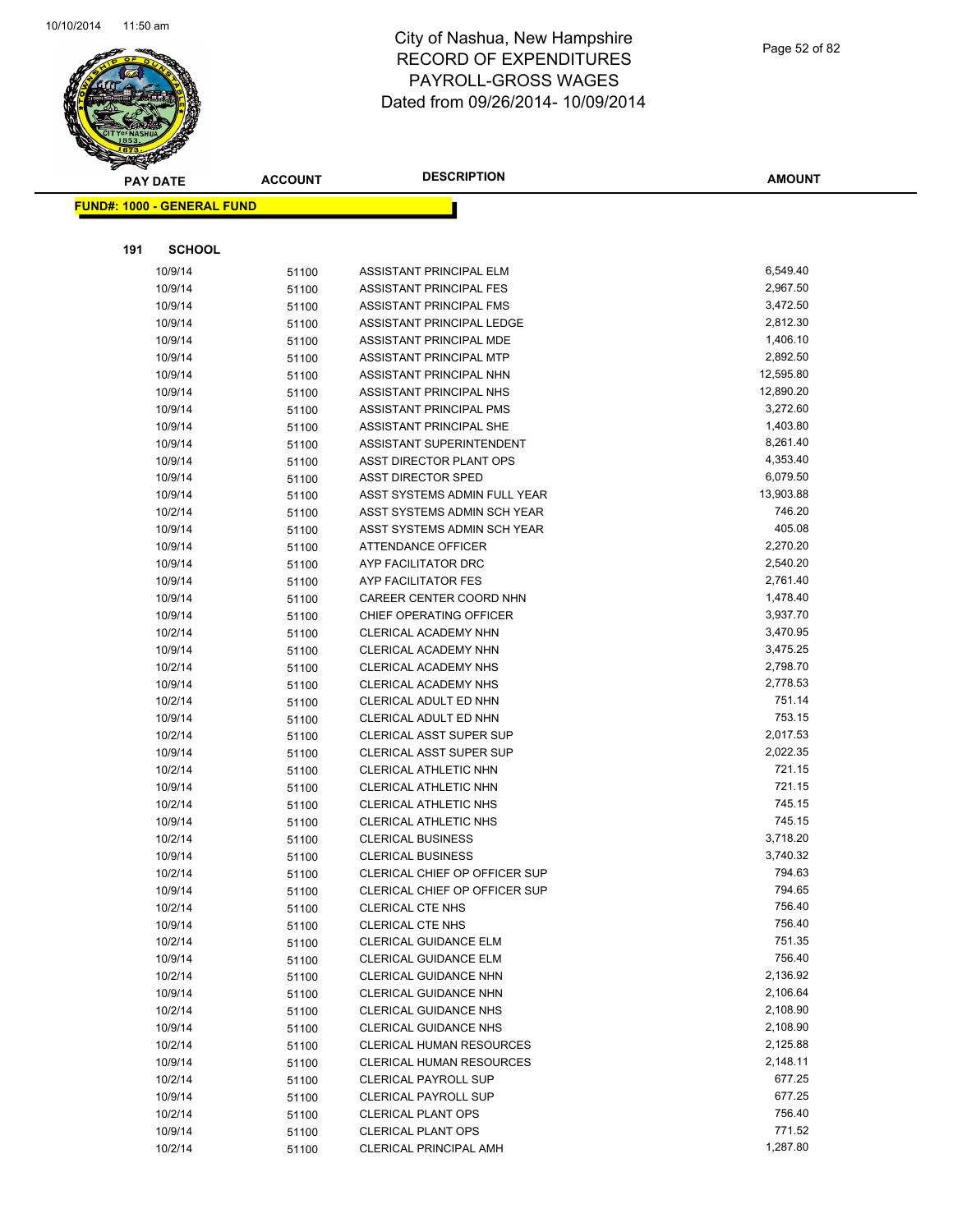

Page 52 of 82

| <b>PAY DATE</b>                   | <b>ACCOUNT</b> | <b>DESCRIPTION</b>              | <b>AMOUNT</b> |
|-----------------------------------|----------------|---------------------------------|---------------|
| <b>FUND#: 1000 - GENERAL FUND</b> |                |                                 |               |
|                                   |                |                                 |               |
|                                   |                |                                 |               |
| <b>SCHOOL</b><br>191              |                |                                 |               |
| 10/9/14                           | 51100          | ASSISTANT PRINCIPAL ELM         | 6,549.40      |
| 10/9/14                           | 51100          | ASSISTANT PRINCIPAL FES         | 2,967.50      |
| 10/9/14                           | 51100          | ASSISTANT PRINCIPAL FMS         | 3,472.50      |
| 10/9/14                           | 51100          | ASSISTANT PRINCIPAL LEDGE       | 2,812.30      |
| 10/9/14                           | 51100          | ASSISTANT PRINCIPAL MDE         | 1,406.10      |
| 10/9/14                           | 51100          | ASSISTANT PRINCIPAL MTP         | 2,892.50      |
| 10/9/14                           | 51100          | ASSISTANT PRINCIPAL NHN         | 12,595.80     |
| 10/9/14                           | 51100          | ASSISTANT PRINCIPAL NHS         | 12,890.20     |
| 10/9/14                           | 51100          | ASSISTANT PRINCIPAL PMS         | 3,272.60      |
| 10/9/14                           | 51100          | ASSISTANT PRINCIPAL SHE         | 1,403.80      |
| 10/9/14                           | 51100          | ASSISTANT SUPERINTENDENT        | 8,261.40      |
| 10/9/14                           | 51100          | ASST DIRECTOR PLANT OPS         | 4,353.40      |
| 10/9/14                           | 51100          | <b>ASST DIRECTOR SPED</b>       | 6,079.50      |
| 10/9/14                           | 51100          | ASST SYSTEMS ADMIN FULL YEAR    | 13,903.88     |
| 10/2/14                           | 51100          | ASST SYSTEMS ADMIN SCH YEAR     | 746.20        |
| 10/9/14                           | 51100          | ASST SYSTEMS ADMIN SCH YEAR     | 405.08        |
| 10/9/14                           | 51100          | ATTENDANCE OFFICER              | 2,270.20      |
| 10/9/14                           | 51100          | AYP FACILITATOR DRC             | 2,540.20      |
| 10/9/14                           | 51100          | AYP FACILITATOR FES             | 2,761.40      |
| 10/9/14                           | 51100          | CAREER CENTER COORD NHN         | 1,478.40      |
| 10/9/14                           | 51100          | <b>CHIEF OPERATING OFFICER</b>  | 3,937.70      |
| 10/2/14                           | 51100          | CLERICAL ACADEMY NHN            | 3,470.95      |
| 10/9/14                           | 51100          | CLERICAL ACADEMY NHN            | 3,475.25      |
| 10/2/14                           | 51100          | <b>CLERICAL ACADEMY NHS</b>     | 2,798.70      |
| 10/9/14                           | 51100          | <b>CLERICAL ACADEMY NHS</b>     | 2,778.53      |
| 10/2/14                           | 51100          | CLERICAL ADULT ED NHN           | 751.14        |
| 10/9/14                           | 51100          | CLERICAL ADULT ED NHN           | 753.15        |
| 10/2/14                           | 51100          | CLERICAL ASST SUPER SUP         | 2,017.53      |
| 10/9/14                           | 51100          | <b>CLERICAL ASST SUPER SUP</b>  | 2,022.35      |
| 10/2/14                           | 51100          | CLERICAL ATHLETIC NHN           | 721.15        |
| 10/9/14                           | 51100          | CLERICAL ATHLETIC NHN           | 721.15        |
| 10/2/14                           | 51100          | CLERICAL ATHLETIC NHS           | 745.15        |
| 10/9/14                           | 51100          | <b>CLERICAL ATHLETIC NHS</b>    | 745.15        |
| 10/2/14                           | 51100          | <b>CLERICAL BUSINESS</b>        | 3,718.20      |
| 10/9/14                           | 51100          | <b>CLERICAL BUSINESS</b>        | 3,740.32      |
| 10/2/14                           | 51100          | CLERICAL CHIEF OP OFFICER SUP   | 794.63        |
| 10/9/14                           | 51100          | CLERICAL CHIEF OP OFFICER SUP   | 794.65        |
| 10/2/14                           | 51100          | CLERICAL CTE NHS                | 756.40        |
| 10/9/14                           | 51100          | <b>CLERICAL CTE NHS</b>         | 756.40        |
| 10/2/14                           | 51100          | CLERICAL GUIDANCE ELM           | 751.35        |
| 10/9/14                           | 51100          | CLERICAL GUIDANCE ELM           | 756.40        |
| 10/2/14                           | 51100          | <b>CLERICAL GUIDANCE NHN</b>    | 2,136.92      |
| 10/9/14                           | 51100          | CLERICAL GUIDANCE NHN           | 2,106.64      |
| 10/2/14                           | 51100          | <b>CLERICAL GUIDANCE NHS</b>    | 2,108.90      |
| 10/9/14                           | 51100          | <b>CLERICAL GUIDANCE NHS</b>    | 2,108.90      |
| 10/2/14                           | 51100          | <b>CLERICAL HUMAN RESOURCES</b> | 2,125.88      |
| 10/9/14                           | 51100          | CLERICAL HUMAN RESOURCES        | 2,148.11      |
| 10/2/14                           | 51100          | <b>CLERICAL PAYROLL SUP</b>     | 677.25        |
| 10/9/14                           | 51100          | <b>CLERICAL PAYROLL SUP</b>     | 677.25        |
| 10/2/14                           | 51100          | <b>CLERICAL PLANT OPS</b>       | 756.40        |
| 10/9/14                           | 51100          | <b>CLERICAL PLANT OPS</b>       | 771.52        |
| 10/2/14                           | 51100          | <b>CLERICAL PRINCIPAL AMH</b>   | 1,287.80      |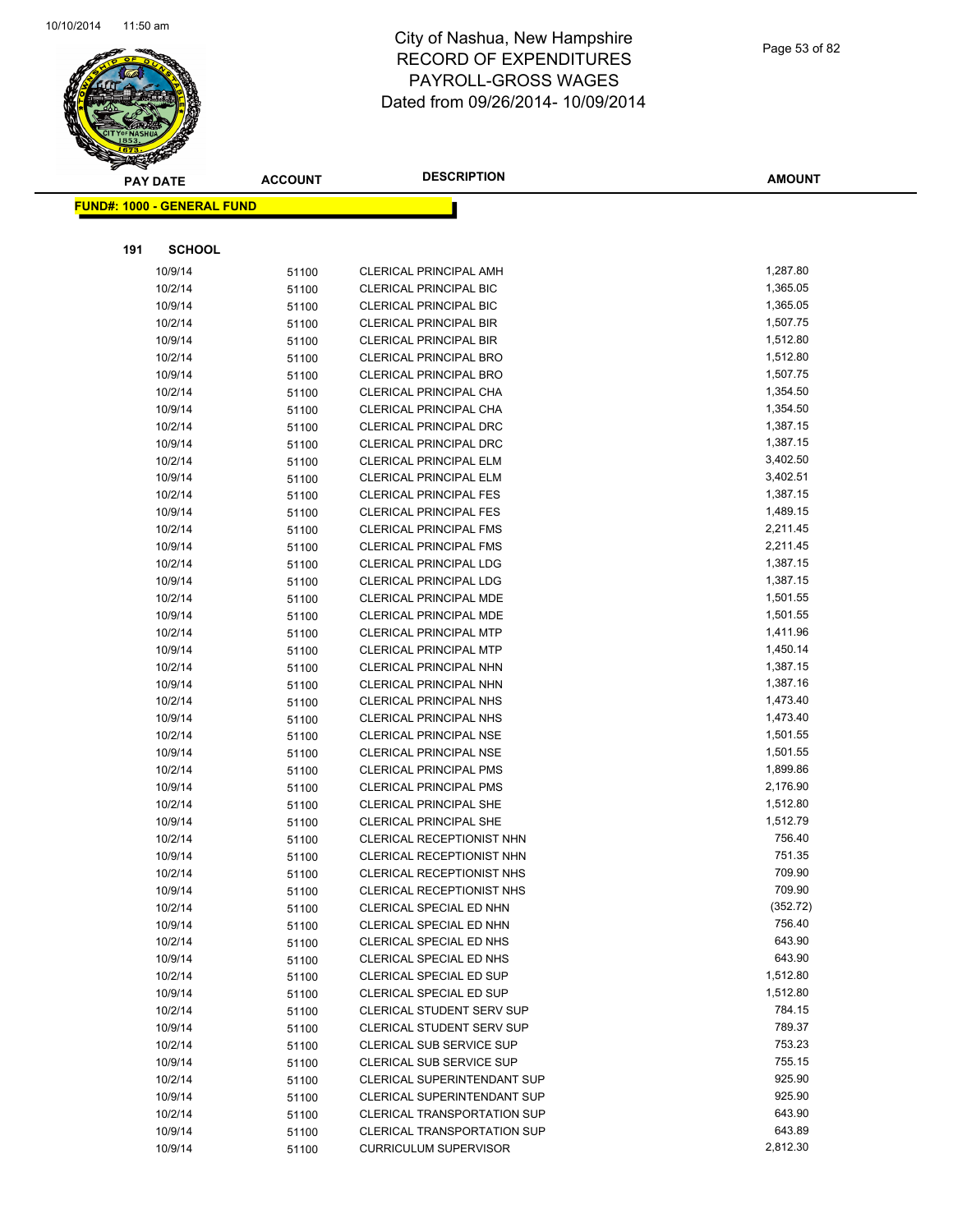

|     | <b>PAY DATE</b>                   | <b>ACCOUNT</b> | <b>DESCRIPTION</b>                                             | <b>AMOUNT</b>        |
|-----|-----------------------------------|----------------|----------------------------------------------------------------|----------------------|
|     | <b>FUND#: 1000 - GENERAL FUND</b> |                |                                                                |                      |
|     |                                   |                |                                                                |                      |
| 191 | <b>SCHOOL</b>                     |                |                                                                |                      |
|     |                                   |                |                                                                |                      |
|     | 10/9/14                           | 51100          | <b>CLERICAL PRINCIPAL AMH</b>                                  | 1,287.80             |
|     | 10/2/14                           | 51100          | <b>CLERICAL PRINCIPAL BIC</b>                                  | 1,365.05             |
|     | 10/9/14                           | 51100          | <b>CLERICAL PRINCIPAL BIC</b>                                  | 1,365.05<br>1,507.75 |
|     | 10/2/14                           | 51100          | <b>CLERICAL PRINCIPAL BIR</b>                                  | 1,512.80             |
|     | 10/9/14                           | 51100          | <b>CLERICAL PRINCIPAL BIR</b>                                  | 1,512.80             |
|     | 10/2/14<br>10/9/14                | 51100          | <b>CLERICAL PRINCIPAL BRO</b><br><b>CLERICAL PRINCIPAL BRO</b> | 1,507.75             |
|     | 10/2/14                           | 51100          | CLERICAL PRINCIPAL CHA                                         | 1,354.50             |
|     | 10/9/14                           | 51100<br>51100 | CLERICAL PRINCIPAL CHA                                         | 1,354.50             |
|     | 10/2/14                           | 51100          | <b>CLERICAL PRINCIPAL DRC</b>                                  | 1,387.15             |
|     | 10/9/14                           | 51100          | <b>CLERICAL PRINCIPAL DRC</b>                                  | 1,387.15             |
|     | 10/2/14                           | 51100          | <b>CLERICAL PRINCIPAL ELM</b>                                  | 3,402.50             |
|     | 10/9/14                           | 51100          | <b>CLERICAL PRINCIPAL ELM</b>                                  | 3,402.51             |
|     | 10/2/14                           | 51100          | <b>CLERICAL PRINCIPAL FES</b>                                  | 1,387.15             |
|     | 10/9/14                           | 51100          | <b>CLERICAL PRINCIPAL FES</b>                                  | 1,489.15             |
|     | 10/2/14                           | 51100          | <b>CLERICAL PRINCIPAL FMS</b>                                  | 2,211.45             |
|     | 10/9/14                           | 51100          | <b>CLERICAL PRINCIPAL FMS</b>                                  | 2,211.45             |
|     | 10/2/14                           | 51100          | CLERICAL PRINCIPAL LDG                                         | 1,387.15             |
|     | 10/9/14                           | 51100          | <b>CLERICAL PRINCIPAL LDG</b>                                  | 1,387.15             |
|     | 10/2/14                           | 51100          | CLERICAL PRINCIPAL MDE                                         | 1,501.55             |
|     | 10/9/14                           | 51100          | CLERICAL PRINCIPAL MDE                                         | 1,501.55             |
|     | 10/2/14                           | 51100          | <b>CLERICAL PRINCIPAL MTP</b>                                  | 1,411.96             |
|     | 10/9/14                           | 51100          | <b>CLERICAL PRINCIPAL MTP</b>                                  | 1,450.14             |
|     | 10/2/14                           | 51100          | CLERICAL PRINCIPAL NHN                                         | 1,387.15             |
|     | 10/9/14                           | 51100          | CLERICAL PRINCIPAL NHN                                         | 1,387.16             |
|     | 10/2/14                           | 51100          | <b>CLERICAL PRINCIPAL NHS</b>                                  | 1,473.40             |
|     | 10/9/14                           | 51100          | <b>CLERICAL PRINCIPAL NHS</b>                                  | 1,473.40             |
|     | 10/2/14                           | 51100          | <b>CLERICAL PRINCIPAL NSE</b>                                  | 1,501.55             |
|     | 10/9/14                           | 51100          | <b>CLERICAL PRINCIPAL NSE</b>                                  | 1,501.55             |
|     | 10/2/14                           | 51100          | <b>CLERICAL PRINCIPAL PMS</b>                                  | 1,899.86             |
|     | 10/9/14                           | 51100          | <b>CLERICAL PRINCIPAL PMS</b>                                  | 2,176.90             |
|     | 10/2/14                           | 51100          | <b>CLERICAL PRINCIPAL SHE</b>                                  | 1,512.80             |
|     | 10/9/14                           | 51100          | <b>CLERICAL PRINCIPAL SHE</b>                                  | 1,512.79             |
|     | 10/2/14                           | 51100          | CLERICAL RECEPTIONIST NHN                                      | 756.40               |
|     | 10/9/14                           | 51100          | <b>CLERICAL RECEPTIONIST NHN</b>                               | 751.35               |
|     | 10/2/14                           | 51100          | <b>CLERICAL RECEPTIONIST NHS</b>                               | 709.90               |
|     | 10/9/14                           | 51100          | <b>CLERICAL RECEPTIONIST NHS</b>                               | 709.90               |
|     | 10/2/14                           | 51100          | CLERICAL SPECIAL ED NHN                                        | (352.72)             |
|     | 10/9/14                           | 51100          | <b>CLERICAL SPECIAL ED NHN</b>                                 | 756.40               |
|     | 10/2/14                           | 51100          | CLERICAL SPECIAL ED NHS                                        | 643.90               |
|     | 10/9/14                           | 51100          | CLERICAL SPECIAL ED NHS                                        | 643.90               |
|     | 10/2/14                           | 51100          | CLERICAL SPECIAL ED SUP                                        | 1,512.80             |
|     | 10/9/14                           | 51100          | CLERICAL SPECIAL ED SUP                                        | 1,512.80             |
|     | 10/2/14                           | 51100          | <b>CLERICAL STUDENT SERV SUP</b>                               | 784.15               |
|     | 10/9/14                           | 51100          | CLERICAL STUDENT SERV SUP                                      | 789.37               |
|     | 10/2/14                           | 51100          | CLERICAL SUB SERVICE SUP                                       | 753.23               |
|     | 10/9/14                           | 51100          | CLERICAL SUB SERVICE SUP                                       | 755.15               |
|     | 10/2/14                           | 51100          | CLERICAL SUPERINTENDANT SUP                                    | 925.90               |
|     | 10/9/14                           | 51100          | <b>CLERICAL SUPERINTENDANT SUP</b>                             | 925.90               |
|     | 10/2/14                           | 51100          | CLERICAL TRANSPORTATION SUP                                    | 643.90               |
|     | 10/9/14                           | 51100          | CLERICAL TRANSPORTATION SUP                                    | 643.89               |
|     | 10/9/14                           | 51100          | <b>CURRICULUM SUPERVISOR</b>                                   | 2,812.30             |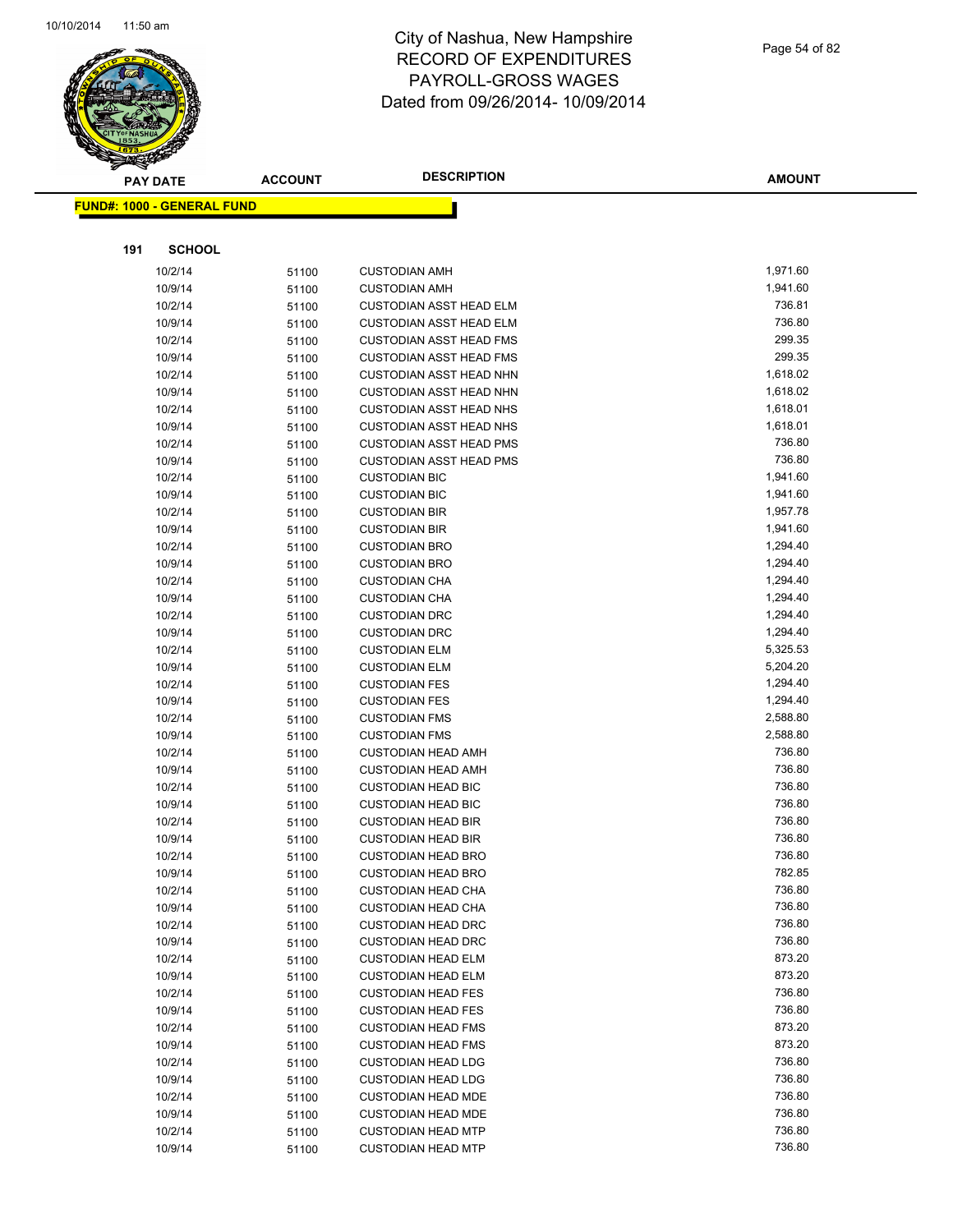

|     | <b>PAY DATE</b>                   | <b>ACCOUNT</b> | <b>DESCRIPTION</b>             | <b>AMOUNT</b> |
|-----|-----------------------------------|----------------|--------------------------------|---------------|
|     | <b>FUND#: 1000 - GENERAL FUND</b> |                |                                |               |
|     |                                   |                |                                |               |
|     |                                   |                |                                |               |
| 191 | <b>SCHOOL</b>                     |                |                                |               |
|     | 10/2/14                           | 51100          | <b>CUSTODIAN AMH</b>           | 1,971.60      |
|     | 10/9/14                           | 51100          | <b>CUSTODIAN AMH</b>           | 1,941.60      |
|     | 10/2/14                           | 51100          | <b>CUSTODIAN ASST HEAD ELM</b> | 736.81        |
|     | 10/9/14                           | 51100          | <b>CUSTODIAN ASST HEAD ELM</b> | 736.80        |
|     | 10/2/14                           | 51100          | <b>CUSTODIAN ASST HEAD FMS</b> | 299.35        |
|     | 10/9/14                           | 51100          | <b>CUSTODIAN ASST HEAD FMS</b> | 299.35        |
|     | 10/2/14                           | 51100          | <b>CUSTODIAN ASST HEAD NHN</b> | 1,618.02      |
|     | 10/9/14                           | 51100          | <b>CUSTODIAN ASST HEAD NHN</b> | 1,618.02      |
|     | 10/2/14                           | 51100          | <b>CUSTODIAN ASST HEAD NHS</b> | 1,618.01      |
|     | 10/9/14                           | 51100          | <b>CUSTODIAN ASST HEAD NHS</b> | 1,618.01      |
|     | 10/2/14                           | 51100          | <b>CUSTODIAN ASST HEAD PMS</b> | 736.80        |
|     | 10/9/14                           | 51100          | <b>CUSTODIAN ASST HEAD PMS</b> | 736.80        |
|     | 10/2/14                           | 51100          | <b>CUSTODIAN BIC</b>           | 1,941.60      |
|     | 10/9/14                           | 51100          | <b>CUSTODIAN BIC</b>           | 1,941.60      |
|     | 10/2/14                           | 51100          | <b>CUSTODIAN BIR</b>           | 1,957.78      |
|     | 10/9/14                           | 51100          | <b>CUSTODIAN BIR</b>           | 1,941.60      |
|     | 10/2/14                           | 51100          | <b>CUSTODIAN BRO</b>           | 1,294.40      |
|     | 10/9/14                           | 51100          | <b>CUSTODIAN BRO</b>           | 1,294.40      |
|     | 10/2/14                           | 51100          | <b>CUSTODIAN CHA</b>           | 1,294.40      |
|     | 10/9/14                           | 51100          | <b>CUSTODIAN CHA</b>           | 1,294.40      |
|     | 10/2/14                           | 51100          | <b>CUSTODIAN DRC</b>           | 1,294.40      |
|     | 10/9/14                           | 51100          | <b>CUSTODIAN DRC</b>           | 1,294.40      |
|     | 10/2/14                           | 51100          | <b>CUSTODIAN ELM</b>           | 5,325.53      |
|     | 10/9/14                           | 51100          | <b>CUSTODIAN ELM</b>           | 5,204.20      |
|     | 10/2/14                           | 51100          | <b>CUSTODIAN FES</b>           | 1,294.40      |
|     | 10/9/14                           | 51100          | <b>CUSTODIAN FES</b>           | 1,294.40      |
|     | 10/2/14                           | 51100          | <b>CUSTODIAN FMS</b>           | 2,588.80      |
|     | 10/9/14                           | 51100          | <b>CUSTODIAN FMS</b>           | 2,588.80      |
|     | 10/2/14                           | 51100          | <b>CUSTODIAN HEAD AMH</b>      | 736.80        |
|     | 10/9/14                           | 51100          | <b>CUSTODIAN HEAD AMH</b>      | 736.80        |
|     | 10/2/14                           | 51100          | <b>CUSTODIAN HEAD BIC</b>      | 736.80        |
|     | 10/9/14                           | 51100          | <b>CUSTODIAN HEAD BIC</b>      | 736.80        |
|     | 10/2/14                           | 51100          | <b>CUSTODIAN HEAD BIR</b>      | 736.80        |
|     | 10/9/14                           | 51100          | <b>CUSTODIAN HEAD BIR</b>      | 736.80        |
|     | 10/2/14                           | 51100          | <b>CUSTODIAN HEAD BRO</b>      | 736.80        |
|     | 10/9/14                           | 51100          | <b>CUSTODIAN HEAD BRO</b>      | 782.85        |
|     | 10/2/14                           | 51100          | <b>CUSTODIAN HEAD CHA</b>      | 736.80        |
|     | 10/9/14                           | 51100          | <b>CUSTODIAN HEAD CHA</b>      | 736.80        |
|     | 10/2/14                           | 51100          | <b>CUSTODIAN HEAD DRC</b>      | 736.80        |
|     | 10/9/14                           | 51100          | <b>CUSTODIAN HEAD DRC</b>      | 736.80        |
|     | 10/2/14                           | 51100          | <b>CUSTODIAN HEAD ELM</b>      | 873.20        |
|     | 10/9/14                           | 51100          | <b>CUSTODIAN HEAD ELM</b>      | 873.20        |
|     | 10/2/14                           | 51100          | <b>CUSTODIAN HEAD FES</b>      | 736.80        |
|     | 10/9/14                           | 51100          | <b>CUSTODIAN HEAD FES</b>      | 736.80        |
|     | 10/2/14                           | 51100          | <b>CUSTODIAN HEAD FMS</b>      | 873.20        |
|     | 10/9/14                           | 51100          | <b>CUSTODIAN HEAD FMS</b>      | 873.20        |
|     | 10/2/14                           | 51100          | <b>CUSTODIAN HEAD LDG</b>      | 736.80        |
|     | 10/9/14                           | 51100          | <b>CUSTODIAN HEAD LDG</b>      | 736.80        |
|     | 10/2/14                           | 51100          | <b>CUSTODIAN HEAD MDE</b>      | 736.80        |
|     | 10/9/14                           | 51100          | <b>CUSTODIAN HEAD MDE</b>      | 736.80        |
|     | 10/2/14                           | 51100          | <b>CUSTODIAN HEAD MTP</b>      | 736.80        |
|     | 10/9/14                           | 51100          | <b>CUSTODIAN HEAD MTP</b>      | 736.80        |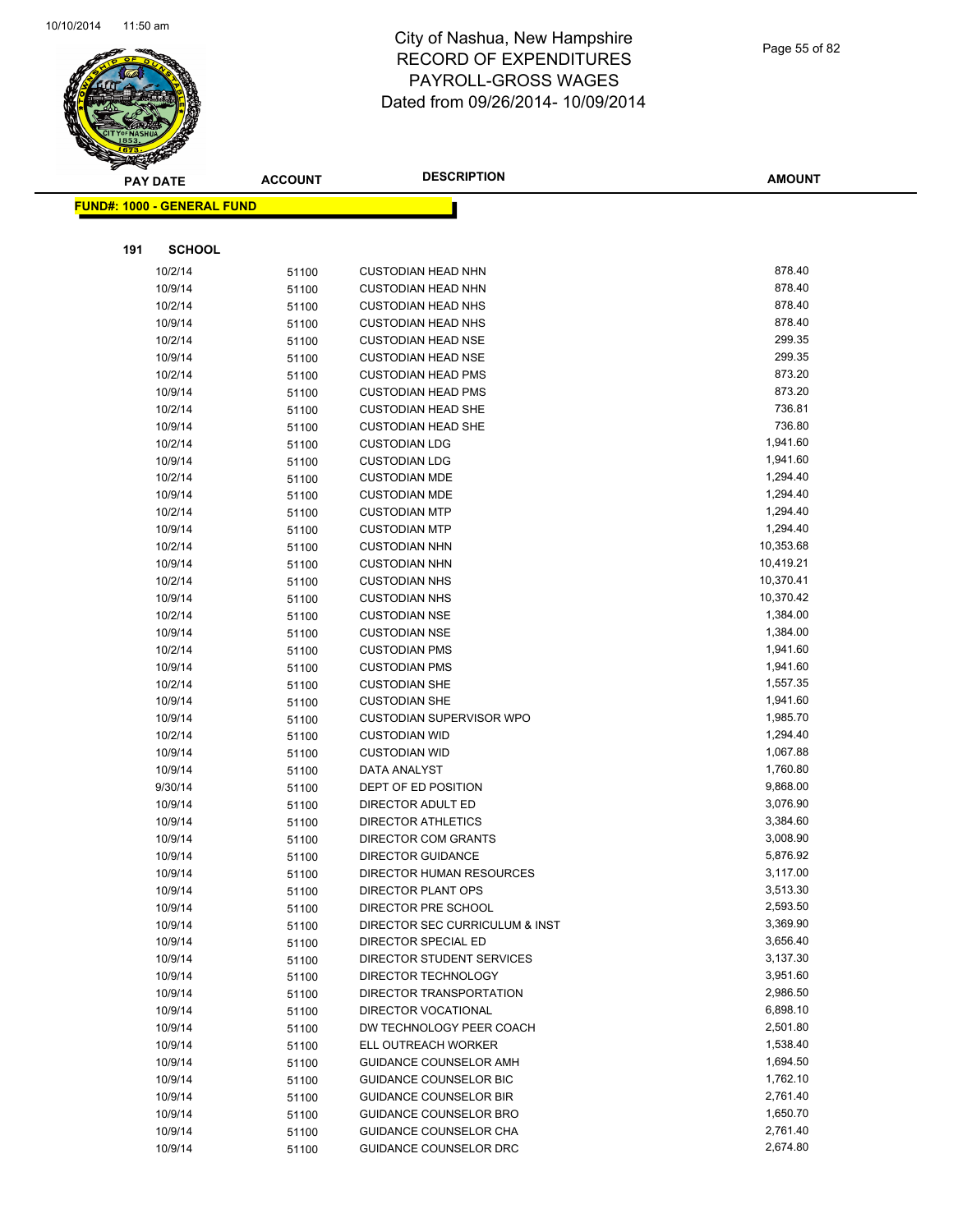

Page 55 of 82

| <u> FUND#: 1000 - GENERAL FUND</u><br>191<br><b>SCHOOL</b><br>878.40<br>10/2/14<br>51100<br><b>CUSTODIAN HEAD NHN</b><br>878.40<br>10/9/14<br><b>CUSTODIAN HEAD NHN</b><br>51100<br>878.40<br>10/2/14<br>51100<br><b>CUSTODIAN HEAD NHS</b><br>10/9/14<br>878.40<br><b>CUSTODIAN HEAD NHS</b><br>51100<br>299.35<br>10/2/14<br><b>CUSTODIAN HEAD NSE</b><br>51100<br>299.35<br>10/9/14<br><b>CUSTODIAN HEAD NSE</b><br>51100<br>873.20<br>10/2/14<br><b>CUSTODIAN HEAD PMS</b><br>51100<br>873.20<br>10/9/14<br><b>CUSTODIAN HEAD PMS</b><br>51100<br>736.81<br>10/2/14<br>51100<br><b>CUSTODIAN HEAD SHE</b><br>736.80<br>10/9/14<br><b>CUSTODIAN HEAD SHE</b><br>51100<br>10/2/14<br>1,941.60<br><b>CUSTODIAN LDG</b><br>51100<br>1,941.60<br>10/9/14<br><b>CUSTODIAN LDG</b><br>51100<br>10/2/14<br>1,294.40<br><b>CUSTODIAN MDE</b><br>51100<br>1,294.40<br>10/9/14<br>51100<br><b>CUSTODIAN MDE</b><br>10/2/14<br>1,294.40<br><b>CUSTODIAN MTP</b><br>51100<br>1,294.40<br>10/9/14<br><b>CUSTODIAN MTP</b><br>51100<br>10/2/14<br>10,353.68<br><b>CUSTODIAN NHN</b><br>51100<br>10,419.21<br>10/9/14<br>51100<br><b>CUSTODIAN NHN</b><br>10,370.41<br>10/2/14<br><b>CUSTODIAN NHS</b><br>51100<br>10,370.42<br>10/9/14<br>51100<br><b>CUSTODIAN NHS</b><br>10/2/14<br>1,384.00<br><b>CUSTODIAN NSE</b><br>51100<br>1,384.00<br>10/9/14<br><b>CUSTODIAN NSE</b><br>51100<br>1,941.60<br>10/2/14<br><b>CUSTODIAN PMS</b><br>51100<br>1,941.60<br>10/9/14<br>51100<br><b>CUSTODIAN PMS</b><br>1,557.35<br>10/2/14<br><b>CUSTODIAN SHE</b><br>51100<br>10/9/14<br>1,941.60<br><b>CUSTODIAN SHE</b><br>51100<br>1,985.70<br>10/9/14<br><b>CUSTODIAN SUPERVISOR WPO</b><br>51100<br>10/2/14<br>1,294.40<br><b>CUSTODIAN WID</b><br>51100<br>1,067.88<br>10/9/14<br><b>CUSTODIAN WID</b><br>51100<br>10/9/14<br>1,760.80<br>DATA ANALYST<br>51100<br>DEPT OF ED POSITION<br>9,868.00<br>9/30/14<br>51100<br>3,076.90<br>10/9/14<br>DIRECTOR ADULT ED<br>51100<br>3,384.60<br>10/9/14<br><b>DIRECTOR ATHLETICS</b><br>51100<br>10/9/14<br>3,008.90<br>DIRECTOR COM GRANTS<br>51100<br>5,876.92<br>10/9/14<br><b>DIRECTOR GUIDANCE</b><br>51100<br>3,117.00<br>10/9/14<br>DIRECTOR HUMAN RESOURCES<br>51100<br>3,513.30<br>10/9/14<br>DIRECTOR PLANT OPS<br>51100<br>2,593.50<br>10/9/14<br>DIRECTOR PRE SCHOOL<br>51100<br>3,369.90<br>10/9/14<br>DIRECTOR SEC CURRICULUM & INST<br>51100<br>3,656.40<br>10/9/14<br>DIRECTOR SPECIAL ED<br>51100<br>10/9/14<br>3,137.30<br>DIRECTOR STUDENT SERVICES<br>51100<br>3,951.60<br>10/9/14<br>DIRECTOR TECHNOLOGY<br>51100<br>10/9/14<br>DIRECTOR TRANSPORTATION<br>2,986.50<br>51100<br>6,898.10<br>10/9/14<br>51100<br>DIRECTOR VOCATIONAL<br>10/9/14<br>2,501.80<br>DW TECHNOLOGY PEER COACH<br>51100<br>1,538.40<br>10/9/14<br>ELL OUTREACH WORKER<br>51100<br>10/9/14<br>1,694.50<br>GUIDANCE COUNSELOR AMH<br>51100<br>1,762.10<br>10/9/14<br><b>GUIDANCE COUNSELOR BIC</b><br>51100<br>10/9/14<br>2,761.40<br><b>GUIDANCE COUNSELOR BIR</b><br>51100<br>1,650.70<br>10/9/14<br>GUIDANCE COUNSELOR BRO<br>51100<br>10/9/14<br>GUIDANCE COUNSELOR CHA<br>2,761.40<br>51100 |  | <b>PAY DATE</b> | <b>ACCOUNT</b> | <b>DESCRIPTION</b>     | AMOUNT   |
|------------------------------------------------------------------------------------------------------------------------------------------------------------------------------------------------------------------------------------------------------------------------------------------------------------------------------------------------------------------------------------------------------------------------------------------------------------------------------------------------------------------------------------------------------------------------------------------------------------------------------------------------------------------------------------------------------------------------------------------------------------------------------------------------------------------------------------------------------------------------------------------------------------------------------------------------------------------------------------------------------------------------------------------------------------------------------------------------------------------------------------------------------------------------------------------------------------------------------------------------------------------------------------------------------------------------------------------------------------------------------------------------------------------------------------------------------------------------------------------------------------------------------------------------------------------------------------------------------------------------------------------------------------------------------------------------------------------------------------------------------------------------------------------------------------------------------------------------------------------------------------------------------------------------------------------------------------------------------------------------------------------------------------------------------------------------------------------------------------------------------------------------------------------------------------------------------------------------------------------------------------------------------------------------------------------------------------------------------------------------------------------------------------------------------------------------------------------------------------------------------------------------------------------------------------------------------------------------------------------------------------------------------------------------------------------------------------------------------------------------------------------------------------------------------------------------------------------------------------------------------------------------------------------------------------------------------------------------------------------------------------------------------------------------------------------------------------------------------------------------|--|-----------------|----------------|------------------------|----------|
|                                                                                                                                                                                                                                                                                                                                                                                                                                                                                                                                                                                                                                                                                                                                                                                                                                                                                                                                                                                                                                                                                                                                                                                                                                                                                                                                                                                                                                                                                                                                                                                                                                                                                                                                                                                                                                                                                                                                                                                                                                                                                                                                                                                                                                                                                                                                                                                                                                                                                                                                                                                                                                                                                                                                                                                                                                                                                                                                                                                                                                                                                                                        |  |                 |                |                        |          |
|                                                                                                                                                                                                                                                                                                                                                                                                                                                                                                                                                                                                                                                                                                                                                                                                                                                                                                                                                                                                                                                                                                                                                                                                                                                                                                                                                                                                                                                                                                                                                                                                                                                                                                                                                                                                                                                                                                                                                                                                                                                                                                                                                                                                                                                                                                                                                                                                                                                                                                                                                                                                                                                                                                                                                                                                                                                                                                                                                                                                                                                                                                                        |  |                 |                |                        |          |
|                                                                                                                                                                                                                                                                                                                                                                                                                                                                                                                                                                                                                                                                                                                                                                                                                                                                                                                                                                                                                                                                                                                                                                                                                                                                                                                                                                                                                                                                                                                                                                                                                                                                                                                                                                                                                                                                                                                                                                                                                                                                                                                                                                                                                                                                                                                                                                                                                                                                                                                                                                                                                                                                                                                                                                                                                                                                                                                                                                                                                                                                                                                        |  |                 |                |                        |          |
|                                                                                                                                                                                                                                                                                                                                                                                                                                                                                                                                                                                                                                                                                                                                                                                                                                                                                                                                                                                                                                                                                                                                                                                                                                                                                                                                                                                                                                                                                                                                                                                                                                                                                                                                                                                                                                                                                                                                                                                                                                                                                                                                                                                                                                                                                                                                                                                                                                                                                                                                                                                                                                                                                                                                                                                                                                                                                                                                                                                                                                                                                                                        |  |                 |                |                        |          |
|                                                                                                                                                                                                                                                                                                                                                                                                                                                                                                                                                                                                                                                                                                                                                                                                                                                                                                                                                                                                                                                                                                                                                                                                                                                                                                                                                                                                                                                                                                                                                                                                                                                                                                                                                                                                                                                                                                                                                                                                                                                                                                                                                                                                                                                                                                                                                                                                                                                                                                                                                                                                                                                                                                                                                                                                                                                                                                                                                                                                                                                                                                                        |  |                 |                |                        |          |
|                                                                                                                                                                                                                                                                                                                                                                                                                                                                                                                                                                                                                                                                                                                                                                                                                                                                                                                                                                                                                                                                                                                                                                                                                                                                                                                                                                                                                                                                                                                                                                                                                                                                                                                                                                                                                                                                                                                                                                                                                                                                                                                                                                                                                                                                                                                                                                                                                                                                                                                                                                                                                                                                                                                                                                                                                                                                                                                                                                                                                                                                                                                        |  |                 |                |                        |          |
|                                                                                                                                                                                                                                                                                                                                                                                                                                                                                                                                                                                                                                                                                                                                                                                                                                                                                                                                                                                                                                                                                                                                                                                                                                                                                                                                                                                                                                                                                                                                                                                                                                                                                                                                                                                                                                                                                                                                                                                                                                                                                                                                                                                                                                                                                                                                                                                                                                                                                                                                                                                                                                                                                                                                                                                                                                                                                                                                                                                                                                                                                                                        |  |                 |                |                        |          |
|                                                                                                                                                                                                                                                                                                                                                                                                                                                                                                                                                                                                                                                                                                                                                                                                                                                                                                                                                                                                                                                                                                                                                                                                                                                                                                                                                                                                                                                                                                                                                                                                                                                                                                                                                                                                                                                                                                                                                                                                                                                                                                                                                                                                                                                                                                                                                                                                                                                                                                                                                                                                                                                                                                                                                                                                                                                                                                                                                                                                                                                                                                                        |  |                 |                |                        |          |
|                                                                                                                                                                                                                                                                                                                                                                                                                                                                                                                                                                                                                                                                                                                                                                                                                                                                                                                                                                                                                                                                                                                                                                                                                                                                                                                                                                                                                                                                                                                                                                                                                                                                                                                                                                                                                                                                                                                                                                                                                                                                                                                                                                                                                                                                                                                                                                                                                                                                                                                                                                                                                                                                                                                                                                                                                                                                                                                                                                                                                                                                                                                        |  |                 |                |                        |          |
|                                                                                                                                                                                                                                                                                                                                                                                                                                                                                                                                                                                                                                                                                                                                                                                                                                                                                                                                                                                                                                                                                                                                                                                                                                                                                                                                                                                                                                                                                                                                                                                                                                                                                                                                                                                                                                                                                                                                                                                                                                                                                                                                                                                                                                                                                                                                                                                                                                                                                                                                                                                                                                                                                                                                                                                                                                                                                                                                                                                                                                                                                                                        |  |                 |                |                        |          |
|                                                                                                                                                                                                                                                                                                                                                                                                                                                                                                                                                                                                                                                                                                                                                                                                                                                                                                                                                                                                                                                                                                                                                                                                                                                                                                                                                                                                                                                                                                                                                                                                                                                                                                                                                                                                                                                                                                                                                                                                                                                                                                                                                                                                                                                                                                                                                                                                                                                                                                                                                                                                                                                                                                                                                                                                                                                                                                                                                                                                                                                                                                                        |  |                 |                |                        |          |
|                                                                                                                                                                                                                                                                                                                                                                                                                                                                                                                                                                                                                                                                                                                                                                                                                                                                                                                                                                                                                                                                                                                                                                                                                                                                                                                                                                                                                                                                                                                                                                                                                                                                                                                                                                                                                                                                                                                                                                                                                                                                                                                                                                                                                                                                                                                                                                                                                                                                                                                                                                                                                                                                                                                                                                                                                                                                                                                                                                                                                                                                                                                        |  |                 |                |                        |          |
|                                                                                                                                                                                                                                                                                                                                                                                                                                                                                                                                                                                                                                                                                                                                                                                                                                                                                                                                                                                                                                                                                                                                                                                                                                                                                                                                                                                                                                                                                                                                                                                                                                                                                                                                                                                                                                                                                                                                                                                                                                                                                                                                                                                                                                                                                                                                                                                                                                                                                                                                                                                                                                                                                                                                                                                                                                                                                                                                                                                                                                                                                                                        |  |                 |                |                        |          |
|                                                                                                                                                                                                                                                                                                                                                                                                                                                                                                                                                                                                                                                                                                                                                                                                                                                                                                                                                                                                                                                                                                                                                                                                                                                                                                                                                                                                                                                                                                                                                                                                                                                                                                                                                                                                                                                                                                                                                                                                                                                                                                                                                                                                                                                                                                                                                                                                                                                                                                                                                                                                                                                                                                                                                                                                                                                                                                                                                                                                                                                                                                                        |  |                 |                |                        |          |
|                                                                                                                                                                                                                                                                                                                                                                                                                                                                                                                                                                                                                                                                                                                                                                                                                                                                                                                                                                                                                                                                                                                                                                                                                                                                                                                                                                                                                                                                                                                                                                                                                                                                                                                                                                                                                                                                                                                                                                                                                                                                                                                                                                                                                                                                                                                                                                                                                                                                                                                                                                                                                                                                                                                                                                                                                                                                                                                                                                                                                                                                                                                        |  |                 |                |                        |          |
|                                                                                                                                                                                                                                                                                                                                                                                                                                                                                                                                                                                                                                                                                                                                                                                                                                                                                                                                                                                                                                                                                                                                                                                                                                                                                                                                                                                                                                                                                                                                                                                                                                                                                                                                                                                                                                                                                                                                                                                                                                                                                                                                                                                                                                                                                                                                                                                                                                                                                                                                                                                                                                                                                                                                                                                                                                                                                                                                                                                                                                                                                                                        |  |                 |                |                        |          |
|                                                                                                                                                                                                                                                                                                                                                                                                                                                                                                                                                                                                                                                                                                                                                                                                                                                                                                                                                                                                                                                                                                                                                                                                                                                                                                                                                                                                                                                                                                                                                                                                                                                                                                                                                                                                                                                                                                                                                                                                                                                                                                                                                                                                                                                                                                                                                                                                                                                                                                                                                                                                                                                                                                                                                                                                                                                                                                                                                                                                                                                                                                                        |  |                 |                |                        |          |
|                                                                                                                                                                                                                                                                                                                                                                                                                                                                                                                                                                                                                                                                                                                                                                                                                                                                                                                                                                                                                                                                                                                                                                                                                                                                                                                                                                                                                                                                                                                                                                                                                                                                                                                                                                                                                                                                                                                                                                                                                                                                                                                                                                                                                                                                                                                                                                                                                                                                                                                                                                                                                                                                                                                                                                                                                                                                                                                                                                                                                                                                                                                        |  |                 |                |                        |          |
|                                                                                                                                                                                                                                                                                                                                                                                                                                                                                                                                                                                                                                                                                                                                                                                                                                                                                                                                                                                                                                                                                                                                                                                                                                                                                                                                                                                                                                                                                                                                                                                                                                                                                                                                                                                                                                                                                                                                                                                                                                                                                                                                                                                                                                                                                                                                                                                                                                                                                                                                                                                                                                                                                                                                                                                                                                                                                                                                                                                                                                                                                                                        |  |                 |                |                        |          |
|                                                                                                                                                                                                                                                                                                                                                                                                                                                                                                                                                                                                                                                                                                                                                                                                                                                                                                                                                                                                                                                                                                                                                                                                                                                                                                                                                                                                                                                                                                                                                                                                                                                                                                                                                                                                                                                                                                                                                                                                                                                                                                                                                                                                                                                                                                                                                                                                                                                                                                                                                                                                                                                                                                                                                                                                                                                                                                                                                                                                                                                                                                                        |  |                 |                |                        |          |
|                                                                                                                                                                                                                                                                                                                                                                                                                                                                                                                                                                                                                                                                                                                                                                                                                                                                                                                                                                                                                                                                                                                                                                                                                                                                                                                                                                                                                                                                                                                                                                                                                                                                                                                                                                                                                                                                                                                                                                                                                                                                                                                                                                                                                                                                                                                                                                                                                                                                                                                                                                                                                                                                                                                                                                                                                                                                                                                                                                                                                                                                                                                        |  |                 |                |                        |          |
|                                                                                                                                                                                                                                                                                                                                                                                                                                                                                                                                                                                                                                                                                                                                                                                                                                                                                                                                                                                                                                                                                                                                                                                                                                                                                                                                                                                                                                                                                                                                                                                                                                                                                                                                                                                                                                                                                                                                                                                                                                                                                                                                                                                                                                                                                                                                                                                                                                                                                                                                                                                                                                                                                                                                                                                                                                                                                                                                                                                                                                                                                                                        |  |                 |                |                        |          |
|                                                                                                                                                                                                                                                                                                                                                                                                                                                                                                                                                                                                                                                                                                                                                                                                                                                                                                                                                                                                                                                                                                                                                                                                                                                                                                                                                                                                                                                                                                                                                                                                                                                                                                                                                                                                                                                                                                                                                                                                                                                                                                                                                                                                                                                                                                                                                                                                                                                                                                                                                                                                                                                                                                                                                                                                                                                                                                                                                                                                                                                                                                                        |  |                 |                |                        |          |
|                                                                                                                                                                                                                                                                                                                                                                                                                                                                                                                                                                                                                                                                                                                                                                                                                                                                                                                                                                                                                                                                                                                                                                                                                                                                                                                                                                                                                                                                                                                                                                                                                                                                                                                                                                                                                                                                                                                                                                                                                                                                                                                                                                                                                                                                                                                                                                                                                                                                                                                                                                                                                                                                                                                                                                                                                                                                                                                                                                                                                                                                                                                        |  |                 |                |                        |          |
|                                                                                                                                                                                                                                                                                                                                                                                                                                                                                                                                                                                                                                                                                                                                                                                                                                                                                                                                                                                                                                                                                                                                                                                                                                                                                                                                                                                                                                                                                                                                                                                                                                                                                                                                                                                                                                                                                                                                                                                                                                                                                                                                                                                                                                                                                                                                                                                                                                                                                                                                                                                                                                                                                                                                                                                                                                                                                                                                                                                                                                                                                                                        |  |                 |                |                        |          |
|                                                                                                                                                                                                                                                                                                                                                                                                                                                                                                                                                                                                                                                                                                                                                                                                                                                                                                                                                                                                                                                                                                                                                                                                                                                                                                                                                                                                                                                                                                                                                                                                                                                                                                                                                                                                                                                                                                                                                                                                                                                                                                                                                                                                                                                                                                                                                                                                                                                                                                                                                                                                                                                                                                                                                                                                                                                                                                                                                                                                                                                                                                                        |  |                 |                |                        |          |
|                                                                                                                                                                                                                                                                                                                                                                                                                                                                                                                                                                                                                                                                                                                                                                                                                                                                                                                                                                                                                                                                                                                                                                                                                                                                                                                                                                                                                                                                                                                                                                                                                                                                                                                                                                                                                                                                                                                                                                                                                                                                                                                                                                                                                                                                                                                                                                                                                                                                                                                                                                                                                                                                                                                                                                                                                                                                                                                                                                                                                                                                                                                        |  |                 |                |                        |          |
|                                                                                                                                                                                                                                                                                                                                                                                                                                                                                                                                                                                                                                                                                                                                                                                                                                                                                                                                                                                                                                                                                                                                                                                                                                                                                                                                                                                                                                                                                                                                                                                                                                                                                                                                                                                                                                                                                                                                                                                                                                                                                                                                                                                                                                                                                                                                                                                                                                                                                                                                                                                                                                                                                                                                                                                                                                                                                                                                                                                                                                                                                                                        |  |                 |                |                        |          |
|                                                                                                                                                                                                                                                                                                                                                                                                                                                                                                                                                                                                                                                                                                                                                                                                                                                                                                                                                                                                                                                                                                                                                                                                                                                                                                                                                                                                                                                                                                                                                                                                                                                                                                                                                                                                                                                                                                                                                                                                                                                                                                                                                                                                                                                                                                                                                                                                                                                                                                                                                                                                                                                                                                                                                                                                                                                                                                                                                                                                                                                                                                                        |  |                 |                |                        |          |
|                                                                                                                                                                                                                                                                                                                                                                                                                                                                                                                                                                                                                                                                                                                                                                                                                                                                                                                                                                                                                                                                                                                                                                                                                                                                                                                                                                                                                                                                                                                                                                                                                                                                                                                                                                                                                                                                                                                                                                                                                                                                                                                                                                                                                                                                                                                                                                                                                                                                                                                                                                                                                                                                                                                                                                                                                                                                                                                                                                                                                                                                                                                        |  |                 |                |                        |          |
|                                                                                                                                                                                                                                                                                                                                                                                                                                                                                                                                                                                                                                                                                                                                                                                                                                                                                                                                                                                                                                                                                                                                                                                                                                                                                                                                                                                                                                                                                                                                                                                                                                                                                                                                                                                                                                                                                                                                                                                                                                                                                                                                                                                                                                                                                                                                                                                                                                                                                                                                                                                                                                                                                                                                                                                                                                                                                                                                                                                                                                                                                                                        |  |                 |                |                        |          |
|                                                                                                                                                                                                                                                                                                                                                                                                                                                                                                                                                                                                                                                                                                                                                                                                                                                                                                                                                                                                                                                                                                                                                                                                                                                                                                                                                                                                                                                                                                                                                                                                                                                                                                                                                                                                                                                                                                                                                                                                                                                                                                                                                                                                                                                                                                                                                                                                                                                                                                                                                                                                                                                                                                                                                                                                                                                                                                                                                                                                                                                                                                                        |  |                 |                |                        |          |
|                                                                                                                                                                                                                                                                                                                                                                                                                                                                                                                                                                                                                                                                                                                                                                                                                                                                                                                                                                                                                                                                                                                                                                                                                                                                                                                                                                                                                                                                                                                                                                                                                                                                                                                                                                                                                                                                                                                                                                                                                                                                                                                                                                                                                                                                                                                                                                                                                                                                                                                                                                                                                                                                                                                                                                                                                                                                                                                                                                                                                                                                                                                        |  |                 |                |                        |          |
|                                                                                                                                                                                                                                                                                                                                                                                                                                                                                                                                                                                                                                                                                                                                                                                                                                                                                                                                                                                                                                                                                                                                                                                                                                                                                                                                                                                                                                                                                                                                                                                                                                                                                                                                                                                                                                                                                                                                                                                                                                                                                                                                                                                                                                                                                                                                                                                                                                                                                                                                                                                                                                                                                                                                                                                                                                                                                                                                                                                                                                                                                                                        |  |                 |                |                        |          |
|                                                                                                                                                                                                                                                                                                                                                                                                                                                                                                                                                                                                                                                                                                                                                                                                                                                                                                                                                                                                                                                                                                                                                                                                                                                                                                                                                                                                                                                                                                                                                                                                                                                                                                                                                                                                                                                                                                                                                                                                                                                                                                                                                                                                                                                                                                                                                                                                                                                                                                                                                                                                                                                                                                                                                                                                                                                                                                                                                                                                                                                                                                                        |  |                 |                |                        |          |
|                                                                                                                                                                                                                                                                                                                                                                                                                                                                                                                                                                                                                                                                                                                                                                                                                                                                                                                                                                                                                                                                                                                                                                                                                                                                                                                                                                                                                                                                                                                                                                                                                                                                                                                                                                                                                                                                                                                                                                                                                                                                                                                                                                                                                                                                                                                                                                                                                                                                                                                                                                                                                                                                                                                                                                                                                                                                                                                                                                                                                                                                                                                        |  |                 |                |                        |          |
|                                                                                                                                                                                                                                                                                                                                                                                                                                                                                                                                                                                                                                                                                                                                                                                                                                                                                                                                                                                                                                                                                                                                                                                                                                                                                                                                                                                                                                                                                                                                                                                                                                                                                                                                                                                                                                                                                                                                                                                                                                                                                                                                                                                                                                                                                                                                                                                                                                                                                                                                                                                                                                                                                                                                                                                                                                                                                                                                                                                                                                                                                                                        |  |                 |                |                        |          |
|                                                                                                                                                                                                                                                                                                                                                                                                                                                                                                                                                                                                                                                                                                                                                                                                                                                                                                                                                                                                                                                                                                                                                                                                                                                                                                                                                                                                                                                                                                                                                                                                                                                                                                                                                                                                                                                                                                                                                                                                                                                                                                                                                                                                                                                                                                                                                                                                                                                                                                                                                                                                                                                                                                                                                                                                                                                                                                                                                                                                                                                                                                                        |  |                 |                |                        |          |
|                                                                                                                                                                                                                                                                                                                                                                                                                                                                                                                                                                                                                                                                                                                                                                                                                                                                                                                                                                                                                                                                                                                                                                                                                                                                                                                                                                                                                                                                                                                                                                                                                                                                                                                                                                                                                                                                                                                                                                                                                                                                                                                                                                                                                                                                                                                                                                                                                                                                                                                                                                                                                                                                                                                                                                                                                                                                                                                                                                                                                                                                                                                        |  |                 |                |                        |          |
|                                                                                                                                                                                                                                                                                                                                                                                                                                                                                                                                                                                                                                                                                                                                                                                                                                                                                                                                                                                                                                                                                                                                                                                                                                                                                                                                                                                                                                                                                                                                                                                                                                                                                                                                                                                                                                                                                                                                                                                                                                                                                                                                                                                                                                                                                                                                                                                                                                                                                                                                                                                                                                                                                                                                                                                                                                                                                                                                                                                                                                                                                                                        |  |                 |                |                        |          |
|                                                                                                                                                                                                                                                                                                                                                                                                                                                                                                                                                                                                                                                                                                                                                                                                                                                                                                                                                                                                                                                                                                                                                                                                                                                                                                                                                                                                                                                                                                                                                                                                                                                                                                                                                                                                                                                                                                                                                                                                                                                                                                                                                                                                                                                                                                                                                                                                                                                                                                                                                                                                                                                                                                                                                                                                                                                                                                                                                                                                                                                                                                                        |  |                 |                |                        |          |
|                                                                                                                                                                                                                                                                                                                                                                                                                                                                                                                                                                                                                                                                                                                                                                                                                                                                                                                                                                                                                                                                                                                                                                                                                                                                                                                                                                                                                                                                                                                                                                                                                                                                                                                                                                                                                                                                                                                                                                                                                                                                                                                                                                                                                                                                                                                                                                                                                                                                                                                                                                                                                                                                                                                                                                                                                                                                                                                                                                                                                                                                                                                        |  |                 |                |                        |          |
|                                                                                                                                                                                                                                                                                                                                                                                                                                                                                                                                                                                                                                                                                                                                                                                                                                                                                                                                                                                                                                                                                                                                                                                                                                                                                                                                                                                                                                                                                                                                                                                                                                                                                                                                                                                                                                                                                                                                                                                                                                                                                                                                                                                                                                                                                                                                                                                                                                                                                                                                                                                                                                                                                                                                                                                                                                                                                                                                                                                                                                                                                                                        |  |                 |                |                        |          |
|                                                                                                                                                                                                                                                                                                                                                                                                                                                                                                                                                                                                                                                                                                                                                                                                                                                                                                                                                                                                                                                                                                                                                                                                                                                                                                                                                                                                                                                                                                                                                                                                                                                                                                                                                                                                                                                                                                                                                                                                                                                                                                                                                                                                                                                                                                                                                                                                                                                                                                                                                                                                                                                                                                                                                                                                                                                                                                                                                                                                                                                                                                                        |  |                 |                |                        |          |
|                                                                                                                                                                                                                                                                                                                                                                                                                                                                                                                                                                                                                                                                                                                                                                                                                                                                                                                                                                                                                                                                                                                                                                                                                                                                                                                                                                                                                                                                                                                                                                                                                                                                                                                                                                                                                                                                                                                                                                                                                                                                                                                                                                                                                                                                                                                                                                                                                                                                                                                                                                                                                                                                                                                                                                                                                                                                                                                                                                                                                                                                                                                        |  |                 |                |                        |          |
|                                                                                                                                                                                                                                                                                                                                                                                                                                                                                                                                                                                                                                                                                                                                                                                                                                                                                                                                                                                                                                                                                                                                                                                                                                                                                                                                                                                                                                                                                                                                                                                                                                                                                                                                                                                                                                                                                                                                                                                                                                                                                                                                                                                                                                                                                                                                                                                                                                                                                                                                                                                                                                                                                                                                                                                                                                                                                                                                                                                                                                                                                                                        |  |                 |                |                        |          |
|                                                                                                                                                                                                                                                                                                                                                                                                                                                                                                                                                                                                                                                                                                                                                                                                                                                                                                                                                                                                                                                                                                                                                                                                                                                                                                                                                                                                                                                                                                                                                                                                                                                                                                                                                                                                                                                                                                                                                                                                                                                                                                                                                                                                                                                                                                                                                                                                                                                                                                                                                                                                                                                                                                                                                                                                                                                                                                                                                                                                                                                                                                                        |  |                 |                |                        |          |
|                                                                                                                                                                                                                                                                                                                                                                                                                                                                                                                                                                                                                                                                                                                                                                                                                                                                                                                                                                                                                                                                                                                                                                                                                                                                                                                                                                                                                                                                                                                                                                                                                                                                                                                                                                                                                                                                                                                                                                                                                                                                                                                                                                                                                                                                                                                                                                                                                                                                                                                                                                                                                                                                                                                                                                                                                                                                                                                                                                                                                                                                                                                        |  |                 |                |                        |          |
|                                                                                                                                                                                                                                                                                                                                                                                                                                                                                                                                                                                                                                                                                                                                                                                                                                                                                                                                                                                                                                                                                                                                                                                                                                                                                                                                                                                                                                                                                                                                                                                                                                                                                                                                                                                                                                                                                                                                                                                                                                                                                                                                                                                                                                                                                                                                                                                                                                                                                                                                                                                                                                                                                                                                                                                                                                                                                                                                                                                                                                                                                                                        |  |                 |                |                        |          |
|                                                                                                                                                                                                                                                                                                                                                                                                                                                                                                                                                                                                                                                                                                                                                                                                                                                                                                                                                                                                                                                                                                                                                                                                                                                                                                                                                                                                                                                                                                                                                                                                                                                                                                                                                                                                                                                                                                                                                                                                                                                                                                                                                                                                                                                                                                                                                                                                                                                                                                                                                                                                                                                                                                                                                                                                                                                                                                                                                                                                                                                                                                                        |  |                 |                |                        |          |
|                                                                                                                                                                                                                                                                                                                                                                                                                                                                                                                                                                                                                                                                                                                                                                                                                                                                                                                                                                                                                                                                                                                                                                                                                                                                                                                                                                                                                                                                                                                                                                                                                                                                                                                                                                                                                                                                                                                                                                                                                                                                                                                                                                                                                                                                                                                                                                                                                                                                                                                                                                                                                                                                                                                                                                                                                                                                                                                                                                                                                                                                                                                        |  |                 |                |                        |          |
|                                                                                                                                                                                                                                                                                                                                                                                                                                                                                                                                                                                                                                                                                                                                                                                                                                                                                                                                                                                                                                                                                                                                                                                                                                                                                                                                                                                                                                                                                                                                                                                                                                                                                                                                                                                                                                                                                                                                                                                                                                                                                                                                                                                                                                                                                                                                                                                                                                                                                                                                                                                                                                                                                                                                                                                                                                                                                                                                                                                                                                                                                                                        |  |                 |                |                        |          |
|                                                                                                                                                                                                                                                                                                                                                                                                                                                                                                                                                                                                                                                                                                                                                                                                                                                                                                                                                                                                                                                                                                                                                                                                                                                                                                                                                                                                                                                                                                                                                                                                                                                                                                                                                                                                                                                                                                                                                                                                                                                                                                                                                                                                                                                                                                                                                                                                                                                                                                                                                                                                                                                                                                                                                                                                                                                                                                                                                                                                                                                                                                                        |  |                 |                |                        |          |
|                                                                                                                                                                                                                                                                                                                                                                                                                                                                                                                                                                                                                                                                                                                                                                                                                                                                                                                                                                                                                                                                                                                                                                                                                                                                                                                                                                                                                                                                                                                                                                                                                                                                                                                                                                                                                                                                                                                                                                                                                                                                                                                                                                                                                                                                                                                                                                                                                                                                                                                                                                                                                                                                                                                                                                                                                                                                                                                                                                                                                                                                                                                        |  |                 |                |                        |          |
|                                                                                                                                                                                                                                                                                                                                                                                                                                                                                                                                                                                                                                                                                                                                                                                                                                                                                                                                                                                                                                                                                                                                                                                                                                                                                                                                                                                                                                                                                                                                                                                                                                                                                                                                                                                                                                                                                                                                                                                                                                                                                                                                                                                                                                                                                                                                                                                                                                                                                                                                                                                                                                                                                                                                                                                                                                                                                                                                                                                                                                                                                                                        |  | 10/9/14         | 51100          | GUIDANCE COUNSELOR DRC | 2,674.80 |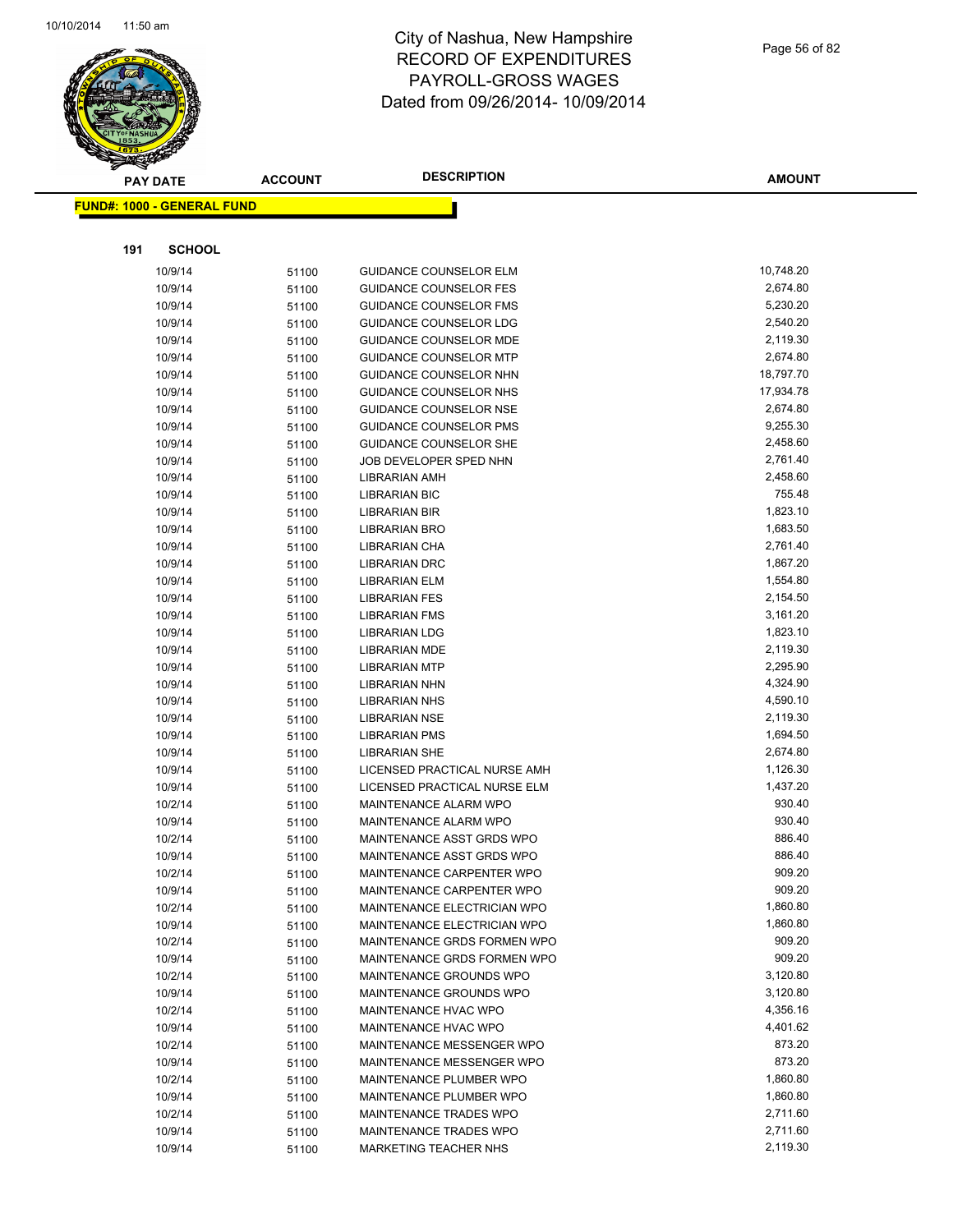

|     | <b>PAY DATE</b>                   | <b>ACCOUNT</b> | <b>DESCRIPTION</b>                                         | <b>AMOUNT</b>    |
|-----|-----------------------------------|----------------|------------------------------------------------------------|------------------|
|     | <b>FUND#: 1000 - GENERAL FUND</b> |                |                                                            |                  |
|     |                                   |                |                                                            |                  |
|     |                                   |                |                                                            |                  |
| 191 | <b>SCHOOL</b>                     |                |                                                            |                  |
|     | 10/9/14                           | 51100          | <b>GUIDANCE COUNSELOR ELM</b>                              | 10,748.20        |
|     | 10/9/14                           | 51100          | <b>GUIDANCE COUNSELOR FES</b>                              | 2,674.80         |
|     | 10/9/14                           | 51100          | GUIDANCE COUNSELOR FMS                                     | 5,230.20         |
|     | 10/9/14                           | 51100          | <b>GUIDANCE COUNSELOR LDG</b>                              | 2,540.20         |
|     | 10/9/14                           | 51100          | <b>GUIDANCE COUNSELOR MDE</b>                              | 2,119.30         |
|     | 10/9/14                           | 51100          | <b>GUIDANCE COUNSELOR MTP</b>                              | 2,674.80         |
|     | 10/9/14                           | 51100          | <b>GUIDANCE COUNSELOR NHN</b>                              | 18,797.70        |
|     | 10/9/14                           | 51100          | GUIDANCE COUNSELOR NHS                                     | 17,934.78        |
|     | 10/9/14                           | 51100          | GUIDANCE COUNSELOR NSE                                     | 2,674.80         |
|     | 10/9/14                           | 51100          | <b>GUIDANCE COUNSELOR PMS</b>                              | 9,255.30         |
|     | 10/9/14                           | 51100          | GUIDANCE COUNSELOR SHE                                     | 2,458.60         |
|     | 10/9/14                           | 51100          | JOB DEVELOPER SPED NHN                                     | 2,761.40         |
|     | 10/9/14                           | 51100          | LIBRARIAN AMH                                              | 2,458.60         |
|     | 10/9/14                           | 51100          | <b>LIBRARIAN BIC</b>                                       | 755.48           |
|     | 10/9/14                           | 51100          | <b>LIBRARIAN BIR</b>                                       | 1,823.10         |
|     | 10/9/14                           | 51100          | <b>LIBRARIAN BRO</b>                                       | 1,683.50         |
|     | 10/9/14                           | 51100          | LIBRARIAN CHA                                              | 2,761.40         |
|     | 10/9/14                           | 51100          | <b>LIBRARIAN DRC</b>                                       | 1,867.20         |
|     | 10/9/14                           | 51100          | <b>LIBRARIAN ELM</b>                                       | 1,554.80         |
|     | 10/9/14                           | 51100          | <b>LIBRARIAN FES</b>                                       | 2,154.50         |
|     | 10/9/14                           | 51100          | <b>LIBRARIAN FMS</b>                                       | 3,161.20         |
|     | 10/9/14                           | 51100          | <b>LIBRARIAN LDG</b>                                       | 1,823.10         |
|     | 10/9/14                           | 51100          | LIBRARIAN MDE                                              | 2,119.30         |
|     | 10/9/14                           | 51100          | <b>LIBRARIAN MTP</b>                                       | 2,295.90         |
|     | 10/9/14                           | 51100          | <b>LIBRARIAN NHN</b>                                       | 4,324.90         |
|     | 10/9/14                           | 51100          | <b>LIBRARIAN NHS</b>                                       | 4,590.10         |
|     | 10/9/14                           | 51100          | <b>LIBRARIAN NSE</b>                                       | 2,119.30         |
|     | 10/9/14                           | 51100          | <b>LIBRARIAN PMS</b>                                       | 1,694.50         |
|     | 10/9/14                           | 51100          | <b>LIBRARIAN SHE</b>                                       | 2,674.80         |
|     | 10/9/14                           | 51100          | LICENSED PRACTICAL NURSE AMH                               | 1,126.30         |
|     | 10/9/14                           | 51100          | LICENSED PRACTICAL NURSE ELM                               | 1,437.20         |
|     | 10/2/14                           | 51100          | MAINTENANCE ALARM WPO                                      | 930.40           |
|     | 10/9/14                           | 51100          | MAINTENANCE ALARM WPO                                      | 930.40           |
|     | 10/2/14                           | 51100          | MAINTENANCE ASST GRDS WPO                                  | 886.40           |
|     | 10/9/14                           | 51100          | MAINTENANCE ASST GRDS WPO                                  | 886.40           |
|     | 10/2/14                           | 51100          | MAINTENANCE CARPENTER WPO                                  | 909.20<br>909.20 |
|     | 10/9/14                           | 51100          | MAINTENANCE CARPENTER WPO                                  | 1,860.80         |
|     | 10/2/14                           | 51100          | MAINTENANCE ELECTRICIAN WPO                                | 1,860.80         |
|     | 10/9/14                           | 51100          | MAINTENANCE ELECTRICIAN WPO<br>MAINTENANCE GRDS FORMEN WPO | 909.20           |
|     | 10/2/14                           | 51100          |                                                            | 909.20           |
|     | 10/9/14                           | 51100          | MAINTENANCE GRDS FORMEN WPO<br>MAINTENANCE GROUNDS WPO     | 3,120.80         |
|     | 10/2/14<br>10/9/14                | 51100          |                                                            | 3,120.80         |
|     |                                   | 51100          | MAINTENANCE GROUNDS WPO<br><b>MAINTENANCE HVAC WPO</b>     | 4,356.16         |
|     | 10/2/14<br>10/9/14                | 51100          | MAINTENANCE HVAC WPO                                       | 4,401.62         |
|     |                                   | 51100          | MAINTENANCE MESSENGER WPO                                  | 873.20           |
|     | 10/2/14<br>10/9/14                | 51100          | MAINTENANCE MESSENGER WPO                                  | 873.20           |
|     | 10/2/14                           | 51100          | MAINTENANCE PLUMBER WPO                                    | 1,860.80         |
|     | 10/9/14                           | 51100          | MAINTENANCE PLUMBER WPO                                    | 1,860.80         |
|     | 10/2/14                           | 51100          | MAINTENANCE TRADES WPO                                     | 2,711.60         |
|     | 10/9/14                           | 51100          | MAINTENANCE TRADES WPO                                     | 2,711.60         |
|     | 10/9/14                           | 51100          | MARKETING TEACHER NHS                                      | 2,119.30         |
|     |                                   | 51100          |                                                            |                  |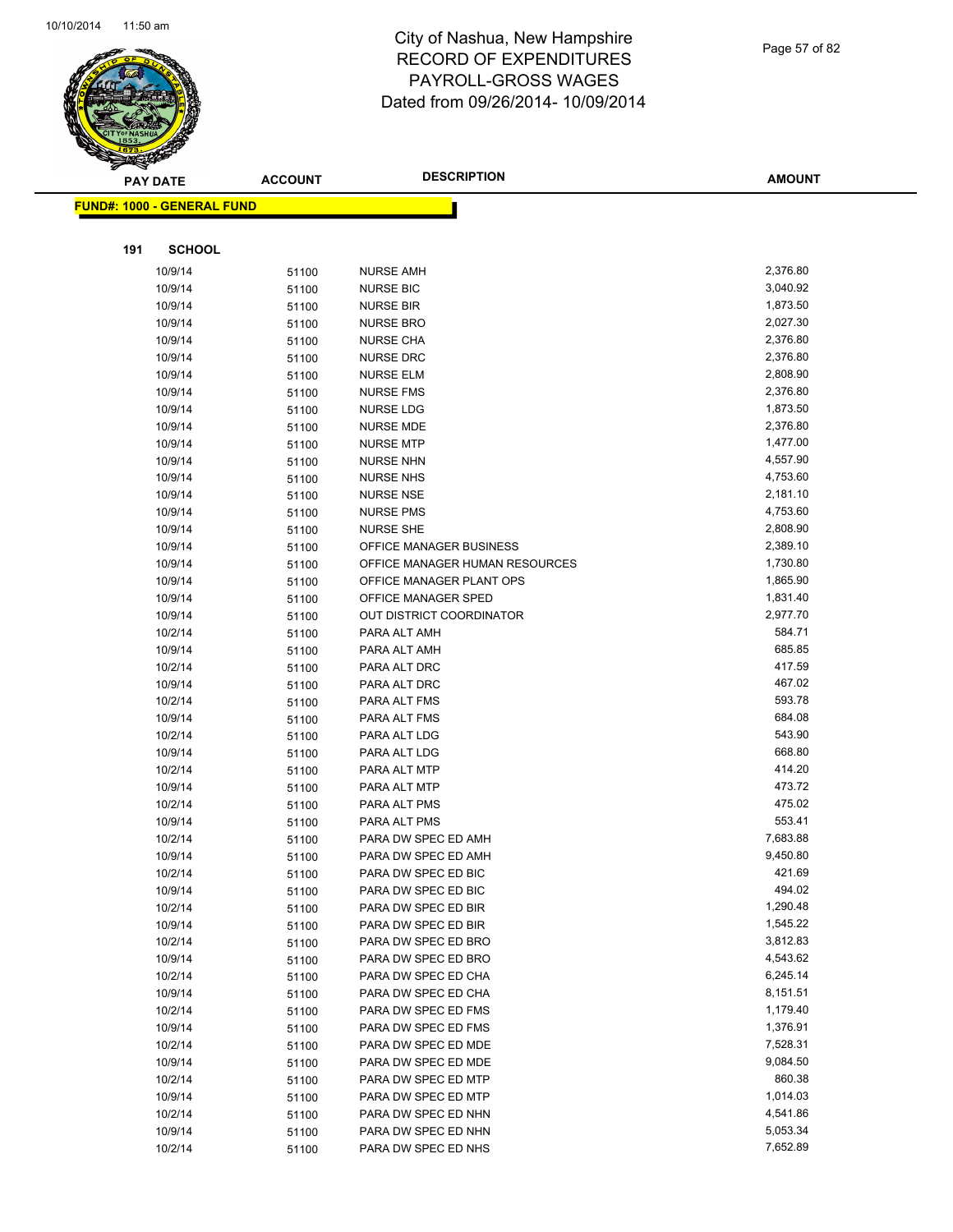

Page 57 of 82

|     | <b>PAY DATE</b>                   | <b>ACCOUNT</b> | <b>DESCRIPTION</b>                         | <b>AMOUNT</b>        |
|-----|-----------------------------------|----------------|--------------------------------------------|----------------------|
|     | <b>FUND#: 1000 - GENERAL FUND</b> |                |                                            |                      |
|     |                                   |                |                                            |                      |
|     |                                   |                |                                            |                      |
| 191 | <b>SCHOOL</b>                     |                |                                            |                      |
|     | 10/9/14                           | 51100          | <b>NURSE AMH</b>                           | 2,376.80             |
|     | 10/9/14                           | 51100          | <b>NURSE BIC</b>                           | 3,040.92             |
|     | 10/9/14                           | 51100          | <b>NURSE BIR</b>                           | 1,873.50             |
|     | 10/9/14                           | 51100          | <b>NURSE BRO</b>                           | 2,027.30             |
|     | 10/9/14                           | 51100          | <b>NURSE CHA</b>                           | 2,376.80             |
|     | 10/9/14                           | 51100          | <b>NURSE DRC</b>                           | 2,376.80             |
|     | 10/9/14                           | 51100          | <b>NURSE ELM</b>                           | 2,808.90             |
|     | 10/9/14                           | 51100          | <b>NURSE FMS</b>                           | 2,376.80             |
|     | 10/9/14                           | 51100          | <b>NURSE LDG</b>                           | 1,873.50             |
|     | 10/9/14                           | 51100          | NURSE MDE                                  | 2,376.80             |
|     | 10/9/14                           | 51100          | <b>NURSE MTP</b>                           | 1,477.00<br>4,557.90 |
|     | 10/9/14<br>10/9/14                | 51100          | <b>NURSE NHN</b><br><b>NURSE NHS</b>       | 4,753.60             |
|     | 10/9/14                           | 51100          | <b>NURSE NSE</b>                           | 2,181.10             |
|     | 10/9/14                           | 51100<br>51100 | <b>NURSE PMS</b>                           | 4,753.60             |
|     | 10/9/14                           | 51100          | <b>NURSE SHE</b>                           | 2,808.90             |
|     | 10/9/14                           | 51100          | OFFICE MANAGER BUSINESS                    | 2,389.10             |
|     | 10/9/14                           | 51100          | OFFICE MANAGER HUMAN RESOURCES             | 1,730.80             |
|     | 10/9/14                           | 51100          | OFFICE MANAGER PLANT OPS                   | 1,865.90             |
|     | 10/9/14                           | 51100          | OFFICE MANAGER SPED                        | 1,831.40             |
|     | 10/9/14                           | 51100          | OUT DISTRICT COORDINATOR                   | 2,977.70             |
|     | 10/2/14                           | 51100          | PARA ALT AMH                               | 584.71               |
|     | 10/9/14                           | 51100          | PARA ALT AMH                               | 685.85               |
|     | 10/2/14                           | 51100          | PARA ALT DRC                               | 417.59               |
|     | 10/9/14                           | 51100          | PARA ALT DRC                               | 467.02               |
|     | 10/2/14                           | 51100          | PARA ALT FMS                               | 593.78               |
|     | 10/9/14                           | 51100          | PARA ALT FMS                               | 684.08               |
|     | 10/2/14                           | 51100          | PARA ALT LDG                               | 543.90               |
|     | 10/9/14                           | 51100          | PARA ALT LDG                               | 668.80               |
|     | 10/2/14                           | 51100          | PARA ALT MTP                               | 414.20               |
|     | 10/9/14                           | 51100          | PARA ALT MTP                               | 473.72               |
|     | 10/2/14                           | 51100          | PARA ALT PMS                               | 475.02               |
|     | 10/9/14                           | 51100          | PARA ALT PMS                               | 553.41               |
|     | 10/2/14                           | 51100          | PARA DW SPEC ED AMH                        | 7,683.88             |
|     | 10/9/14                           | 51100          | PARA DW SPEC ED AMH                        | 9,450.80             |
|     | 10/2/14                           | 51100          | PARA DW SPEC ED BIC                        | 421.69<br>494.02     |
|     | 10/9/14                           | 51100          | PARA DW SPEC ED BIC<br>PARA DW SPEC ED BIR | 1,290.48             |
|     | 10/2/14<br>10/9/14                | 51100          | PARA DW SPEC ED BIR                        | 1,545.22             |
|     | 10/2/14                           | 51100          | PARA DW SPEC ED BRO                        | 3,812.83             |
|     | 10/9/14                           | 51100<br>51100 | PARA DW SPEC ED BRO                        | 4,543.62             |
|     | 10/2/14                           | 51100          | PARA DW SPEC ED CHA                        | 6,245.14             |
|     | 10/9/14                           | 51100          | PARA DW SPEC ED CHA                        | 8,151.51             |
|     | 10/2/14                           | 51100          | PARA DW SPEC ED FMS                        | 1,179.40             |
|     | 10/9/14                           | 51100          | PARA DW SPEC ED FMS                        | 1,376.91             |
|     | 10/2/14                           | 51100          | PARA DW SPEC ED MDE                        | 7,528.31             |
|     | 10/9/14                           | 51100          | PARA DW SPEC ED MDE                        | 9,084.50             |
|     | 10/2/14                           | 51100          | PARA DW SPEC ED MTP                        | 860.38               |
|     | 10/9/14                           | 51100          | PARA DW SPEC ED MTP                        | 1,014.03             |
|     | 10/2/14                           | 51100          | PARA DW SPEC ED NHN                        | 4,541.86             |
|     | 10/9/14                           | 51100          | PARA DW SPEC ED NHN                        | 5,053.34             |
|     | 10/2/14                           | 51100          | PARA DW SPEC ED NHS                        | 7,652.89             |
|     |                                   |                |                                            |                      |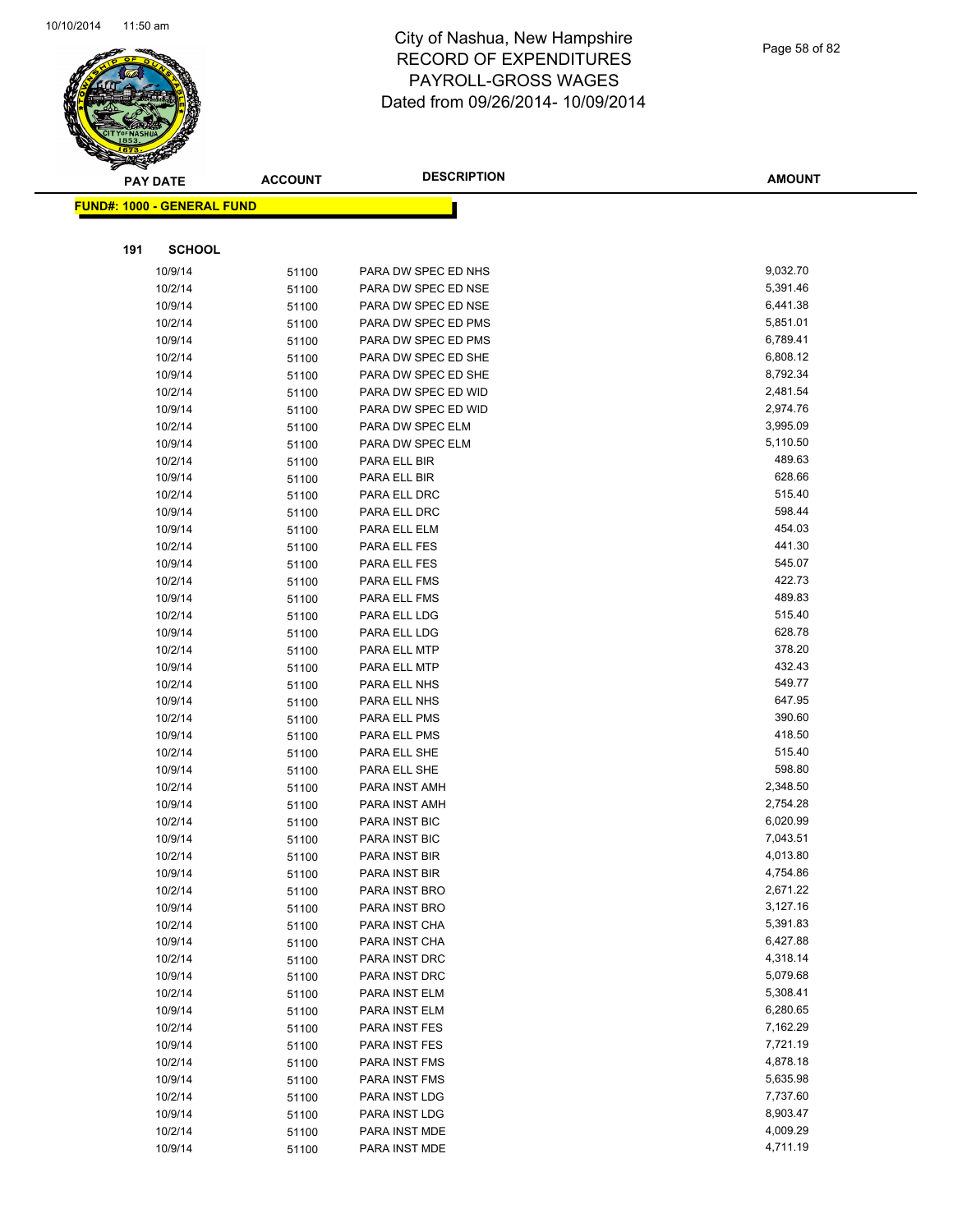

| <b>PAY DATE</b>                   | <b>ACCOUNT</b> | <b>DESCRIPTION</b>           | <b>AMOUNT</b>    |
|-----------------------------------|----------------|------------------------------|------------------|
| <b>FUND#: 1000 - GENERAL FUND</b> |                |                              |                  |
|                                   |                |                              |                  |
| 191<br><b>SCHOOL</b>              |                |                              |                  |
| 10/9/14                           | 51100          | PARA DW SPEC ED NHS          | 9,032.70         |
| 10/2/14                           | 51100          | PARA DW SPEC ED NSE          | 5,391.46         |
| 10/9/14                           | 51100          | PARA DW SPEC ED NSE          | 6,441.38         |
| 10/2/14                           | 51100          | PARA DW SPEC ED PMS          | 5,851.01         |
| 10/9/14                           | 51100          | PARA DW SPEC ED PMS          | 6,789.41         |
| 10/2/14                           | 51100          | PARA DW SPEC ED SHE          | 6,808.12         |
| 10/9/14                           | 51100          | PARA DW SPEC ED SHE          | 8,792.34         |
| 10/2/14                           | 51100          | PARA DW SPEC ED WID          | 2,481.54         |
| 10/9/14                           | 51100          | PARA DW SPEC ED WID          | 2,974.76         |
| 10/2/14                           | 51100          | PARA DW SPEC ELM             | 3,995.09         |
| 10/9/14                           | 51100          | PARA DW SPEC ELM             | 5,110.50         |
| 10/2/14                           | 51100          | PARA ELL BIR                 | 489.63           |
| 10/9/14                           | 51100          | PARA ELL BIR                 | 628.66           |
| 10/2/14                           | 51100          | PARA ELL DRC                 | 515.40           |
| 10/9/14                           | 51100          | PARA ELL DRC                 | 598.44           |
| 10/9/14                           | 51100          | PARA ELL ELM                 | 454.03           |
| 10/2/14                           | 51100          | PARA ELL FES                 | 441.30           |
| 10/9/14                           | 51100          | PARA ELL FES                 | 545.07           |
| 10/2/14                           | 51100          | PARA ELL FMS                 | 422.73           |
| 10/9/14                           | 51100          | PARA ELL FMS                 | 489.83           |
| 10/2/14                           | 51100          | PARA ELL LDG                 | 515.40           |
| 10/9/14                           | 51100          | PARA ELL LDG                 | 628.78           |
| 10/2/14                           | 51100          | PARA ELL MTP                 | 378.20           |
| 10/9/14                           | 51100          | PARA ELL MTP                 | 432.43           |
| 10/2/14                           | 51100          | PARA ELL NHS                 | 549.77           |
| 10/9/14                           | 51100          | PARA ELL NHS                 | 647.95<br>390.60 |
| 10/2/14                           | 51100          | PARA ELL PMS                 | 418.50           |
| 10/9/14<br>10/2/14                | 51100          | PARA ELL PMS<br>PARA ELL SHE | 515.40           |
| 10/9/14                           | 51100          | PARA ELL SHE                 | 598.80           |
| 10/2/14                           | 51100<br>51100 | PARA INST AMH                | 2,348.50         |
| 10/9/14                           | 51100          | PARA INST AMH                | 2,754.28         |
| 10/2/14                           | 51100          | PARA INST BIC                | 6,020.99         |
| 10/9/14                           | 51100          | PARA INST BIC                | 7,043.51         |
| 10/2/14                           | 51100          | PARA INST BIR                | 4,013.80         |
| 10/9/14                           | 51100          | PARA INST BIR                | 4,754.86         |
| 10/2/14                           | 51100          | PARA INST BRO                | 2,671.22         |
| 10/9/14                           | 51100          | PARA INST BRO                | 3,127.16         |
| 10/2/14                           | 51100          | PARA INST CHA                | 5,391.83         |
| 10/9/14                           | 51100          | PARA INST CHA                | 6,427.88         |
| 10/2/14                           | 51100          | PARA INST DRC                | 4,318.14         |
| 10/9/14                           | 51100          | PARA INST DRC                | 5,079.68         |
| 10/2/14                           | 51100          | PARA INST ELM                | 5,308.41         |
| 10/9/14                           | 51100          | PARA INST ELM                | 6,280.65         |
| 10/2/14                           | 51100          | PARA INST FES                | 7,162.29         |
| 10/9/14                           | 51100          | PARA INST FES                | 7,721.19         |
| 10/2/14                           | 51100          | PARA INST FMS                | 4,878.18         |
| 10/9/14                           | 51100          | PARA INST FMS                | 5,635.98         |
| 10/2/14                           | 51100          | PARA INST LDG                | 7,737.60         |
| 10/9/14                           | 51100          | PARA INST LDG                | 8,903.47         |
| 10/2/14                           | 51100          | PARA INST MDE                | 4,009.29         |
| 10/9/14                           | 51100          | PARA INST MDE                | 4,711.19         |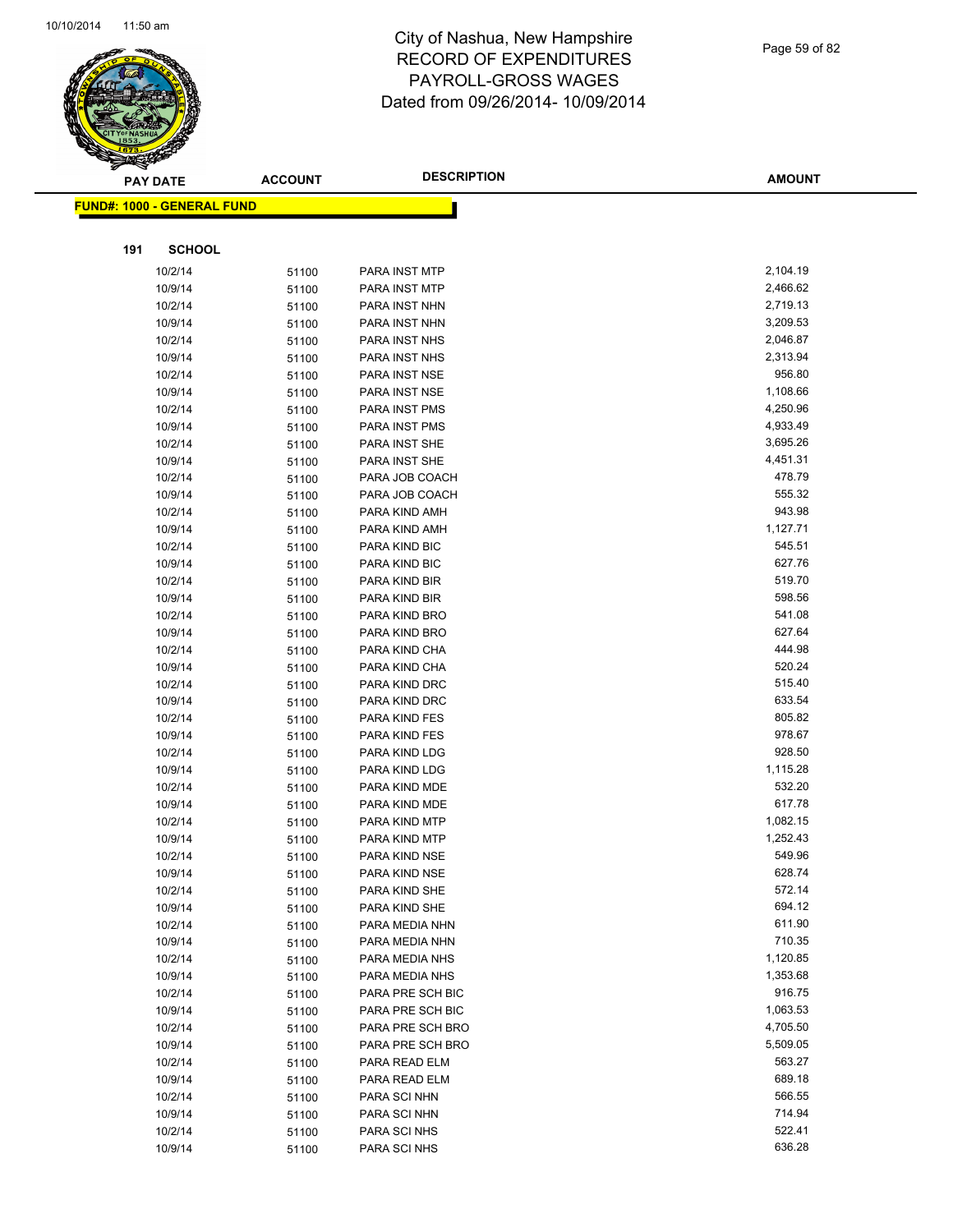

Page 59 of 82

| <b>PAY DATE</b> |                                    | <b>ACCOUNT</b> | <b>DESCRIPTION</b>   | <b>AMOUNT</b> |
|-----------------|------------------------------------|----------------|----------------------|---------------|
|                 | <u> FUND#: 1000 - GENERAL FUND</u> |                |                      |               |
|                 |                                    |                |                      |               |
|                 | <b>SCHOOL</b>                      |                |                      |               |
| 191             |                                    |                |                      |               |
|                 | 10/2/14                            | 51100          | PARA INST MTP        | 2,104.19      |
|                 | 10/9/14                            | 51100          | PARA INST MTP        | 2,466.62      |
|                 | 10/2/14                            | 51100          | PARA INST NHN        | 2,719.13      |
|                 | 10/9/14                            | 51100          | PARA INST NHN        | 3,209.53      |
|                 | 10/2/14                            | 51100          | PARA INST NHS        | 2,046.87      |
|                 | 10/9/14                            | 51100          | PARA INST NHS        | 2,313.94      |
|                 | 10/2/14                            | 51100          | PARA INST NSE        | 956.80        |
|                 | 10/9/14                            | 51100          | PARA INST NSE        | 1,108.66      |
|                 | 10/2/14                            | 51100          | <b>PARA INST PMS</b> | 4,250.96      |
|                 | 10/9/14                            | 51100          | <b>PARA INST PMS</b> | 4,933.49      |
|                 | 10/2/14                            | 51100          | PARA INST SHE        | 3,695.26      |
|                 | 10/9/14                            | 51100          | PARA INST SHE        | 4,451.31      |
|                 | 10/2/14                            | 51100          | PARA JOB COACH       | 478.79        |
|                 | 10/9/14                            | 51100          | PARA JOB COACH       | 555.32        |
|                 | 10/2/14                            | 51100          | PARA KIND AMH        | 943.98        |
|                 | 10/9/14                            | 51100          | PARA KIND AMH        | 1,127.71      |
|                 | 10/2/14                            | 51100          | PARA KIND BIC        | 545.51        |
|                 | 10/9/14                            | 51100          | PARA KIND BIC        | 627.76        |
|                 | 10/2/14                            | 51100          | PARA KIND BIR        | 519.70        |
|                 | 10/9/14                            | 51100          | PARA KIND BIR        | 598.56        |
|                 | 10/2/14                            | 51100          | PARA KIND BRO        | 541.08        |
|                 | 10/9/14                            | 51100          | PARA KIND BRO        | 627.64        |
|                 | 10/2/14                            | 51100          | PARA KIND CHA        | 444.98        |
|                 | 10/9/14                            | 51100          | PARA KIND CHA        | 520.24        |
|                 | 10/2/14                            | 51100          | PARA KIND DRC        | 515.40        |
|                 | 10/9/14                            | 51100          | PARA KIND DRC        | 633.54        |
|                 | 10/2/14                            | 51100          | PARA KIND FES        | 805.82        |
|                 | 10/9/14                            | 51100          | PARA KIND FES        | 978.67        |
|                 | 10/2/14                            | 51100          | PARA KIND LDG        | 928.50        |
|                 | 10/9/14                            | 51100          | PARA KIND LDG        | 1,115.28      |
|                 | 10/2/14                            | 51100          | PARA KIND MDE        | 532.20        |
|                 | 10/9/14                            | 51100          | PARA KIND MDE        | 617.78        |
|                 | 10/2/14                            | 51100          | PARA KIND MTP        | 1,082.15      |
|                 | 10/9/14                            | 51100          | PARA KIND MTP        | 1,252.43      |
|                 | 10/2/14                            | 51100          | PARA KIND NSE        | 549.96        |
|                 | 10/9/14                            | 51100          | PARA KIND NSE        | 628.74        |
|                 | 10/2/14                            | 51100          | PARA KIND SHE        | 572.14        |
|                 | 10/9/14                            | 51100          | PARA KIND SHE        | 694.12        |
|                 | 10/2/14                            | 51100          | PARA MEDIA NHN       | 611.90        |
|                 | 10/9/14                            | 51100          | PARA MEDIA NHN       | 710.35        |
|                 | 10/2/14                            | 51100          | PARA MEDIA NHS       | 1,120.85      |
|                 | 10/9/14                            | 51100          | PARA MEDIA NHS       | 1,353.68      |
|                 | 10/2/14                            | 51100          | PARA PRE SCH BIC     | 916.75        |
|                 | 10/9/14                            | 51100          | PARA PRE SCH BIC     | 1,063.53      |
|                 | 10/2/14                            | 51100          | PARA PRE SCH BRO     | 4,705.50      |
|                 | 10/9/14                            | 51100          | PARA PRE SCH BRO     | 5,509.05      |
|                 | 10/2/14                            | 51100          | PARA READ ELM        | 563.27        |
|                 | 10/9/14                            | 51100          | PARA READ ELM        | 689.18        |
|                 | 10/2/14                            | 51100          | PARA SCI NHN         | 566.55        |
|                 | 10/9/14                            | 51100          | PARA SCI NHN         | 714.94        |
|                 | 10/2/14                            | 51100          | PARA SCI NHS         | 522.41        |
|                 | 10/9/14                            | 51100          | PARA SCI NHS         | 636.28        |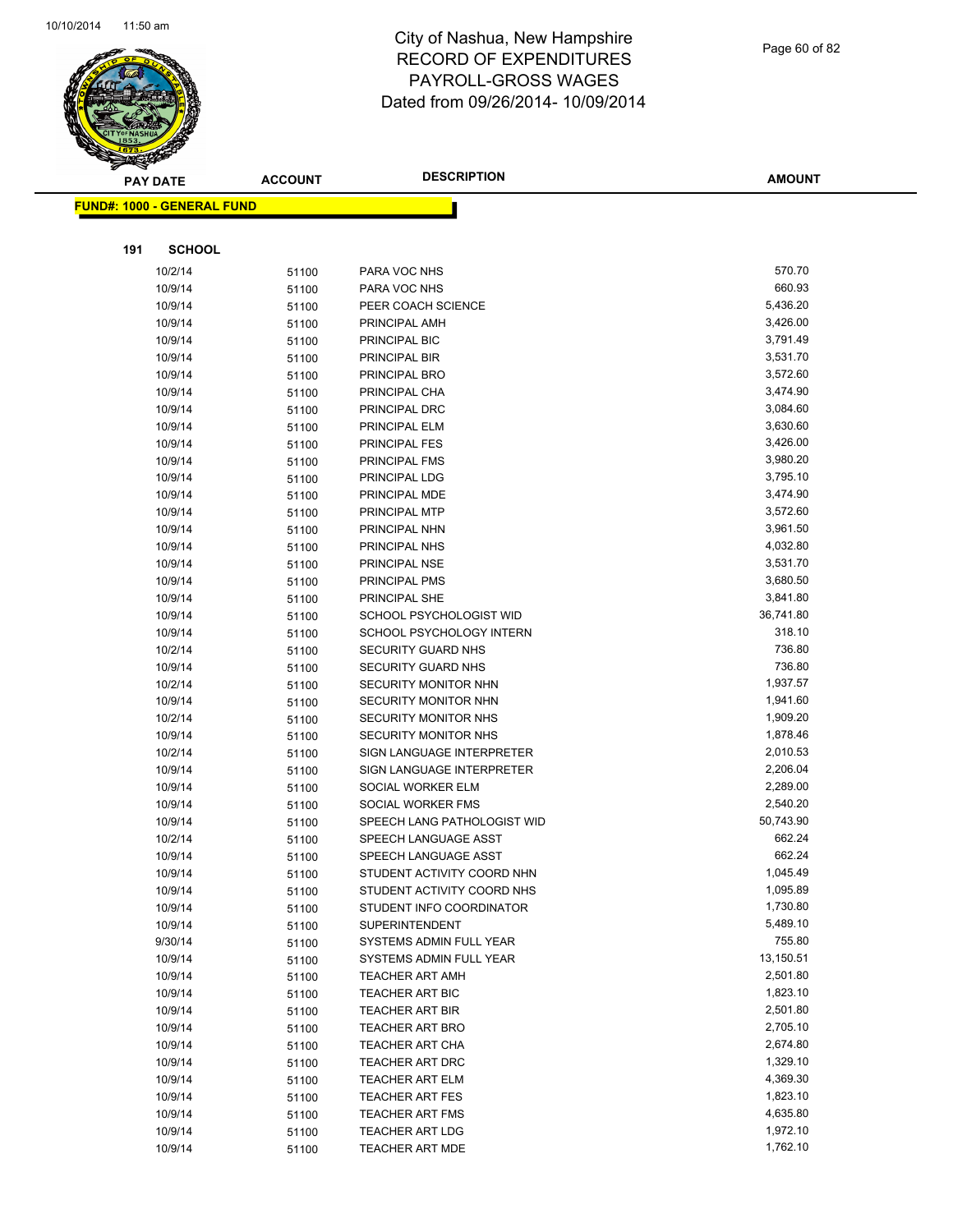

Page 60 of 82

|     | <b>PAY DATE</b>                   | <b>ACCOUNT</b> | <b>DESCRIPTION</b>                           | <b>AMOUNT</b>        |
|-----|-----------------------------------|----------------|----------------------------------------------|----------------------|
|     | <b>FUND#: 1000 - GENERAL FUND</b> |                |                                              |                      |
|     |                                   |                |                                              |                      |
|     |                                   |                |                                              |                      |
| 191 | <b>SCHOOL</b>                     |                |                                              |                      |
|     | 10/2/14                           | 51100          | PARA VOC NHS                                 | 570.70               |
|     | 10/9/14                           | 51100          | PARA VOC NHS                                 | 660.93               |
|     | 10/9/14                           | 51100          | PEER COACH SCIENCE                           | 5,436.20             |
|     | 10/9/14                           | 51100          | PRINCIPAL AMH                                | 3,426.00             |
|     | 10/9/14                           | 51100          | PRINCIPAL BIC                                | 3,791.49             |
|     | 10/9/14                           | 51100          | PRINCIPAL BIR                                | 3,531.70             |
|     | 10/9/14                           | 51100          | PRINCIPAL BRO                                | 3,572.60             |
|     | 10/9/14                           | 51100          | PRINCIPAL CHA                                | 3,474.90             |
|     | 10/9/14                           | 51100          | PRINCIPAL DRC                                | 3,084.60             |
|     | 10/9/14                           | 51100          | PRINCIPAL ELM                                | 3,630.60             |
|     | 10/9/14                           | 51100          | PRINCIPAL FES                                | 3,426.00             |
|     | 10/9/14                           | 51100          | PRINCIPAL FMS                                | 3,980.20             |
|     | 10/9/14                           | 51100          | PRINCIPAL LDG                                | 3,795.10             |
|     | 10/9/14                           | 51100          | PRINCIPAL MDE                                | 3,474.90             |
|     | 10/9/14                           | 51100          | PRINCIPAL MTP                                | 3,572.60             |
|     | 10/9/14                           | 51100          | PRINCIPAL NHN                                | 3,961.50             |
|     | 10/9/14                           | 51100          | PRINCIPAL NHS                                | 4,032.80             |
|     | 10/9/14                           | 51100          | PRINCIPAL NSE                                | 3,531.70             |
|     | 10/9/14                           | 51100          | PRINCIPAL PMS                                | 3,680.50             |
|     | 10/9/14                           | 51100          | PRINCIPAL SHE                                | 3,841.80             |
|     | 10/9/14                           | 51100          | SCHOOL PSYCHOLOGIST WID                      | 36,741.80            |
|     | 10/9/14                           | 51100          | SCHOOL PSYCHOLOGY INTERN                     | 318.10               |
|     | 10/2/14                           | 51100          | SECURITY GUARD NHS                           | 736.80               |
|     | 10/9/14                           | 51100          | SECURITY GUARD NHS                           | 736.80               |
|     | 10/2/14                           | 51100          | SECURITY MONITOR NHN                         | 1,937.57             |
|     | 10/9/14                           | 51100          | <b>SECURITY MONITOR NHN</b>                  | 1,941.60<br>1,909.20 |
|     | 10/2/14<br>10/9/14                | 51100          | SECURITY MONITOR NHS<br>SECURITY MONITOR NHS | 1,878.46             |
|     | 10/2/14                           | 51100          | SIGN LANGUAGE INTERPRETER                    | 2,010.53             |
|     | 10/9/14                           | 51100<br>51100 | SIGN LANGUAGE INTERPRETER                    | 2,206.04             |
|     | 10/9/14                           | 51100          | SOCIAL WORKER ELM                            | 2,289.00             |
|     | 10/9/14                           | 51100          | SOCIAL WORKER FMS                            | 2,540.20             |
|     | 10/9/14                           | 51100          | SPEECH LANG PATHOLOGIST WID                  | 50,743.90            |
|     | 10/2/14                           | 51100          | SPEECH LANGUAGE ASST                         | 662.24               |
|     | 10/9/14                           | 51100          | SPEECH LANGUAGE ASST                         | 662.24               |
|     | 10/9/14                           | 51100          | STUDENT ACTIVITY COORD NHN                   | 1,045.49             |
|     | 10/9/14                           | 51100          | STUDENT ACTIVITY COORD NHS                   | 1,095.89             |
|     | 10/9/14                           | 51100          | STUDENT INFO COORDINATOR                     | 1,730.80             |
|     | 10/9/14                           | 51100          | <b>SUPERINTENDENT</b>                        | 5,489.10             |
|     | 9/30/14                           | 51100          | SYSTEMS ADMIN FULL YEAR                      | 755.80               |
|     | 10/9/14                           | 51100          | SYSTEMS ADMIN FULL YEAR                      | 13,150.51            |
|     | 10/9/14                           | 51100          | <b>TEACHER ART AMH</b>                       | 2,501.80             |
|     | 10/9/14                           | 51100          | <b>TEACHER ART BIC</b>                       | 1,823.10             |
|     | 10/9/14                           | 51100          | TEACHER ART BIR                              | 2,501.80             |
|     | 10/9/14                           | 51100          | <b>TEACHER ART BRO</b>                       | 2,705.10             |
|     | 10/9/14                           | 51100          | <b>TEACHER ART CHA</b>                       | 2,674.80             |
|     | 10/9/14                           | 51100          | <b>TEACHER ART DRC</b>                       | 1,329.10             |
|     | 10/9/14                           | 51100          | <b>TEACHER ART ELM</b>                       | 4,369.30             |
|     | 10/9/14                           | 51100          | <b>TEACHER ART FES</b>                       | 1,823.10             |
|     | 10/9/14                           | 51100          | <b>TEACHER ART FMS</b>                       | 4,635.80             |
|     | 10/9/14                           | 51100          | <b>TEACHER ART LDG</b>                       | 1,972.10             |
|     | 10/9/14                           | 51100          | TEACHER ART MDE                              | 1,762.10             |
|     |                                   |                |                                              |                      |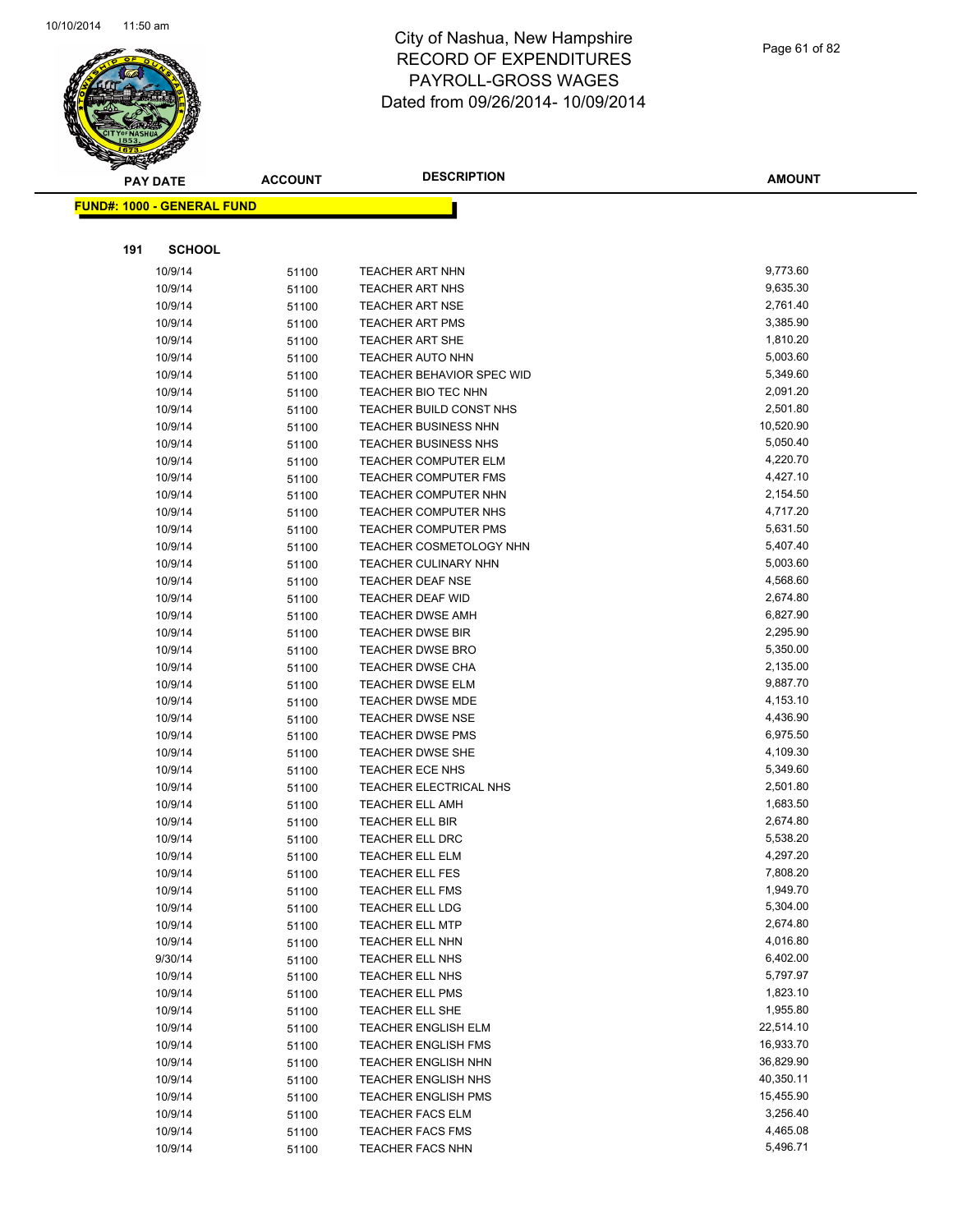

|     | <b>PAY DATE</b>                   | <b>ACCOUNT</b> | <b>DESCRIPTION</b>          | <b>AMOUNT</b> |
|-----|-----------------------------------|----------------|-----------------------------|---------------|
|     | <b>FUND#: 1000 - GENERAL FUND</b> |                |                             |               |
|     |                                   |                |                             |               |
|     |                                   |                |                             |               |
| 191 | <b>SCHOOL</b>                     |                |                             |               |
|     | 10/9/14                           | 51100          | <b>TEACHER ART NHN</b>      | 9,773.60      |
|     | 10/9/14                           | 51100          | TEACHER ART NHS             | 9,635.30      |
|     | 10/9/14                           | 51100          | <b>TEACHER ART NSE</b>      | 2,761.40      |
|     | 10/9/14                           | 51100          | <b>TEACHER ART PMS</b>      | 3,385.90      |
|     | 10/9/14                           | 51100          | <b>TEACHER ART SHE</b>      | 1,810.20      |
|     | 10/9/14                           | 51100          | <b>TEACHER AUTO NHN</b>     | 5,003.60      |
|     | 10/9/14                           | 51100          | TEACHER BEHAVIOR SPEC WID   | 5,349.60      |
|     | 10/9/14                           | 51100          | TEACHER BIO TEC NHN         | 2,091.20      |
|     | 10/9/14                           | 51100          | TEACHER BUILD CONST NHS     | 2,501.80      |
|     | 10/9/14                           | 51100          | <b>TEACHER BUSINESS NHN</b> | 10,520.90     |
|     | 10/9/14                           | 51100          | <b>TEACHER BUSINESS NHS</b> | 5,050.40      |
|     | 10/9/14                           | 51100          | <b>TEACHER COMPUTER ELM</b> | 4,220.70      |
|     | 10/9/14                           | 51100          | <b>TEACHER COMPUTER FMS</b> | 4,427.10      |
|     | 10/9/14                           | 51100          | <b>TEACHER COMPUTER NHN</b> | 2,154.50      |
|     | 10/9/14                           | 51100          | TEACHER COMPUTER NHS        | 4,717.20      |
|     | 10/9/14                           | 51100          | TEACHER COMPUTER PMS        | 5,631.50      |
|     | 10/9/14                           | 51100          | TEACHER COSMETOLOGY NHN     | 5,407.40      |
|     | 10/9/14                           | 51100          | <b>TEACHER CULINARY NHN</b> | 5,003.60      |
|     | 10/9/14                           | 51100          | <b>TEACHER DEAF NSE</b>     | 4,568.60      |
|     | 10/9/14                           | 51100          | <b>TEACHER DEAF WID</b>     | 2,674.80      |
|     | 10/9/14                           | 51100          | <b>TEACHER DWSE AMH</b>     | 6,827.90      |
|     | 10/9/14                           | 51100          | <b>TEACHER DWSE BIR</b>     | 2,295.90      |
|     | 10/9/14                           | 51100          | <b>TEACHER DWSE BRO</b>     | 5,350.00      |
|     | 10/9/14                           | 51100          | TEACHER DWSE CHA            | 2,135.00      |
|     | 10/9/14                           | 51100          | <b>TEACHER DWSE ELM</b>     | 9,887.70      |
|     | 10/9/14                           | 51100          | <b>TEACHER DWSE MDE</b>     | 4,153.10      |
|     | 10/9/14                           | 51100          | <b>TEACHER DWSE NSE</b>     | 4,436.90      |
|     | 10/9/14                           | 51100          | <b>TEACHER DWSE PMS</b>     | 6,975.50      |
|     | 10/9/14                           | 51100          | TEACHER DWSE SHE            | 4,109.30      |
|     | 10/9/14                           | 51100          | TEACHER ECE NHS             | 5,349.60      |
|     | 10/9/14                           | 51100          | TEACHER ELECTRICAL NHS      | 2,501.80      |
|     | 10/9/14                           | 51100          | <b>TEACHER ELL AMH</b>      | 1,683.50      |
|     | 10/9/14                           | 51100          | <b>TEACHER ELL BIR</b>      | 2,674.80      |
|     | 10/9/14                           | 51100          | TEACHER ELL DRC             | 5,538.20      |
|     | 10/9/14                           | 51100          | <b>TEACHER ELL ELM</b>      | 4,297.20      |
|     | 10/9/14                           | 51100          | TEACHER ELL FES             | 7,808.20      |
|     | 10/9/14                           | 51100          | TEACHER ELL FMS             | 1,949.70      |
|     | 10/9/14                           | 51100          | TEACHER ELL LDG             | 5,304.00      |
|     | 10/9/14                           | 51100          | <b>TEACHER ELL MTP</b>      | 2,674.80      |
|     | 10/9/14                           | 51100          | TEACHER ELL NHN             | 4,016.80      |
|     | 9/30/14                           | 51100          | TEACHER ELL NHS             | 6,402.00      |
|     | 10/9/14                           | 51100          | TEACHER ELL NHS             | 5,797.97      |
|     | 10/9/14                           | 51100          | <b>TEACHER ELL PMS</b>      | 1,823.10      |
|     | 10/9/14                           | 51100          | TEACHER ELL SHE             | 1,955.80      |
|     | 10/9/14                           | 51100          | <b>TEACHER ENGLISH ELM</b>  | 22,514.10     |
|     | 10/9/14                           | 51100          | TEACHER ENGLISH FMS         | 16,933.70     |
|     | 10/9/14                           | 51100          | <b>TEACHER ENGLISH NHN</b>  | 36,829.90     |
|     | 10/9/14                           | 51100          | <b>TEACHER ENGLISH NHS</b>  | 40,350.11     |
|     | 10/9/14                           | 51100          | <b>TEACHER ENGLISH PMS</b>  | 15,455.90     |
|     | 10/9/14                           | 51100          | <b>TEACHER FACS ELM</b>     | 3,256.40      |
|     | 10/9/14                           | 51100          | <b>TEACHER FACS FMS</b>     | 4,465.08      |
|     | 10/9/14                           | 51100          | TEACHER FACS NHN            | 5,496.71      |
|     |                                   |                |                             |               |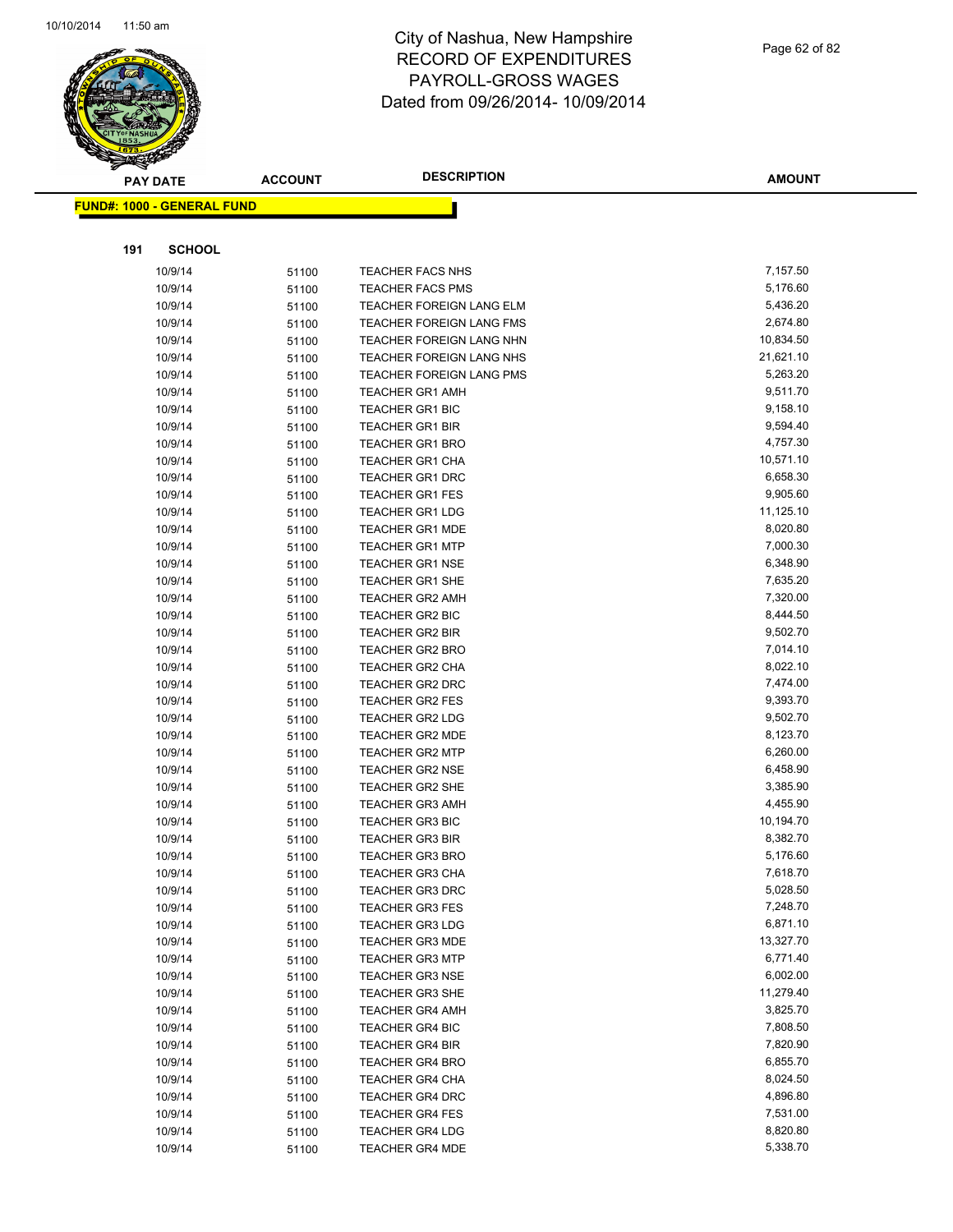

| $\tilde{\phantom{a}}$ | <b>PAY DATE</b>                   | <b>ACCOUNT</b> | <b>DESCRIPTION</b>                               | <b>AMOUNT</b>        |
|-----------------------|-----------------------------------|----------------|--------------------------------------------------|----------------------|
|                       | <b>FUND#: 1000 - GENERAL FUND</b> |                |                                                  |                      |
|                       |                                   |                |                                                  |                      |
| 191                   | <b>SCHOOL</b>                     |                |                                                  |                      |
|                       |                                   |                |                                                  |                      |
|                       | 10/9/14                           | 51100          | <b>TEACHER FACS NHS</b>                          | 7,157.50             |
|                       | 10/9/14                           | 51100          | <b>TEACHER FACS PMS</b>                          | 5,176.60             |
|                       | 10/9/14                           | 51100          | <b>TEACHER FOREIGN LANG ELM</b>                  | 5,436.20             |
|                       | 10/9/14                           | 51100          | TEACHER FOREIGN LANG FMS                         | 2,674.80             |
|                       | 10/9/14                           | 51100          | <b>TEACHER FOREIGN LANG NHN</b>                  | 10,834.50            |
|                       | 10/9/14                           | 51100          | <b>TEACHER FOREIGN LANG NHS</b>                  | 21,621.10            |
|                       | 10/9/14                           | 51100          | TEACHER FOREIGN LANG PMS                         | 5,263.20             |
|                       | 10/9/14                           | 51100          | <b>TEACHER GR1 AMH</b>                           | 9,511.70<br>9,158.10 |
|                       | 10/9/14                           | 51100          | <b>TEACHER GR1 BIC</b>                           | 9,594.40             |
|                       | 10/9/14                           | 51100          | <b>TEACHER GR1 BIR</b>                           | 4,757.30             |
|                       | 10/9/14<br>10/9/14                | 51100          | <b>TEACHER GR1 BRO</b>                           | 10,571.10            |
|                       | 10/9/14                           | 51100          | <b>TEACHER GR1 CHA</b><br><b>TEACHER GR1 DRC</b> | 6,658.30             |
|                       | 10/9/14                           | 51100<br>51100 | <b>TEACHER GR1 FES</b>                           | 9,905.60             |
|                       | 10/9/14                           | 51100          | <b>TEACHER GR1 LDG</b>                           | 11,125.10            |
|                       | 10/9/14                           | 51100          | <b>TEACHER GR1 MDE</b>                           | 8,020.80             |
|                       | 10/9/14                           | 51100          | <b>TEACHER GR1 MTP</b>                           | 7,000.30             |
|                       | 10/9/14                           | 51100          | <b>TEACHER GR1 NSE</b>                           | 6,348.90             |
|                       | 10/9/14                           | 51100          | <b>TEACHER GR1 SHE</b>                           | 7,635.20             |
|                       | 10/9/14                           | 51100          | <b>TEACHER GR2 AMH</b>                           | 7,320.00             |
|                       | 10/9/14                           | 51100          | <b>TEACHER GR2 BIC</b>                           | 8,444.50             |
|                       | 10/9/14                           | 51100          | <b>TEACHER GR2 BIR</b>                           | 9,502.70             |
|                       | 10/9/14                           | 51100          | <b>TEACHER GR2 BRO</b>                           | 7,014.10             |
|                       | 10/9/14                           | 51100          | TEACHER GR2 CHA                                  | 8,022.10             |
|                       | 10/9/14                           | 51100          | <b>TEACHER GR2 DRC</b>                           | 7,474.00             |
|                       | 10/9/14                           | 51100          | <b>TEACHER GR2 FES</b>                           | 9,393.70             |
|                       | 10/9/14                           | 51100          | <b>TEACHER GR2 LDG</b>                           | 9,502.70             |
|                       | 10/9/14                           | 51100          | <b>TEACHER GR2 MDE</b>                           | 8,123.70             |
|                       | 10/9/14                           | 51100          | <b>TEACHER GR2 MTP</b>                           | 6,260.00             |
|                       | 10/9/14                           | 51100          | <b>TEACHER GR2 NSE</b>                           | 6,458.90             |
|                       | 10/9/14                           | 51100          | <b>TEACHER GR2 SHE</b>                           | 3,385.90             |
|                       | 10/9/14                           | 51100          | <b>TEACHER GR3 AMH</b>                           | 4,455.90             |
|                       | 10/9/14                           | 51100          | <b>TEACHER GR3 BIC</b>                           | 10,194.70            |
|                       | 10/9/14                           | 51100          | <b>TEACHER GR3 BIR</b>                           | 8,382.70             |
|                       | 10/9/14                           | 51100          | <b>TEACHER GR3 BRO</b>                           | 5,176.60             |
|                       | 10/9/14                           | 51100          | TEACHER GR3 CHA                                  | 7,618.70             |
|                       | 10/9/14                           | 51100          | <b>TEACHER GR3 DRC</b>                           | 5,028.50             |
|                       | 10/9/14                           | 51100          | <b>TEACHER GR3 FES</b>                           | 7,248.70             |
|                       | 10/9/14                           | 51100          | <b>TEACHER GR3 LDG</b>                           | 6,871.10             |
|                       | 10/9/14                           | 51100          | <b>TEACHER GR3 MDE</b>                           | 13,327.70            |
|                       | 10/9/14                           | 51100          | <b>TEACHER GR3 MTP</b>                           | 6,771.40             |
|                       | 10/9/14                           | 51100          | <b>TEACHER GR3 NSE</b>                           | 6,002.00             |
|                       | 10/9/14                           | 51100          | TEACHER GR3 SHE                                  | 11,279.40            |
|                       | 10/9/14                           | 51100          | <b>TEACHER GR4 AMH</b>                           | 3,825.70             |
|                       | 10/9/14                           | 51100          | <b>TEACHER GR4 BIC</b>                           | 7,808.50             |
|                       | 10/9/14                           | 51100          | <b>TEACHER GR4 BIR</b>                           | 7,820.90             |
|                       | 10/9/14                           | 51100          | <b>TEACHER GR4 BRO</b>                           | 6,855.70             |
|                       | 10/9/14                           | 51100          | <b>TEACHER GR4 CHA</b>                           | 8,024.50             |
|                       | 10/9/14                           | 51100          | <b>TEACHER GR4 DRC</b>                           | 4,896.80             |
|                       | 10/9/14                           | 51100          | <b>TEACHER GR4 FES</b>                           | 7,531.00             |
|                       | 10/9/14                           | 51100          | <b>TEACHER GR4 LDG</b>                           | 8,820.80             |
|                       | 10/9/14                           | 51100          | <b>TEACHER GR4 MDE</b>                           | 5,338.70             |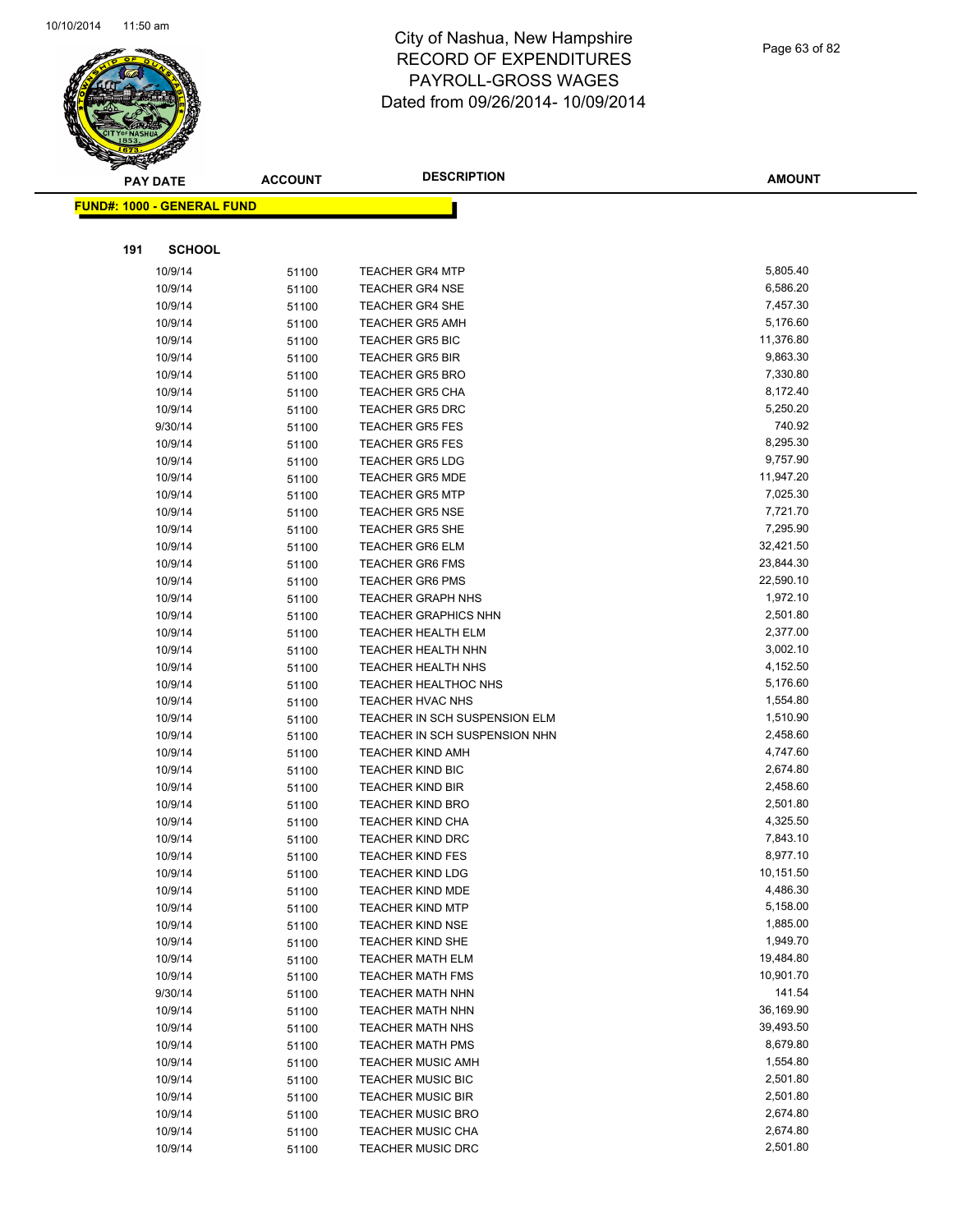

Page 63 of 82

|     | <b>PAY DATE</b>                    | <b>ACCOUNT</b> | <b>DESCRIPTION</b>            | <b>AMOUNT</b> |
|-----|------------------------------------|----------------|-------------------------------|---------------|
|     | <u> FUND#: 1000 - GENERAL FUND</u> |                |                               |               |
|     |                                    |                |                               |               |
| 191 | <b>SCHOOL</b>                      |                |                               |               |
|     |                                    |                | <b>TEACHER GR4 MTP</b>        | 5,805.40      |
|     | 10/9/14<br>10/9/14                 | 51100          | <b>TEACHER GR4 NSE</b>        | 6,586.20      |
|     | 10/9/14                            | 51100          | <b>TEACHER GR4 SHE</b>        | 7,457.30      |
|     | 10/9/14                            | 51100          | <b>TEACHER GR5 AMH</b>        | 5,176.60      |
|     | 10/9/14                            | 51100          | TEACHER GR5 BIC               | 11,376.80     |
|     | 10/9/14                            | 51100          | <b>TEACHER GR5 BIR</b>        | 9,863.30      |
|     | 10/9/14                            | 51100<br>51100 | <b>TEACHER GR5 BRO</b>        | 7,330.80      |
|     | 10/9/14                            | 51100          | <b>TEACHER GR5 CHA</b>        | 8,172.40      |
|     | 10/9/14                            | 51100          | <b>TEACHER GR5 DRC</b>        | 5,250.20      |
|     | 9/30/14                            | 51100          | <b>TEACHER GR5 FES</b>        | 740.92        |
|     | 10/9/14                            | 51100          | <b>TEACHER GR5 FES</b>        | 8,295.30      |
|     | 10/9/14                            | 51100          | <b>TEACHER GR5 LDG</b>        | 9,757.90      |
|     | 10/9/14                            | 51100          | <b>TEACHER GR5 MDE</b>        | 11,947.20     |
|     | 10/9/14                            | 51100          | <b>TEACHER GR5 MTP</b>        | 7,025.30      |
|     | 10/9/14                            | 51100          | <b>TEACHER GR5 NSE</b>        | 7,721.70      |
|     | 10/9/14                            | 51100          | <b>TEACHER GR5 SHE</b>        | 7,295.90      |
|     | 10/9/14                            | 51100          | <b>TEACHER GR6 ELM</b>        | 32,421.50     |
|     | 10/9/14                            | 51100          | <b>TEACHER GR6 FMS</b>        | 23,844.30     |
|     | 10/9/14                            | 51100          | <b>TEACHER GR6 PMS</b>        | 22,590.10     |
|     | 10/9/14                            | 51100          | <b>TEACHER GRAPH NHS</b>      | 1,972.10      |
|     | 10/9/14                            | 51100          | <b>TEACHER GRAPHICS NHN</b>   | 2,501.80      |
|     | 10/9/14                            | 51100          | <b>TEACHER HEALTH ELM</b>     | 2,377.00      |
|     | 10/9/14                            | 51100          | <b>TEACHER HEALTH NHN</b>     | 3,002.10      |
|     | 10/9/14                            | 51100          | <b>TEACHER HEALTH NHS</b>     | 4,152.50      |
|     | 10/9/14                            | 51100          | <b>TEACHER HEALTHOC NHS</b>   | 5,176.60      |
|     | 10/9/14                            | 51100          | TEACHER HVAC NHS              | 1,554.80      |
|     | 10/9/14                            | 51100          | TEACHER IN SCH SUSPENSION ELM | 1,510.90      |
|     | 10/9/14                            | 51100          | TEACHER IN SCH SUSPENSION NHN | 2,458.60      |
|     | 10/9/14                            | 51100          | <b>TEACHER KIND AMH</b>       | 4,747.60      |
|     | 10/9/14                            | 51100          | <b>TEACHER KIND BIC</b>       | 2,674.80      |
|     | 10/9/14                            | 51100          | <b>TEACHER KIND BIR</b>       | 2,458.60      |
|     | 10/9/14                            | 51100          | <b>TEACHER KIND BRO</b>       | 2,501.80      |
|     | 10/9/14                            | 51100          | <b>TEACHER KIND CHA</b>       | 4,325.50      |
|     | 10/9/14                            | 51100          | <b>TEACHER KIND DRC</b>       | 7,843.10      |
|     | 10/9/14                            | 51100          | <b>TEACHER KIND FES</b>       | 8,977.10      |
|     | 10/9/14                            | 51100          | <b>TEACHER KIND LDG</b>       | 10,151.50     |
|     | 10/9/14                            | 51100          | <b>TEACHER KIND MDE</b>       | 4,486.30      |
|     | 10/9/14                            | 51100          | <b>TEACHER KIND MTP</b>       | 5,158.00      |
|     | 10/9/14                            | 51100          | <b>TEACHER KIND NSE</b>       | 1,885.00      |
|     | 10/9/14                            | 51100          | <b>TEACHER KIND SHE</b>       | 1,949.70      |
|     | 10/9/14                            | 51100          | <b>TEACHER MATH ELM</b>       | 19,484.80     |
|     | 10/9/14                            | 51100          | <b>TEACHER MATH FMS</b>       | 10,901.70     |
|     | 9/30/14                            | 51100          | <b>TEACHER MATH NHN</b>       | 141.54        |
|     | 10/9/14                            | 51100          | <b>TEACHER MATH NHN</b>       | 36,169.90     |
|     | 10/9/14                            | 51100          | <b>TEACHER MATH NHS</b>       | 39,493.50     |
|     | 10/9/14                            | 51100          | <b>TEACHER MATH PMS</b>       | 8,679.80      |
|     | 10/9/14                            | 51100          | <b>TEACHER MUSIC AMH</b>      | 1,554.80      |
|     | 10/9/14                            | 51100          | TEACHER MUSIC BIC             | 2,501.80      |
|     | 10/9/14                            | 51100          | <b>TEACHER MUSIC BIR</b>      | 2,501.80      |
|     | 10/9/14                            | 51100          | <b>TEACHER MUSIC BRO</b>      | 2,674.80      |
|     | 10/9/14                            | 51100          | <b>TEACHER MUSIC CHA</b>      | 2,674.80      |
|     | 10/9/14                            | 51100          | <b>TEACHER MUSIC DRC</b>      | 2,501.80      |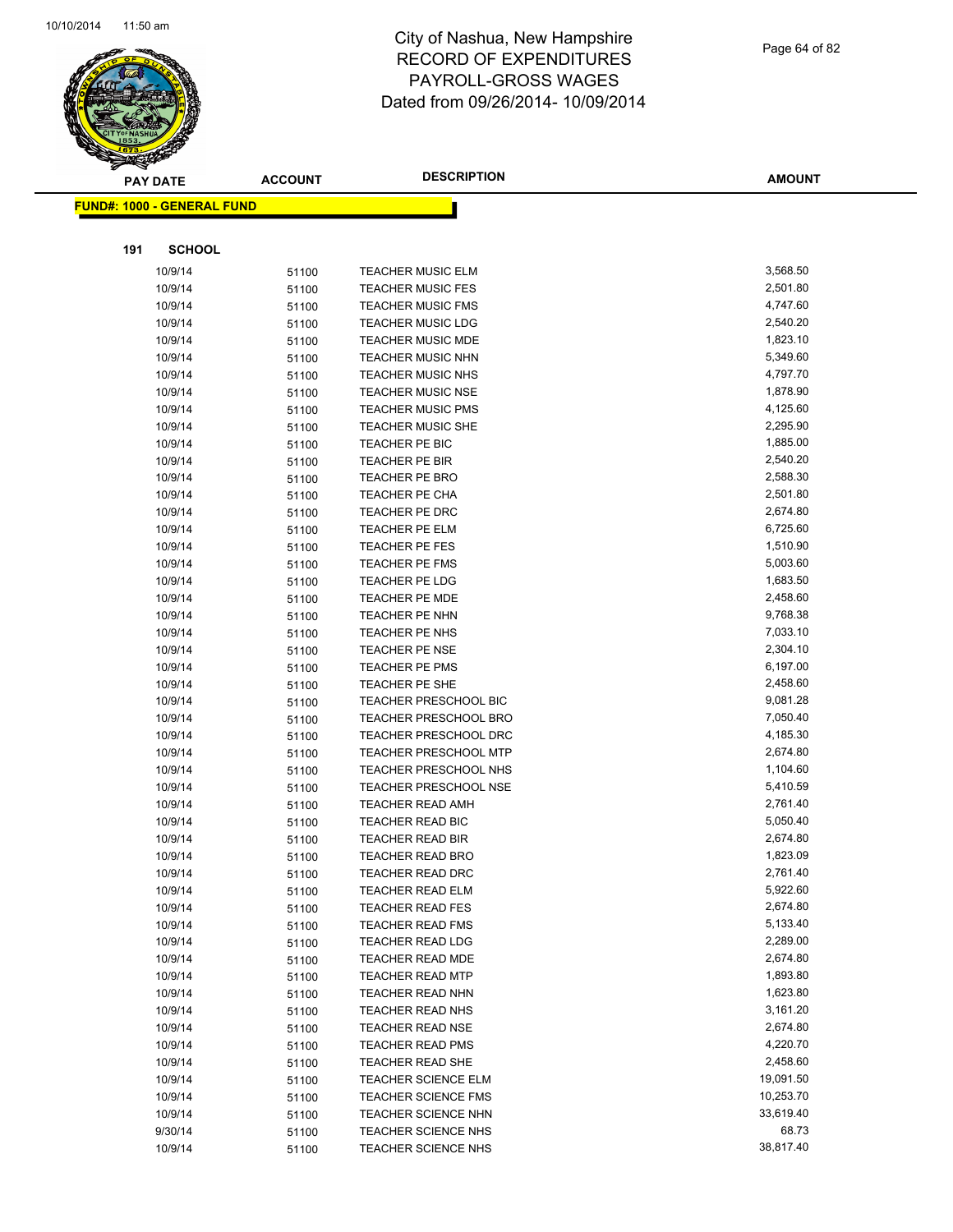

Page 64 of 82

|     | <b>PAY DATE</b>                    | <b>ACCOUNT</b> | <b>DESCRIPTION</b>               | <b>AMOUNT</b>        |
|-----|------------------------------------|----------------|----------------------------------|----------------------|
|     | <u> FUND#: 1000 - GENERAL FUND</u> |                |                                  |                      |
|     |                                    |                |                                  |                      |
|     |                                    |                |                                  |                      |
| 191 | <b>SCHOOL</b>                      |                |                                  |                      |
|     | 10/9/14                            | 51100          | <b>TEACHER MUSIC ELM</b>         | 3,568.50             |
|     | 10/9/14                            | 51100          | <b>TEACHER MUSIC FES</b>         | 2,501.80             |
|     | 10/9/14                            | 51100          | <b>TEACHER MUSIC FMS</b>         | 4,747.60             |
|     | 10/9/14                            | 51100          | <b>TEACHER MUSIC LDG</b>         | 2,540.20             |
|     | 10/9/14                            | 51100          | TEACHER MUSIC MDE                | 1,823.10             |
|     | 10/9/14                            | 51100          | <b>TEACHER MUSIC NHN</b>         | 5,349.60             |
|     | 10/9/14                            | 51100          | <b>TEACHER MUSIC NHS</b>         | 4,797.70             |
|     | 10/9/14                            | 51100          | <b>TEACHER MUSIC NSE</b>         | 1,878.90             |
|     | 10/9/14                            | 51100          | <b>TEACHER MUSIC PMS</b>         | 4,125.60             |
|     | 10/9/14                            | 51100          | <b>TEACHER MUSIC SHE</b>         | 2,295.90             |
|     | 10/9/14                            | 51100          | TEACHER PE BIC                   | 1,885.00             |
|     | 10/9/14                            | 51100          | <b>TEACHER PE BIR</b>            | 2,540.20<br>2,588.30 |
|     | 10/9/14                            | 51100          | TEACHER PE BRO                   |                      |
|     | 10/9/14                            | 51100          | TEACHER PE CHA                   | 2,501.80             |
|     | 10/9/14<br>10/9/14                 | 51100          | TEACHER PE DRC<br>TEACHER PE ELM | 2,674.80<br>6,725.60 |
|     | 10/9/14                            | 51100          | TEACHER PE FES                   | 1,510.90             |
|     | 10/9/14                            | 51100<br>51100 | TEACHER PE FMS                   | 5,003.60             |
|     | 10/9/14                            |                | <b>TEACHER PE LDG</b>            | 1,683.50             |
|     | 10/9/14                            | 51100<br>51100 | <b>TEACHER PE MDE</b>            | 2,458.60             |
|     | 10/9/14                            | 51100          | TEACHER PE NHN                   | 9,768.38             |
|     | 10/9/14                            | 51100          | TEACHER PE NHS                   | 7,033.10             |
|     | 10/9/14                            | 51100          | <b>TEACHER PE NSE</b>            | 2,304.10             |
|     | 10/9/14                            | 51100          | TEACHER PE PMS                   | 6,197.00             |
|     | 10/9/14                            | 51100          | TEACHER PE SHE                   | 2,458.60             |
|     | 10/9/14                            | 51100          | <b>TEACHER PRESCHOOL BIC</b>     | 9,081.28             |
|     | 10/9/14                            | 51100          | <b>TEACHER PRESCHOOL BRO</b>     | 7,050.40             |
|     | 10/9/14                            | 51100          | <b>TEACHER PRESCHOOL DRC</b>     | 4,185.30             |
|     | 10/9/14                            | 51100          | <b>TEACHER PRESCHOOL MTP</b>     | 2,674.80             |
|     | 10/9/14                            | 51100          | TEACHER PRESCHOOL NHS            | 1,104.60             |
|     | 10/9/14                            | 51100          | <b>TEACHER PRESCHOOL NSE</b>     | 5,410.59             |
|     | 10/9/14                            | 51100          | <b>TEACHER READ AMH</b>          | 2,761.40             |
|     | 10/9/14                            | 51100          | <b>TEACHER READ BIC</b>          | 5,050.40             |
|     | 10/9/14                            | 51100          | <b>TEACHER READ BIR</b>          | 2,674.80             |
|     | 10/9/14                            | 51100          | <b>TEACHER READ BRO</b>          | 1,823.09             |
|     | 10/9/14                            | 51100          | TEACHER READ DRC                 | 2,761.40             |
|     | 10/9/14                            | 51100          | <b>TEACHER READ ELM</b>          | 5,922.60             |
|     | 10/9/14                            | 51100          | <b>TEACHER READ FES</b>          | 2,674.80             |
|     | 10/9/14                            | 51100          | <b>TEACHER READ FMS</b>          | 5,133.40             |
|     | 10/9/14                            | 51100          | <b>TEACHER READ LDG</b>          | 2,289.00             |
|     | 10/9/14                            | 51100          | <b>TEACHER READ MDE</b>          | 2,674.80             |
|     | 10/9/14                            | 51100          | <b>TEACHER READ MTP</b>          | 1,893.80             |
|     | 10/9/14                            | 51100          | <b>TEACHER READ NHN</b>          | 1,623.80             |
|     | 10/9/14                            | 51100          | TEACHER READ NHS                 | 3,161.20             |
|     | 10/9/14                            | 51100          | <b>TEACHER READ NSE</b>          | 2,674.80             |
|     | 10/9/14                            | 51100          | TEACHER READ PMS                 | 4,220.70             |
|     | 10/9/14                            | 51100          | <b>TEACHER READ SHE</b>          | 2,458.60             |
|     | 10/9/14                            | 51100          | TEACHER SCIENCE ELM              | 19,091.50            |
|     | 10/9/14                            | 51100          | <b>TEACHER SCIENCE FMS</b>       | 10,253.70            |
|     | 10/9/14                            | 51100          | <b>TEACHER SCIENCE NHN</b>       | 33,619.40            |
|     | 9/30/14                            | 51100          | <b>TEACHER SCIENCE NHS</b>       | 68.73                |
|     | 10/9/14                            | 51100          | TEACHER SCIENCE NHS              | 38,817.40            |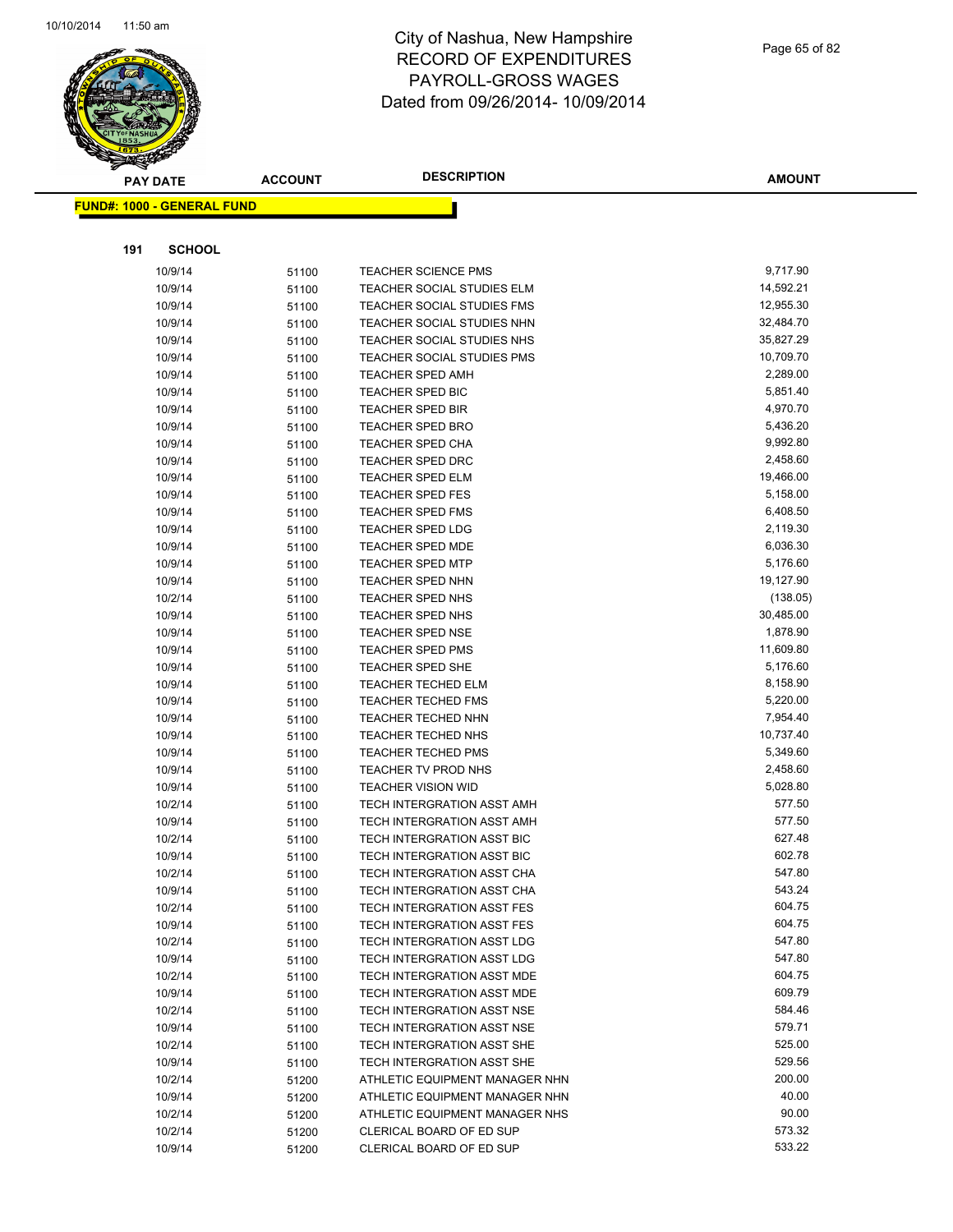

Page 65 of 82

| <b>PAY DATE</b>                   | <b>ACCOUNT</b> | <b>DESCRIPTION</b>                                       | <b>AMOUNT</b>    |
|-----------------------------------|----------------|----------------------------------------------------------|------------------|
| <b>FUND#: 1000 - GENERAL FUND</b> |                |                                                          |                  |
|                                   |                |                                                          |                  |
|                                   |                |                                                          |                  |
| 191<br><b>SCHOOL</b>              |                |                                                          |                  |
| 10/9/14                           | 51100          | <b>TEACHER SCIENCE PMS</b>                               | 9,717.90         |
| 10/9/14                           | 51100          | TEACHER SOCIAL STUDIES ELM                               | 14,592.21        |
| 10/9/14                           | 51100          | TEACHER SOCIAL STUDIES FMS                               | 12,955.30        |
| 10/9/14                           | 51100          | TEACHER SOCIAL STUDIES NHN                               | 32,484.70        |
| 10/9/14                           | 51100          | TEACHER SOCIAL STUDIES NHS                               | 35,827.29        |
| 10/9/14                           | 51100          | TEACHER SOCIAL STUDIES PMS                               | 10,709.70        |
| 10/9/14                           | 51100          | <b>TEACHER SPED AMH</b>                                  | 2,289.00         |
| 10/9/14                           | 51100          | TEACHER SPED BIC                                         | 5,851.40         |
| 10/9/14                           | 51100          | <b>TEACHER SPED BIR</b>                                  | 4,970.70         |
| 10/9/14                           | 51100          | TEACHER SPED BRO                                         | 5,436.20         |
| 10/9/14                           | 51100          | <b>TEACHER SPED CHA</b>                                  | 9,992.80         |
| 10/9/14                           | 51100          | <b>TEACHER SPED DRC</b>                                  | 2,458.60         |
| 10/9/14                           | 51100          | <b>TEACHER SPED ELM</b>                                  | 19,466.00        |
| 10/9/14                           | 51100          | <b>TEACHER SPED FES</b>                                  | 5,158.00         |
| 10/9/14                           | 51100          | TEACHER SPED FMS                                         | 6,408.50         |
| 10/9/14                           | 51100          | <b>TEACHER SPED LDG</b>                                  | 2,119.30         |
| 10/9/14                           | 51100          | <b>TEACHER SPED MDE</b>                                  | 6,036.30         |
| 10/9/14                           | 51100          | <b>TEACHER SPED MTP</b>                                  | 5,176.60         |
| 10/9/14                           | 51100          | <b>TEACHER SPED NHN</b>                                  | 19,127.90        |
| 10/2/14                           | 51100          | <b>TEACHER SPED NHS</b>                                  | (138.05)         |
| 10/9/14                           | 51100          | <b>TEACHER SPED NHS</b>                                  | 30,485.00        |
| 10/9/14                           | 51100          | TEACHER SPED NSE                                         | 1,878.90         |
| 10/9/14                           | 51100          | <b>TEACHER SPED PMS</b>                                  | 11,609.80        |
| 10/9/14                           | 51100          | TEACHER SPED SHE                                         | 5,176.60         |
| 10/9/14                           | 51100          | <b>TEACHER TECHED ELM</b>                                | 8,158.90         |
| 10/9/14                           | 51100          | <b>TEACHER TECHED FMS</b>                                | 5,220.00         |
| 10/9/14                           | 51100          | <b>TEACHER TECHED NHN</b>                                | 7,954.40         |
| 10/9/14                           | 51100          | <b>TEACHER TECHED NHS</b>                                | 10,737.40        |
| 10/9/14                           | 51100          | <b>TEACHER TECHED PMS</b>                                | 5,349.60         |
| 10/9/14                           | 51100          | TEACHER TV PROD NHS                                      | 2,458.60         |
| 10/9/14                           | 51100          | <b>TEACHER VISION WID</b>                                | 5,028.80         |
| 10/2/14                           | 51100          | TECH INTERGRATION ASST AMH                               | 577.50           |
| 10/9/14                           | 51100          | TECH INTERGRATION ASST AMH                               | 577.50           |
| 10/2/14                           | 51100          | TECH INTERGRATION ASST BIC                               | 627.48           |
| 10/9/14                           | 51100          | TECH INTERGRATION ASST BIC                               | 602.78           |
| 10/2/14                           | 51100          | TECH INTERGRATION ASST CHA                               | 547.80           |
| 10/9/14                           | 51100          | TECH INTERGRATION ASST CHA                               | 543.24<br>604.75 |
| 10/2/14                           | 51100          | TECH INTERGRATION ASST FES                               | 604.75           |
| 10/9/14                           | 51100          | TECH INTERGRATION ASST FES                               | 547.80           |
| 10/2/14                           | 51100          | TECH INTERGRATION ASST LDG                               | 547.80           |
| 10/9/14                           | 51100          | TECH INTERGRATION ASST LDG                               | 604.75           |
| 10/2/14                           | 51100          | TECH INTERGRATION ASST MDE                               | 609.79           |
| 10/9/14<br>10/2/14                | 51100          | TECH INTERGRATION ASST MDE<br>TECH INTERGRATION ASST NSE | 584.46           |
| 10/9/14                           | 51100          | TECH INTERGRATION ASST NSE                               | 579.71           |
| 10/2/14                           | 51100<br>51100 | TECH INTERGRATION ASST SHE                               | 525.00           |
| 10/9/14                           | 51100          | TECH INTERGRATION ASST SHE                               | 529.56           |
| 10/2/14                           | 51200          | ATHLETIC EQUIPMENT MANAGER NHN                           | 200.00           |
| 10/9/14                           | 51200          | ATHLETIC EQUIPMENT MANAGER NHN                           | 40.00            |
| 10/2/14                           | 51200          | ATHLETIC EQUIPMENT MANAGER NHS                           | 90.00            |
| 10/2/14                           | 51200          | CLERICAL BOARD OF ED SUP                                 | 573.32           |
| 10/9/14                           | 51200          | CLERICAL BOARD OF ED SUP                                 | 533.22           |
|                                   |                |                                                          |                  |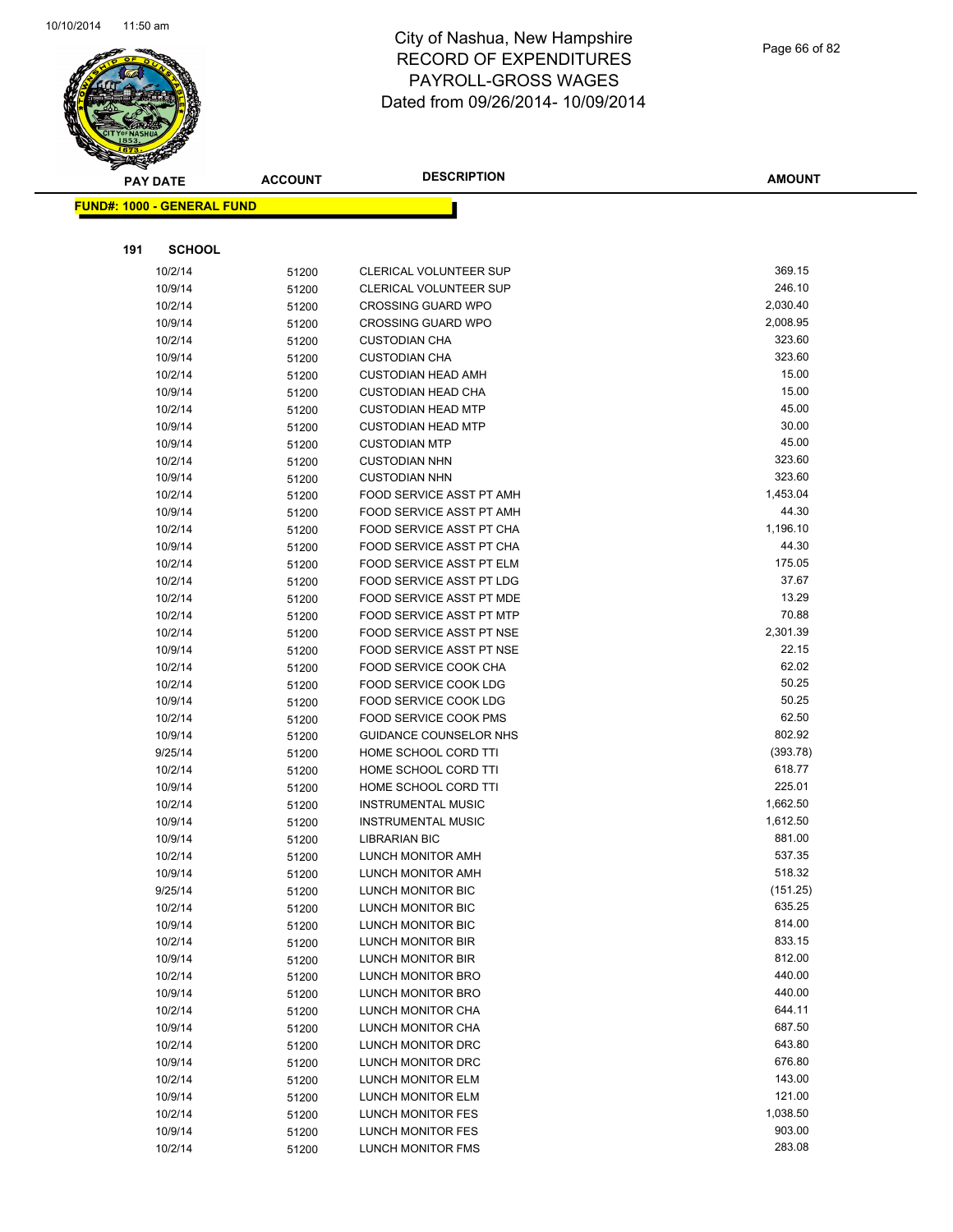

Page 66 of 82

| <b>PAY DATE</b>                   | <b>ACCOUNT</b> | <b>DESCRIPTION</b>                     | <b>AMOUNT</b>      |
|-----------------------------------|----------------|----------------------------------------|--------------------|
| <b>FUND#: 1000 - GENERAL FUND</b> |                |                                        |                    |
|                                   |                |                                        |                    |
|                                   |                |                                        |                    |
| <b>SCHOOL</b><br>191              |                |                                        |                    |
| 10/2/14                           | 51200          | CLERICAL VOLUNTEER SUP                 | 369.15             |
| 10/9/14                           | 51200          | CLERICAL VOLUNTEER SUP                 | 246.10             |
| 10/2/14                           | 51200          | <b>CROSSING GUARD WPO</b>              | 2,030.40           |
| 10/9/14                           | 51200          | <b>CROSSING GUARD WPO</b>              | 2,008.95           |
| 10/2/14                           | 51200          | <b>CUSTODIAN CHA</b>                   | 323.60             |
| 10/9/14                           | 51200          | <b>CUSTODIAN CHA</b>                   | 323.60             |
| 10/2/14                           | 51200          | <b>CUSTODIAN HEAD AMH</b>              | 15.00              |
| 10/9/14                           | 51200          | <b>CUSTODIAN HEAD CHA</b>              | 15.00              |
| 10/2/14                           | 51200          | <b>CUSTODIAN HEAD MTP</b>              | 45.00              |
| 10/9/14                           | 51200          | <b>CUSTODIAN HEAD MTP</b>              | 30.00              |
| 10/9/14                           | 51200          | <b>CUSTODIAN MTP</b>                   | 45.00              |
| 10/2/14                           | 51200          | <b>CUSTODIAN NHN</b>                   | 323.60             |
| 10/9/14                           | 51200          | <b>CUSTODIAN NHN</b>                   | 323.60             |
| 10/2/14                           | 51200          | FOOD SERVICE ASST PT AMH               | 1,453.04           |
| 10/9/14                           | 51200          | FOOD SERVICE ASST PT AMH               | 44.30              |
| 10/2/14                           | 51200          | FOOD SERVICE ASST PT CHA               | 1,196.10           |
| 10/9/14                           | 51200          | FOOD SERVICE ASST PT CHA               | 44.30              |
| 10/2/14                           | 51200          | FOOD SERVICE ASST PT ELM               | 175.05             |
| 10/2/14                           | 51200          | FOOD SERVICE ASST PT LDG               | 37.67              |
| 10/2/14                           | 51200          | FOOD SERVICE ASST PT MDE               | 13.29              |
| 10/2/14                           | 51200          | FOOD SERVICE ASST PT MTP               | 70.88              |
| 10/2/14                           | 51200          | FOOD SERVICE ASST PT NSE               | 2,301.39           |
| 10/9/14                           | 51200          | FOOD SERVICE ASST PT NSE               | 22.15              |
| 10/2/14                           | 51200          | FOOD SERVICE COOK CHA                  | 62.02              |
| 10/2/14                           | 51200          | FOOD SERVICE COOK LDG                  | 50.25              |
| 10/9/14                           | 51200          | FOOD SERVICE COOK LDG                  | 50.25              |
| 10/2/14                           | 51200          | FOOD SERVICE COOK PMS                  | 62.50              |
| 10/9/14                           | 51200          | GUIDANCE COUNSELOR NHS                 | 802.92             |
| 9/25/14                           | 51200          | HOME SCHOOL CORD TTI                   | (393.78)           |
| 10/2/14                           | 51200          | HOME SCHOOL CORD TTI                   | 618.77             |
| 10/9/14                           | 51200          | HOME SCHOOL CORD TTI                   | 225.01             |
| 10/2/14                           | 51200          | <b>INSTRUMENTAL MUSIC</b>              | 1,662.50           |
| 10/9/14                           | 51200          | <b>INSTRUMENTAL MUSIC</b>              | 1,612.50           |
| 10/9/14                           | 51200          | <b>LIBRARIAN BIC</b>                   | 881.00             |
| 10/2/14                           | 51200          | LUNCH MONITOR AMH                      | 537.35             |
| 10/9/14                           | 51200          | LUNCH MONITOR AMH                      | 518.32             |
| 9/25/14                           | 51200          | LUNCH MONITOR BIC                      | (151.25)<br>635.25 |
| 10/2/14<br>10/9/14                | 51200          | LUNCH MONITOR BIC                      | 814.00             |
| 10/2/14                           | 51200          | LUNCH MONITOR BIC<br>LUNCH MONITOR BIR | 833.15             |
| 10/9/14                           | 51200<br>51200 | LUNCH MONITOR BIR                      | 812.00             |
| 10/2/14                           | 51200          | LUNCH MONITOR BRO                      | 440.00             |
| 10/9/14                           | 51200          | LUNCH MONITOR BRO                      | 440.00             |
| 10/2/14                           | 51200          | <b>LUNCH MONITOR CHA</b>               | 644.11             |
| 10/9/14                           | 51200          | LUNCH MONITOR CHA                      | 687.50             |
| 10/2/14                           | 51200          | LUNCH MONITOR DRC                      | 643.80             |
| 10/9/14                           | 51200          | LUNCH MONITOR DRC                      | 676.80             |
| 10/2/14                           | 51200          | LUNCH MONITOR ELM                      | 143.00             |
| 10/9/14                           | 51200          | LUNCH MONITOR ELM                      | 121.00             |
| 10/2/14                           | 51200          | LUNCH MONITOR FES                      | 1,038.50           |
| 10/9/14                           | 51200          | LUNCH MONITOR FES                      | 903.00             |
| 10/2/14                           | 51200          | LUNCH MONITOR FMS                      | 283.08             |
|                                   |                |                                        |                    |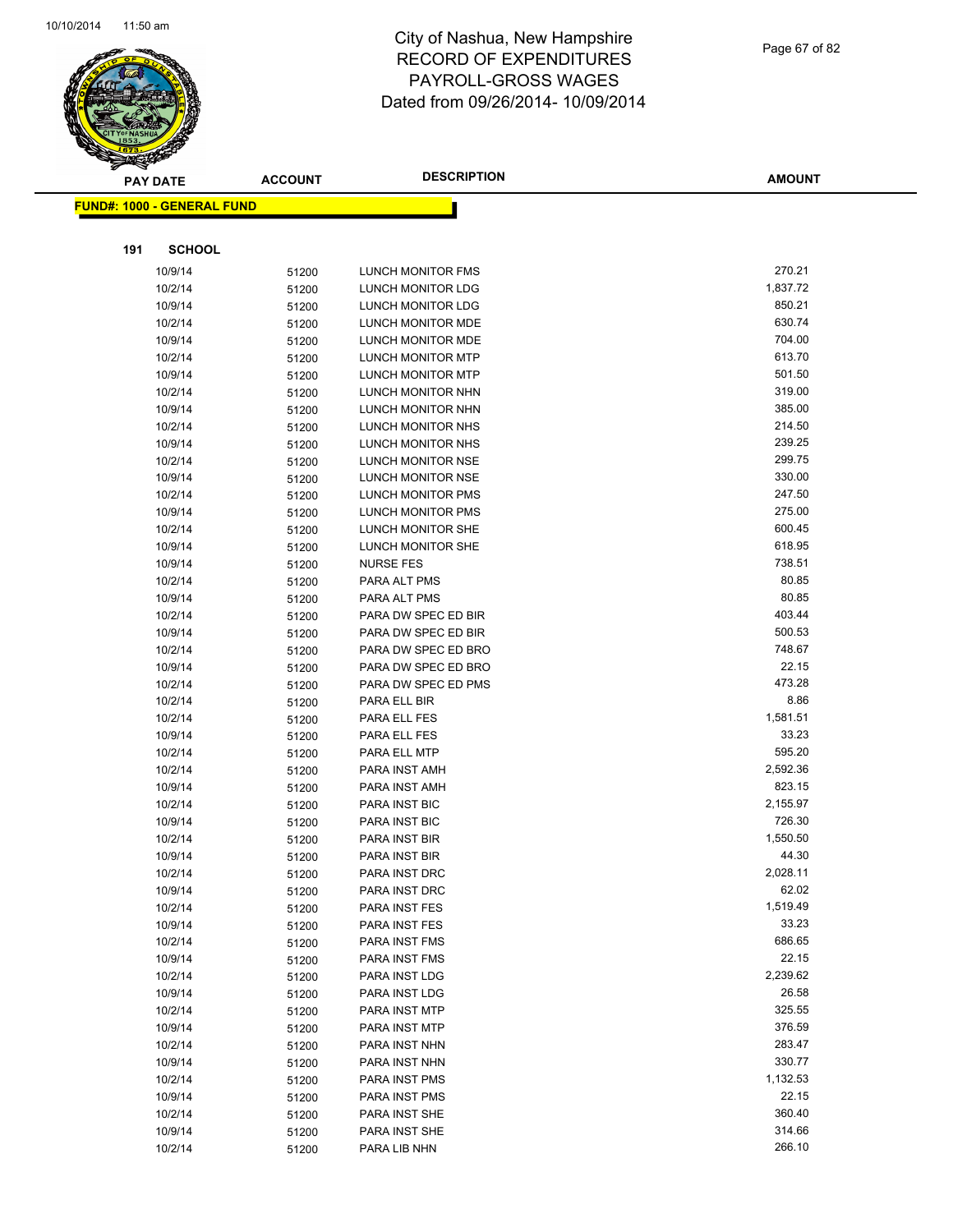

Page 67 of 82

|     | <b>PAY DATE</b>                   | <b>ACCOUNT</b> | <b>DESCRIPTION</b>                         | <b>AMOUNT</b>  |
|-----|-----------------------------------|----------------|--------------------------------------------|----------------|
|     | <b>FUND#: 1000 - GENERAL FUND</b> |                |                                            |                |
|     |                                   |                |                                            |                |
|     |                                   |                |                                            |                |
| 191 | <b>SCHOOL</b>                     |                |                                            |                |
|     | 10/9/14                           | 51200          | LUNCH MONITOR FMS                          | 270.21         |
|     | 10/2/14                           | 51200          | LUNCH MONITOR LDG                          | 1,837.72       |
|     | 10/9/14                           | 51200          | LUNCH MONITOR LDG                          | 850.21         |
|     | 10/2/14                           | 51200          | <b>LUNCH MONITOR MDE</b>                   | 630.74         |
|     | 10/9/14                           | 51200          | LUNCH MONITOR MDE                          | 704.00         |
|     | 10/2/14                           | 51200          | LUNCH MONITOR MTP                          | 613.70         |
|     | 10/9/14                           | 51200          | <b>LUNCH MONITOR MTP</b>                   | 501.50         |
|     | 10/2/14                           | 51200          | LUNCH MONITOR NHN                          | 319.00         |
|     | 10/9/14                           | 51200          | LUNCH MONITOR NHN                          | 385.00         |
|     | 10/2/14                           | 51200          | LUNCH MONITOR NHS                          | 214.50         |
|     | 10/9/14                           | 51200          | LUNCH MONITOR NHS                          | 239.25         |
|     | 10/2/14                           | 51200          | LUNCH MONITOR NSE                          | 299.75         |
|     | 10/9/14                           | 51200          | LUNCH MONITOR NSE                          | 330.00         |
|     | 10/2/14                           | 51200          | LUNCH MONITOR PMS                          | 247.50         |
|     | 10/9/14                           | 51200          | LUNCH MONITOR PMS                          | 275.00         |
|     | 10/2/14                           | 51200          | LUNCH MONITOR SHE                          | 600.45         |
|     | 10/9/14                           | 51200          | LUNCH MONITOR SHE                          | 618.95         |
|     | 10/9/14                           | 51200          | <b>NURSE FES</b>                           | 738.51         |
|     | 10/2/14                           | 51200          | PARA ALT PMS                               | 80.85<br>80.85 |
|     | 10/9/14                           | 51200          | PARA ALT PMS                               | 403.44         |
|     | 10/2/14                           | 51200          | PARA DW SPEC ED BIR                        | 500.53         |
|     | 10/9/14                           | 51200          | PARA DW SPEC ED BIR                        | 748.67         |
|     | 10/2/14                           | 51200          | PARA DW SPEC ED BRO                        | 22.15          |
|     | 10/9/14                           | 51200          | PARA DW SPEC ED BRO<br>PARA DW SPEC ED PMS | 473.28         |
|     | 10/2/14<br>10/2/14                | 51200          | PARA ELL BIR                               | 8.86           |
|     | 10/2/14                           | 51200<br>51200 | PARA ELL FES                               | 1,581.51       |
|     | 10/9/14                           | 51200          | PARA ELL FES                               | 33.23          |
|     | 10/2/14                           | 51200          | PARA ELL MTP                               | 595.20         |
|     | 10/2/14                           | 51200          | PARA INST AMH                              | 2,592.36       |
|     | 10/9/14                           | 51200          | PARA INST AMH                              | 823.15         |
|     | 10/2/14                           | 51200          | PARA INST BIC                              | 2,155.97       |
|     | 10/9/14                           | 51200          | PARA INST BIC                              | 726.30         |
|     | 10/2/14                           | 51200          | PARA INST BIR                              | 1,550.50       |
|     | 10/9/14                           | 51200          | PARA INST BIR                              | 44.30          |
|     | 10/2/14                           | 51200          | PARA INST DRC                              | 2,028.11       |
|     | 10/9/14                           | 51200          | PARA INST DRC                              | 62.02          |
|     | 10/2/14                           | 51200          | PARA INST FES                              | 1,519.49       |
|     | 10/9/14                           | 51200          | PARA INST FES                              | 33.23          |
|     | 10/2/14                           | 51200          | PARA INST FMS                              | 686.65         |
|     | 10/9/14                           | 51200          | PARA INST FMS                              | 22.15          |
|     | 10/2/14                           | 51200          | PARA INST LDG                              | 2,239.62       |
|     | 10/9/14                           | 51200          | PARA INST LDG                              | 26.58          |
|     | 10/2/14                           | 51200          | PARA INST MTP                              | 325.55         |
|     | 10/9/14                           | 51200          | PARA INST MTP                              | 376.59         |
|     | 10/2/14                           | 51200          | PARA INST NHN                              | 283.47         |
|     | 10/9/14                           | 51200          | PARA INST NHN                              | 330.77         |
|     | 10/2/14                           | 51200          | PARA INST PMS                              | 1,132.53       |
|     | 10/9/14                           | 51200          | PARA INST PMS                              | 22.15          |
|     | 10/2/14                           | 51200          | PARA INST SHE                              | 360.40         |
|     | 10/9/14                           | 51200          | PARA INST SHE                              | 314.66         |
|     | 10/2/14                           | 51200          | PARA LIB NHN                               | 266.10         |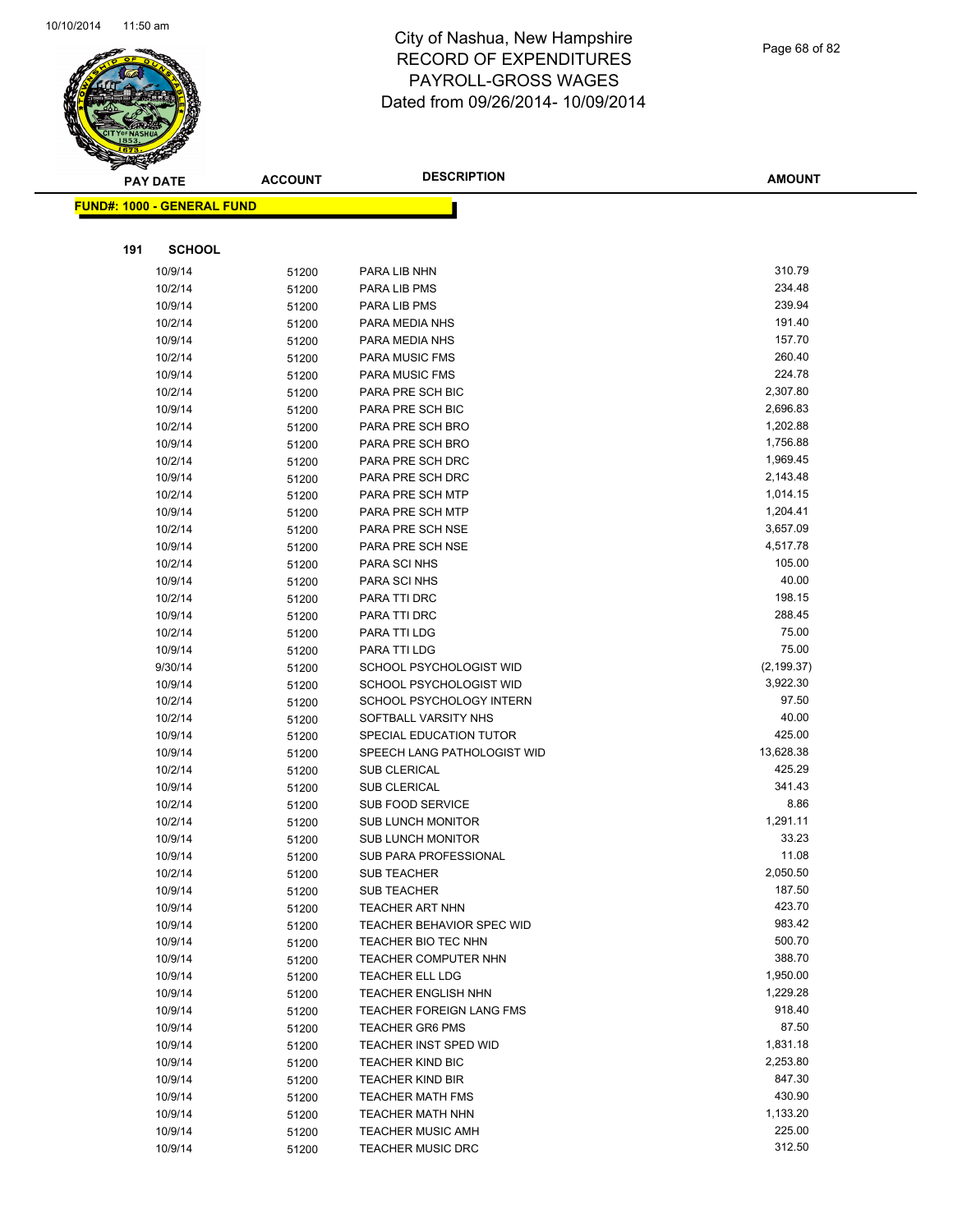

Page 68 of 82

|     | <b>PAY DATE</b>                   | <b>ACCOUNT</b> | <b>DESCRIPTION</b>                 | <b>AMOUNT</b>    |
|-----|-----------------------------------|----------------|------------------------------------|------------------|
|     | <b>FUND#: 1000 - GENERAL FUND</b> |                |                                    |                  |
|     |                                   |                |                                    |                  |
|     |                                   |                |                                    |                  |
| 191 | <b>SCHOOL</b>                     |                |                                    |                  |
|     | 10/9/14                           | 51200          | PARA LIB NHN                       | 310.79           |
|     | 10/2/14                           | 51200          | PARA LIB PMS                       | 234.48           |
|     | 10/9/14                           | 51200          | PARA LIB PMS                       | 239.94           |
|     | 10/2/14                           | 51200          | PARA MEDIA NHS                     | 191.40           |
|     | 10/9/14                           | 51200          | PARA MEDIA NHS                     | 157.70           |
|     | 10/2/14                           | 51200          | PARA MUSIC FMS                     | 260.40<br>224.78 |
|     | 10/9/14                           | 51200          | PARA MUSIC FMS<br>PARA PRE SCH BIC | 2,307.80         |
|     | 10/2/14<br>10/9/14                | 51200          | PARA PRE SCH BIC                   | 2,696.83         |
|     | 10/2/14                           | 51200          | PARA PRE SCH BRO                   | 1,202.88         |
|     | 10/9/14                           | 51200          | PARA PRE SCH BRO                   | 1,756.88         |
|     | 10/2/14                           | 51200          | PARA PRE SCH DRC                   | 1,969.45         |
|     | 10/9/14                           | 51200<br>51200 | PARA PRE SCH DRC                   | 2,143.48         |
|     | 10/2/14                           | 51200          | PARA PRE SCH MTP                   | 1,014.15         |
|     | 10/9/14                           | 51200          | PARA PRE SCH MTP                   | 1,204.41         |
|     | 10/2/14                           | 51200          | PARA PRE SCH NSE                   | 3,657.09         |
|     | 10/9/14                           | 51200          | PARA PRE SCH NSE                   | 4,517.78         |
|     | 10/2/14                           | 51200          | PARA SCI NHS                       | 105.00           |
|     | 10/9/14                           | 51200          | PARA SCI NHS                       | 40.00            |
|     | 10/2/14                           | 51200          | PARA TTI DRC                       | 198.15           |
|     | 10/9/14                           | 51200          | PARA TTI DRC                       | 288.45           |
|     | 10/2/14                           | 51200          | PARA TTI LDG                       | 75.00            |
|     | 10/9/14                           | 51200          | PARA TTI LDG                       | 75.00            |
|     | 9/30/14                           | 51200          | SCHOOL PSYCHOLOGIST WID            | (2, 199.37)      |
|     | 10/9/14                           | 51200          | SCHOOL PSYCHOLOGIST WID            | 3,922.30         |
|     | 10/2/14                           | 51200          | SCHOOL PSYCHOLOGY INTERN           | 97.50            |
|     | 10/2/14                           | 51200          | SOFTBALL VARSITY NHS               | 40.00            |
|     | 10/9/14                           | 51200          | SPECIAL EDUCATION TUTOR            | 425.00           |
|     | 10/9/14                           | 51200          | SPEECH LANG PATHOLOGIST WID        | 13,628.38        |
|     | 10/2/14                           | 51200          | <b>SUB CLERICAL</b>                | 425.29           |
|     | 10/9/14                           | 51200          | <b>SUB CLERICAL</b>                | 341.43           |
|     | 10/2/14                           | 51200          | SUB FOOD SERVICE                   | 8.86             |
|     | 10/2/14                           | 51200          | <b>SUB LUNCH MONITOR</b>           | 1,291.11         |
|     | 10/9/14                           | 51200          | <b>SUB LUNCH MONITOR</b>           | 33.23            |
|     | 10/9/14                           | 51200          | SUB PARA PROFESSIONAL              | 11.08            |
|     | 10/2/14                           | 51200          | <b>SUB TEACHER</b>                 | 2,050.50         |
|     | 10/9/14                           | 51200          | <b>SUB TEACHER</b>                 | 187.50           |
|     | 10/9/14                           | 51200          | TEACHER ART NHN                    | 423.70           |
|     | 10/9/14                           | 51200          | <b>TEACHER BEHAVIOR SPEC WID</b>   | 983.42           |
|     | 10/9/14                           | 51200          | TEACHER BIO TEC NHN                | 500.70           |
|     | 10/9/14                           | 51200          | TEACHER COMPUTER NHN               | 388.70           |
|     | 10/9/14                           | 51200          | <b>TEACHER ELL LDG</b>             | 1,950.00         |
|     | 10/9/14                           | 51200          | TEACHER ENGLISH NHN                | 1,229.28         |
|     | 10/9/14                           | 51200          | TEACHER FOREIGN LANG FMS           | 918.40           |
|     | 10/9/14                           | 51200          | <b>TEACHER GR6 PMS</b>             | 87.50            |
|     | 10/9/14                           | 51200          | TEACHER INST SPED WID              | 1,831.18         |
|     | 10/9/14                           | 51200          | <b>TEACHER KIND BIC</b>            | 2,253.80         |
|     | 10/9/14                           | 51200          | <b>TEACHER KIND BIR</b>            | 847.30           |
|     | 10/9/14                           | 51200          | TEACHER MATH FMS                   | 430.90           |
|     | 10/9/14                           | 51200          | TEACHER MATH NHN                   | 1,133.20         |
|     | 10/9/14                           | 51200          | TEACHER MUSIC AMH                  | 225.00           |
|     | 10/9/14                           | 51200          | TEACHER MUSIC DRC                  | 312.50           |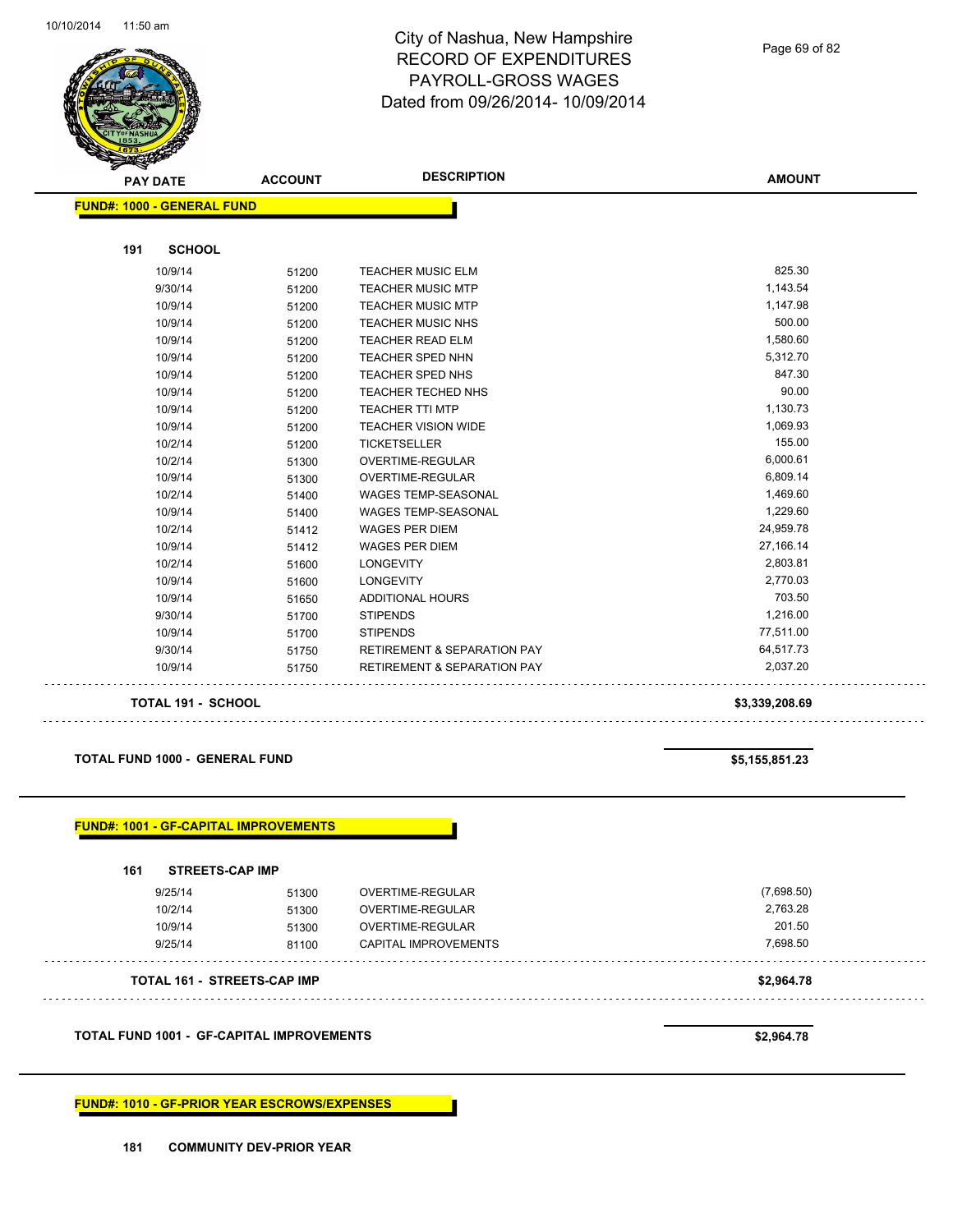

**191 SCHOOL**

### City of Nashua, New Hampshire RECORD OF EXPENDITURES PAYROLL-GROSS WAGES Dated from 09/26/2014- 10/09/2014

**AMOUNT PAY DATE ACCOUNT DESCRIPTION FUND#: 1000 - GENERAL FUND** 10/9/14 51200 TEACHER MUSIC ELM 825.30 9/30/14 51200 TEACHER MUSIC MTP 1,143.54 10/9/14 51200 TEACHER MUSIC MTP 1,147.98 10/9/14 51200 TEACHER MUSIC NHS 500.00 500.00 10/9/14 51200 TEACHER READ ELM 1,580.60 10/9/14 51200 TEACHER SPED NHN 5,312.70 10/9/14 51200 TEACHER SPED NHS 847.30 10/9/14 51200 TEACHER TECHED NHS 90.00

| 10/9/14 | 51200 | <b>TEACHER TTI MTP</b>                 | 1,130.73  |
|---------|-------|----------------------------------------|-----------|
| 10/9/14 | 51200 | <b>TEACHER VISION WIDE</b>             | 1,069.93  |
| 10/2/14 | 51200 | <b>TICKETSELLER</b>                    | 155.00    |
| 10/2/14 | 51300 | <b>OVERTIME-REGULAR</b>                | 6,000.61  |
| 10/9/14 | 51300 | OVERTIME-REGULAR                       | 6,809.14  |
| 10/2/14 | 51400 | <b>WAGES TEMP-SEASONAL</b>             | 1,469.60  |
| 10/9/14 | 51400 | <b>WAGES TEMP-SEASONAL</b>             | 1,229.60  |
| 10/2/14 | 51412 | <b>WAGES PER DIEM</b>                  | 24,959.78 |
| 10/9/14 | 51412 | <b>WAGES PER DIEM</b>                  | 27,166.14 |
| 10/2/14 | 51600 | <b>LONGEVITY</b>                       | 2,803.81  |
| 10/9/14 | 51600 | <b>LONGEVITY</b>                       | 2,770.03  |
| 10/9/14 | 51650 | <b>ADDITIONAL HOURS</b>                | 703.50    |
| 9/30/14 | 51700 | <b>STIPENDS</b>                        | 1,216.00  |
| 10/9/14 | 51700 | <b>STIPENDS</b>                        | 77,511.00 |
| 9/30/14 | 51750 | <b>RETIREMENT &amp; SEPARATION PAY</b> | 64,517.73 |
| 10/9/14 | 51750 | <b>RETIREMENT &amp; SEPARATION PAY</b> | 2,037.20  |
|         |       |                                        |           |

#### **TOTAL 191 - SCHOOL \$3,339,208.69**

#### **TOTAL FUND 1000 - GENERAL FUND \$5,155,851.23**

. . .

| 161<br><b>STREETS-CAP IMP</b>      |       |                             |            |
|------------------------------------|-------|-----------------------------|------------|
| 9/25/14                            | 51300 | OVERTIME-REGULAR            | (7,698.50) |
| 10/2/14                            | 51300 | <b>OVERTIME-REGULAR</b>     | 2,763.28   |
| 10/9/14                            | 51300 | <b>OVERTIME-REGULAR</b>     | 201.50     |
| 9/25/14                            | 81100 | <b>CAPITAL IMPROVEMENTS</b> | 7,698.50   |
| <b>TOTAL 161 - STREETS-CAP IMP</b> |       |                             | \$2,964.78 |

**FUND#: 1010 - GF-PRIOR YEAR ESCROWS/EXPENSES**

Page 69 of 82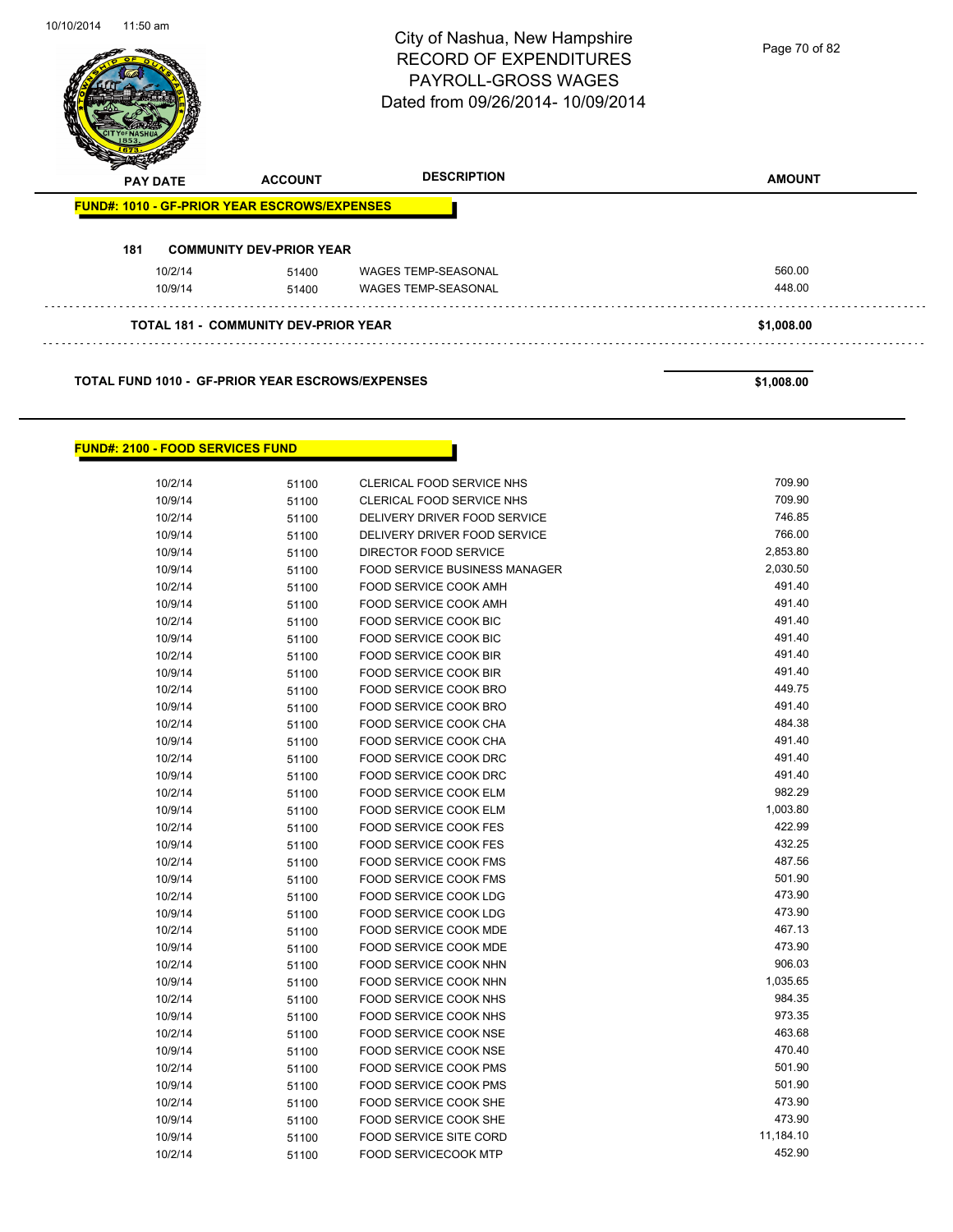

#### **TOTAL FUND 1010 - GF-PRIOR YEAR ESCROWS/EXPENSES \$1,008.00**

#### **FUND#: 2100 - FOOD SERVICES FUND**

| 10/2/14 | 51100 | CLERICAL FOOD SERVICE NHS            | 709.90    |
|---------|-------|--------------------------------------|-----------|
| 10/9/14 | 51100 | CLERICAL FOOD SERVICE NHS            | 709.90    |
| 10/2/14 | 51100 | DELIVERY DRIVER FOOD SERVICE         | 746.85    |
| 10/9/14 | 51100 | DELIVERY DRIVER FOOD SERVICE         | 766.00    |
| 10/9/14 | 51100 | DIRECTOR FOOD SERVICE                | 2,853.80  |
| 10/9/14 | 51100 | <b>FOOD SERVICE BUSINESS MANAGER</b> | 2,030.50  |
| 10/2/14 | 51100 | FOOD SERVICE COOK AMH                | 491.40    |
| 10/9/14 | 51100 | FOOD SERVICE COOK AMH                | 491.40    |
| 10/2/14 | 51100 | FOOD SERVICE COOK BIC                | 491.40    |
| 10/9/14 | 51100 | FOOD SERVICE COOK BIC                | 491.40    |
| 10/2/14 | 51100 | <b>FOOD SERVICE COOK BIR</b>         | 491.40    |
| 10/9/14 | 51100 | FOOD SERVICE COOK BIR                | 491.40    |
| 10/2/14 | 51100 | FOOD SERVICE COOK BRO                | 449.75    |
| 10/9/14 | 51100 | FOOD SERVICE COOK BRO                | 491.40    |
| 10/2/14 | 51100 | <b>FOOD SERVICE COOK CHA</b>         | 484.38    |
| 10/9/14 | 51100 | FOOD SERVICE COOK CHA                | 491.40    |
| 10/2/14 | 51100 | FOOD SERVICE COOK DRC                | 491.40    |
| 10/9/14 | 51100 | FOOD SERVICE COOK DRC                | 491.40    |
| 10/2/14 | 51100 | <b>FOOD SERVICE COOK ELM</b>         | 982.29    |
| 10/9/14 | 51100 | FOOD SERVICE COOK ELM                | 1,003.80  |
| 10/2/14 | 51100 | <b>FOOD SERVICE COOK FES</b>         | 422.99    |
| 10/9/14 | 51100 | <b>FOOD SERVICE COOK FES</b>         | 432.25    |
| 10/2/14 | 51100 | <b>FOOD SERVICE COOK FMS</b>         | 487.56    |
| 10/9/14 | 51100 | <b>FOOD SERVICE COOK FMS</b>         | 501.90    |
| 10/2/14 | 51100 | FOOD SERVICE COOK LDG                | 473.90    |
| 10/9/14 | 51100 | <b>FOOD SERVICE COOK LDG</b>         | 473.90    |
| 10/2/14 | 51100 | FOOD SERVICE COOK MDE                | 467.13    |
| 10/9/14 | 51100 | FOOD SERVICE COOK MDE                | 473.90    |
| 10/2/14 | 51100 | FOOD SERVICE COOK NHN                | 906.03    |
| 10/9/14 | 51100 | FOOD SERVICE COOK NHN                | 1,035.65  |
| 10/2/14 | 51100 | FOOD SERVICE COOK NHS                | 984.35    |
| 10/9/14 | 51100 | FOOD SERVICE COOK NHS                | 973.35    |
| 10/2/14 | 51100 | <b>FOOD SERVICE COOK NSE</b>         | 463.68    |
| 10/9/14 | 51100 | FOOD SERVICE COOK NSE                | 470.40    |
| 10/2/14 | 51100 | FOOD SERVICE COOK PMS                | 501.90    |
| 10/9/14 | 51100 | FOOD SERVICE COOK PMS                | 501.90    |
| 10/2/14 | 51100 | FOOD SERVICE COOK SHE                | 473.90    |
| 10/9/14 | 51100 | FOOD SERVICE COOK SHE                | 473.90    |
| 10/9/14 | 51100 | <b>FOOD SERVICE SITE CORD</b>        | 11,184.10 |
| 10/2/14 | 51100 | <b>FOOD SERVICECOOK MTP</b>          | 452.90    |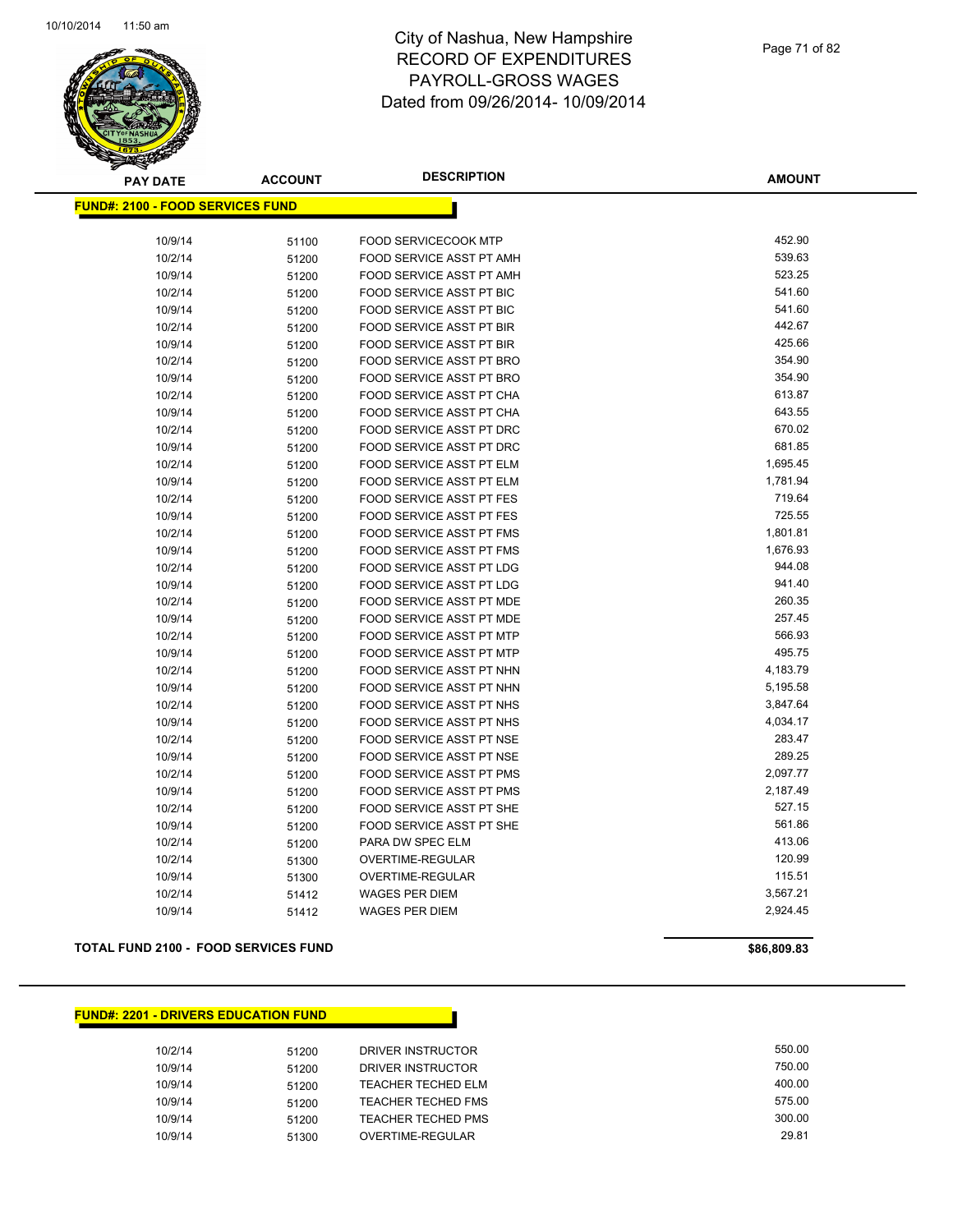

| <b>PAY DATE</b>                         | <b>ACCOUNT</b> | <b>DESCRIPTION</b>              | <b>AMOUNT</b> |
|-----------------------------------------|----------------|---------------------------------|---------------|
| <b>FUND#: 2100 - FOOD SERVICES FUND</b> |                |                                 |               |
|                                         |                |                                 |               |
| 10/9/14                                 | 51100          | <b>FOOD SERVICECOOK MTP</b>     | 452.90        |
| 10/2/14                                 | 51200          | FOOD SERVICE ASST PT AMH        | 539.63        |
| 10/9/14                                 | 51200          | FOOD SERVICE ASST PT AMH        | 523.25        |
| 10/2/14                                 | 51200          | FOOD SERVICE ASST PT BIC        | 541.60        |
| 10/9/14                                 | 51200          | FOOD SERVICE ASST PT BIC        | 541.60        |
| 10/2/14                                 | 51200          | <b>FOOD SERVICE ASST PT BIR</b> | 442.67        |
| 10/9/14                                 | 51200          | <b>FOOD SERVICE ASST PT BIR</b> | 425.66        |
| 10/2/14                                 | 51200          | FOOD SERVICE ASST PT BRO        | 354.90        |
| 10/9/14                                 | 51200          | FOOD SERVICE ASST PT BRO        | 354.90        |
| 10/2/14                                 | 51200          | FOOD SERVICE ASST PT CHA        | 613.87        |
| 10/9/14                                 | 51200          | FOOD SERVICE ASST PT CHA        | 643.55        |
| 10/2/14                                 | 51200          | FOOD SERVICE ASST PT DRC        | 670.02        |
| 10/9/14                                 | 51200          | FOOD SERVICE ASST PT DRC        | 681.85        |
| 10/2/14                                 | 51200          | FOOD SERVICE ASST PT ELM        | 1,695.45      |
| 10/9/14                                 | 51200          | FOOD SERVICE ASST PT ELM        | 1,781.94      |
| 10/2/14                                 | 51200          | <b>FOOD SERVICE ASST PT FES</b> | 719.64        |
| 10/9/14                                 | 51200          | <b>FOOD SERVICE ASST PT FES</b> | 725.55        |
| 10/2/14                                 | 51200          | FOOD SERVICE ASST PT FMS        | 1,801.81      |
| 10/9/14                                 | 51200          | FOOD SERVICE ASST PT FMS        | 1,676.93      |
| 10/2/14                                 | 51200          | FOOD SERVICE ASST PT LDG        | 944.08        |
| 10/9/14                                 | 51200          | FOOD SERVICE ASST PT LDG        | 941.40        |
| 10/2/14                                 | 51200          | FOOD SERVICE ASST PT MDE        | 260.35        |
| 10/9/14                                 | 51200          | FOOD SERVICE ASST PT MDE        | 257.45        |
| 10/2/14                                 | 51200          | FOOD SERVICE ASST PT MTP        | 566.93        |
| 10/9/14                                 | 51200          | FOOD SERVICE ASST PT MTP        | 495.75        |
| 10/2/14                                 | 51200          | FOOD SERVICE ASST PT NHN        | 4,183.79      |
| 10/9/14                                 | 51200          | FOOD SERVICE ASST PT NHN        | 5,195.58      |
| 10/2/14                                 | 51200          | FOOD SERVICE ASST PT NHS        | 3,847.64      |
| 10/9/14                                 | 51200          | FOOD SERVICE ASST PT NHS        | 4,034.17      |
| 10/2/14                                 | 51200          | FOOD SERVICE ASST PT NSE        | 283.47        |
| 10/9/14                                 | 51200          | FOOD SERVICE ASST PT NSE        | 289.25        |
| 10/2/14                                 | 51200          | FOOD SERVICE ASST PT PMS        | 2,097.77      |
| 10/9/14                                 | 51200          | FOOD SERVICE ASST PT PMS        | 2,187.49      |
| 10/2/14                                 | 51200          | FOOD SERVICE ASST PT SHE        | 527.15        |
| 10/9/14                                 | 51200          | FOOD SERVICE ASST PT SHE        | 561.86        |
| 10/2/14                                 | 51200          | PARA DW SPEC ELM                | 413.06        |
| 10/2/14                                 | 51300          | OVERTIME-REGULAR                | 120.99        |
| 10/9/14                                 | 51300          | OVERTIME-REGULAR                | 115.51        |
| 10/2/14                                 | 51412          | <b>WAGES PER DIEM</b>           | 3,567.21      |
| 10/9/14                                 | 51412          | <b>WAGES PER DIEM</b>           | 2,924.45      |
|                                         |                |                                 |               |

**TOTAL FUND 2100 - FOOD SERVICES FUND \$86,809.83** 

#### **FUND#: 2201 - DRIVERS EDUCATION FUND**

| 10/2/14 | 51200 | DRIVER INSTRUCTOR  | 550.00 |
|---------|-------|--------------------|--------|
| 10/9/14 | 51200 | DRIVER INSTRUCTOR  | 750.00 |
| 10/9/14 | 51200 | TEACHER TECHED ELM | 400.00 |
| 10/9/14 | 51200 | TEACHER TECHED FMS | 575.00 |
| 10/9/14 | 51200 | TEACHER TECHED PMS | 300.00 |
| 10/9/14 | 51300 | OVERTIME-REGULAR   | 29.81  |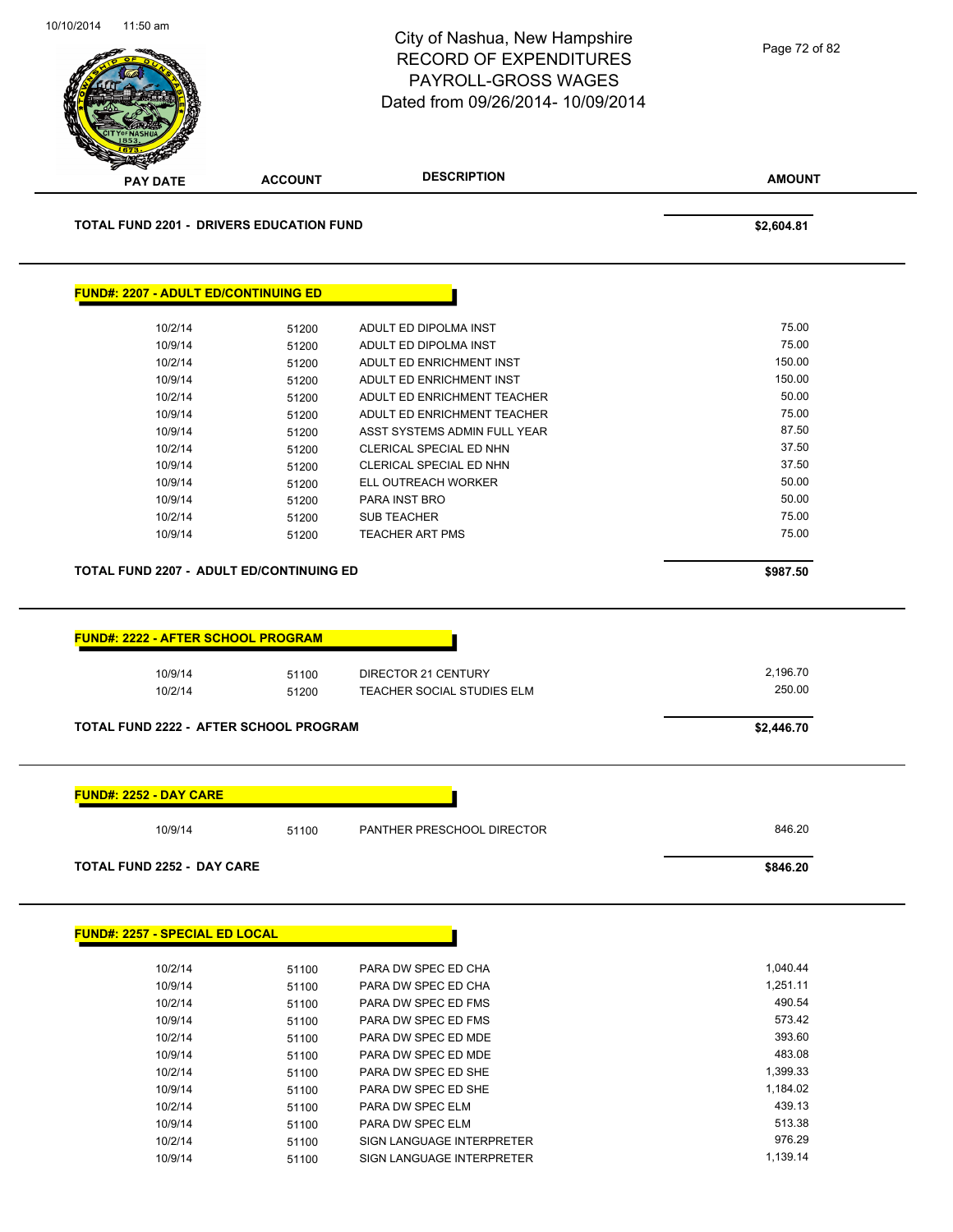|                                                                                           |                | City of Nashua, New Hampshire<br><b>RECORD OF EXPENDITURES</b><br>PAYROLL-GROSS WAGES<br>Dated from 09/26/2014- 10/09/2014 | Page 72 of 82        |
|-------------------------------------------------------------------------------------------|----------------|----------------------------------------------------------------------------------------------------------------------------|----------------------|
| <b>PAY DATE</b>                                                                           | <b>ACCOUNT</b> | <b>DESCRIPTION</b>                                                                                                         | <b>AMOUNT</b>        |
| <b>TOTAL FUND 2201 - DRIVERS EDUCATION FUND</b>                                           |                |                                                                                                                            | \$2,604.81           |
| <b>FUND#: 2207 - ADULT ED/CONTINUING ED</b>                                               |                |                                                                                                                            |                      |
| 10/2/14                                                                                   | 51200          | ADULT ED DIPOLMA INST                                                                                                      | 75.00                |
| 10/9/14                                                                                   | 51200          | ADULT ED DIPOLMA INST                                                                                                      | 75.00                |
| 10/2/14                                                                                   | 51200          | ADULT ED ENRICHMENT INST                                                                                                   | 150.00               |
| 10/9/14                                                                                   | 51200          | ADULT ED ENRICHMENT INST                                                                                                   | 150.00               |
| 10/2/14                                                                                   | 51200          | ADULT ED ENRICHMENT TEACHER                                                                                                | 50.00                |
| 10/9/14                                                                                   | 51200          | ADULT ED ENRICHMENT TEACHER                                                                                                | 75.00                |
| 10/9/14                                                                                   | 51200          | ASST SYSTEMS ADMIN FULL YEAR                                                                                               | 87.50                |
| 10/2/14                                                                                   | 51200          | CLERICAL SPECIAL ED NHN                                                                                                    | 37.50                |
| 10/9/14                                                                                   | 51200          | CLERICAL SPECIAL ED NHN                                                                                                    | 37.50                |
| 10/9/14                                                                                   | 51200          | ELL OUTREACH WORKER                                                                                                        | 50.00                |
| 10/9/14                                                                                   | 51200          | PARA INST BRO                                                                                                              | 50.00                |
| 10/2/14                                                                                   | 51200          | <b>SUB TEACHER</b>                                                                                                         | 75.00                |
| 10/9/14                                                                                   | 51200          | <b>TEACHER ART PMS</b>                                                                                                     | 75.00                |
|                                                                                           |                |                                                                                                                            | \$987.50             |
| 10/9/14                                                                                   | 51100          | DIRECTOR 21 CENTURY                                                                                                        | 2,196.70             |
| TOTAL FUND 2207 - ADULT ED/CONTINUING ED<br>FUND#: 2222 - AFTER SCHOOL PROGRAM<br>10/2/14 | 51200          | TEACHER SOCIAL STUDIES ELM                                                                                                 | 250.00               |
| <b>TOTAL FUND 2222 - AFTER SCHOOL PROGRAM</b>                                             |                |                                                                                                                            | \$2,446.70           |
| <b>FUND#: 2252 - DAY CARE</b>                                                             |                |                                                                                                                            |                      |
| 10/9/14                                                                                   | 51100          | PANTHER PRESCHOOL DIRECTOR                                                                                                 | 846.20               |
| <b>TOTAL FUND 2252 - DAY CARE</b>                                                         |                |                                                                                                                            | \$846.20             |
| <b>FUND#: 2257 - SPECIAL ED LOCAL</b>                                                     |                |                                                                                                                            |                      |
|                                                                                           |                |                                                                                                                            |                      |
| 10/2/14<br>10/9/14                                                                        | 51100          | PARA DW SPEC ED CHA                                                                                                        | 1,040.44<br>1,251.11 |
| 10/2/14                                                                                   | 51100          | PARA DW SPEC ED CHA<br>PARA DW SPEC ED FMS                                                                                 | 490.54               |
| 10/9/14                                                                                   | 51100          | PARA DW SPEC ED FMS                                                                                                        | 573.42               |
| 10/2/14                                                                                   | 51100          | PARA DW SPEC ED MDE                                                                                                        | 393.60               |
| 10/9/14                                                                                   | 51100          | PARA DW SPEC ED MDE                                                                                                        | 483.08               |
| 10/2/14                                                                                   | 51100          | PARA DW SPEC ED SHE                                                                                                        | 1,399.33             |
| 10/9/14                                                                                   | 51100          | PARA DW SPEC ED SHE                                                                                                        | 1,184.02             |
| 10/2/14                                                                                   | 51100          | PARA DW SPEC ELM                                                                                                           | 439.13               |
| 10/9/14                                                                                   | 51100<br>51100 | PARA DW SPEC ELM                                                                                                           | 513.38               |
| 10/2/14                                                                                   | 51100          | SIGN LANGUAGE INTERPRETER                                                                                                  | 976.29               |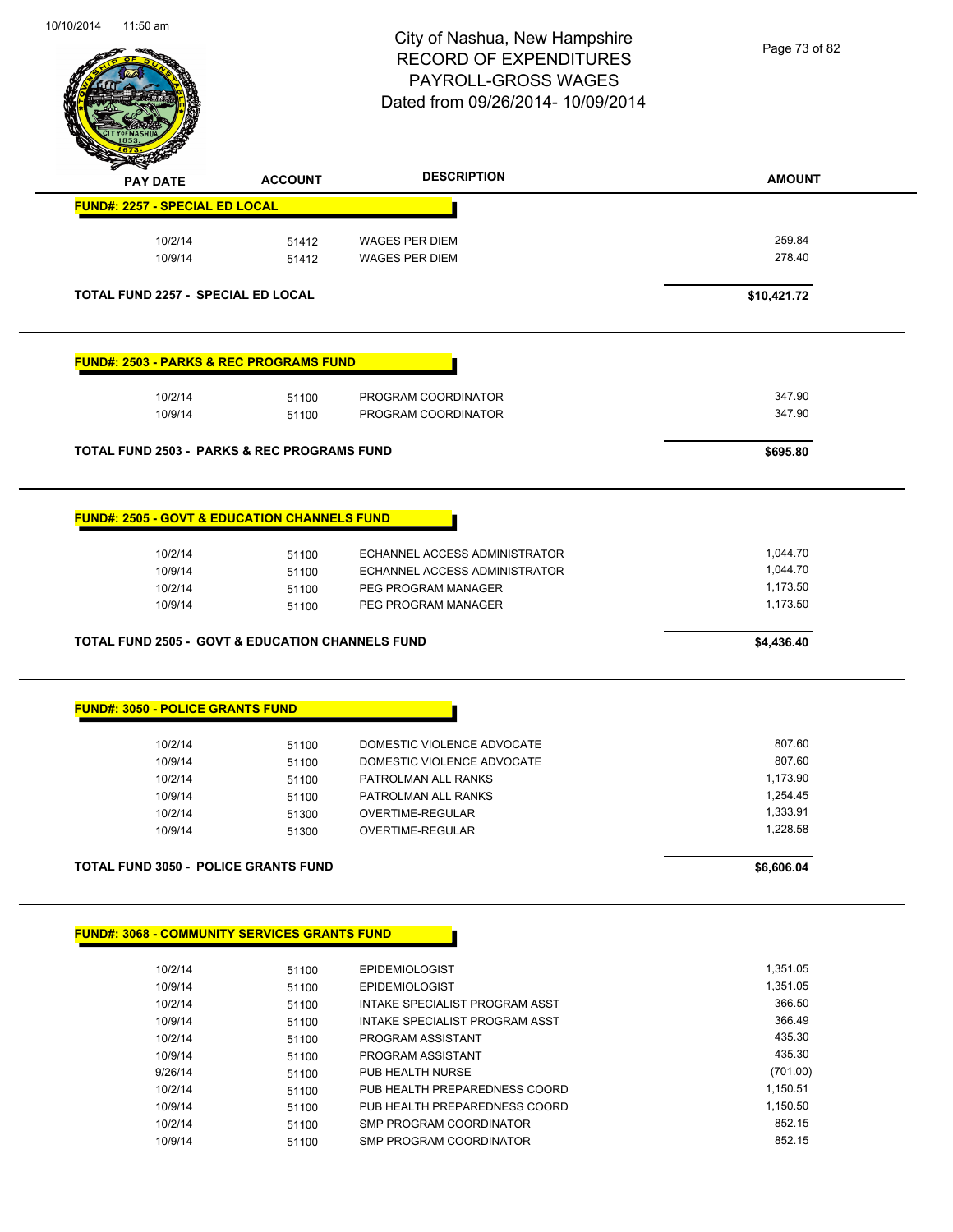$\overline{\phantom{a}}$ 



# City of Nashua, New Hampshire RECORD OF EXPENDITURES PAYROLL-GROSS WAGES Dated from 09/26/2014- 10/09/2014

Page 73 of 82

| <b>PAY DATE</b>                                             | <b>ACCOUNT</b> | <b>DESCRIPTION</b>                                       | <b>AMOUNT</b>      |
|-------------------------------------------------------------|----------------|----------------------------------------------------------|--------------------|
| <b>FUND#: 2257 - SPECIAL ED LOCAL</b>                       |                |                                                          |                    |
| 10/2/14                                                     | 51412          | <b>WAGES PER DIEM</b>                                    | 259.84             |
| 10/9/14                                                     | 51412          | <b>WAGES PER DIEM</b>                                    | 278.40             |
| <b>TOTAL FUND 2257 - SPECIAL ED LOCAL</b>                   |                |                                                          | \$10,421.72        |
|                                                             |                |                                                          |                    |
| <b>FUND#: 2503 - PARKS &amp; REC PROGRAMS FUND</b>          |                |                                                          |                    |
| 10/2/14                                                     | 51100          | PROGRAM COORDINATOR                                      | 347.90             |
| 10/9/14                                                     | 51100          | PROGRAM COORDINATOR                                      | 347.90             |
| <b>TOTAL FUND 2503 - PARKS &amp; REC PROGRAMS FUND</b>      |                |                                                          | \$695.80           |
| <b>FUND#: 2505 - GOVT &amp; EDUCATION CHANNELS FUND</b>     |                |                                                          |                    |
|                                                             |                |                                                          |                    |
| 10/2/14                                                     | 51100          | ECHANNEL ACCESS ADMINISTRATOR                            | 1,044.70           |
| 10/9/14                                                     | 51100          | ECHANNEL ACCESS ADMINISTRATOR                            | 1,044.70           |
| 10/2/14                                                     | 51100          | PEG PROGRAM MANAGER                                      | 1,173.50           |
| 10/9/14                                                     | 51100          | PEG PROGRAM MANAGER                                      | 1,173.50           |
| <b>TOTAL FUND 2505 - GOVT &amp; EDUCATION CHANNELS FUND</b> |                |                                                          | \$4,436.40         |
| <b>FUND#: 3050 - POLICE GRANTS FUND</b>                     |                |                                                          |                    |
| 10/2/14                                                     | 51100          | DOMESTIC VIOLENCE ADVOCATE                               | 807.60             |
| 10/9/14                                                     | 51100          | DOMESTIC VIOLENCE ADVOCATE                               | 807.60             |
| 10/2/14                                                     | 51100          | PATROLMAN ALL RANKS                                      | 1,173.90           |
| 10/9/14                                                     | 51100          | PATROLMAN ALL RANKS                                      | 1,254.45           |
| 10/2/14                                                     | 51300          | OVERTIME-REGULAR                                         | 1,333.91           |
| 10/9/14                                                     | 51300          | OVERTIME-REGULAR                                         | 1,228.58           |
| <b>TOTAL FUND 3050 - POLICE GRANTS FUND</b>                 |                |                                                          | \$6,606.04         |
|                                                             |                |                                                          |                    |
| <b>FUND#: 3068 - COMMUNITY SERVICES GRANTS FUND</b>         |                |                                                          |                    |
|                                                             | 51100          | <b>EPIDEMIOLOGIST</b>                                    | 1,351.05           |
| 10/2/14                                                     |                |                                                          |                    |
| 10/9/14                                                     | 51100          | <b>EPIDEMIOLOGIST</b>                                    | 1,351.05           |
| 10/2/14                                                     | 51100          | INTAKE SPECIALIST PROGRAM ASST                           | 366.50             |
| 10/9/14                                                     | 51100          | INTAKE SPECIALIST PROGRAM ASST                           | 366.49             |
| 10/2/14                                                     | 51100          | PROGRAM ASSISTANT                                        | 435.30             |
| 10/9/14                                                     | 51100          | PROGRAM ASSISTANT                                        | 435.30             |
| 9/26/14                                                     | 51100          | PUB HEALTH NURSE                                         | (701.00)           |
| 10/2/14                                                     | 51100          | PUB HEALTH PREPAREDNESS COORD                            | 1,150.51           |
| 10/9/14<br>10/2/14                                          | 51100          | PUB HEALTH PREPAREDNESS COORD<br>SMP PROGRAM COORDINATOR | 1,150.50<br>852.15 |

10/9/14 51100 SMP PROGRAM COORDINATOR 852.15

10/2/14 51100 SMP PROGRAM COORDINATOR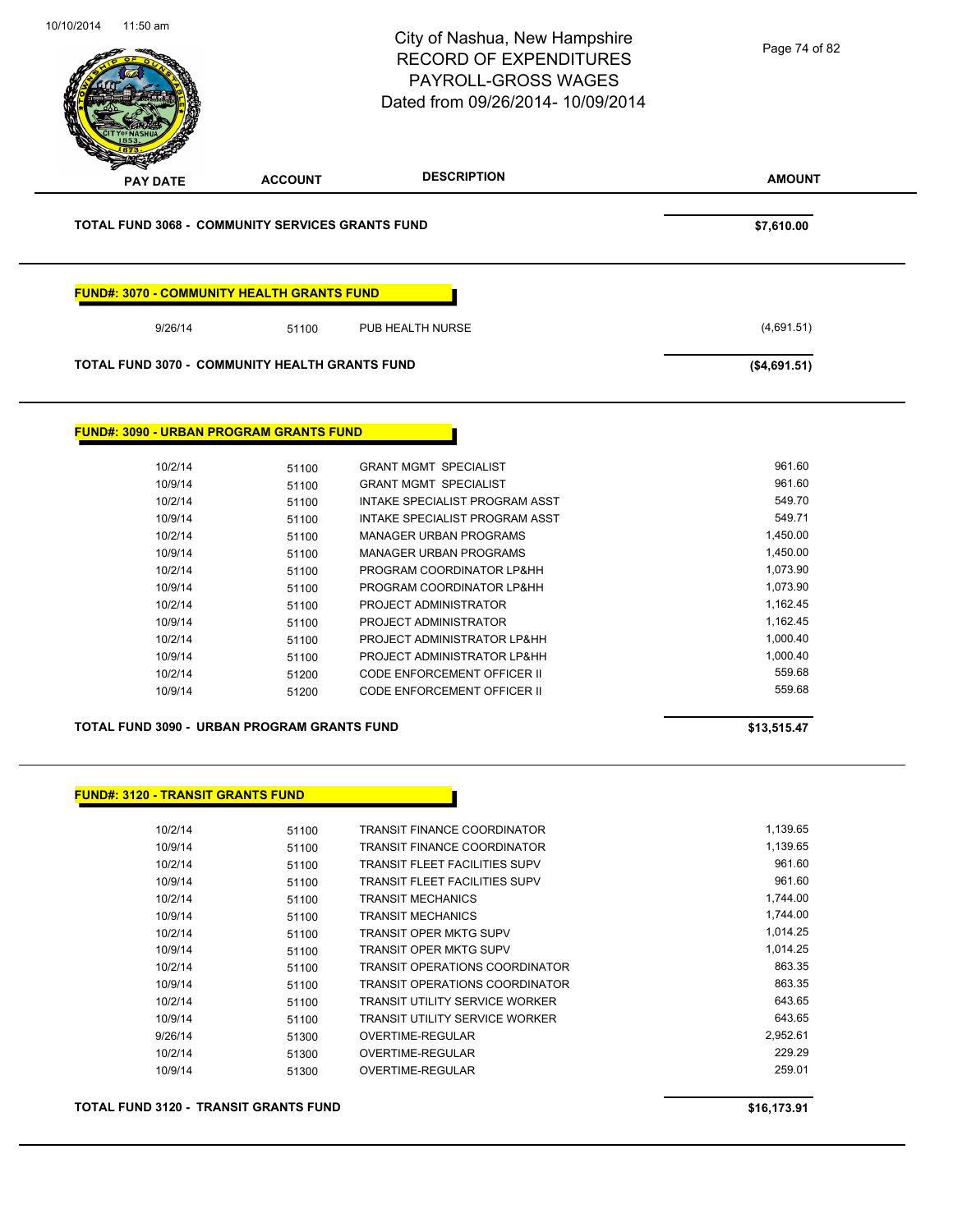|                                                         |                | City of Nashua, New Hampshire<br><b>RECORD OF EXPENDITURES</b><br><b>PAYROLL-GROSS WAGES</b><br>Dated from 09/26/2014- 10/09/2014 | Page 74 of 82      |
|---------------------------------------------------------|----------------|-----------------------------------------------------------------------------------------------------------------------------------|--------------------|
| <b>PAY DATE</b>                                         | <b>ACCOUNT</b> | <b>DESCRIPTION</b>                                                                                                                | <b>AMOUNT</b>      |
| <b>TOTAL FUND 3068 - COMMUNITY SERVICES GRANTS FUND</b> |                |                                                                                                                                   | \$7,610.00         |
| <b>FUND#: 3070 - COMMUNITY HEALTH GRANTS FUND</b>       |                |                                                                                                                                   |                    |
| 9/26/14                                                 | 51100          | PUB HEALTH NURSE                                                                                                                  | (4,691.51)         |
| <b>TOTAL FUND 3070 - COMMUNITY HEALTH GRANTS FUND</b>   |                |                                                                                                                                   | (\$4,691.51)       |
| <b>FUND#: 3090 - URBAN PROGRAM GRANTS FUND</b>          |                |                                                                                                                                   |                    |
| 10/2/14                                                 | 51100          | <b>GRANT MGMT SPECIALIST</b>                                                                                                      | 961.60             |
| 10/9/14                                                 | 51100          | <b>GRANT MGMT SPECIALIST</b>                                                                                                      | 961.60             |
| 10/2/14                                                 | 51100          | INTAKE SPECIALIST PROGRAM ASST                                                                                                    | 549.70             |
| 10/9/14                                                 | 51100          | INTAKE SPECIALIST PROGRAM ASST                                                                                                    | 549.71             |
| 10/2/14                                                 | 51100          | <b>MANAGER URBAN PROGRAMS</b>                                                                                                     | 1,450.00           |
| 10/9/14                                                 | 51100          | <b>MANAGER URBAN PROGRAMS</b>                                                                                                     | 1,450.00           |
| 10/2/14                                                 | 51100          | PROGRAM COORDINATOR LP&HH                                                                                                         | 1,073.90           |
| 10/9/14                                                 | 51100          | PROGRAM COORDINATOR LP&HH                                                                                                         | 1,073.90           |
| 10/2/14                                                 | 51100          | PROJECT ADMINISTRATOR                                                                                                             | 1,162.45           |
| 10/9/14                                                 | 51100          | PROJECT ADMINISTRATOR                                                                                                             | 1,162.45           |
| 10/2/14                                                 | 51100          | PROJECT ADMINISTRATOR LP&HH                                                                                                       | 1,000.40           |
| 10/9/14                                                 | 51100          | PROJECT ADMINISTRATOR LP&HH                                                                                                       | 1,000.40           |
| 10/2/14                                                 | 51200          | CODE ENFORCEMENT OFFICER II                                                                                                       | 559.68             |
| 10/9/14                                                 | 51200          | <b>CODE ENFORCEMENT OFFICER II</b>                                                                                                | 559.68             |
| TOTAL FUND 3090 - URBAN PROGRAM GRANTS FUND             |                |                                                                                                                                   | \$13,515.47        |
| <b>FUND#: 3120 - TRANSIT GRANTS FUND</b>                |                |                                                                                                                                   |                    |
|                                                         |                |                                                                                                                                   |                    |
| 10/2/14                                                 | 51100          | <b>TRANSIT FINANCE COORDINATOR</b>                                                                                                | 1,139.65           |
| 10/9/14                                                 | 51100          | TRANSIT FINANCE COORDINATOR                                                                                                       | 1,139.65           |
|                                                         | 51100          | <b>TRANSIT FLEET FACILITIES SUPV</b>                                                                                              | 961.60             |
| 10/2/14                                                 |                | TRANSIT FLEET FACILITIES SUPV                                                                                                     | 961.60             |
| 10/9/14                                                 | 51100          |                                                                                                                                   |                    |
| 10/2/14                                                 | 51100          | <b>TRANSIT MECHANICS</b>                                                                                                          | 1,744.00           |
| 10/9/14                                                 | 51100          | <b>TRANSIT MECHANICS</b>                                                                                                          | 1,744.00           |
| 10/2/14                                                 | 51100          | <b>TRANSIT OPER MKTG SUPV</b>                                                                                                     | 1,014.25           |
| 10/9/14                                                 | 51100          | <b>TRANSIT OPER MKTG SUPV</b>                                                                                                     | 1,014.25           |
| 10/2/14                                                 | 51100          | <b>TRANSIT OPERATIONS COORDINATOR</b>                                                                                             | 863.35             |
| 10/9/14                                                 | 51100          | <b>TRANSIT OPERATIONS COORDINATOR</b>                                                                                             | 863.35             |
| 10/2/14                                                 | 51100          | TRANSIT UTILITY SERVICE WORKER                                                                                                    | 643.65             |
| 10/9/14                                                 | 51100          | <b>TRANSIT UTILITY SERVICE WORKER</b>                                                                                             | 643.65             |
| 9/26/14<br>10/2/14                                      | 51300<br>51300 | OVERTIME-REGULAR<br>OVERTIME-REGULAR                                                                                              | 2,952.61<br>229.29 |

**TOTAL FUND 3120 - TRANSIT GRANTS FUND \$16,173.91**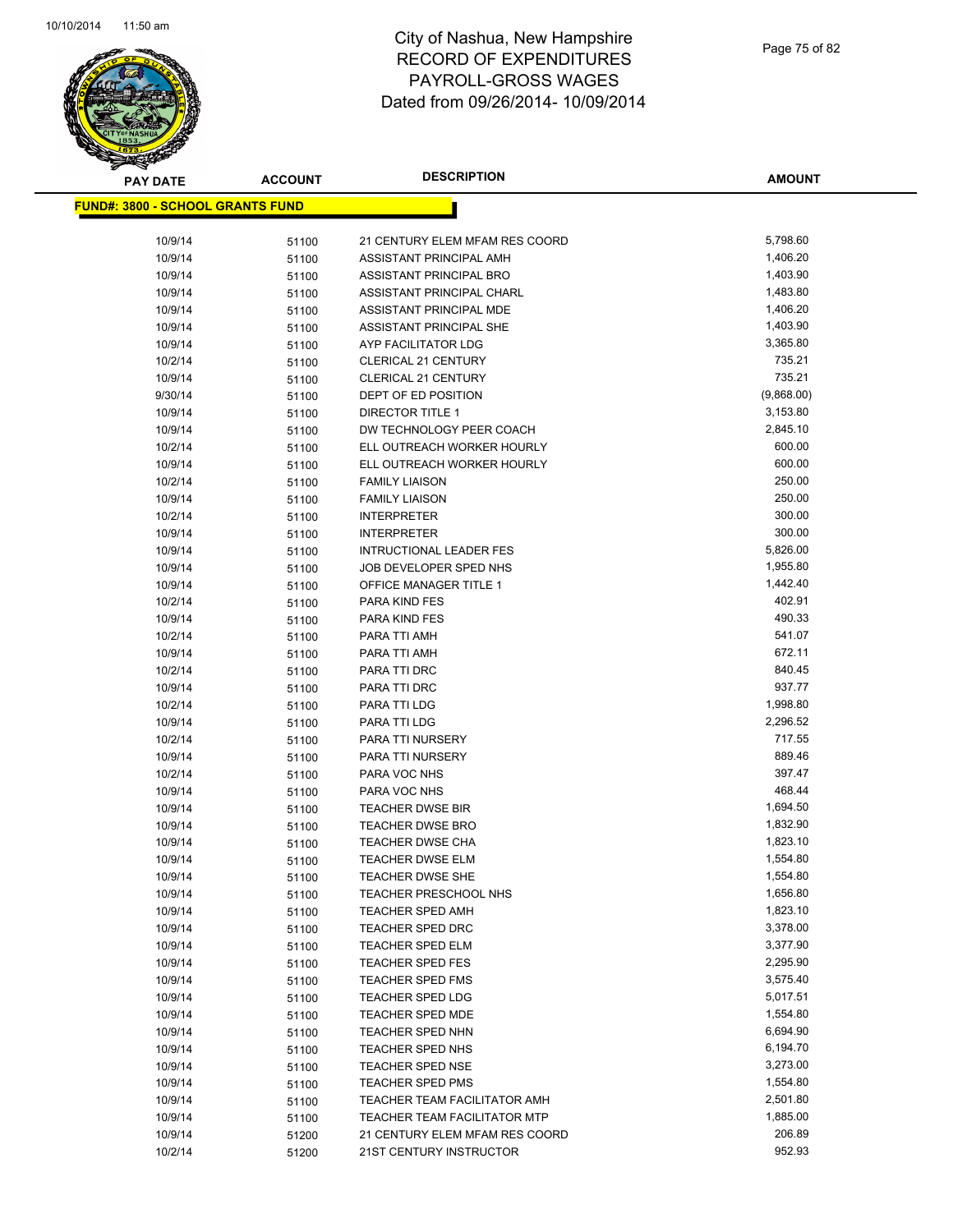

| <b>PAY DATE</b>                          | <b>ACCOUNT</b> | <b>DESCRIPTION</b>                                 | <b>AMOUNT</b>    |
|------------------------------------------|----------------|----------------------------------------------------|------------------|
| <u> FUND#: 3800 - SCHOOL GRANTS FUND</u> |                |                                                    |                  |
|                                          |                |                                                    |                  |
| 10/9/14                                  | 51100          | 21 CENTURY ELEM MFAM RES COORD                     | 5,798.60         |
| 10/9/14                                  | 51100          | ASSISTANT PRINCIPAL AMH                            | 1,406.20         |
| 10/9/14                                  | 51100          | ASSISTANT PRINCIPAL BRO                            | 1,403.90         |
| 10/9/14                                  | 51100          | ASSISTANT PRINCIPAL CHARL                          | 1,483.80         |
| 10/9/14                                  | 51100          | ASSISTANT PRINCIPAL MDE                            | 1,406.20         |
| 10/9/14                                  | 51100          | ASSISTANT PRINCIPAL SHE                            | 1,403.90         |
| 10/9/14                                  | 51100          | AYP FACILITATOR LDG                                | 3,365.80         |
| 10/2/14                                  | 51100          | <b>CLERICAL 21 CENTURY</b>                         | 735.21           |
| 10/9/14                                  | 51100          | <b>CLERICAL 21 CENTURY</b>                         | 735.21           |
| 9/30/14                                  | 51100          | DEPT OF ED POSITION                                | (9,868.00)       |
| 10/9/14                                  | 51100          | DIRECTOR TITLE 1                                   | 3,153.80         |
| 10/9/14                                  | 51100          | DW TECHNOLOGY PEER COACH                           | 2,845.10         |
| 10/2/14                                  | 51100          | ELL OUTREACH WORKER HOURLY                         | 600.00           |
| 10/9/14                                  | 51100          | ELL OUTREACH WORKER HOURLY                         | 600.00           |
| 10/2/14                                  | 51100          | <b>FAMILY LIAISON</b>                              | 250.00           |
| 10/9/14                                  | 51100          | <b>FAMILY LIAISON</b>                              | 250.00           |
| 10/2/14                                  | 51100          | <b>INTERPRETER</b>                                 | 300.00           |
| 10/9/14                                  | 51100          | <b>INTERPRETER</b>                                 | 300.00           |
| 10/9/14                                  | 51100          | <b>INTRUCTIONAL LEADER FES</b>                     | 5,826.00         |
| 10/9/14                                  | 51100          | JOB DEVELOPER SPED NHS                             | 1,955.80         |
| 10/9/14                                  | 51100          | <b>OFFICE MANAGER TITLE 1</b>                      | 1,442.40         |
| 10/2/14                                  | 51100          | <b>PARA KIND FES</b>                               | 402.91           |
| 10/9/14                                  | 51100          | PARA KIND FES                                      | 490.33           |
| 10/2/14                                  | 51100          | PARA TTI AMH                                       | 541.07           |
| 10/9/14                                  | 51100          | PARA TTI AMH                                       | 672.11           |
| 10/2/14                                  | 51100          | PARA TTI DRC                                       | 840.45           |
| 10/9/14                                  | 51100          | PARA TTI DRC                                       | 937.77           |
| 10/2/14                                  | 51100          | PARA TTI LDG                                       | 1,998.80         |
| 10/9/14                                  | 51100          | PARA TTI LDG                                       | 2,296.52         |
| 10/2/14                                  | 51100          | PARA TTI NURSERY                                   | 717.55           |
| 10/9/14                                  | 51100          | PARA TTI NURSERY                                   | 889.46<br>397.47 |
| 10/2/14<br>10/9/14                       | 51100          | PARA VOC NHS                                       | 468.44           |
|                                          | 51100          | PARA VOC NHS                                       | 1,694.50         |
| 10/9/14<br>10/9/14                       | 51100          | <b>TEACHER DWSE BIR</b><br><b>TEACHER DWSE BRO</b> | 1,832.90         |
| 10/9/14                                  | 51100          | <b>TEACHER DWSE CHA</b>                            | 1,823.10         |
| 10/9/14                                  | 51100<br>51100 | <b>TEACHER DWSE ELM</b>                            | 1,554.80         |
| 10/9/14                                  | 51100          | TEACHER DWSE SHE                                   | 1,554.80         |
| 10/9/14                                  | 51100          | <b>TEACHER PRESCHOOL NHS</b>                       | 1,656.80         |
| 10/9/14                                  | 51100          | <b>TEACHER SPED AMH</b>                            | 1,823.10         |
| 10/9/14                                  | 51100          | TEACHER SPED DRC                                   | 3,378.00         |
| 10/9/14                                  | 51100          | <b>TEACHER SPED ELM</b>                            | 3,377.90         |
| 10/9/14                                  | 51100          | <b>TEACHER SPED FES</b>                            | 2,295.90         |
| 10/9/14                                  | 51100          | <b>TEACHER SPED FMS</b>                            | 3,575.40         |
| 10/9/14                                  | 51100          | <b>TEACHER SPED LDG</b>                            | 5,017.51         |
| 10/9/14                                  | 51100          | <b>TEACHER SPED MDE</b>                            | 1,554.80         |
| 10/9/14                                  | 51100          | <b>TEACHER SPED NHN</b>                            | 6,694.90         |
| 10/9/14                                  | 51100          | TEACHER SPED NHS                                   | 6,194.70         |
| 10/9/14                                  | 51100          | TEACHER SPED NSE                                   | 3,273.00         |
| 10/9/14                                  | 51100          | <b>TEACHER SPED PMS</b>                            | 1,554.80         |
| 10/9/14                                  | 51100          | TEACHER TEAM FACILITATOR AMH                       | 2,501.80         |
| 10/9/14                                  | 51100          | <b>TEACHER TEAM FACILITATOR MTP</b>                | 1,885.00         |
| 10/9/14                                  | 51200          | 21 CENTURY ELEM MFAM RES COORD                     | 206.89           |
| 10/2/14                                  | 51200          | 21ST CENTURY INSTRUCTOR                            | 952.93           |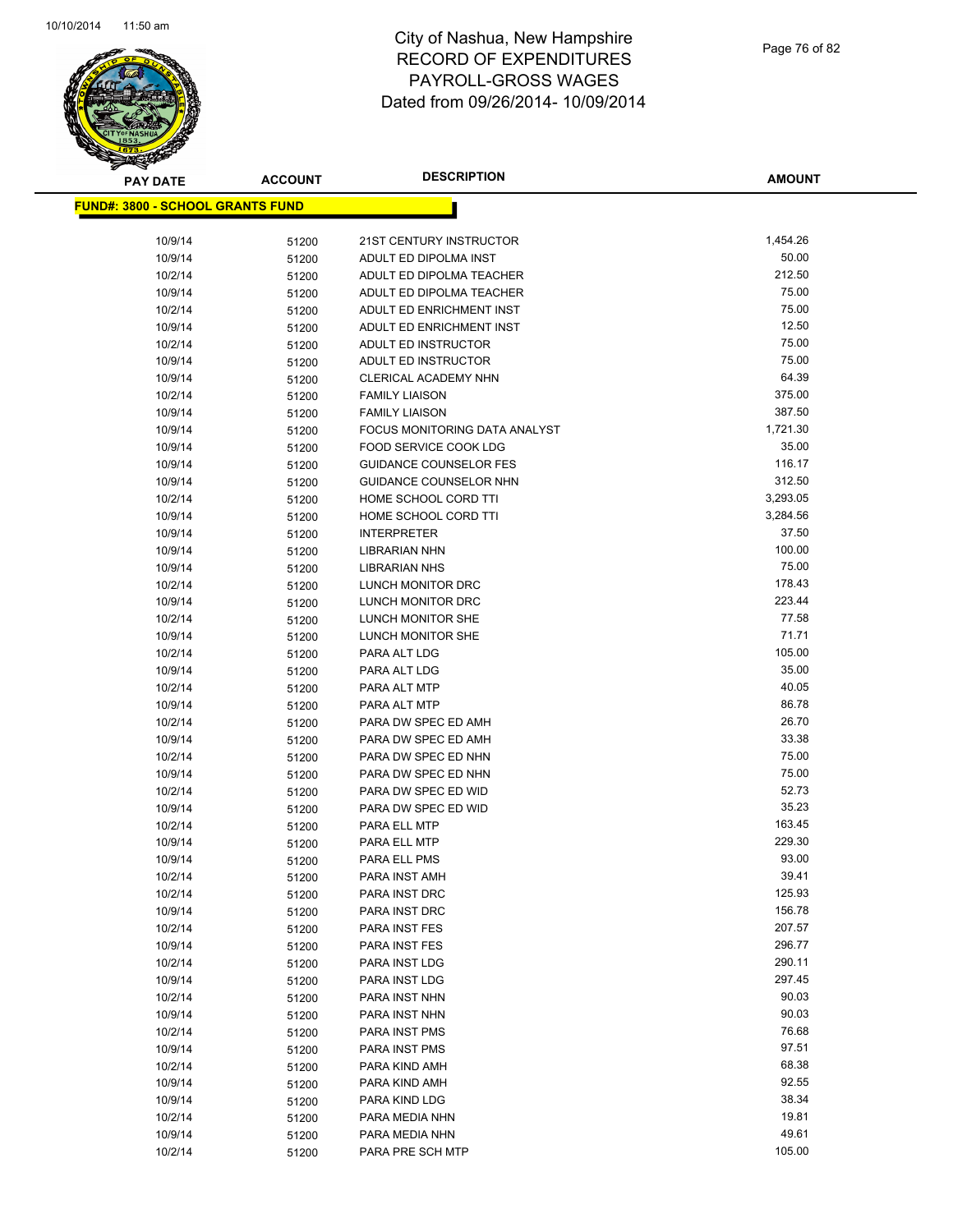

| <b>PAY DATE</b>                          | <b>ACCOUNT</b> | <b>DESCRIPTION</b>                         | <b>AMOUNT</b>  |
|------------------------------------------|----------------|--------------------------------------------|----------------|
| <u> FUND#: 3800 - SCHOOL GRANTS FUND</u> |                |                                            |                |
|                                          |                |                                            |                |
| 10/9/14                                  | 51200          | 21ST CENTURY INSTRUCTOR                    | 1,454.26       |
| 10/9/14                                  | 51200          | ADULT ED DIPOLMA INST                      | 50.00          |
| 10/2/14                                  | 51200          | ADULT ED DIPOLMA TEACHER                   | 212.50         |
| 10/9/14                                  | 51200          | ADULT ED DIPOLMA TEACHER                   | 75.00          |
| 10/2/14                                  | 51200          | ADULT ED ENRICHMENT INST                   | 75.00          |
| 10/9/14                                  | 51200          | ADULT ED ENRICHMENT INST                   | 12.50          |
| 10/2/14                                  | 51200          | ADULT ED INSTRUCTOR                        | 75.00          |
| 10/9/14                                  | 51200          | ADULT ED INSTRUCTOR                        | 75.00          |
| 10/9/14                                  | 51200          | CLERICAL ACADEMY NHN                       | 64.39          |
| 10/2/14                                  | 51200          | <b>FAMILY LIAISON</b>                      | 375.00         |
| 10/9/14                                  | 51200          | <b>FAMILY LIAISON</b>                      | 387.50         |
| 10/9/14                                  | 51200          | FOCUS MONITORING DATA ANALYST              | 1,721.30       |
| 10/9/14                                  | 51200          | FOOD SERVICE COOK LDG                      | 35.00          |
| 10/9/14                                  | 51200          | <b>GUIDANCE COUNSELOR FES</b>              | 116.17         |
| 10/9/14                                  | 51200          | <b>GUIDANCE COUNSELOR NHN</b>              | 312.50         |
| 10/2/14                                  | 51200          | HOME SCHOOL CORD TTI                       | 3,293.05       |
| 10/9/14                                  | 51200          | HOME SCHOOL CORD TTI                       | 3,284.56       |
| 10/9/14                                  | 51200          | <b>INTERPRETER</b>                         | 37.50          |
| 10/9/14                                  | 51200          | <b>LIBRARIAN NHN</b>                       | 100.00         |
| 10/9/14                                  | 51200          | <b>LIBRARIAN NHS</b>                       | 75.00          |
| 10/2/14                                  | 51200          | LUNCH MONITOR DRC                          | 178.43         |
| 10/9/14                                  | 51200          | LUNCH MONITOR DRC                          | 223.44         |
| 10/2/14                                  | 51200          | LUNCH MONITOR SHE                          | 77.58          |
| 10/9/14                                  | 51200          | LUNCH MONITOR SHE                          | 71.71          |
| 10/2/14                                  | 51200          | PARA ALT LDG                               | 105.00         |
| 10/9/14                                  | 51200          | PARA ALT LDG                               | 35.00          |
| 10/2/14                                  | 51200          | PARA ALT MTP                               | 40.05          |
| 10/9/14                                  | 51200          | PARA ALT MTP                               | 86.78          |
| 10/2/14                                  | 51200          | PARA DW SPEC ED AMH                        | 26.70          |
| 10/9/14                                  | 51200          | PARA DW SPEC ED AMH                        | 33.38          |
| 10/2/14                                  | 51200          | PARA DW SPEC ED NHN                        | 75.00<br>75.00 |
| 10/9/14<br>10/2/14                       | 51200          | PARA DW SPEC ED NHN<br>PARA DW SPEC ED WID | 52.73          |
| 10/9/14                                  | 51200          | PARA DW SPEC ED WID                        | 35.23          |
| 10/2/14                                  | 51200          | PARA ELL MTP                               | 163.45         |
| 10/9/14                                  | 51200<br>51200 | PARA ELL MTP                               | 229.30         |
| 10/9/14                                  | 51200          | <b>PARA ELL PMS</b>                        | 93.00          |
| 10/2/14                                  | 51200          | PARA INST AMH                              | 39.41          |
| 10/2/14                                  | 51200          | PARA INST DRC                              | 125.93         |
| 10/9/14                                  | 51200          | PARA INST DRC                              | 156.78         |
| 10/2/14                                  | 51200          | PARA INST FES                              | 207.57         |
| 10/9/14                                  | 51200          | PARA INST FES                              | 296.77         |
| 10/2/14                                  | 51200          | PARA INST LDG                              | 290.11         |
| 10/9/14                                  | 51200          | PARA INST LDG                              | 297.45         |
| 10/2/14                                  | 51200          | PARA INST NHN                              | 90.03          |
| 10/9/14                                  | 51200          | PARA INST NHN                              | 90.03          |
| 10/2/14                                  | 51200          | PARA INST PMS                              | 76.68          |
| 10/9/14                                  | 51200          | PARA INST PMS                              | 97.51          |
| 10/2/14                                  | 51200          | PARA KIND AMH                              | 68.38          |
| 10/9/14                                  | 51200          | PARA KIND AMH                              | 92.55          |
| 10/9/14                                  | 51200          | PARA KIND LDG                              | 38.34          |
| 10/2/14                                  | 51200          | PARA MEDIA NHN                             | 19.81          |
| 10/9/14                                  | 51200          | PARA MEDIA NHN                             | 49.61          |
| 10/2/14                                  | 51200          | PARA PRE SCH MTP                           | 105.00         |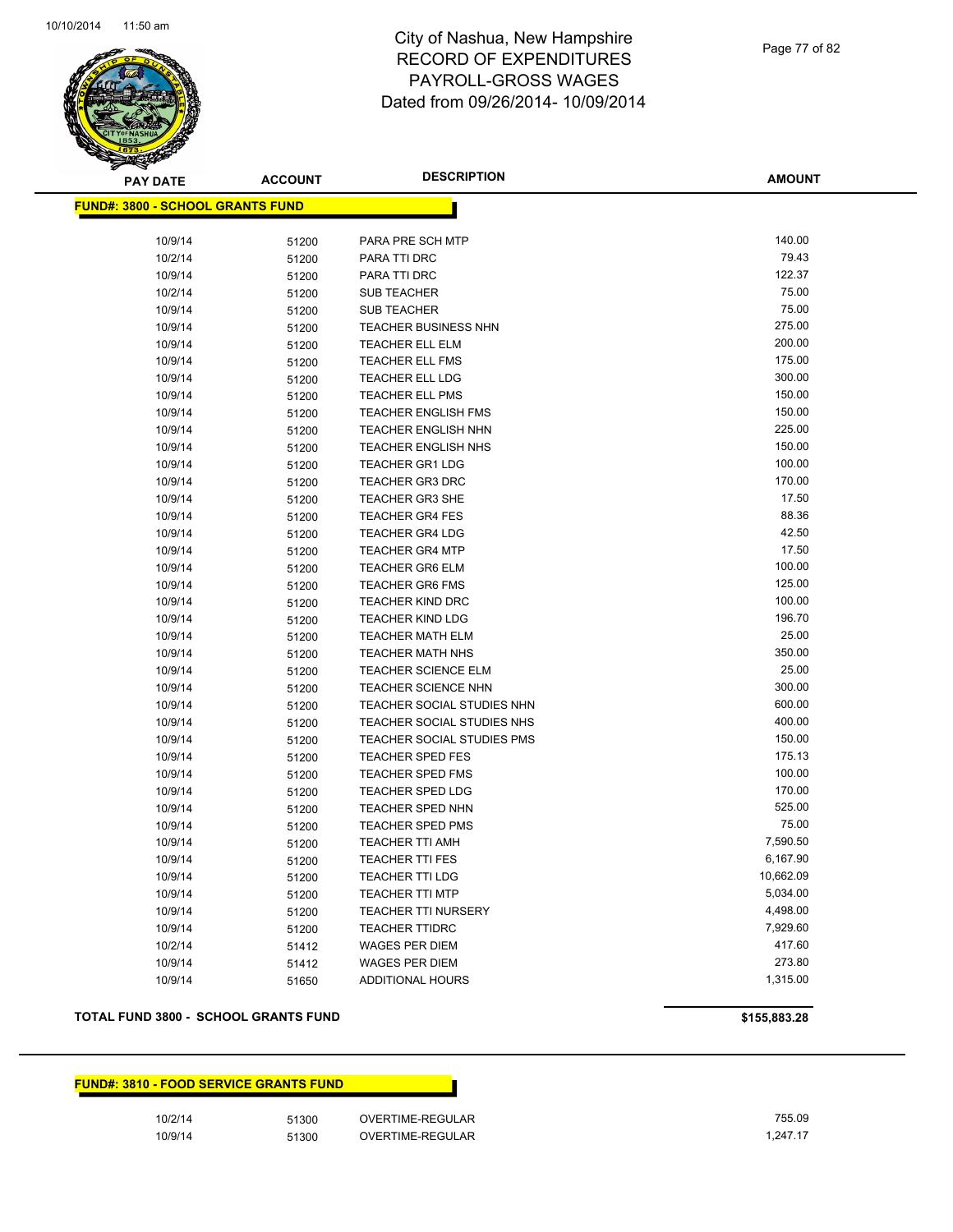

Page 77 of 82

**AMOUNT**

| 140.00<br>10/9/14<br>PARA PRE SCH MTP<br>51200<br>79.43<br>10/2/14<br>PARA TTI DRC<br>51200<br>122.37<br>10/9/14<br>PARA TTI DRC<br>51200<br>75.00<br>10/2/14<br>51200<br><b>SUB TEACHER</b><br>75.00<br>10/9/14<br><b>SUB TEACHER</b><br>51200<br>275.00<br>10/9/14<br>51200<br><b>TEACHER BUSINESS NHN</b><br>200.00<br>10/9/14<br>TEACHER ELL ELM<br>51200<br>175.00<br>10/9/14<br>TEACHER ELL FMS<br>51200<br>300.00<br>10/9/14<br><b>TEACHER ELL LDG</b><br>51200<br>150.00<br>10/9/14<br><b>TEACHER ELL PMS</b><br>51200<br>150.00<br>10/9/14<br><b>TEACHER ENGLISH FMS</b><br>51200<br>225.00<br>10/9/14<br><b>TEACHER ENGLISH NHN</b><br>51200<br>150.00<br>10/9/14<br><b>TEACHER ENGLISH NHS</b><br>51200<br>100.00<br>10/9/14<br><b>TEACHER GR1 LDG</b><br>51200<br>170.00<br>10/9/14<br>51200<br><b>TEACHER GR3 DRC</b><br>17.50<br>10/9/14<br><b>TEACHER GR3 SHE</b><br>51200<br>88.36<br>10/9/14<br>51200<br><b>TEACHER GR4 FES</b><br>42.50<br>10/9/14<br><b>TEACHER GR4 LDG</b><br>51200<br>17.50<br>10/9/14<br>51200<br><b>TEACHER GR4 MTP</b><br>100.00<br>10/9/14<br><b>TEACHER GR6 ELM</b><br>51200<br>125.00<br>10/9/14<br><b>TEACHER GR6 FMS</b><br>51200<br>100.00<br>10/9/14<br><b>TEACHER KIND DRC</b><br>51200<br>196.70<br>10/9/14<br><b>TEACHER KIND LDG</b><br>51200<br>25.00<br>10/9/14<br>TEACHER MATH ELM<br>51200<br>350.00<br>10/9/14<br><b>TEACHER MATH NHS</b><br>51200<br>25.00<br>10/9/14<br><b>TEACHER SCIENCE ELM</b><br>51200<br>300.00<br>10/9/14<br><b>TEACHER SCIENCE NHN</b><br>51200<br>600.00<br>10/9/14<br>51200<br>TEACHER SOCIAL STUDIES NHN<br>400.00<br>10/9/14<br>TEACHER SOCIAL STUDIES NHS<br>51200<br>150.00<br>10/9/14<br>TEACHER SOCIAL STUDIES PMS<br>51200<br>10/9/14<br>175.13<br><b>TEACHER SPED FES</b><br>51200<br>100.00<br>10/9/14<br><b>TEACHER SPED FMS</b><br>51200<br>170.00<br>10/9/14<br><b>TEACHER SPED LDG</b><br>51200<br>525.00<br>10/9/14<br>51200<br><b>TEACHER SPED NHN</b><br>75.00<br>10/9/14<br>TEACHER SPED PMS<br>51200<br>7,590.50<br>10/9/14<br>51200<br><b>TEACHER TTI AMH</b><br>6,167.90<br>10/9/14<br><b>TEACHER TTI FES</b><br>51200<br>10,662.09<br>10/9/14<br><b>TEACHER TTI LDG</b><br>51200<br>5,034.00<br>10/9/14<br><b>TEACHER TTI MTP</b><br>51200<br>4,498.00<br>10/9/14<br><b>TEACHER TTI NURSERY</b><br>51200<br>7,929.60<br>10/9/14<br><b>TEACHER TTIDRC</b><br>51200<br>10/2/14<br>417.60<br><b>WAGES PER DIEM</b><br>51412<br>273.80<br>10/9/14<br><b>WAGES PER DIEM</b><br>51412<br>1,315.00<br>10/9/14<br>ADDITIONAL HOURS<br>51650 | <u> FUND#: 3800 - SCHOOL GRANTS FUND</u> |  |  |
|----------------------------------------------------------------------------------------------------------------------------------------------------------------------------------------------------------------------------------------------------------------------------------------------------------------------------------------------------------------------------------------------------------------------------------------------------------------------------------------------------------------------------------------------------------------------------------------------------------------------------------------------------------------------------------------------------------------------------------------------------------------------------------------------------------------------------------------------------------------------------------------------------------------------------------------------------------------------------------------------------------------------------------------------------------------------------------------------------------------------------------------------------------------------------------------------------------------------------------------------------------------------------------------------------------------------------------------------------------------------------------------------------------------------------------------------------------------------------------------------------------------------------------------------------------------------------------------------------------------------------------------------------------------------------------------------------------------------------------------------------------------------------------------------------------------------------------------------------------------------------------------------------------------------------------------------------------------------------------------------------------------------------------------------------------------------------------------------------------------------------------------------------------------------------------------------------------------------------------------------------------------------------------------------------------------------------------------------------------------------------------------------------------------------------------------------------------------------------------------------------------------------------------------------|------------------------------------------|--|--|
|                                                                                                                                                                                                                                                                                                                                                                                                                                                                                                                                                                                                                                                                                                                                                                                                                                                                                                                                                                                                                                                                                                                                                                                                                                                                                                                                                                                                                                                                                                                                                                                                                                                                                                                                                                                                                                                                                                                                                                                                                                                                                                                                                                                                                                                                                                                                                                                                                                                                                                                                              |                                          |  |  |
|                                                                                                                                                                                                                                                                                                                                                                                                                                                                                                                                                                                                                                                                                                                                                                                                                                                                                                                                                                                                                                                                                                                                                                                                                                                                                                                                                                                                                                                                                                                                                                                                                                                                                                                                                                                                                                                                                                                                                                                                                                                                                                                                                                                                                                                                                                                                                                                                                                                                                                                                              |                                          |  |  |
|                                                                                                                                                                                                                                                                                                                                                                                                                                                                                                                                                                                                                                                                                                                                                                                                                                                                                                                                                                                                                                                                                                                                                                                                                                                                                                                                                                                                                                                                                                                                                                                                                                                                                                                                                                                                                                                                                                                                                                                                                                                                                                                                                                                                                                                                                                                                                                                                                                                                                                                                              |                                          |  |  |
|                                                                                                                                                                                                                                                                                                                                                                                                                                                                                                                                                                                                                                                                                                                                                                                                                                                                                                                                                                                                                                                                                                                                                                                                                                                                                                                                                                                                                                                                                                                                                                                                                                                                                                                                                                                                                                                                                                                                                                                                                                                                                                                                                                                                                                                                                                                                                                                                                                                                                                                                              |                                          |  |  |
|                                                                                                                                                                                                                                                                                                                                                                                                                                                                                                                                                                                                                                                                                                                                                                                                                                                                                                                                                                                                                                                                                                                                                                                                                                                                                                                                                                                                                                                                                                                                                                                                                                                                                                                                                                                                                                                                                                                                                                                                                                                                                                                                                                                                                                                                                                                                                                                                                                                                                                                                              |                                          |  |  |
|                                                                                                                                                                                                                                                                                                                                                                                                                                                                                                                                                                                                                                                                                                                                                                                                                                                                                                                                                                                                                                                                                                                                                                                                                                                                                                                                                                                                                                                                                                                                                                                                                                                                                                                                                                                                                                                                                                                                                                                                                                                                                                                                                                                                                                                                                                                                                                                                                                                                                                                                              |                                          |  |  |
|                                                                                                                                                                                                                                                                                                                                                                                                                                                                                                                                                                                                                                                                                                                                                                                                                                                                                                                                                                                                                                                                                                                                                                                                                                                                                                                                                                                                                                                                                                                                                                                                                                                                                                                                                                                                                                                                                                                                                                                                                                                                                                                                                                                                                                                                                                                                                                                                                                                                                                                                              |                                          |  |  |
|                                                                                                                                                                                                                                                                                                                                                                                                                                                                                                                                                                                                                                                                                                                                                                                                                                                                                                                                                                                                                                                                                                                                                                                                                                                                                                                                                                                                                                                                                                                                                                                                                                                                                                                                                                                                                                                                                                                                                                                                                                                                                                                                                                                                                                                                                                                                                                                                                                                                                                                                              |                                          |  |  |
|                                                                                                                                                                                                                                                                                                                                                                                                                                                                                                                                                                                                                                                                                                                                                                                                                                                                                                                                                                                                                                                                                                                                                                                                                                                                                                                                                                                                                                                                                                                                                                                                                                                                                                                                                                                                                                                                                                                                                                                                                                                                                                                                                                                                                                                                                                                                                                                                                                                                                                                                              |                                          |  |  |
|                                                                                                                                                                                                                                                                                                                                                                                                                                                                                                                                                                                                                                                                                                                                                                                                                                                                                                                                                                                                                                                                                                                                                                                                                                                                                                                                                                                                                                                                                                                                                                                                                                                                                                                                                                                                                                                                                                                                                                                                                                                                                                                                                                                                                                                                                                                                                                                                                                                                                                                                              |                                          |  |  |
|                                                                                                                                                                                                                                                                                                                                                                                                                                                                                                                                                                                                                                                                                                                                                                                                                                                                                                                                                                                                                                                                                                                                                                                                                                                                                                                                                                                                                                                                                                                                                                                                                                                                                                                                                                                                                                                                                                                                                                                                                                                                                                                                                                                                                                                                                                                                                                                                                                                                                                                                              |                                          |  |  |
|                                                                                                                                                                                                                                                                                                                                                                                                                                                                                                                                                                                                                                                                                                                                                                                                                                                                                                                                                                                                                                                                                                                                                                                                                                                                                                                                                                                                                                                                                                                                                                                                                                                                                                                                                                                                                                                                                                                                                                                                                                                                                                                                                                                                                                                                                                                                                                                                                                                                                                                                              |                                          |  |  |
|                                                                                                                                                                                                                                                                                                                                                                                                                                                                                                                                                                                                                                                                                                                                                                                                                                                                                                                                                                                                                                                                                                                                                                                                                                                                                                                                                                                                                                                                                                                                                                                                                                                                                                                                                                                                                                                                                                                                                                                                                                                                                                                                                                                                                                                                                                                                                                                                                                                                                                                                              |                                          |  |  |
|                                                                                                                                                                                                                                                                                                                                                                                                                                                                                                                                                                                                                                                                                                                                                                                                                                                                                                                                                                                                                                                                                                                                                                                                                                                                                                                                                                                                                                                                                                                                                                                                                                                                                                                                                                                                                                                                                                                                                                                                                                                                                                                                                                                                                                                                                                                                                                                                                                                                                                                                              |                                          |  |  |
|                                                                                                                                                                                                                                                                                                                                                                                                                                                                                                                                                                                                                                                                                                                                                                                                                                                                                                                                                                                                                                                                                                                                                                                                                                                                                                                                                                                                                                                                                                                                                                                                                                                                                                                                                                                                                                                                                                                                                                                                                                                                                                                                                                                                                                                                                                                                                                                                                                                                                                                                              |                                          |  |  |
|                                                                                                                                                                                                                                                                                                                                                                                                                                                                                                                                                                                                                                                                                                                                                                                                                                                                                                                                                                                                                                                                                                                                                                                                                                                                                                                                                                                                                                                                                                                                                                                                                                                                                                                                                                                                                                                                                                                                                                                                                                                                                                                                                                                                                                                                                                                                                                                                                                                                                                                                              |                                          |  |  |
|                                                                                                                                                                                                                                                                                                                                                                                                                                                                                                                                                                                                                                                                                                                                                                                                                                                                                                                                                                                                                                                                                                                                                                                                                                                                                                                                                                                                                                                                                                                                                                                                                                                                                                                                                                                                                                                                                                                                                                                                                                                                                                                                                                                                                                                                                                                                                                                                                                                                                                                                              |                                          |  |  |
|                                                                                                                                                                                                                                                                                                                                                                                                                                                                                                                                                                                                                                                                                                                                                                                                                                                                                                                                                                                                                                                                                                                                                                                                                                                                                                                                                                                                                                                                                                                                                                                                                                                                                                                                                                                                                                                                                                                                                                                                                                                                                                                                                                                                                                                                                                                                                                                                                                                                                                                                              |                                          |  |  |
|                                                                                                                                                                                                                                                                                                                                                                                                                                                                                                                                                                                                                                                                                                                                                                                                                                                                                                                                                                                                                                                                                                                                                                                                                                                                                                                                                                                                                                                                                                                                                                                                                                                                                                                                                                                                                                                                                                                                                                                                                                                                                                                                                                                                                                                                                                                                                                                                                                                                                                                                              |                                          |  |  |
|                                                                                                                                                                                                                                                                                                                                                                                                                                                                                                                                                                                                                                                                                                                                                                                                                                                                                                                                                                                                                                                                                                                                                                                                                                                                                                                                                                                                                                                                                                                                                                                                                                                                                                                                                                                                                                                                                                                                                                                                                                                                                                                                                                                                                                                                                                                                                                                                                                                                                                                                              |                                          |  |  |
|                                                                                                                                                                                                                                                                                                                                                                                                                                                                                                                                                                                                                                                                                                                                                                                                                                                                                                                                                                                                                                                                                                                                                                                                                                                                                                                                                                                                                                                                                                                                                                                                                                                                                                                                                                                                                                                                                                                                                                                                                                                                                                                                                                                                                                                                                                                                                                                                                                                                                                                                              |                                          |  |  |
|                                                                                                                                                                                                                                                                                                                                                                                                                                                                                                                                                                                                                                                                                                                                                                                                                                                                                                                                                                                                                                                                                                                                                                                                                                                                                                                                                                                                                                                                                                                                                                                                                                                                                                                                                                                                                                                                                                                                                                                                                                                                                                                                                                                                                                                                                                                                                                                                                                                                                                                                              |                                          |  |  |
|                                                                                                                                                                                                                                                                                                                                                                                                                                                                                                                                                                                                                                                                                                                                                                                                                                                                                                                                                                                                                                                                                                                                                                                                                                                                                                                                                                                                                                                                                                                                                                                                                                                                                                                                                                                                                                                                                                                                                                                                                                                                                                                                                                                                                                                                                                                                                                                                                                                                                                                                              |                                          |  |  |
|                                                                                                                                                                                                                                                                                                                                                                                                                                                                                                                                                                                                                                                                                                                                                                                                                                                                                                                                                                                                                                                                                                                                                                                                                                                                                                                                                                                                                                                                                                                                                                                                                                                                                                                                                                                                                                                                                                                                                                                                                                                                                                                                                                                                                                                                                                                                                                                                                                                                                                                                              |                                          |  |  |
|                                                                                                                                                                                                                                                                                                                                                                                                                                                                                                                                                                                                                                                                                                                                                                                                                                                                                                                                                                                                                                                                                                                                                                                                                                                                                                                                                                                                                                                                                                                                                                                                                                                                                                                                                                                                                                                                                                                                                                                                                                                                                                                                                                                                                                                                                                                                                                                                                                                                                                                                              |                                          |  |  |
|                                                                                                                                                                                                                                                                                                                                                                                                                                                                                                                                                                                                                                                                                                                                                                                                                                                                                                                                                                                                                                                                                                                                                                                                                                                                                                                                                                                                                                                                                                                                                                                                                                                                                                                                                                                                                                                                                                                                                                                                                                                                                                                                                                                                                                                                                                                                                                                                                                                                                                                                              |                                          |  |  |
|                                                                                                                                                                                                                                                                                                                                                                                                                                                                                                                                                                                                                                                                                                                                                                                                                                                                                                                                                                                                                                                                                                                                                                                                                                                                                                                                                                                                                                                                                                                                                                                                                                                                                                                                                                                                                                                                                                                                                                                                                                                                                                                                                                                                                                                                                                                                                                                                                                                                                                                                              |                                          |  |  |
|                                                                                                                                                                                                                                                                                                                                                                                                                                                                                                                                                                                                                                                                                                                                                                                                                                                                                                                                                                                                                                                                                                                                                                                                                                                                                                                                                                                                                                                                                                                                                                                                                                                                                                                                                                                                                                                                                                                                                                                                                                                                                                                                                                                                                                                                                                                                                                                                                                                                                                                                              |                                          |  |  |
|                                                                                                                                                                                                                                                                                                                                                                                                                                                                                                                                                                                                                                                                                                                                                                                                                                                                                                                                                                                                                                                                                                                                                                                                                                                                                                                                                                                                                                                                                                                                                                                                                                                                                                                                                                                                                                                                                                                                                                                                                                                                                                                                                                                                                                                                                                                                                                                                                                                                                                                                              |                                          |  |  |
|                                                                                                                                                                                                                                                                                                                                                                                                                                                                                                                                                                                                                                                                                                                                                                                                                                                                                                                                                                                                                                                                                                                                                                                                                                                                                                                                                                                                                                                                                                                                                                                                                                                                                                                                                                                                                                                                                                                                                                                                                                                                                                                                                                                                                                                                                                                                                                                                                                                                                                                                              |                                          |  |  |
|                                                                                                                                                                                                                                                                                                                                                                                                                                                                                                                                                                                                                                                                                                                                                                                                                                                                                                                                                                                                                                                                                                                                                                                                                                                                                                                                                                                                                                                                                                                                                                                                                                                                                                                                                                                                                                                                                                                                                                                                                                                                                                                                                                                                                                                                                                                                                                                                                                                                                                                                              |                                          |  |  |
|                                                                                                                                                                                                                                                                                                                                                                                                                                                                                                                                                                                                                                                                                                                                                                                                                                                                                                                                                                                                                                                                                                                                                                                                                                                                                                                                                                                                                                                                                                                                                                                                                                                                                                                                                                                                                                                                                                                                                                                                                                                                                                                                                                                                                                                                                                                                                                                                                                                                                                                                              |                                          |  |  |
|                                                                                                                                                                                                                                                                                                                                                                                                                                                                                                                                                                                                                                                                                                                                                                                                                                                                                                                                                                                                                                                                                                                                                                                                                                                                                                                                                                                                                                                                                                                                                                                                                                                                                                                                                                                                                                                                                                                                                                                                                                                                                                                                                                                                                                                                                                                                                                                                                                                                                                                                              |                                          |  |  |
|                                                                                                                                                                                                                                                                                                                                                                                                                                                                                                                                                                                                                                                                                                                                                                                                                                                                                                                                                                                                                                                                                                                                                                                                                                                                                                                                                                                                                                                                                                                                                                                                                                                                                                                                                                                                                                                                                                                                                                                                                                                                                                                                                                                                                                                                                                                                                                                                                                                                                                                                              |                                          |  |  |
|                                                                                                                                                                                                                                                                                                                                                                                                                                                                                                                                                                                                                                                                                                                                                                                                                                                                                                                                                                                                                                                                                                                                                                                                                                                                                                                                                                                                                                                                                                                                                                                                                                                                                                                                                                                                                                                                                                                                                                                                                                                                                                                                                                                                                                                                                                                                                                                                                                                                                                                                              |                                          |  |  |
|                                                                                                                                                                                                                                                                                                                                                                                                                                                                                                                                                                                                                                                                                                                                                                                                                                                                                                                                                                                                                                                                                                                                                                                                                                                                                                                                                                                                                                                                                                                                                                                                                                                                                                                                                                                                                                                                                                                                                                                                                                                                                                                                                                                                                                                                                                                                                                                                                                                                                                                                              |                                          |  |  |
|                                                                                                                                                                                                                                                                                                                                                                                                                                                                                                                                                                                                                                                                                                                                                                                                                                                                                                                                                                                                                                                                                                                                                                                                                                                                                                                                                                                                                                                                                                                                                                                                                                                                                                                                                                                                                                                                                                                                                                                                                                                                                                                                                                                                                                                                                                                                                                                                                                                                                                                                              |                                          |  |  |
|                                                                                                                                                                                                                                                                                                                                                                                                                                                                                                                                                                                                                                                                                                                                                                                                                                                                                                                                                                                                                                                                                                                                                                                                                                                                                                                                                                                                                                                                                                                                                                                                                                                                                                                                                                                                                                                                                                                                                                                                                                                                                                                                                                                                                                                                                                                                                                                                                                                                                                                                              |                                          |  |  |
|                                                                                                                                                                                                                                                                                                                                                                                                                                                                                                                                                                                                                                                                                                                                                                                                                                                                                                                                                                                                                                                                                                                                                                                                                                                                                                                                                                                                                                                                                                                                                                                                                                                                                                                                                                                                                                                                                                                                                                                                                                                                                                                                                                                                                                                                                                                                                                                                                                                                                                                                              |                                          |  |  |
|                                                                                                                                                                                                                                                                                                                                                                                                                                                                                                                                                                                                                                                                                                                                                                                                                                                                                                                                                                                                                                                                                                                                                                                                                                                                                                                                                                                                                                                                                                                                                                                                                                                                                                                                                                                                                                                                                                                                                                                                                                                                                                                                                                                                                                                                                                                                                                                                                                                                                                                                              |                                          |  |  |
|                                                                                                                                                                                                                                                                                                                                                                                                                                                                                                                                                                                                                                                                                                                                                                                                                                                                                                                                                                                                                                                                                                                                                                                                                                                                                                                                                                                                                                                                                                                                                                                                                                                                                                                                                                                                                                                                                                                                                                                                                                                                                                                                                                                                                                                                                                                                                                                                                                                                                                                                              |                                          |  |  |
|                                                                                                                                                                                                                                                                                                                                                                                                                                                                                                                                                                                                                                                                                                                                                                                                                                                                                                                                                                                                                                                                                                                                                                                                                                                                                                                                                                                                                                                                                                                                                                                                                                                                                                                                                                                                                                                                                                                                                                                                                                                                                                                                                                                                                                                                                                                                                                                                                                                                                                                                              |                                          |  |  |
|                                                                                                                                                                                                                                                                                                                                                                                                                                                                                                                                                                                                                                                                                                                                                                                                                                                                                                                                                                                                                                                                                                                                                                                                                                                                                                                                                                                                                                                                                                                                                                                                                                                                                                                                                                                                                                                                                                                                                                                                                                                                                                                                                                                                                                                                                                                                                                                                                                                                                                                                              |                                          |  |  |
|                                                                                                                                                                                                                                                                                                                                                                                                                                                                                                                                                                                                                                                                                                                                                                                                                                                                                                                                                                                                                                                                                                                                                                                                                                                                                                                                                                                                                                                                                                                                                                                                                                                                                                                                                                                                                                                                                                                                                                                                                                                                                                                                                                                                                                                                                                                                                                                                                                                                                                                                              |                                          |  |  |
|                                                                                                                                                                                                                                                                                                                                                                                                                                                                                                                                                                                                                                                                                                                                                                                                                                                                                                                                                                                                                                                                                                                                                                                                                                                                                                                                                                                                                                                                                                                                                                                                                                                                                                                                                                                                                                                                                                                                                                                                                                                                                                                                                                                                                                                                                                                                                                                                                                                                                                                                              |                                          |  |  |

### **TOTAL FUND 3800 - SCHOOL GRANTS FUND \$155,883.28**

## **FUND#: 3810 - FOOD SERVICE GRANTS FUND**

10/2/14 51300 OVERTIME-REGULAR 755.09 10/9/14 51300 OVERTIME-REGULAR 1,247.17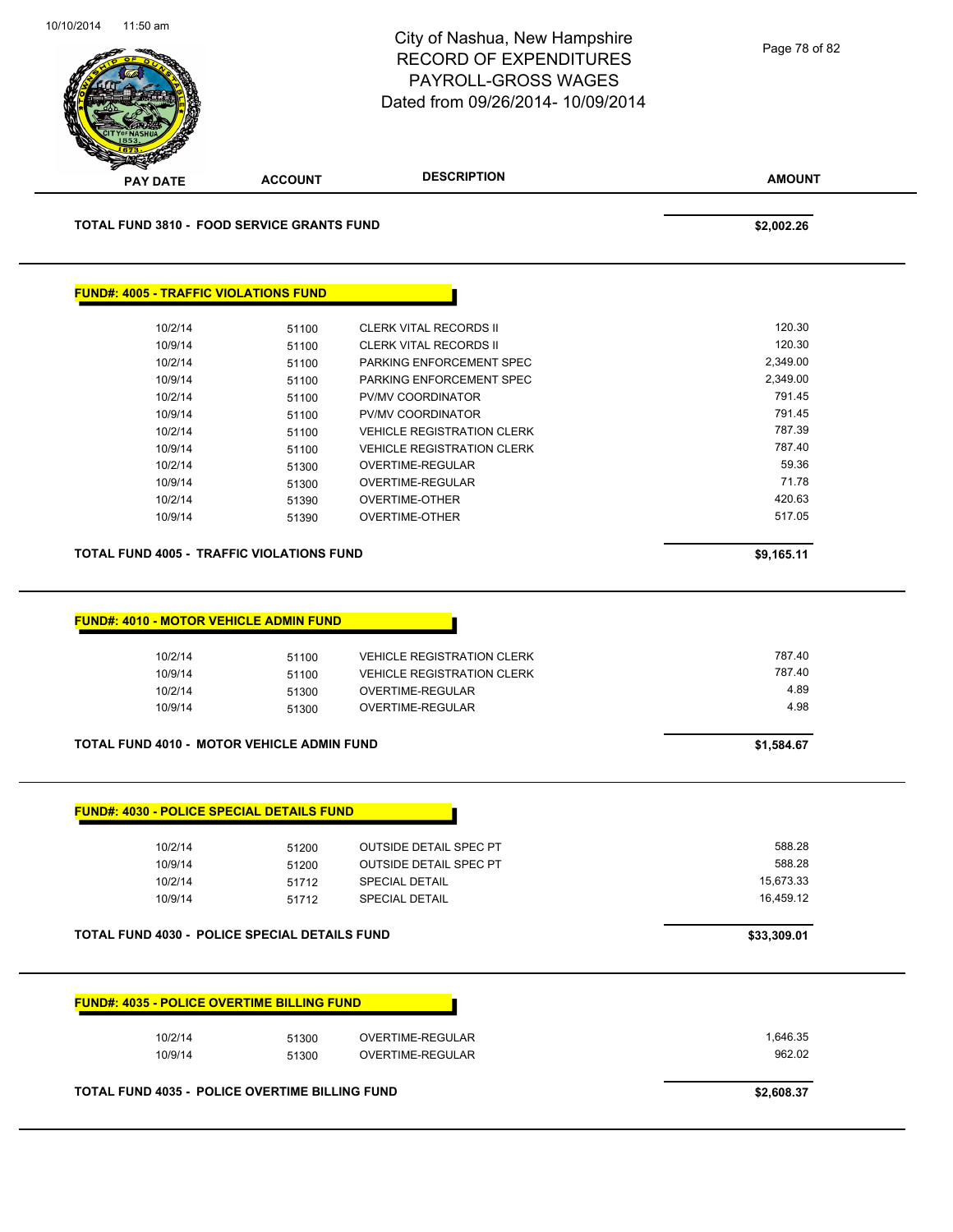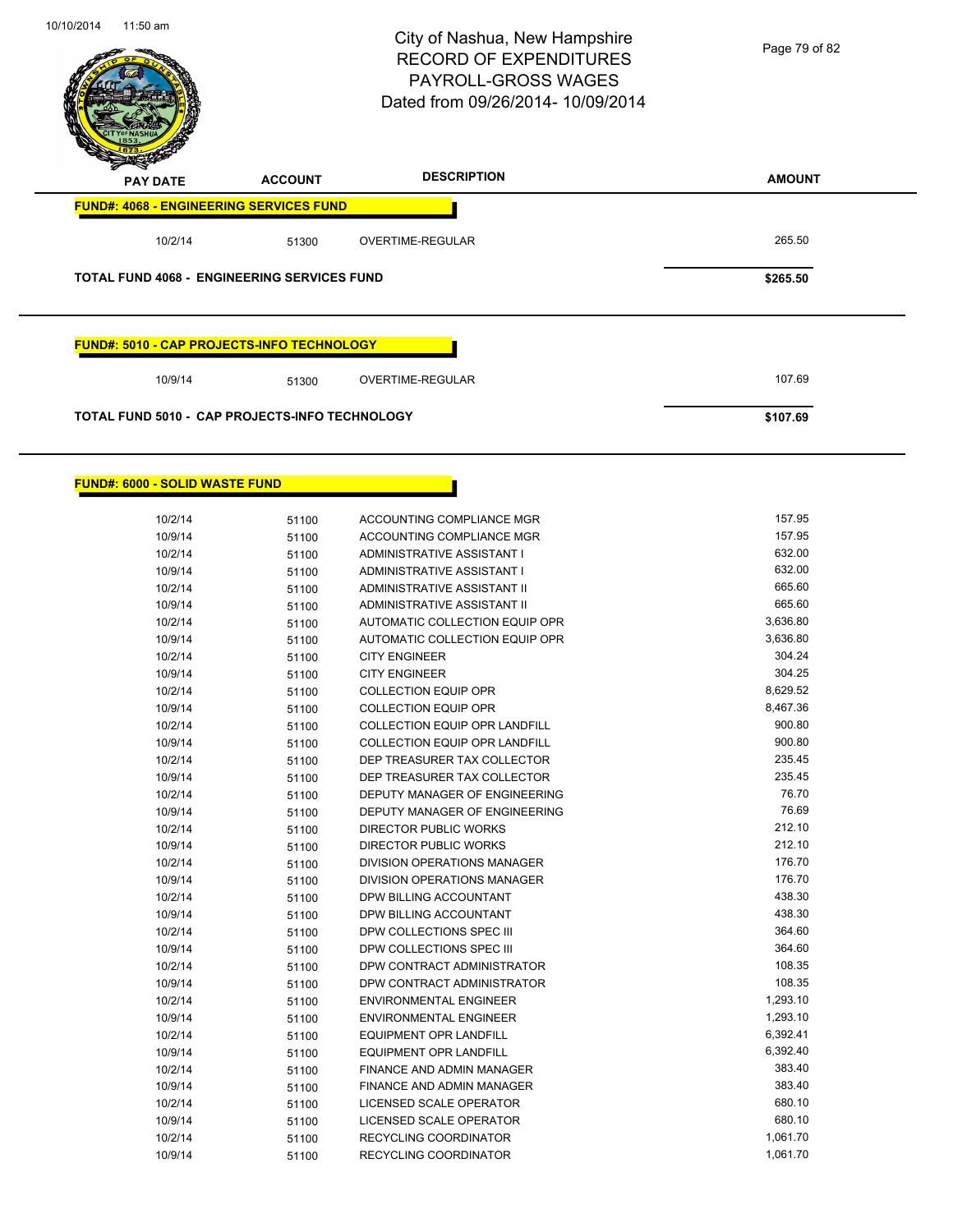

| 10/2/14 | 51100 | ACCOUNTING COMPLIANCE MGR            | 157.95   |
|---------|-------|--------------------------------------|----------|
| 10/9/14 | 51100 | ACCOUNTING COMPLIANCE MGR            | 157.95   |
| 10/2/14 | 51100 | ADMINISTRATIVE ASSISTANT I           | 632.00   |
| 10/9/14 | 51100 | ADMINISTRATIVE ASSISTANT I           | 632.00   |
| 10/2/14 | 51100 | ADMINISTRATIVE ASSISTANT II          | 665.60   |
| 10/9/14 | 51100 | ADMINISTRATIVE ASSISTANT II          | 665.60   |
| 10/2/14 | 51100 | AUTOMATIC COLLECTION EQUIP OPR       | 3,636.80 |
| 10/9/14 | 51100 | AUTOMATIC COLLECTION EQUIP OPR       | 3,636.80 |
| 10/2/14 | 51100 | <b>CITY ENGINEER</b>                 | 304.24   |
| 10/9/14 | 51100 | <b>CITY ENGINEER</b>                 | 304.25   |
| 10/2/14 | 51100 | <b>COLLECTION EQUIP OPR</b>          | 8,629.52 |
| 10/9/14 | 51100 | <b>COLLECTION EQUIP OPR</b>          | 8,467.36 |
| 10/2/14 | 51100 | <b>COLLECTION EQUIP OPR LANDFILL</b> | 900.80   |
| 10/9/14 | 51100 | <b>COLLECTION EQUIP OPR LANDFILL</b> | 900.80   |
| 10/2/14 | 51100 | DEP TREASURER TAX COLLECTOR          | 235.45   |
| 10/9/14 | 51100 | DEP TREASURER TAX COLLECTOR          | 235.45   |
| 10/2/14 | 51100 | DEPUTY MANAGER OF ENGINEERING        | 76.70    |
| 10/9/14 | 51100 | DEPUTY MANAGER OF ENGINEERING        | 76.69    |
| 10/2/14 | 51100 | <b>DIRECTOR PUBLIC WORKS</b>         | 212.10   |
| 10/9/14 | 51100 | <b>DIRECTOR PUBLIC WORKS</b>         | 212.10   |
| 10/2/14 | 51100 | DIVISION OPERATIONS MANAGER          | 176.70   |
| 10/9/14 | 51100 | DIVISION OPERATIONS MANAGER          | 176.70   |
| 10/2/14 | 51100 | DPW BILLING ACCOUNTANT               | 438.30   |
| 10/9/14 | 51100 | DPW BILLING ACCOUNTANT               | 438.30   |
| 10/2/14 | 51100 | DPW COLLECTIONS SPEC III             | 364.60   |
| 10/9/14 | 51100 | DPW COLLECTIONS SPEC III             | 364.60   |
| 10/2/14 | 51100 | DPW CONTRACT ADMINISTRATOR           | 108.35   |
| 10/9/14 | 51100 | DPW CONTRACT ADMINISTRATOR           | 108.35   |
| 10/2/14 | 51100 | <b>ENVIRONMENTAL ENGINEER</b>        | 1,293.10 |
| 10/9/14 | 51100 | <b>ENVIRONMENTAL ENGINEER</b>        | 1,293.10 |
| 10/2/14 | 51100 | <b>EQUIPMENT OPR LANDFILL</b>        | 6,392.41 |
| 10/9/14 | 51100 | <b>EQUIPMENT OPR LANDFILL</b>        | 6,392.40 |
| 10/2/14 | 51100 | FINANCE AND ADMIN MANAGER            | 383.40   |
| 10/9/14 | 51100 | FINANCE AND ADMIN MANAGER            | 383.40   |
| 10/2/14 | 51100 | LICENSED SCALE OPERATOR              | 680.10   |
| 10/9/14 | 51100 | LICENSED SCALE OPERATOR              | 680.10   |
| 10/2/14 | 51100 | <b>RECYCLING COORDINATOR</b>         | 1,061.70 |
| 10/9/14 | 51100 | <b>RECYCLING COORDINATOR</b>         | 1,061.70 |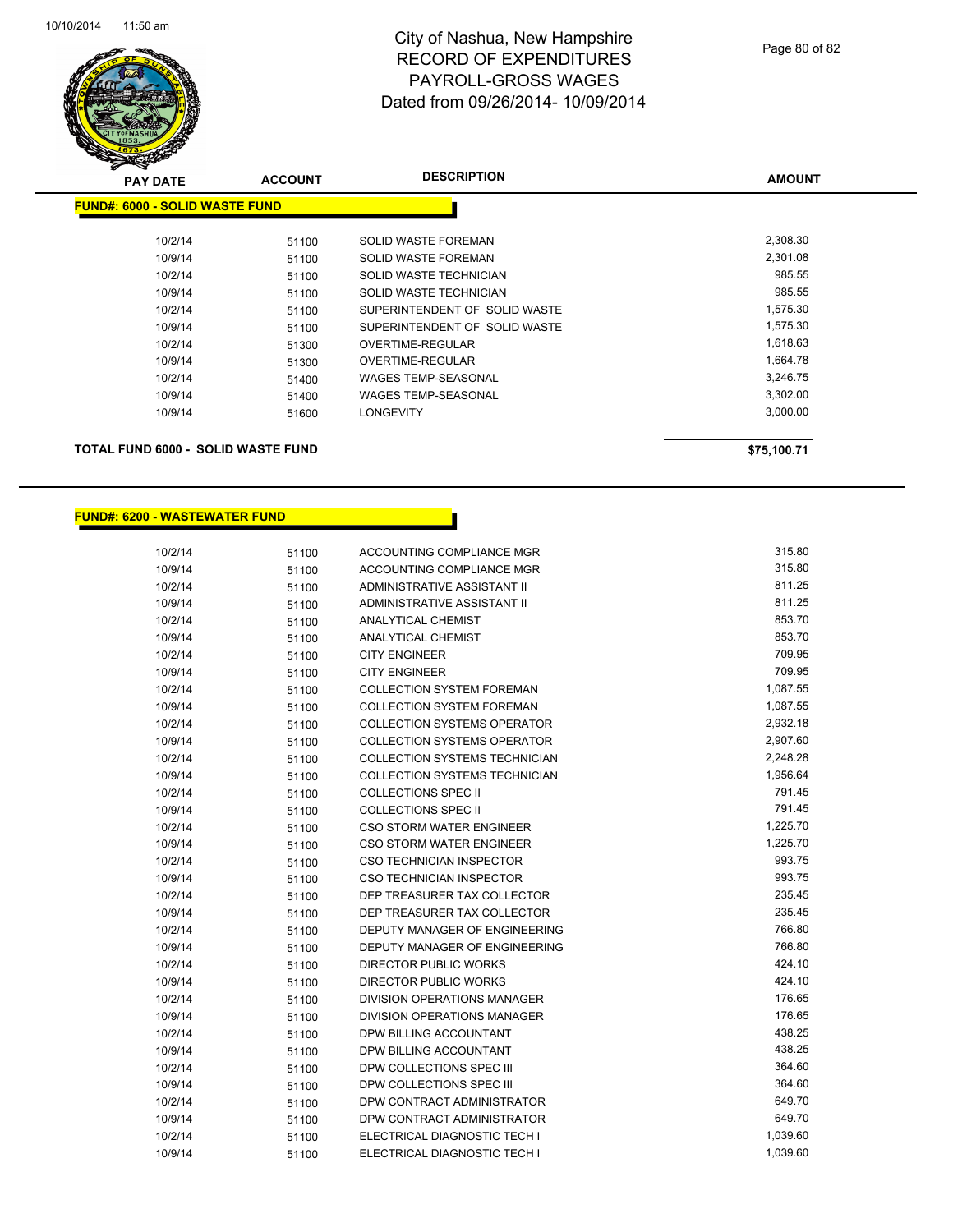

| z<br>$\sim$<br><b>PAY DATE</b>            | <b>ACCOUNT</b> | <b>DESCRIPTION</b>            | <b>AMOUNT</b> |
|-------------------------------------------|----------------|-------------------------------|---------------|
| <b>FUND#: 6000 - SOLID WASTE FUND</b>     |                |                               |               |
| 10/2/14                                   | 51100          | SOLID WASTE FOREMAN           | 2,308.30      |
| 10/9/14                                   | 51100          | SOLID WASTE FOREMAN           | 2,301.08      |
| 10/2/14                                   | 51100          | SOLID WASTE TECHNICIAN        | 985.55        |
| 10/9/14                                   | 51100          | SOLID WASTE TECHNICIAN        | 985.55        |
| 10/2/14                                   | 51100          | SUPERINTENDENT OF SOLID WASTE | 1,575.30      |
| 10/9/14                                   | 51100          | SUPERINTENDENT OF SOLID WASTE | 1,575.30      |
| 10/2/14                                   | 51300          | OVERTIME-REGULAR              | 1,618.63      |
| 10/9/14                                   | 51300          | OVERTIME-REGULAR              | 1,664.78      |
| 10/2/14                                   | 51400          | <b>WAGES TEMP-SEASONAL</b>    | 3,246.75      |
| 10/9/14                                   | 51400          | <b>WAGES TEMP-SEASONAL</b>    | 3,302.00      |
| 10/9/14                                   | 51600          | <b>LONGEVITY</b>              | 3,000.00      |
| <b>TOTAL FUND 6000 - SOLID WASTE FUND</b> |                |                               | \$75,100.71   |

## **FUND#: 6200 - WASTEWATER FUND**

| 10/2/14 | 51100 | ACCOUNTING COMPLIANCE MGR            | 315.80   |
|---------|-------|--------------------------------------|----------|
| 10/9/14 | 51100 | ACCOUNTING COMPLIANCE MGR            | 315.80   |
| 10/2/14 | 51100 | <b>ADMINISTRATIVE ASSISTANT II</b>   | 811.25   |
| 10/9/14 | 51100 | ADMINISTRATIVE ASSISTANT II          | 811.25   |
| 10/2/14 | 51100 | <b>ANALYTICAL CHEMIST</b>            | 853.70   |
| 10/9/14 | 51100 | <b>ANALYTICAL CHEMIST</b>            | 853.70   |
| 10/2/14 | 51100 | <b>CITY ENGINEER</b>                 | 709.95   |
| 10/9/14 | 51100 | <b>CITY ENGINEER</b>                 | 709.95   |
| 10/2/14 | 51100 | <b>COLLECTION SYSTEM FOREMAN</b>     | 1,087.55 |
| 10/9/14 | 51100 | <b>COLLECTION SYSTEM FOREMAN</b>     | 1,087.55 |
| 10/2/14 | 51100 | <b>COLLECTION SYSTEMS OPERATOR</b>   | 2,932.18 |
| 10/9/14 | 51100 | <b>COLLECTION SYSTEMS OPERATOR</b>   | 2,907.60 |
| 10/2/14 | 51100 | <b>COLLECTION SYSTEMS TECHNICIAN</b> | 2,248.28 |
| 10/9/14 | 51100 | <b>COLLECTION SYSTEMS TECHNICIAN</b> | 1,956.64 |
| 10/2/14 | 51100 | <b>COLLECTIONS SPEC II</b>           | 791.45   |
| 10/9/14 | 51100 | <b>COLLECTIONS SPEC II</b>           | 791.45   |
| 10/2/14 | 51100 | CSO STORM WATER ENGINEER             | 1,225.70 |
| 10/9/14 | 51100 | <b>CSO STORM WATER ENGINEER</b>      | 1,225.70 |
| 10/2/14 | 51100 | <b>CSO TECHNICIAN INSPECTOR</b>      | 993.75   |
| 10/9/14 | 51100 | <b>CSO TECHNICIAN INSPECTOR</b>      | 993.75   |
| 10/2/14 | 51100 | DEP TREASURER TAX COLLECTOR          | 235.45   |
| 10/9/14 | 51100 | DEP TREASURER TAX COLLECTOR          | 235.45   |
| 10/2/14 | 51100 | DEPUTY MANAGER OF ENGINEERING        | 766.80   |
| 10/9/14 | 51100 | DEPUTY MANAGER OF ENGINEERING        | 766.80   |
| 10/2/14 | 51100 | DIRECTOR PUBLIC WORKS                | 424.10   |
| 10/9/14 | 51100 | <b>DIRECTOR PUBLIC WORKS</b>         | 424.10   |
| 10/2/14 | 51100 | <b>DIVISION OPERATIONS MANAGER</b>   | 176.65   |
| 10/9/14 | 51100 | DIVISION OPERATIONS MANAGER          | 176.65   |
| 10/2/14 | 51100 | DPW BILLING ACCOUNTANT               | 438.25   |
| 10/9/14 | 51100 | DPW BILLING ACCOUNTANT               | 438.25   |
| 10/2/14 | 51100 | DPW COLLECTIONS SPEC III             | 364.60   |
| 10/9/14 | 51100 | DPW COLLECTIONS SPEC III             | 364.60   |
| 10/2/14 | 51100 | DPW CONTRACT ADMINISTRATOR           | 649.70   |
| 10/9/14 | 51100 | DPW CONTRACT ADMINISTRATOR           | 649.70   |
| 10/2/14 | 51100 | ELECTRICAL DIAGNOSTIC TECH I         | 1,039.60 |
| 10/9/14 | 51100 | ELECTRICAL DIAGNOSTIC TECH I         | 1,039.60 |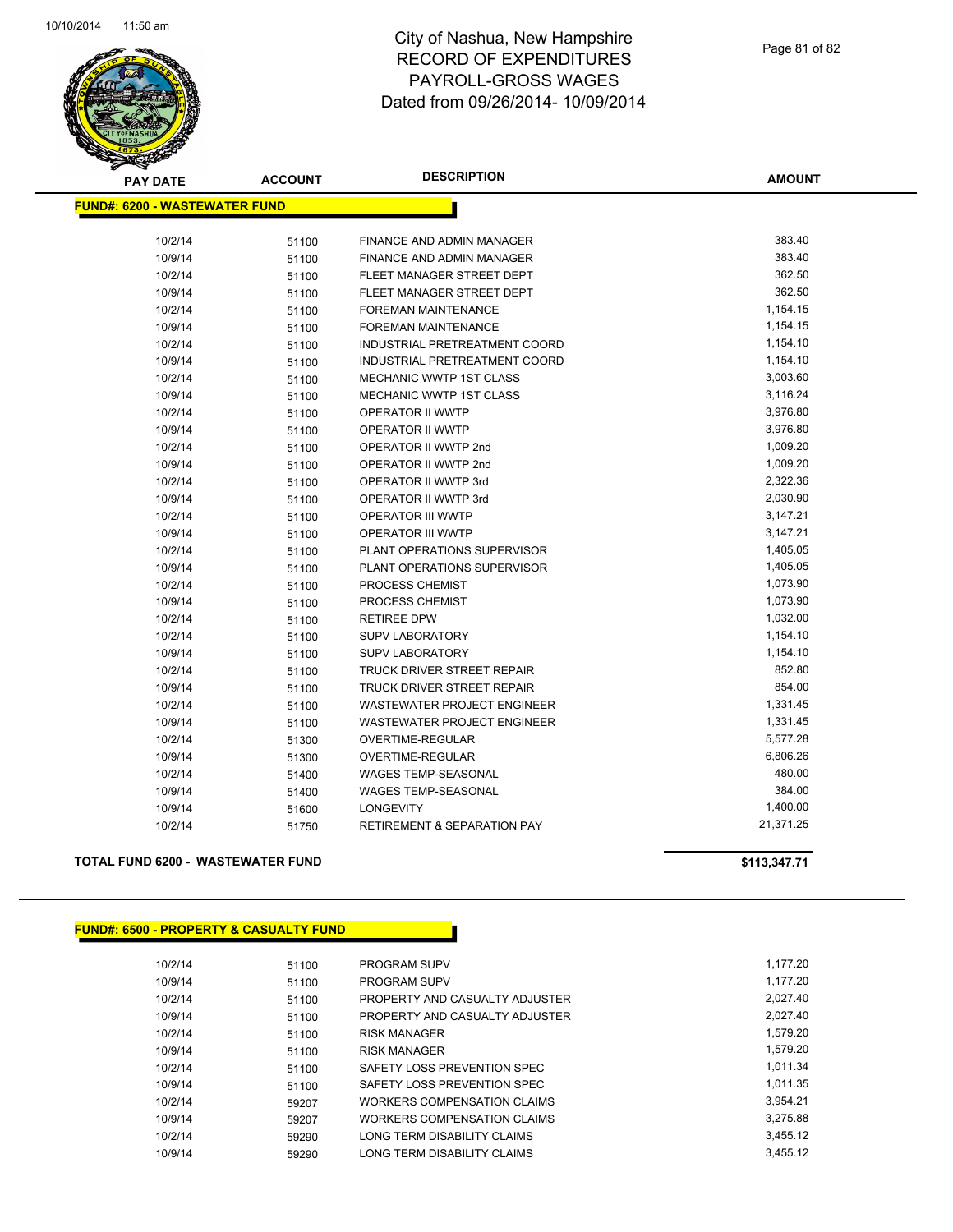

| <b>PAY DATE</b>                      | <b>ACCOUNT</b> | <b>DESCRIPTION</b>                     | <b>AMOUNT</b> |
|--------------------------------------|----------------|----------------------------------------|---------------|
| <b>FUND#: 6200 - WASTEWATER FUND</b> |                |                                        |               |
| 10/2/14                              | 51100          | FINANCE AND ADMIN MANAGER              | 383.40        |
| 10/9/14                              | 51100          | FINANCE AND ADMIN MANAGER              | 383.40        |
| 10/2/14                              | 51100          | FLEET MANAGER STREET DEPT              | 362.50        |
| 10/9/14                              | 51100          | FLEET MANAGER STREET DEPT              | 362.50        |
| 10/2/14                              | 51100          | FOREMAN MAINTENANCE                    | 1,154.15      |
| 10/9/14                              | 51100          | <b>FOREMAN MAINTENANCE</b>             | 1,154.15      |
| 10/2/14                              | 51100          | INDUSTRIAL PRETREATMENT COORD          | 1,154.10      |
| 10/9/14                              | 51100          | INDUSTRIAL PRETREATMENT COORD          | 1,154.10      |
| 10/2/14                              | 51100          | MECHANIC WWTP 1ST CLASS                | 3,003.60      |
| 10/9/14                              | 51100          | <b>MECHANIC WWTP 1ST CLASS</b>         | 3,116.24      |
| 10/2/14                              | 51100          | OPERATOR II WWTP                       | 3,976.80      |
| 10/9/14                              | 51100          | OPERATOR II WWTP                       | 3,976.80      |
| 10/2/14                              | 51100          | OPERATOR II WWTP 2nd                   | 1,009.20      |
| 10/9/14                              | 51100          | OPERATOR II WWTP 2nd                   | 1,009.20      |
| 10/2/14                              | 51100          | OPERATOR II WWTP 3rd                   | 2,322.36      |
| 10/9/14                              | 51100          | OPERATOR II WWTP 3rd                   | 2,030.90      |
| 10/2/14                              | 51100          | <b>OPERATOR III WWTP</b>               | 3,147.21      |
| 10/9/14                              | 51100          | <b>OPERATOR III WWTP</b>               | 3,147.21      |
| 10/2/14                              | 51100          | PLANT OPERATIONS SUPERVISOR            | 1,405.05      |
| 10/9/14                              | 51100          | PLANT OPERATIONS SUPERVISOR            | 1,405.05      |
| 10/2/14                              | 51100          | PROCESS CHEMIST                        | 1,073.90      |
| 10/9/14                              | 51100          | PROCESS CHEMIST                        | 1,073.90      |
| 10/2/14                              | 51100          | <b>RETIREE DPW</b>                     | 1,032.00      |
| 10/2/14                              | 51100          | <b>SUPV LABORATORY</b>                 | 1,154.10      |
| 10/9/14                              | 51100          | <b>SUPV LABORATORY</b>                 | 1,154.10      |
| 10/2/14                              | 51100          | TRUCK DRIVER STREET REPAIR             | 852.80        |
| 10/9/14                              | 51100          | TRUCK DRIVER STREET REPAIR             | 854.00        |
| 10/2/14                              | 51100          | <b>WASTEWATER PROJECT ENGINEER</b>     | 1,331.45      |
| 10/9/14                              | 51100          | <b>WASTEWATER PROJECT ENGINEER</b>     | 1,331.45      |
| 10/2/14                              | 51300          | OVERTIME-REGULAR                       | 5,577.28      |
| 10/9/14                              | 51300          | OVERTIME-REGULAR                       | 6,806.26      |
| 10/2/14                              | 51400          | <b>WAGES TEMP-SEASONAL</b>             | 480.00        |
| 10/9/14                              | 51400          | <b>WAGES TEMP-SEASONAL</b>             | 384.00        |
| 10/9/14                              | 51600          | LONGEVITY                              | 1,400.00      |
| 10/2/14                              | 51750          | <b>RETIREMENT &amp; SEPARATION PAY</b> | 21,371.25     |
|                                      |                |                                        |               |

### **TOTAL FUND 6200 - WASTEWATER FUND \$113,347.71**

| <b>FUND#: 6500 - PROPERTY &amp; CASUALTY FUND</b> |       |                                |
|---------------------------------------------------|-------|--------------------------------|
|                                                   |       |                                |
| 10/2/14                                           | 51100 | <b>PROGRAM SUPV</b>            |
| 10/9/14                                           | 51100 | <b>PROGRAM SUPV</b>            |
| 10/2/14                                           | 51100 | PROPERTY AND CASUALTY ADJUSTER |
| 10/9/14                                           | 51100 | PROPERTY AND CASUALTY ADJUSTER |
| 10/2/14                                           | 51100 | <b>RISK MANAGER</b>            |
| 10/9/14                                           | 51100 | <b>RISK MANAGER</b>            |
| 10/2/14                                           | 51100 | SAFETY LOSS PREVENTION SPEC    |
| 10/9/14                                           | 51100 | SAFETY LOSS PREVENTION SPEC    |
| 10/2/14                                           | 59207 | WORKERS COMPENSATION CLAIMS    |
| 10/9/14                                           | 59207 | WORKERS COMPENSATION CLAIMS    |
| 10/2/14                                           | 59290 | LONG TERM DISABILITY CLAIMS    |
| 10/9/14                                           | 59290 | LONG TERM DISABILITY CLAIMS    |